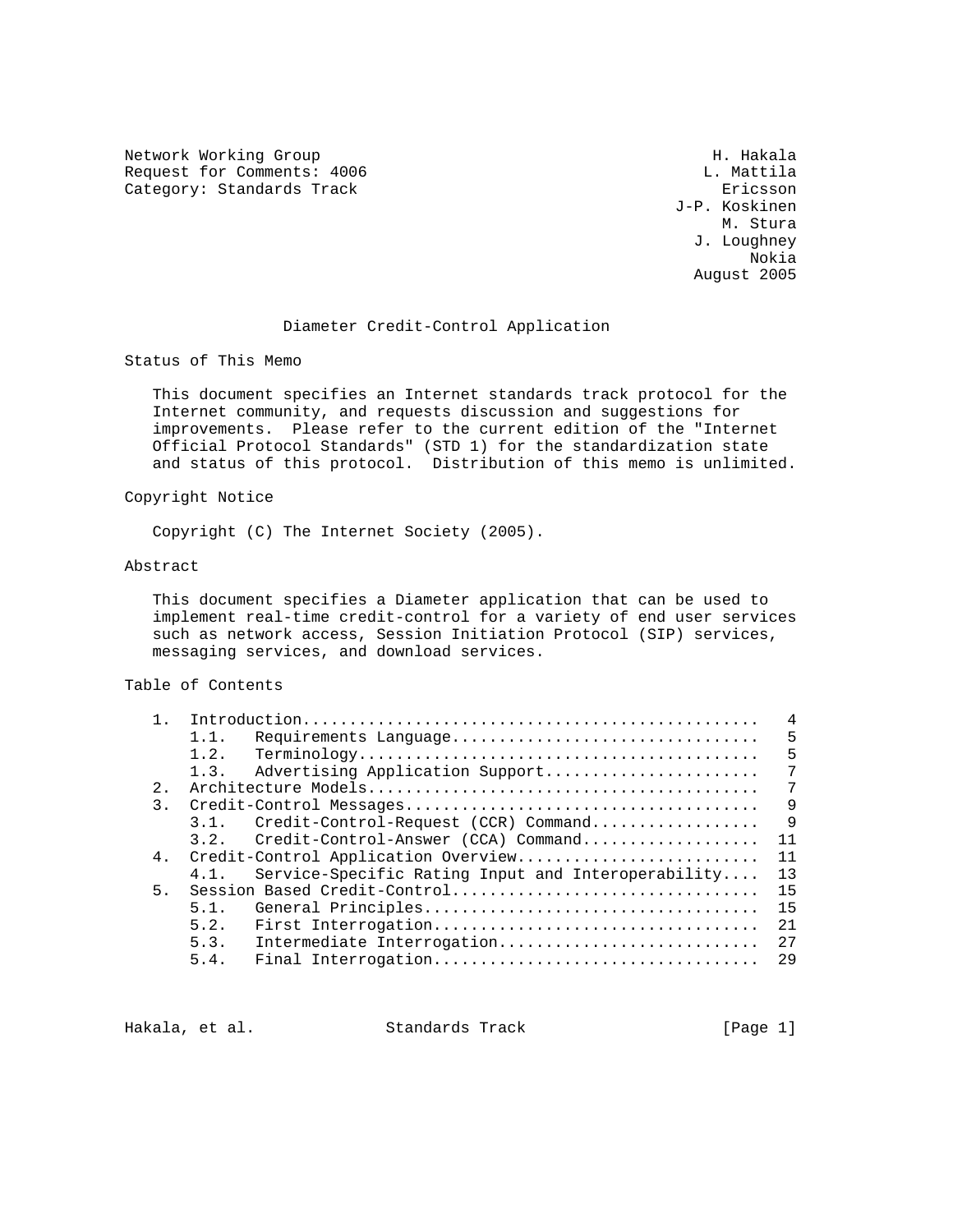Network Working Group Network Working Group H. Hakala Request for Comments: 4006 L. Mattila<br>
Category: Standards Track Category: Ericsson Category: Standards Track

 J-P. Koskinen M. Stura J. Loughney Nokia August 2005

## Diameter Credit-Control Application

Status of This Memo

 This document specifies an Internet standards track protocol for the Internet community, and requests discussion and suggestions for improvements. Please refer to the current edition of the "Internet Official Protocol Standards" (STD 1) for the standardization state and status of this protocol. Distribution of this memo is unlimited.

#### Copyright Notice

Copyright (C) The Internet Society (2005).

#### Abstract

 This document specifies a Diameter application that can be used to implement real-time credit-control for a variety of end user services such as network access, Session Initiation Protocol (SIP) services, messaging services, and download services.

#### Table of Contents

|                |         |                                                    | 4                                                                   |
|----------------|---------|----------------------------------------------------|---------------------------------------------------------------------|
|                | 1.1.    | Requirements Language                              | 5                                                                   |
|                | 1.2.    |                                                    | 5                                                                   |
|                | 1.3.    | Advertising Application Support                    | 7                                                                   |
| $2$ .          |         |                                                    | 7                                                                   |
| 3.             |         |                                                    | 9                                                                   |
|                | 3.1.    | Credit-Control-Request (CCR) Command               | 9                                                                   |
|                | 3.2.    | Credit-Control-Answer (CCA) Command                | 11                                                                  |
|                |         |                                                    | 11                                                                  |
|                | $4.1$ . | Service-Specific Rating Input and Interoperability | 13                                                                  |
| 5 <sub>1</sub> |         |                                                    | 15                                                                  |
|                | 5.1.    | General Principles                                 | 15                                                                  |
|                | 5.2.    | First Interrogation                                | 21                                                                  |
|                | 5.3.    | Intermediate Interrogation                         | 27                                                                  |
|                | 5.4.    |                                                    | 29                                                                  |
|                | 4.      |                                                    | Credit-Control Application Overview<br>Session Based Credit-Control |

Hakala, et al. Standards Track [Page 1]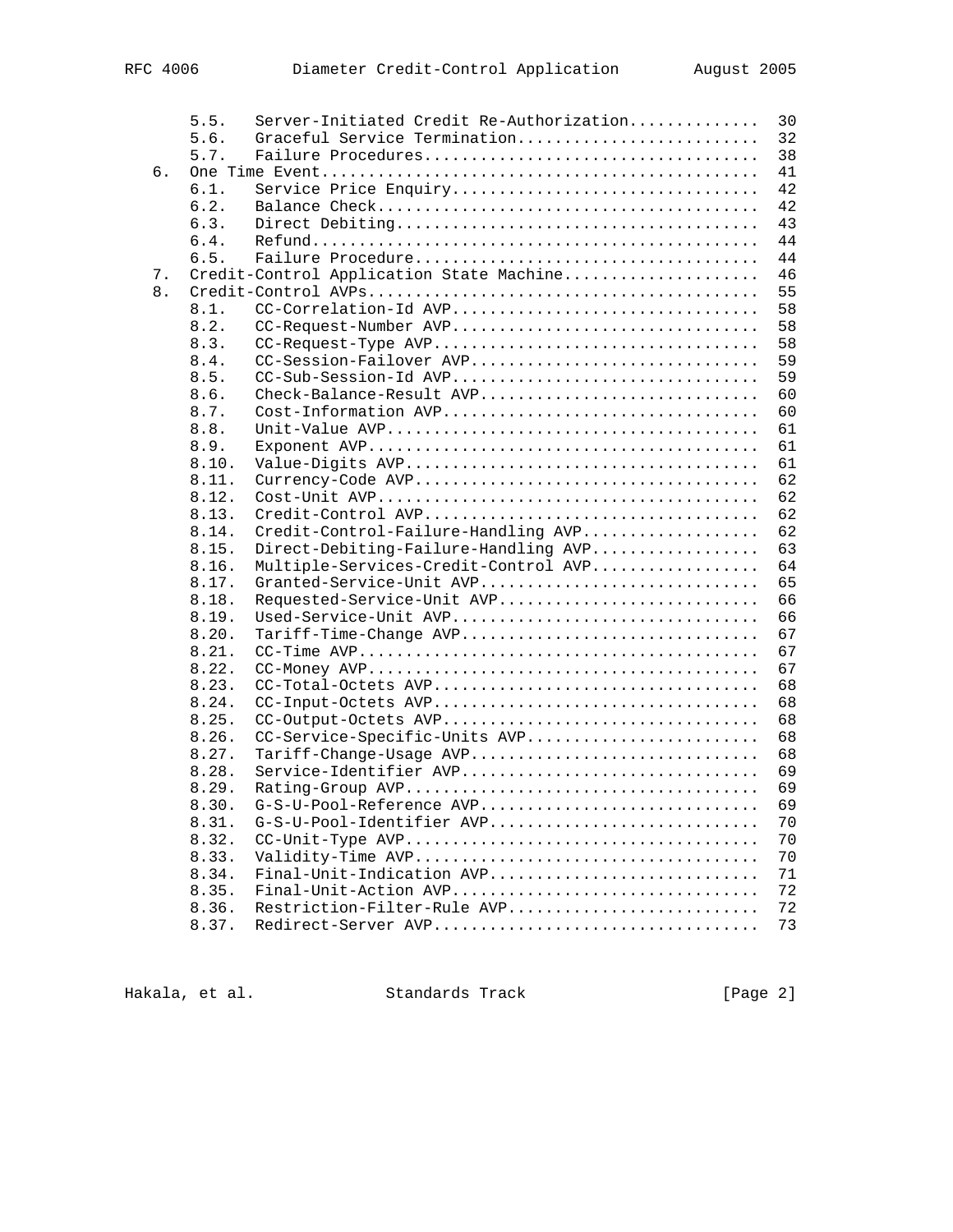|    | 5.5.           | Server-Initiated Credit Re-Authorization | 30       |
|----|----------------|------------------------------------------|----------|
|    | 5.6.           | Graceful Service Termination             | 32       |
|    | 5.7.           |                                          | 38       |
| б. |                |                                          | 41       |
|    | 6.1.           | Service Price Enquiry                    | 42       |
|    | 6.2.           |                                          | 42       |
|    | 6.3.           |                                          | 43       |
|    | 6.4.           |                                          | 44       |
|    | 6.5.           |                                          | 44       |
| 7. |                | Credit-Control Application State Machine | 46       |
| 8. |                |                                          | 55       |
|    | 8.1.           | CC-Correlation-Id AVP                    | 58       |
|    | 8.2.           | CC-Request-Number AVP                    | 58       |
|    | 8.3.           | CC-Request-Type AVP                      | 58       |
|    | 8.4.           | CC-Session-Failover AVP                  | 59       |
|    | 8.5.           | CC-Sub-Session-Id AVP                    | 59       |
|    | 8.6.           | Check-Balance-Result AVP                 | 60       |
|    | 8.7.           | Cost-Information AVP                     | 60       |
|    | 8.8.           |                                          | 61       |
|    | 8.9.           |                                          | 61       |
|    | 8.10.          |                                          | 61       |
|    | 8.11.          |                                          | 62       |
|    | 8.12.          |                                          | 62       |
|    | 8.13.          |                                          | 62       |
|    | 8.14.          | Credit-Control-Failure-Handling AVP      | 62       |
|    | 8.15.          | Direct-Debiting-Failure-Handling AVP     | 63       |
|    | 8.16.          | Multiple-Services-Credit-Control AVP     | 64       |
|    | 8.17.          | Granted-Service-Unit AVP                 | 65       |
|    | 8.18.          | Requested-Service-Unit AVP               | 66       |
|    | 8.19.          | Used-Service-Unit AVP                    | 66       |
|    | 8.20.          | Tariff-Time-Change AVP                   | 67       |
|    | 8.21.          |                                          | 67       |
|    | 8.22.          |                                          | 67       |
|    | 8.23.          | CC-Total-Octets AVP                      | 68       |
|    | 8.24.          | CC-Input-Octets AVP                      | 68       |
|    | 8.25.          | CC-Output-Octets AVP                     | 68       |
|    | 8.26.          | CC-Service-Specific-Units AVP            | 68       |
|    | 8.27.          | Tariff-Change-Usage AVP                  | 68       |
|    | 8.28.          | Service-Identifier AVP                   | 69<br>69 |
|    | 8.29.          |                                          | 69       |
|    | 8.30.          | G-S-U-Pool-Reference AVP                 |          |
|    | 8.31.<br>8.32. | G-S-U-Pool-Identifier AVP                | 70<br>70 |
|    | 8.33.          |                                          | 70       |
|    | 8.34.          | Final-Unit-Indication AVP                | 71       |
|    | 8.35.          | Final-Unit-Action AVP                    | 72       |
|    | 8.36.          | Restriction-Filter-Rule AVP              | 72       |
|    | 8.37.          | Redirect-Server AVP                      | 73       |
|    |                |                                          |          |

Hakala, et al. Standards Track [Page 2]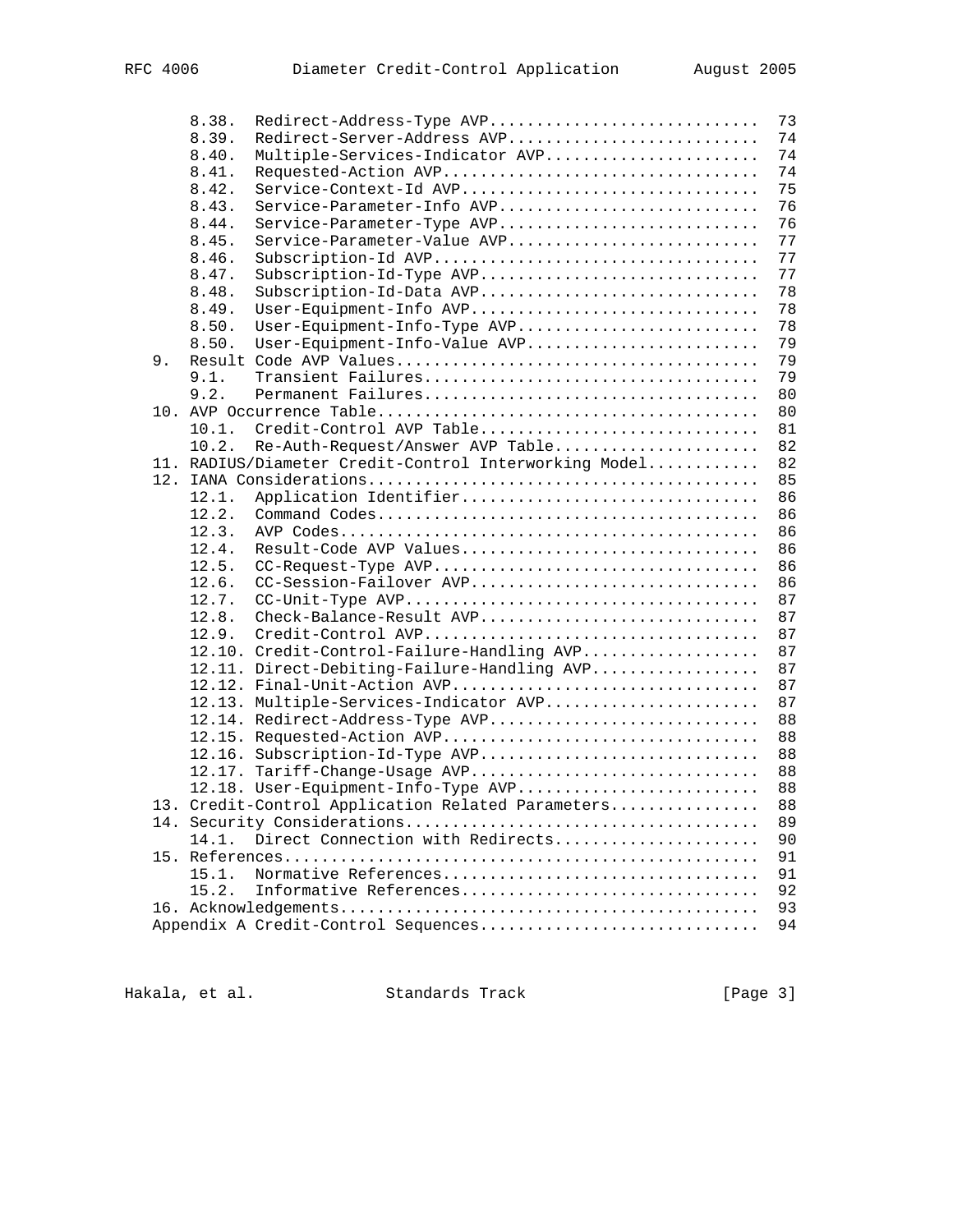|    | 8.38.  | Redirect-Address-Type AVP                             | 73 |
|----|--------|-------------------------------------------------------|----|
|    | 8.39.  | Redirect-Server-Address AVP                           | 74 |
|    | 8.40.  | Multiple-Services-Indicator AVP                       | 74 |
|    | 8.41.  | Requested-Action AVP                                  | 74 |
|    | 8.42.  | Service-Context-Id AVP                                | 75 |
|    | 8.43.  | Service-Parameter-Info AVP                            | 76 |
|    | 8.44.  | Service-Parameter-Type AVP                            | 76 |
|    | 8.45.  | Service-Parameter-Value AVP                           | 77 |
|    | 8.46.  | Subscription-Id AVP                                   | 77 |
|    | 8.47.  | Subscription-Id-Type AVP                              | 77 |
|    | 8.48.  | Subscription-Id-Data AVP                              | 78 |
|    | 8.49.  | User-Equipment-Info AVP                               | 78 |
|    | 8.50.  | User-Equipment-Info-Type AVP                          | 78 |
|    | 8.50.  | User-Equipment-Info-Value AVP                         | 79 |
| 9. |        |                                                       | 79 |
|    | 9.1.   |                                                       | 79 |
|    | 9.2.   |                                                       | 80 |
|    |        |                                                       |    |
|    | 10.1.  |                                                       | 80 |
|    | 10.2.  | Credit-Control AVP Table                              | 81 |
|    |        | Re-Auth-Request/Answer AVP Table                      | 82 |
|    |        | 11. RADIUS/Diameter Credit-Control Interworking Model | 82 |
|    |        |                                                       | 85 |
|    | 12.1.  | Application Identifier                                | 86 |
|    | 12.2.  |                                                       | 86 |
|    | 12.3.  |                                                       | 86 |
|    | 12.4.  | Result-Code AVP Values                                | 86 |
|    | 12.5.  | CC-Request-Type AVP                                   | 86 |
|    | 12.6.  | CC-Session-Failover AVP                               | 86 |
|    | 12.7.  |                                                       | 87 |
|    | 12.8.  | Check-Balance-Result AVP                              | 87 |
|    | 12.9.  |                                                       | 87 |
|    |        | 12.10. Credit-Control-Failure-Handling AVP            | 87 |
|    |        | 12.11. Direct-Debiting-Failure-Handling AVP           | 87 |
|    |        | 12.12. Final-Unit-Action AVP                          | 87 |
|    |        | 12.13. Multiple-Services-Indicator AVP                | 87 |
|    |        | 12.14. Redirect-Address-Type AVP                      | 88 |
|    |        | 12.15. Requested-Action AVP                           | 88 |
|    | 12.16. | Subscription-Id-Type AVP                              | 88 |
|    | 12.17. | Tariff-Change-Usage AVP                               | 88 |
|    |        | 12.18. User-Equipment-Info-Type AVP                   | 88 |
|    |        | 13. Credit-Control Application Related Parameters     | 88 |
|    |        |                                                       | 89 |
|    | 14.1.  | Direct Connection with Redirects                      | 90 |
|    |        |                                                       | 91 |
|    | 15.1.  | Normative References                                  | 91 |
|    | 15.2.  | Informative References                                | 92 |
|    |        |                                                       | 93 |
|    |        | Appendix A Credit-Control Sequences                   | 94 |
|    |        |                                                       |    |

Hakala, et al. Standards Track [Page 3]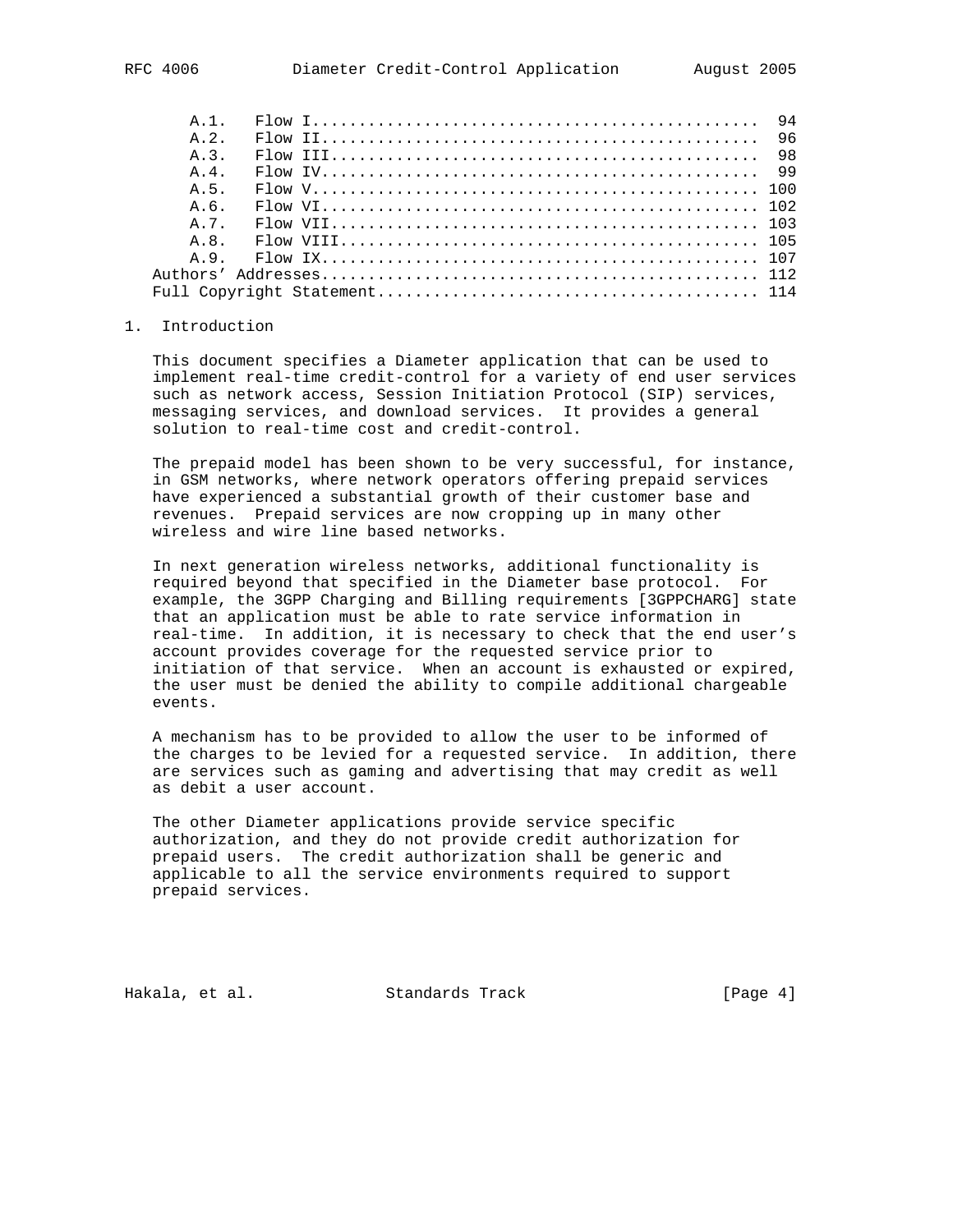| A 2         |  |  |  |  |  |  |  |  |  |  |
|-------------|--|--|--|--|--|--|--|--|--|--|
| $\lambda$ 3 |  |  |  |  |  |  |  |  |  |  |
| A 4         |  |  |  |  |  |  |  |  |  |  |
| A.5.        |  |  |  |  |  |  |  |  |  |  |
| A.6.        |  |  |  |  |  |  |  |  |  |  |
| A 7         |  |  |  |  |  |  |  |  |  |  |
|             |  |  |  |  |  |  |  |  |  |  |
|             |  |  |  |  |  |  |  |  |  |  |
|             |  |  |  |  |  |  |  |  |  |  |
|             |  |  |  |  |  |  |  |  |  |  |

#### 1. Introduction

 This document specifies a Diameter application that can be used to implement real-time credit-control for a variety of end user services such as network access, Session Initiation Protocol (SIP) services, messaging services, and download services. It provides a general solution to real-time cost and credit-control.

 The prepaid model has been shown to be very successful, for instance, in GSM networks, where network operators offering prepaid services have experienced a substantial growth of their customer base and revenues. Prepaid services are now cropping up in many other wireless and wire line based networks.

 In next generation wireless networks, additional functionality is required beyond that specified in the Diameter base protocol. For example, the 3GPP Charging and Billing requirements [3GPPCHARG] state that an application must be able to rate service information in real-time. In addition, it is necessary to check that the end user's account provides coverage for the requested service prior to initiation of that service. When an account is exhausted or expired, the user must be denied the ability to compile additional chargeable events.

 A mechanism has to be provided to allow the user to be informed of the charges to be levied for a requested service. In addition, there are services such as gaming and advertising that may credit as well as debit a user account.

 The other Diameter applications provide service specific authorization, and they do not provide credit authorization for prepaid users. The credit authorization shall be generic and applicable to all the service environments required to support prepaid services.

Hakala, et al. Standards Track [Page 4]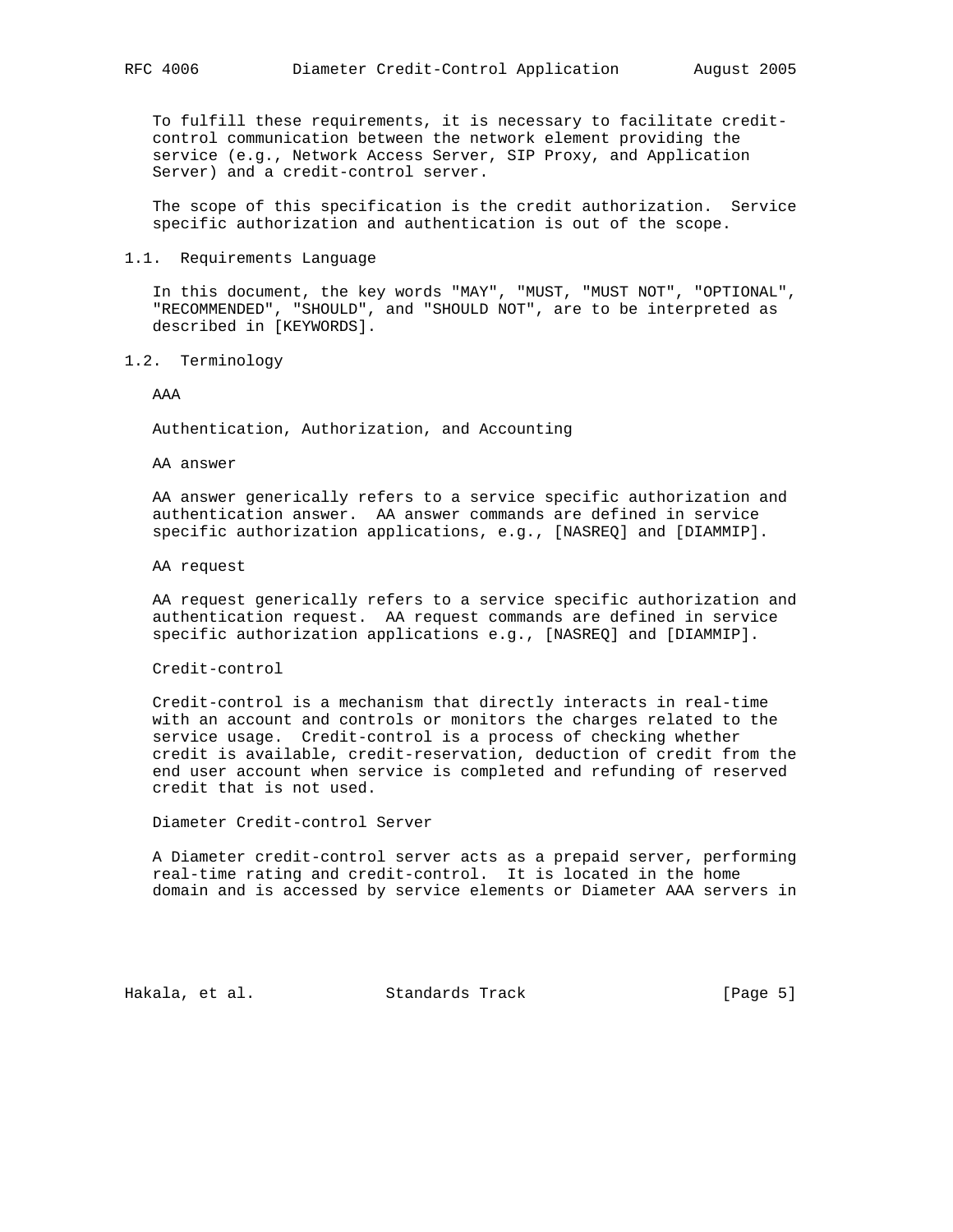To fulfill these requirements, it is necessary to facilitate credit control communication between the network element providing the service (e.g., Network Access Server, SIP Proxy, and Application Server) and a credit-control server.

 The scope of this specification is the credit authorization. Service specific authorization and authentication is out of the scope.

1.1. Requirements Language

 In this document, the key words "MAY", "MUST, "MUST NOT", "OPTIONAL", "RECOMMENDED", "SHOULD", and "SHOULD NOT", are to be interpreted as described in [KEYWORDS].

1.2. Terminology

AAA

Authentication, Authorization, and Accounting

AA answer

 AA answer generically refers to a service specific authorization and authentication answer. AA answer commands are defined in service specific authorization applications, e.g., [NASREQ] and [DIAMMIP].

AA request

 AA request generically refers to a service specific authorization and authentication request. AA request commands are defined in service specific authorization applications e.g., [NASREQ] and [DIAMMIP].

Credit-control

 Credit-control is a mechanism that directly interacts in real-time with an account and controls or monitors the charges related to the service usage. Credit-control is a process of checking whether credit is available, credit-reservation, deduction of credit from the end user account when service is completed and refunding of reserved credit that is not used.

Diameter Credit-control Server

 A Diameter credit-control server acts as a prepaid server, performing real-time rating and credit-control. It is located in the home domain and is accessed by service elements or Diameter AAA servers in

Hakala, et al. Standards Track [Page 5]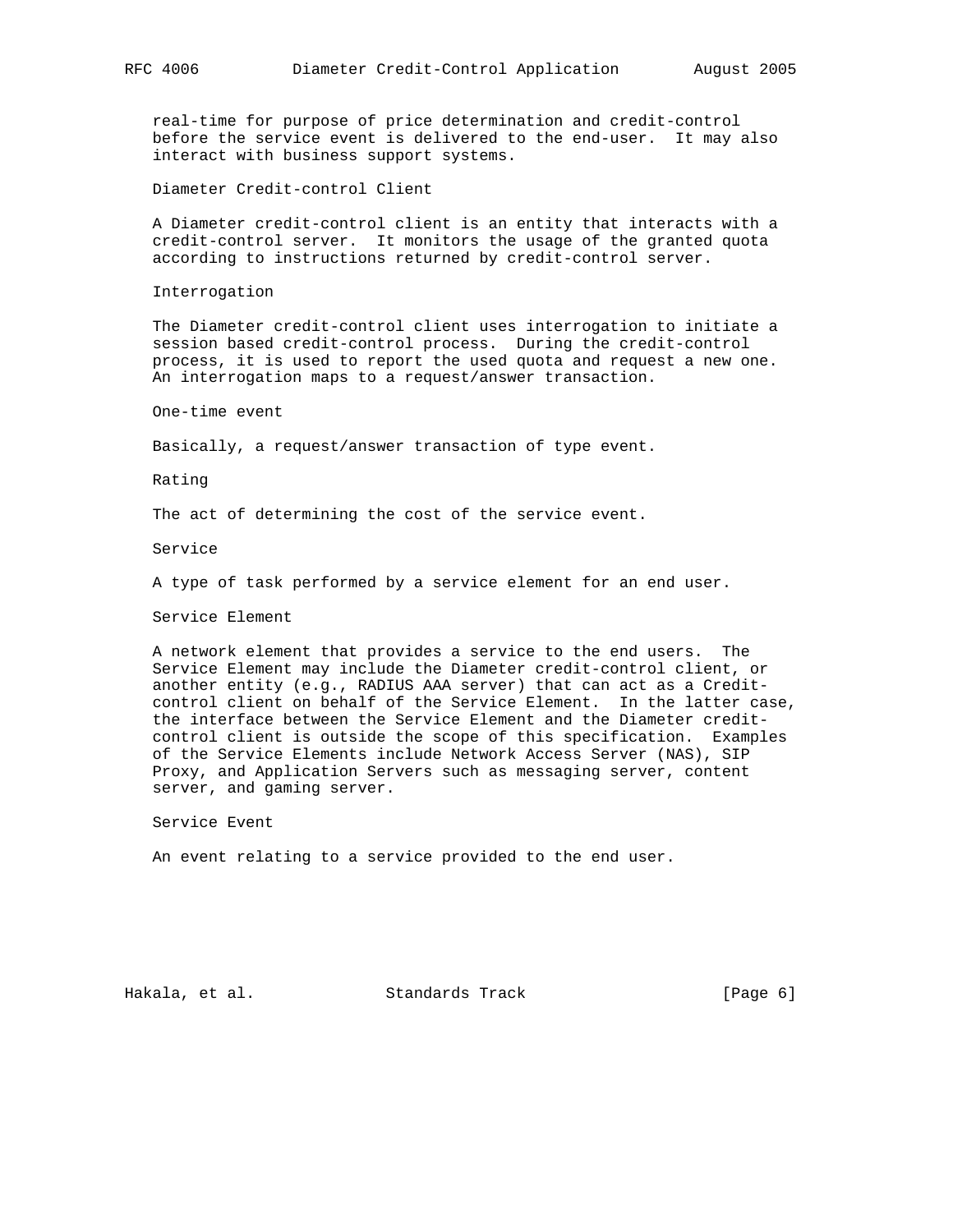real-time for purpose of price determination and credit-control before the service event is delivered to the end-user. It may also interact with business support systems.

Diameter Credit-control Client

 A Diameter credit-control client is an entity that interacts with a credit-control server. It monitors the usage of the granted quota according to instructions returned by credit-control server.

Interrogation

 The Diameter credit-control client uses interrogation to initiate a session based credit-control process. During the credit-control process, it is used to report the used quota and request a new one. An interrogation maps to a request/answer transaction.

One-time event

Basically, a request/answer transaction of type event.

Rating

The act of determining the cost of the service event.

Service

A type of task performed by a service element for an end user.

Service Element

 A network element that provides a service to the end users. The Service Element may include the Diameter credit-control client, or another entity (e.g., RADIUS AAA server) that can act as a Credit control client on behalf of the Service Element. In the latter case, the interface between the Service Element and the Diameter credit control client is outside the scope of this specification. Examples of the Service Elements include Network Access Server (NAS), SIP Proxy, and Application Servers such as messaging server, content server, and gaming server.

Service Event

An event relating to a service provided to the end user.

Hakala, et al. Standards Track [Page 6]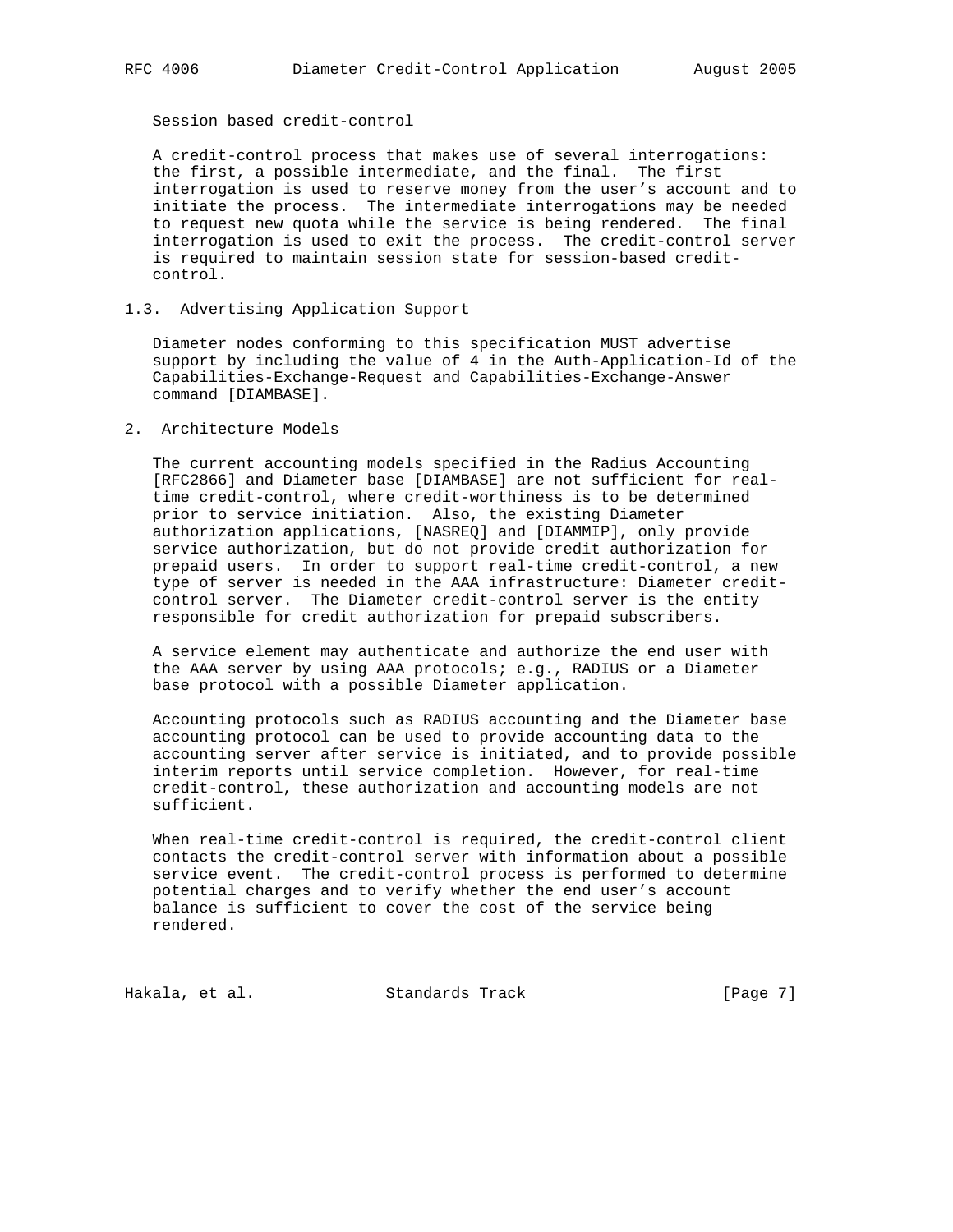Session based credit-control

 A credit-control process that makes use of several interrogations: the first, a possible intermediate, and the final. The first interrogation is used to reserve money from the user's account and to initiate the process. The intermediate interrogations may be needed to request new quota while the service is being rendered. The final interrogation is used to exit the process. The credit-control server is required to maintain session state for session-based credit control.

1.3. Advertising Application Support

 Diameter nodes conforming to this specification MUST advertise support by including the value of 4 in the Auth-Application-Id of the Capabilities-Exchange-Request and Capabilities-Exchange-Answer command [DIAMBASE].

2. Architecture Models

 The current accounting models specified in the Radius Accounting [RFC2866] and Diameter base [DIAMBASE] are not sufficient for real time credit-control, where credit-worthiness is to be determined prior to service initiation. Also, the existing Diameter authorization applications, [NASREQ] and [DIAMMIP], only provide service authorization, but do not provide credit authorization for prepaid users. In order to support real-time credit-control, a new type of server is needed in the AAA infrastructure: Diameter credit control server. The Diameter credit-control server is the entity responsible for credit authorization for prepaid subscribers.

 A service element may authenticate and authorize the end user with the AAA server by using AAA protocols; e.g., RADIUS or a Diameter base protocol with a possible Diameter application.

 Accounting protocols such as RADIUS accounting and the Diameter base accounting protocol can be used to provide accounting data to the accounting server after service is initiated, and to provide possible interim reports until service completion. However, for real-time credit-control, these authorization and accounting models are not sufficient.

 When real-time credit-control is required, the credit-control client contacts the credit-control server with information about a possible service event. The credit-control process is performed to determine potential charges and to verify whether the end user's account balance is sufficient to cover the cost of the service being rendered.

Hakala, et al. Standards Track [Page 7]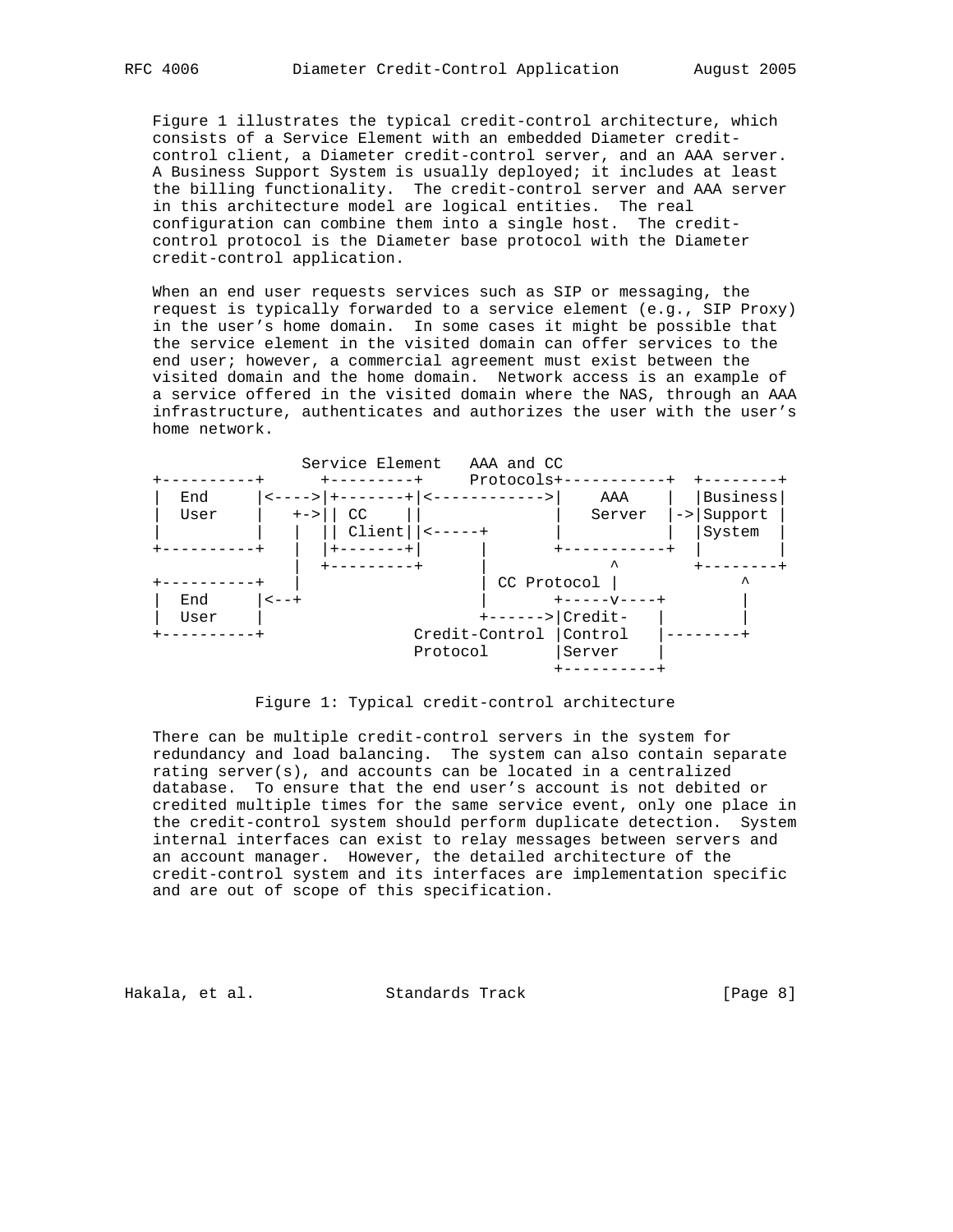Figure 1 illustrates the typical credit-control architecture, which consists of a Service Element with an embedded Diameter credit control client, a Diameter credit-control server, and an AAA server. A Business Support System is usually deployed; it includes at least the billing functionality. The credit-control server and AAA server in this architecture model are logical entities. The real configuration can combine them into a single host. The credit control protocol is the Diameter base protocol with the Diameter credit-control application.

 When an end user requests services such as SIP or messaging, the request is typically forwarded to a service element (e.g., SIP Proxy) in the user's home domain. In some cases it might be possible that the service element in the visited domain can offer services to the end user; however, a commercial agreement must exist between the visited domain and the home domain. Network access is an example of a service offered in the visited domain where the NAS, through an AAA infrastructure, authenticates and authorizes the user with the user's home network.



Figure 1: Typical credit-control architecture

 There can be multiple credit-control servers in the system for redundancy and load balancing. The system can also contain separate rating server(s), and accounts can be located in a centralized database. To ensure that the end user's account is not debited or credited multiple times for the same service event, only one place in the credit-control system should perform duplicate detection. System internal interfaces can exist to relay messages between servers and an account manager. However, the detailed architecture of the credit-control system and its interfaces are implementation specific and are out of scope of this specification.

Hakala, et al. Standards Track (Page 8)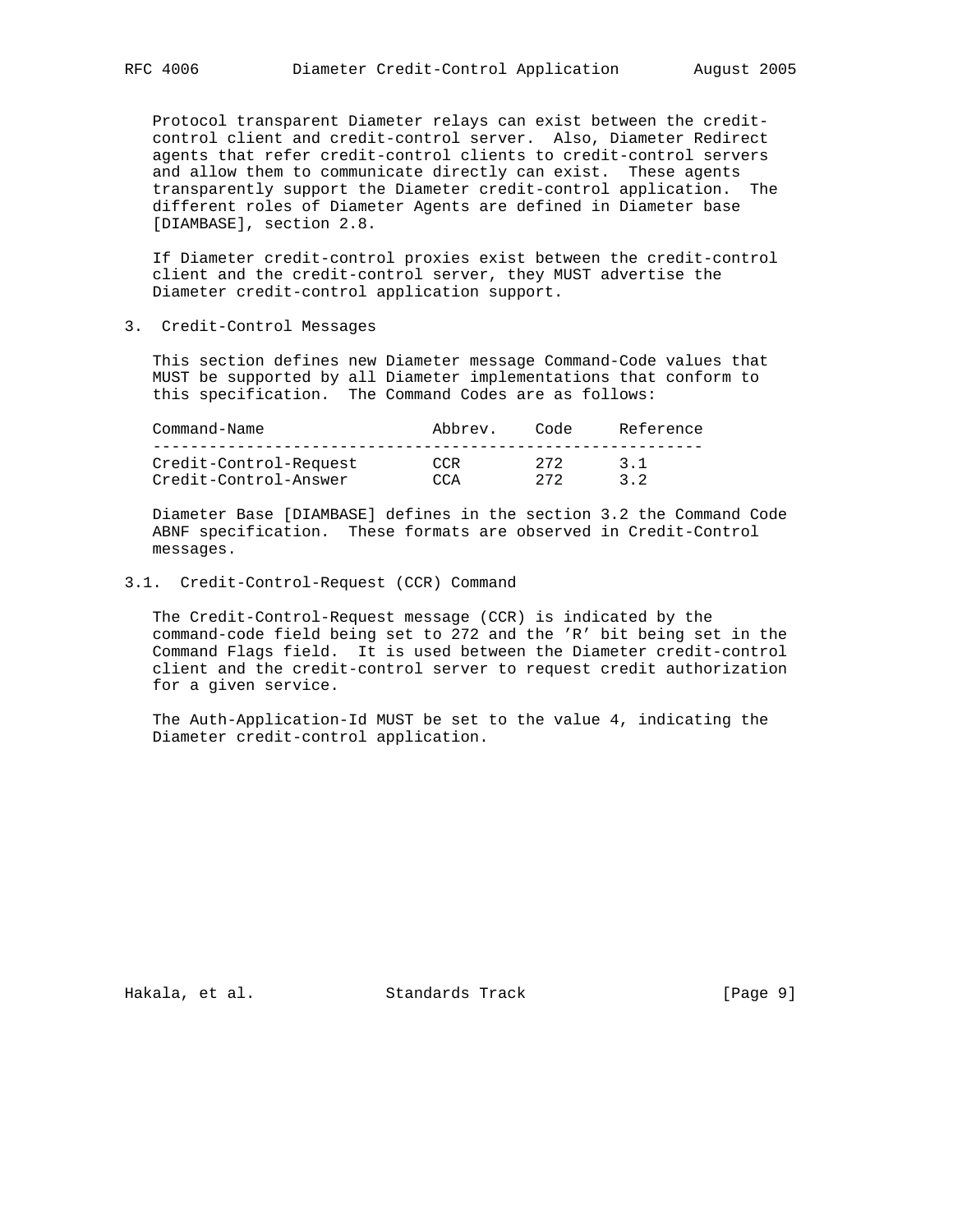Protocol transparent Diameter relays can exist between the credit control client and credit-control server. Also, Diameter Redirect agents that refer credit-control clients to credit-control servers and allow them to communicate directly can exist. These agents transparently support the Diameter credit-control application. The different roles of Diameter Agents are defined in Diameter base [DIAMBASE], section 2.8.

 If Diameter credit-control proxies exist between the credit-control client and the credit-control server, they MUST advertise the Diameter credit-control application support.

3. Credit-Control Messages

 This section defines new Diameter message Command-Code values that MUST be supported by all Diameter implementations that conform to this specification. The Command Codes are as follows:

| Command-Name           | Abbrev. | Code | Reference |
|------------------------|---------|------|-----------|
|                        |         |      |           |
| Credit-Control-Request | CCR     | フワフ  | 31        |
| Credit-Control-Answer  | CCA     | つワつ  | 32        |

 Diameter Base [DIAMBASE] defines in the section 3.2 the Command Code ABNF specification. These formats are observed in Credit-Control messages.

### 3.1. Credit-Control-Request (CCR) Command

 The Credit-Control-Request message (CCR) is indicated by the command-code field being set to 272 and the 'R' bit being set in the Command Flags field. It is used between the Diameter credit-control client and the credit-control server to request credit authorization for a given service.

 The Auth-Application-Id MUST be set to the value 4, indicating the Diameter credit-control application.

Hakala, et al. Standards Track [Page 9]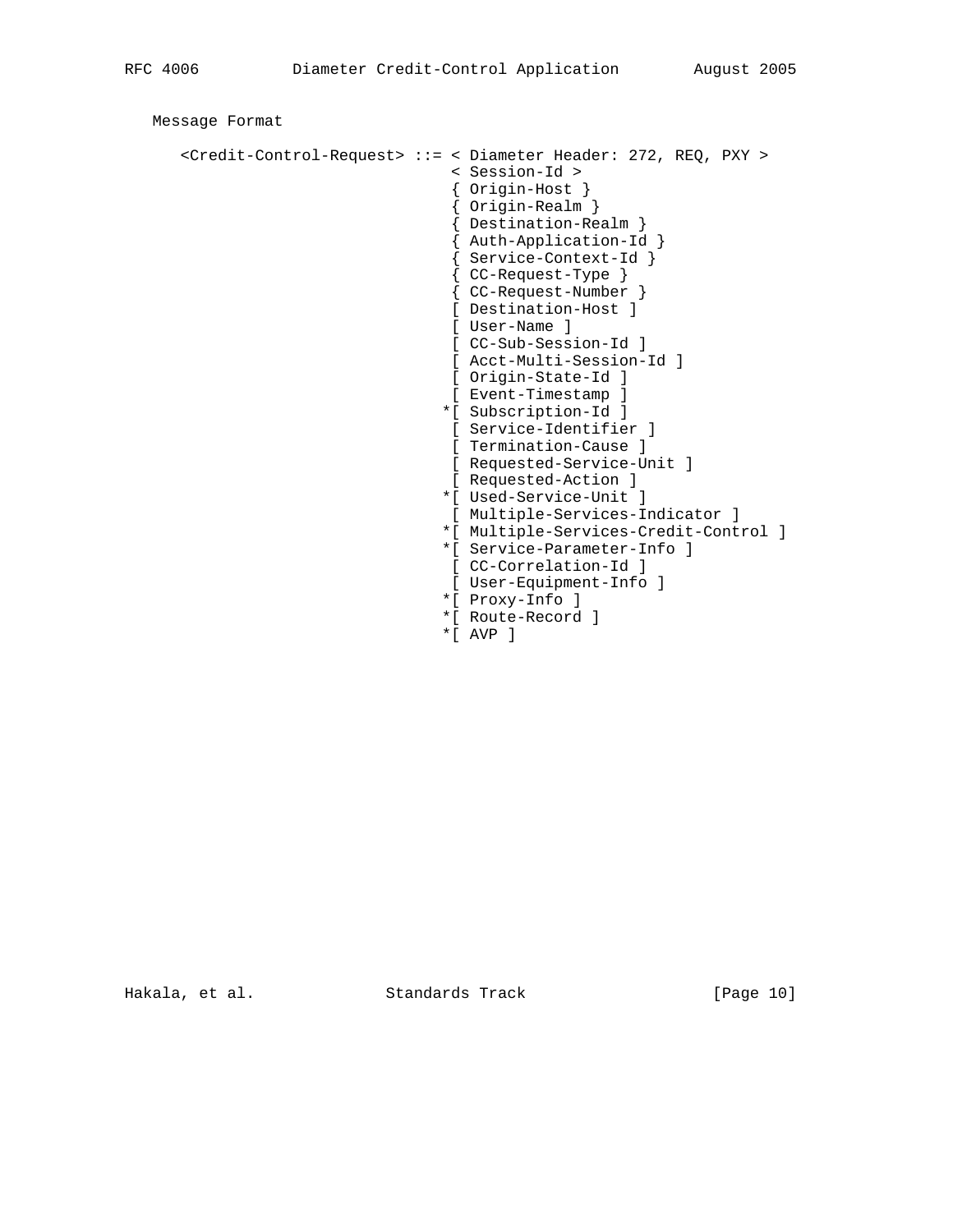```
 Message Format
      <Credit-Control-Request> ::= < Diameter Header: 272, REQ, PXY >
                                  < Session-Id >
                                  { Origin-Host }
                                  { Origin-Realm }
                                  { Destination-Realm }
 { Auth-Application-Id }
 { Service-Context-Id }
                                  { CC-Request-Type }
                                  { CC-Request-Number }
                                  [ Destination-Host ]
                                  [ User-Name ]
                                  [ CC-Sub-Session-Id ]
                                  [ Acct-Multi-Session-Id ]
                                 [ Origin-State-Id ]
                                  [ Event-Timestamp ]
                                 *[ Subscription-Id ]
                                 [ Service-Identifier ]
                                 [ Termination-Cause ]
                                 [ Requested-Service-Unit ]
                                 [ Requested-Action ]
                                 *[ Used-Service-Unit ]
                                 [ Multiple-Services-Indicator ]
                                 *[ Multiple-Services-Credit-Control ]
                                 *[ Service-Parameter-Info ]
                                  [ CC-Correlation-Id ]
                                 [ User-Equipment-Info ]
                                 *[ Proxy-Info ]
                                 *[ Route-Record ]
                                 *[ AVP ]
```
Hakala, et al. Standards Track [Page 10]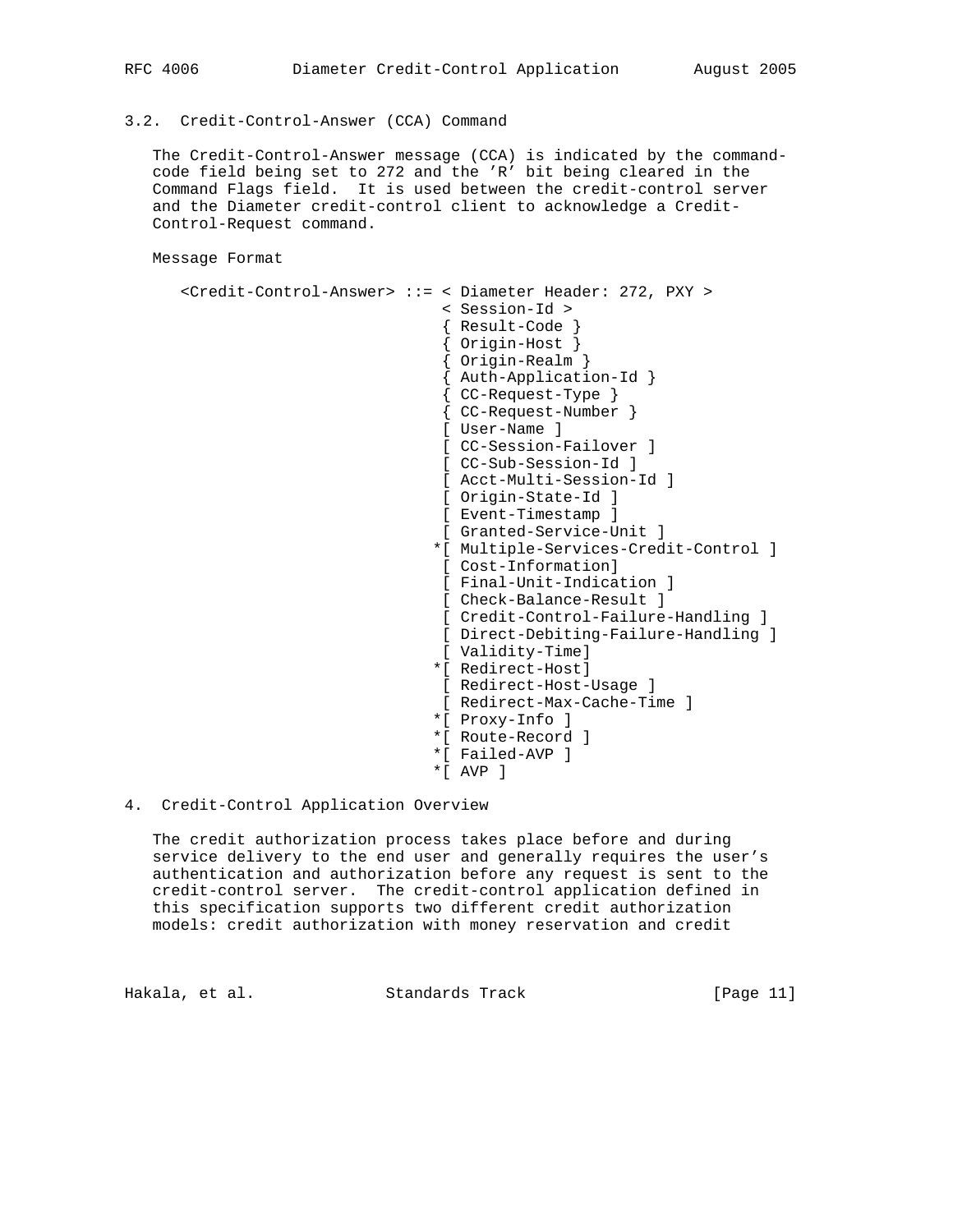### 3.2. Credit-Control-Answer (CCA) Command

 The Credit-Control-Answer message (CCA) is indicated by the command code field being set to 272 and the 'R' bit being cleared in the Command Flags field. It is used between the credit-control server and the Diameter credit-control client to acknowledge a Credit- Control-Request command.

Message Format

```
 <Credit-Control-Answer> ::= < Diameter Header: 272, PXY >
                              < Session-Id >
                              { Result-Code }
                               { Origin-Host }
                              { Origin-Realm }
                              { Auth-Application-Id }
                              { CC-Request-Type }
                              { CC-Request-Number }
                              [ User-Name ]
                              [ CC-Session-Failover ]
                              [ CC-Sub-Session-Id ]
                              [ Acct-Multi-Session-Id ]
                              [ Origin-State-Id ]
                              [ Event-Timestamp ]
                              [ Granted-Service-Unit ]
                             *[ Multiple-Services-Credit-Control ]
                              [ Cost-Information]
                              [ Final-Unit-Indication ]
                              [ Check-Balance-Result ]
                              [ Credit-Control-Failure-Handling ]
                              [ Direct-Debiting-Failure-Handling ]
                              [ Validity-Time]
                             *[ Redirect-Host]
                             [ Redirect-Host-Usage ]
                              [ Redirect-Max-Cache-Time ]
                             *[ Proxy-Info ]
                             *[ Route-Record ]
                             *[ Failed-AVP ]
                             *[ AVP ]
```
### 4. Credit-Control Application Overview

 The credit authorization process takes place before and during service delivery to the end user and generally requires the user's authentication and authorization before any request is sent to the credit-control server. The credit-control application defined in this specification supports two different credit authorization models: credit authorization with money reservation and credit

Hakala, et al. Standards Track [Page 11]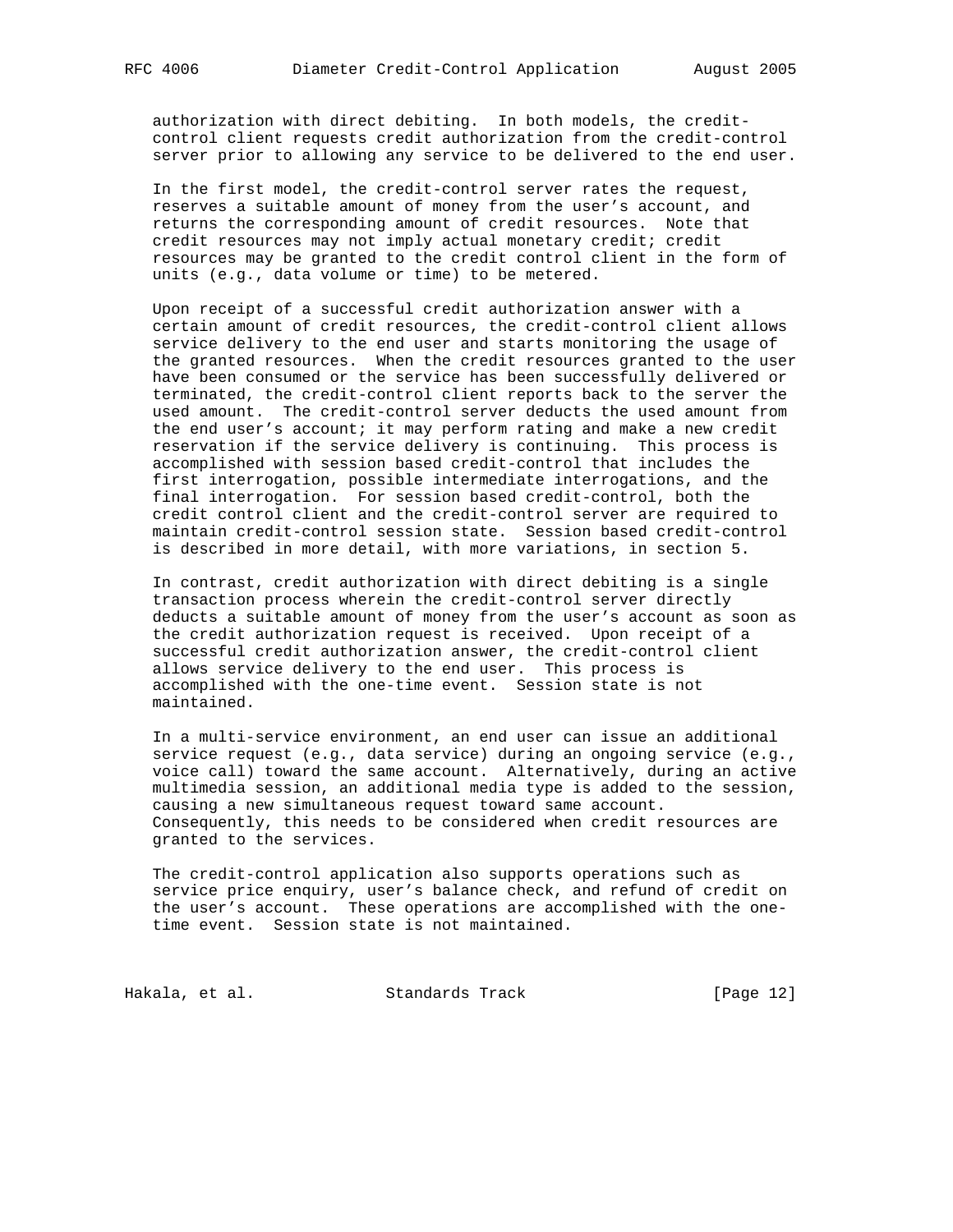authorization with direct debiting. In both models, the credit control client requests credit authorization from the credit-control server prior to allowing any service to be delivered to the end user.

 In the first model, the credit-control server rates the request, reserves a suitable amount of money from the user's account, and returns the corresponding amount of credit resources. Note that credit resources may not imply actual monetary credit; credit resources may be granted to the credit control client in the form of units (e.g., data volume or time) to be metered.

 Upon receipt of a successful credit authorization answer with a certain amount of credit resources, the credit-control client allows service delivery to the end user and starts monitoring the usage of the granted resources. When the credit resources granted to the user have been consumed or the service has been successfully delivered or terminated, the credit-control client reports back to the server the used amount. The credit-control server deducts the used amount from the end user's account; it may perform rating and make a new credit reservation if the service delivery is continuing. This process is accomplished with session based credit-control that includes the first interrogation, possible intermediate interrogations, and the final interrogation. For session based credit-control, both the credit control client and the credit-control server are required to maintain credit-control session state. Session based credit-control is described in more detail, with more variations, in section 5.

 In contrast, credit authorization with direct debiting is a single transaction process wherein the credit-control server directly deducts a suitable amount of money from the user's account as soon as the credit authorization request is received. Upon receipt of a successful credit authorization answer, the credit-control client allows service delivery to the end user. This process is accomplished with the one-time event. Session state is not maintained.

 In a multi-service environment, an end user can issue an additional service request (e.g., data service) during an ongoing service (e.g., voice call) toward the same account. Alternatively, during an active multimedia session, an additional media type is added to the session, causing a new simultaneous request toward same account. Consequently, this needs to be considered when credit resources are granted to the services.

 The credit-control application also supports operations such as service price enquiry, user's balance check, and refund of credit on the user's account. These operations are accomplished with the one time event. Session state is not maintained.

Hakala, et al. Standards Track [Page 12]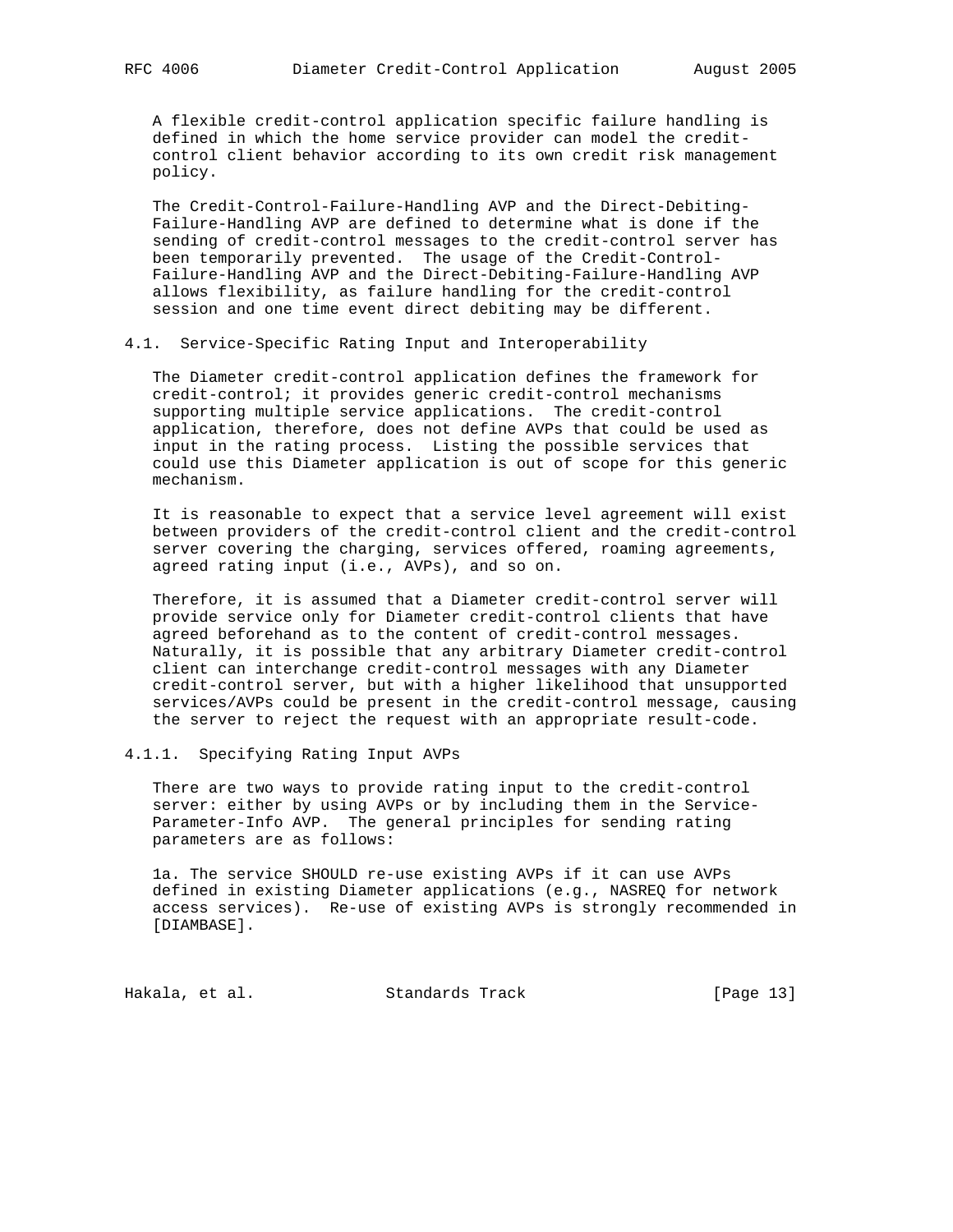A flexible credit-control application specific failure handling is defined in which the home service provider can model the credit control client behavior according to its own credit risk management policy.

 The Credit-Control-Failure-Handling AVP and the Direct-Debiting- Failure-Handling AVP are defined to determine what is done if the sending of credit-control messages to the credit-control server has been temporarily prevented. The usage of the Credit-Control- Failure-Handling AVP and the Direct-Debiting-Failure-Handling AVP allows flexibility, as failure handling for the credit-control session and one time event direct debiting may be different.

4.1. Service-Specific Rating Input and Interoperability

 The Diameter credit-control application defines the framework for credit-control; it provides generic credit-control mechanisms supporting multiple service applications. The credit-control application, therefore, does not define AVPs that could be used as input in the rating process. Listing the possible services that could use this Diameter application is out of scope for this generic mechanism.

 It is reasonable to expect that a service level agreement will exist between providers of the credit-control client and the credit-control server covering the charging, services offered, roaming agreements, agreed rating input (i.e., AVPs), and so on.

 Therefore, it is assumed that a Diameter credit-control server will provide service only for Diameter credit-control clients that have agreed beforehand as to the content of credit-control messages. Naturally, it is possible that any arbitrary Diameter credit-control client can interchange credit-control messages with any Diameter credit-control server, but with a higher likelihood that unsupported services/AVPs could be present in the credit-control message, causing the server to reject the request with an appropriate result-code.

4.1.1. Specifying Rating Input AVPs

 There are two ways to provide rating input to the credit-control server: either by using AVPs or by including them in the Service- Parameter-Info AVP. The general principles for sending rating parameters are as follows:

 1a. The service SHOULD re-use existing AVPs if it can use AVPs defined in existing Diameter applications (e.g., NASREQ for network access services). Re-use of existing AVPs is strongly recommended in [DIAMBASE].

Hakala, et al. Standards Track [Page 13]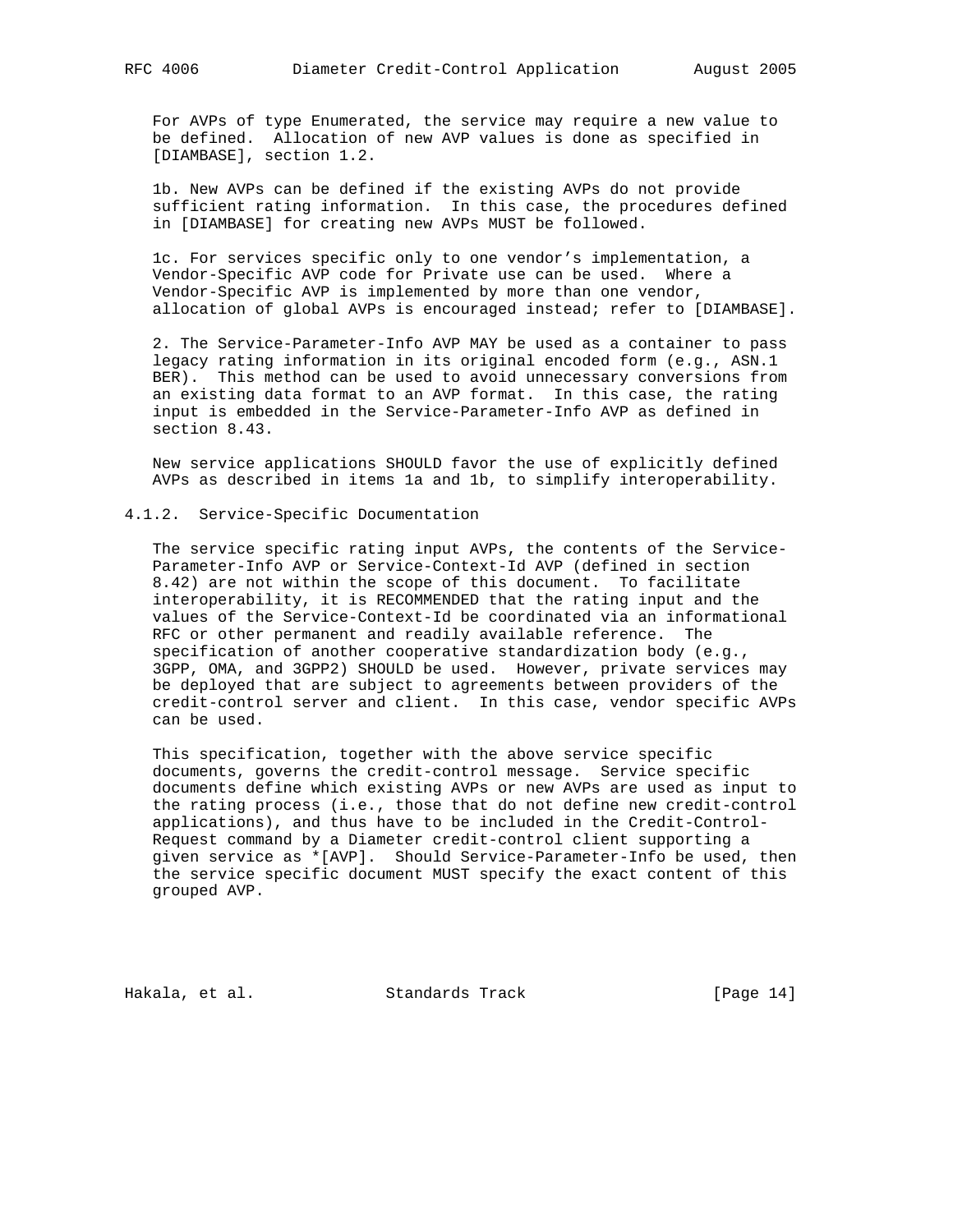For AVPs of type Enumerated, the service may require a new value to be defined. Allocation of new AVP values is done as specified in [DIAMBASE], section 1.2.

 1b. New AVPs can be defined if the existing AVPs do not provide sufficient rating information. In this case, the procedures defined in [DIAMBASE] for creating new AVPs MUST be followed.

 1c. For services specific only to one vendor's implementation, a Vendor-Specific AVP code for Private use can be used. Where a Vendor-Specific AVP is implemented by more than one vendor, allocation of global AVPs is encouraged instead; refer to [DIAMBASE].

 2. The Service-Parameter-Info AVP MAY be used as a container to pass legacy rating information in its original encoded form (e.g., ASN.1 BER). This method can be used to avoid unnecessary conversions from an existing data format to an AVP format. In this case, the rating input is embedded in the Service-Parameter-Info AVP as defined in section 8.43.

 New service applications SHOULD favor the use of explicitly defined AVPs as described in items 1a and 1b, to simplify interoperability.

### 4.1.2. Service-Specific Documentation

 The service specific rating input AVPs, the contents of the Service- Parameter-Info AVP or Service-Context-Id AVP (defined in section 8.42) are not within the scope of this document. To facilitate interoperability, it is RECOMMENDED that the rating input and the values of the Service-Context-Id be coordinated via an informational RFC or other permanent and readily available reference. The specification of another cooperative standardization body (e.g., 3GPP, OMA, and 3GPP2) SHOULD be used. However, private services may be deployed that are subject to agreements between providers of the credit-control server and client. In this case, vendor specific AVPs can be used.

 This specification, together with the above service specific documents, governs the credit-control message. Service specific documents define which existing AVPs or new AVPs are used as input to the rating process (i.e., those that do not define new credit-control applications), and thus have to be included in the Credit-Control- Request command by a Diameter credit-control client supporting a given service as \*[AVP]. Should Service-Parameter-Info be used, then the service specific document MUST specify the exact content of this grouped AVP.

Hakala, et al. Standards Track [Page 14]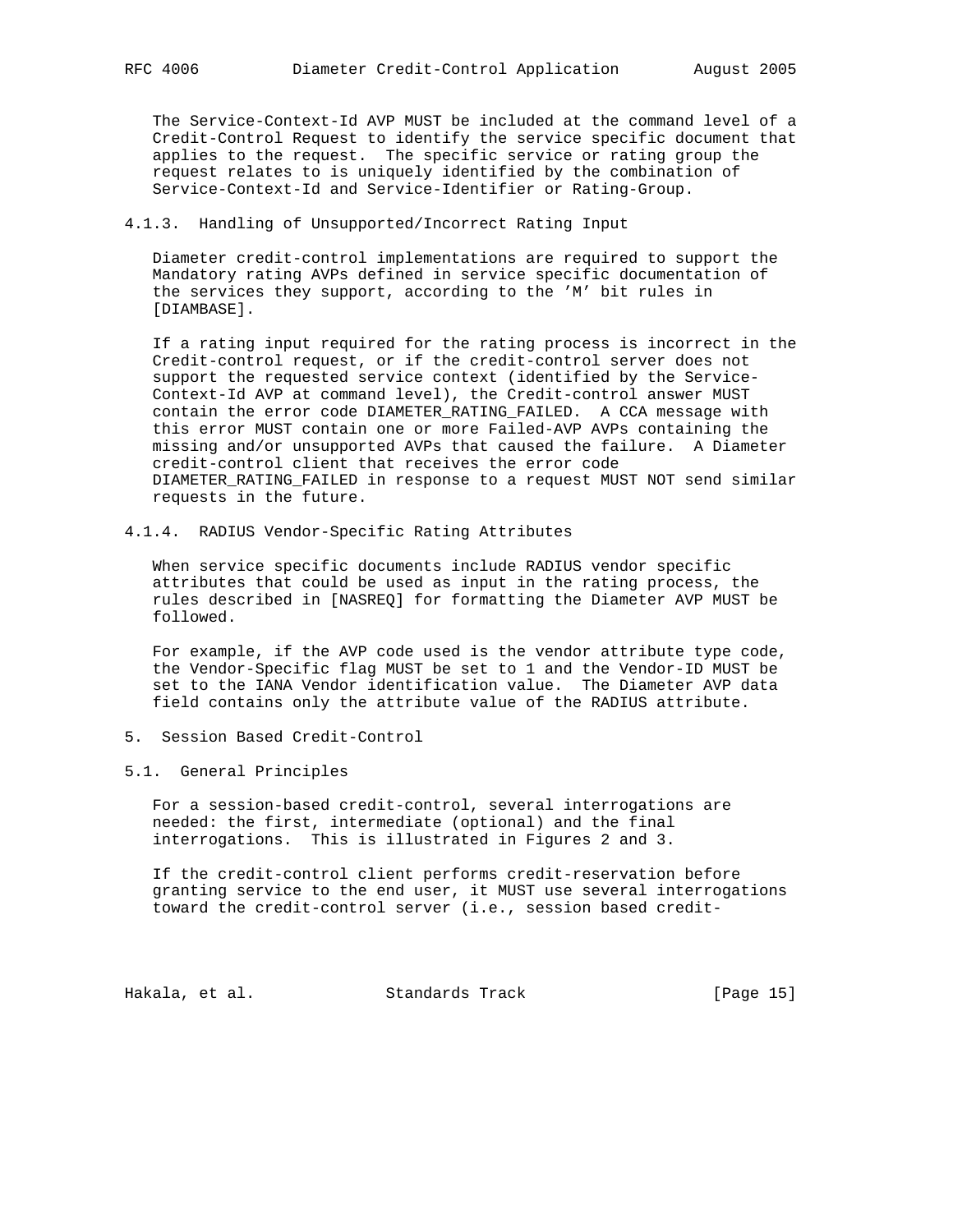The Service-Context-Id AVP MUST be included at the command level of a Credit-Control Request to identify the service specific document that applies to the request. The specific service or rating group the request relates to is uniquely identified by the combination of Service-Context-Id and Service-Identifier or Rating-Group.

## 4.1.3. Handling of Unsupported/Incorrect Rating Input

 Diameter credit-control implementations are required to support the Mandatory rating AVPs defined in service specific documentation of the services they support, according to the 'M' bit rules in [DIAMBASE].

 If a rating input required for the rating process is incorrect in the Credit-control request, or if the credit-control server does not support the requested service context (identified by the Service- Context-Id AVP at command level), the Credit-control answer MUST contain the error code DIAMETER\_RATING\_FAILED. A CCA message with this error MUST contain one or more Failed-AVP AVPs containing the missing and/or unsupported AVPs that caused the failure. A Diameter credit-control client that receives the error code DIAMETER\_RATING\_FAILED in response to a request MUST NOT send similar requests in the future.

4.1.4. RADIUS Vendor-Specific Rating Attributes

 When service specific documents include RADIUS vendor specific attributes that could be used as input in the rating process, the rules described in [NASREQ] for formatting the Diameter AVP MUST be followed.

 For example, if the AVP code used is the vendor attribute type code, the Vendor-Specific flag MUST be set to 1 and the Vendor-ID MUST be set to the IANA Vendor identification value. The Diameter AVP data field contains only the attribute value of the RADIUS attribute.

5. Session Based Credit-Control

### 5.1. General Principles

 For a session-based credit-control, several interrogations are needed: the first, intermediate (optional) and the final interrogations. This is illustrated in Figures 2 and 3.

 If the credit-control client performs credit-reservation before granting service to the end user, it MUST use several interrogations toward the credit-control server (i.e., session based credit-

Hakala, et al. Standards Track [Page 15]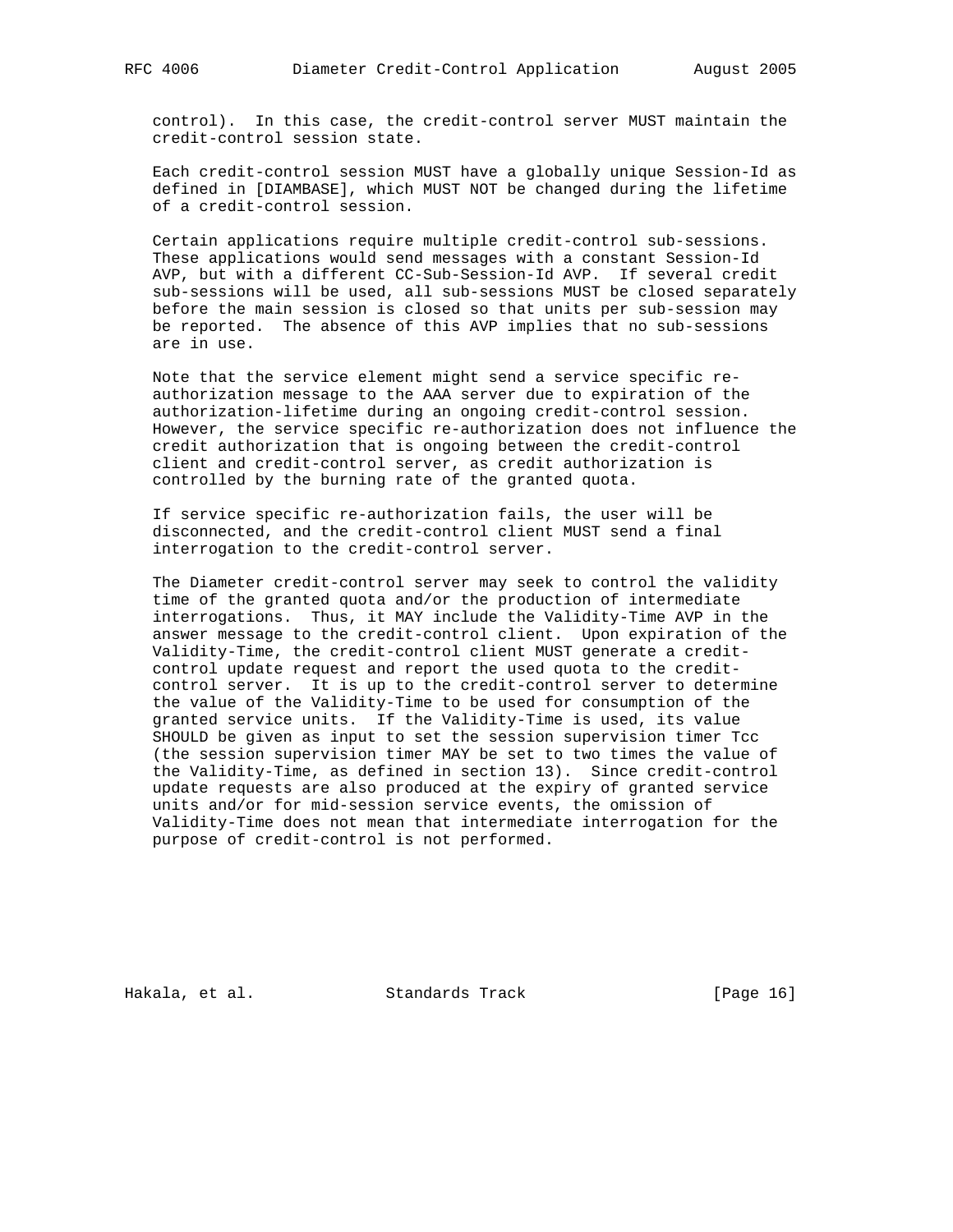control). In this case, the credit-control server MUST maintain the credit-control session state.

 Each credit-control session MUST have a globally unique Session-Id as defined in [DIAMBASE], which MUST NOT be changed during the lifetime of a credit-control session.

 Certain applications require multiple credit-control sub-sessions. These applications would send messages with a constant Session-Id AVP, but with a different CC-Sub-Session-Id AVP. If several credit sub-sessions will be used, all sub-sessions MUST be closed separately before the main session is closed so that units per sub-session may be reported. The absence of this AVP implies that no sub-sessions are in use.

 Note that the service element might send a service specific re authorization message to the AAA server due to expiration of the authorization-lifetime during an ongoing credit-control session. However, the service specific re-authorization does not influence the credit authorization that is ongoing between the credit-control client and credit-control server, as credit authorization is controlled by the burning rate of the granted quota.

 If service specific re-authorization fails, the user will be disconnected, and the credit-control client MUST send a final interrogation to the credit-control server.

 The Diameter credit-control server may seek to control the validity time of the granted quota and/or the production of intermediate interrogations. Thus, it MAY include the Validity-Time AVP in the answer message to the credit-control client. Upon expiration of the Validity-Time, the credit-control client MUST generate a credit control update request and report the used quota to the credit control server. It is up to the credit-control server to determine the value of the Validity-Time to be used for consumption of the granted service units. If the Validity-Time is used, its value SHOULD be given as input to set the session supervision timer Tcc (the session supervision timer MAY be set to two times the value of the Validity-Time, as defined in section 13). Since credit-control update requests are also produced at the expiry of granted service units and/or for mid-session service events, the omission of Validity-Time does not mean that intermediate interrogation for the purpose of credit-control is not performed.

Hakala, et al. Standards Track [Page 16]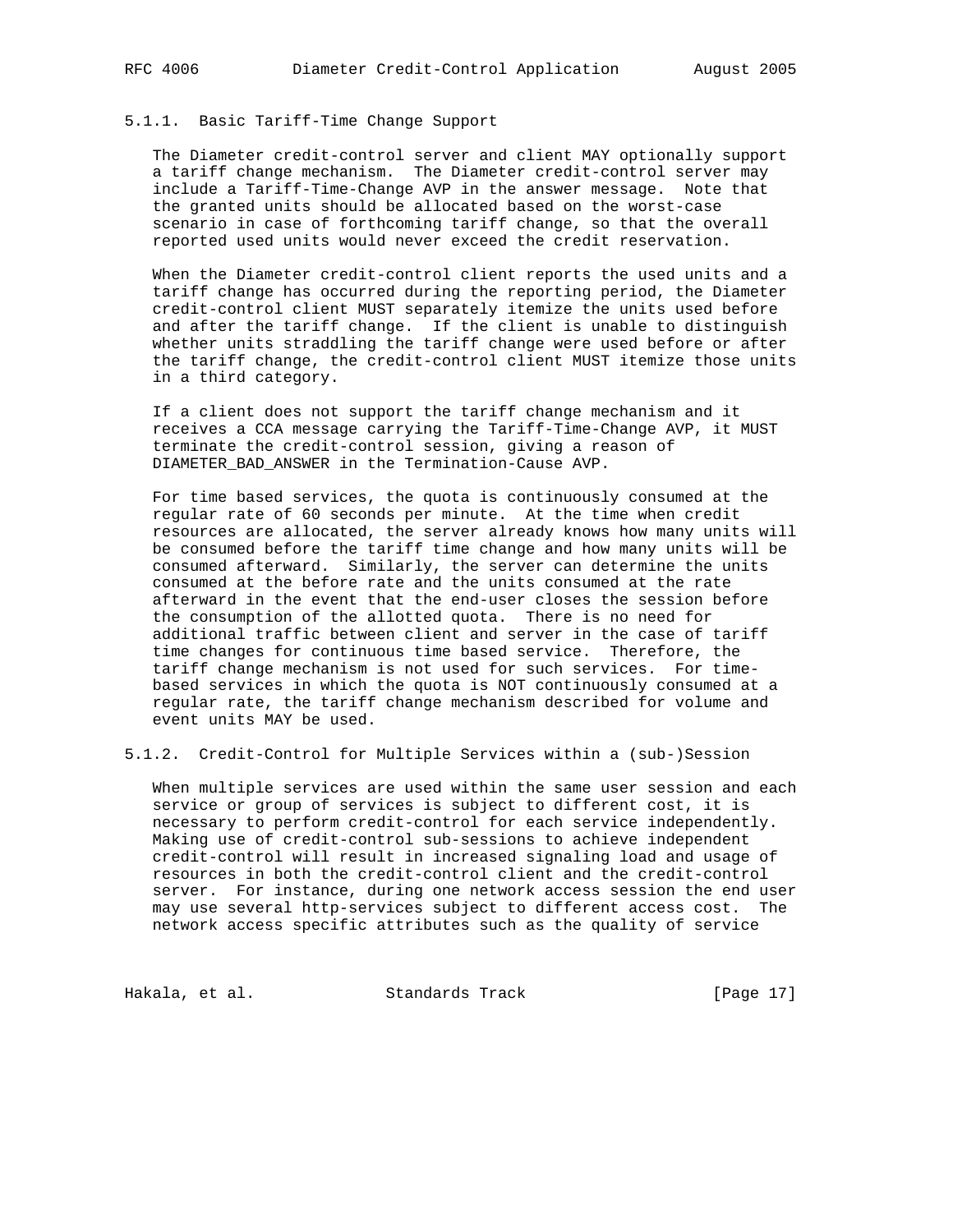# 5.1.1. Basic Tariff-Time Change Support

 The Diameter credit-control server and client MAY optionally support a tariff change mechanism. The Diameter credit-control server may include a Tariff-Time-Change AVP in the answer message. Note that the granted units should be allocated based on the worst-case scenario in case of forthcoming tariff change, so that the overall reported used units would never exceed the credit reservation.

 When the Diameter credit-control client reports the used units and a tariff change has occurred during the reporting period, the Diameter credit-control client MUST separately itemize the units used before and after the tariff change. If the client is unable to distinguish whether units straddling the tariff change were used before or after the tariff change, the credit-control client MUST itemize those units in a third category.

 If a client does not support the tariff change mechanism and it receives a CCA message carrying the Tariff-Time-Change AVP, it MUST terminate the credit-control session, giving a reason of DIAMETER\_BAD\_ANSWER in the Termination-Cause AVP.

 For time based services, the quota is continuously consumed at the regular rate of 60 seconds per minute. At the time when credit resources are allocated, the server already knows how many units will be consumed before the tariff time change and how many units will be consumed afterward. Similarly, the server can determine the units consumed at the before rate and the units consumed at the rate afterward in the event that the end-user closes the session before the consumption of the allotted quota. There is no need for additional traffic between client and server in the case of tariff time changes for continuous time based service. Therefore, the tariff change mechanism is not used for such services. For time based services in which the quota is NOT continuously consumed at a regular rate, the tariff change mechanism described for volume and event units MAY be used.

5.1.2. Credit-Control for Multiple Services within a (sub-)Session

 When multiple services are used within the same user session and each service or group of services is subject to different cost, it is necessary to perform credit-control for each service independently. Making use of credit-control sub-sessions to achieve independent credit-control will result in increased signaling load and usage of resources in both the credit-control client and the credit-control server. For instance, during one network access session the end user may use several http-services subject to different access cost. The network access specific attributes such as the quality of service

Hakala, et al. Standards Track [Page 17]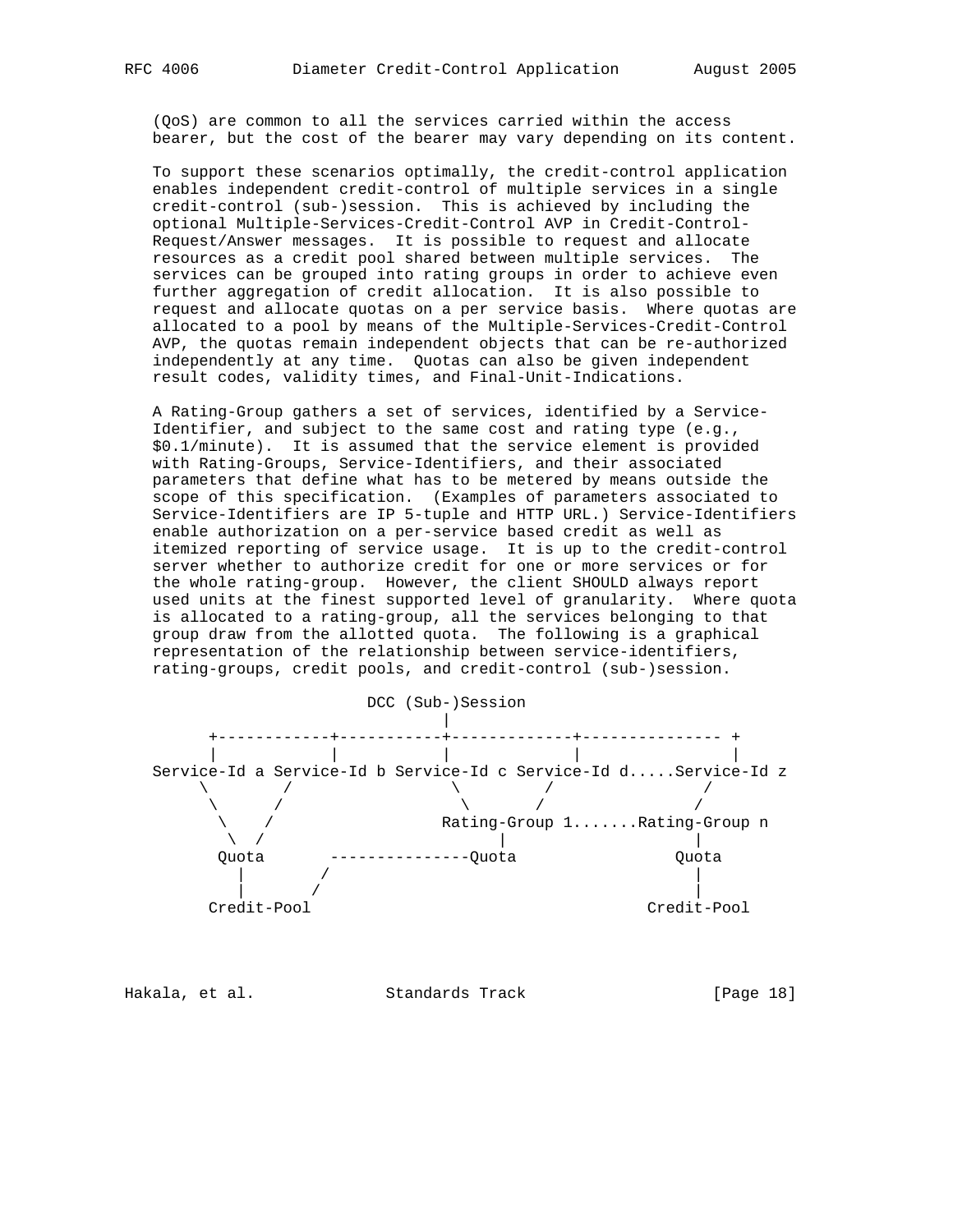(QoS) are common to all the services carried within the access bearer, but the cost of the bearer may vary depending on its content.

 To support these scenarios optimally, the credit-control application enables independent credit-control of multiple services in a single credit-control (sub-)session. This is achieved by including the optional Multiple-Services-Credit-Control AVP in Credit-Control- Request/Answer messages. It is possible to request and allocate resources as a credit pool shared between multiple services. The services can be grouped into rating groups in order to achieve even further aggregation of credit allocation. It is also possible to request and allocate quotas on a per service basis. Where quotas are allocated to a pool by means of the Multiple-Services-Credit-Control AVP, the quotas remain independent objects that can be re-authorized independently at any time. Quotas can also be given independent result codes, validity times, and Final-Unit-Indications.

 A Rating-Group gathers a set of services, identified by a Service- Identifier, and subject to the same cost and rating type (e.g., \$0.1/minute). It is assumed that the service element is provided with Rating-Groups, Service-Identifiers, and their associated parameters that define what has to be metered by means outside the scope of this specification. (Examples of parameters associated to Service-Identifiers are IP 5-tuple and HTTP URL.) Service-Identifiers enable authorization on a per-service based credit as well as itemized reporting of service usage. It is up to the credit-control server whether to authorize credit for one or more services or for the whole rating-group. However, the client SHOULD always report used units at the finest supported level of granularity. Where quota is allocated to a rating-group, all the services belonging to that group draw from the allotted quota. The following is a graphical representation of the relationship between service-identifiers, rating-groups, credit pools, and credit-control (sub-)session.



Hakala, et al. Standards Track [Page 18]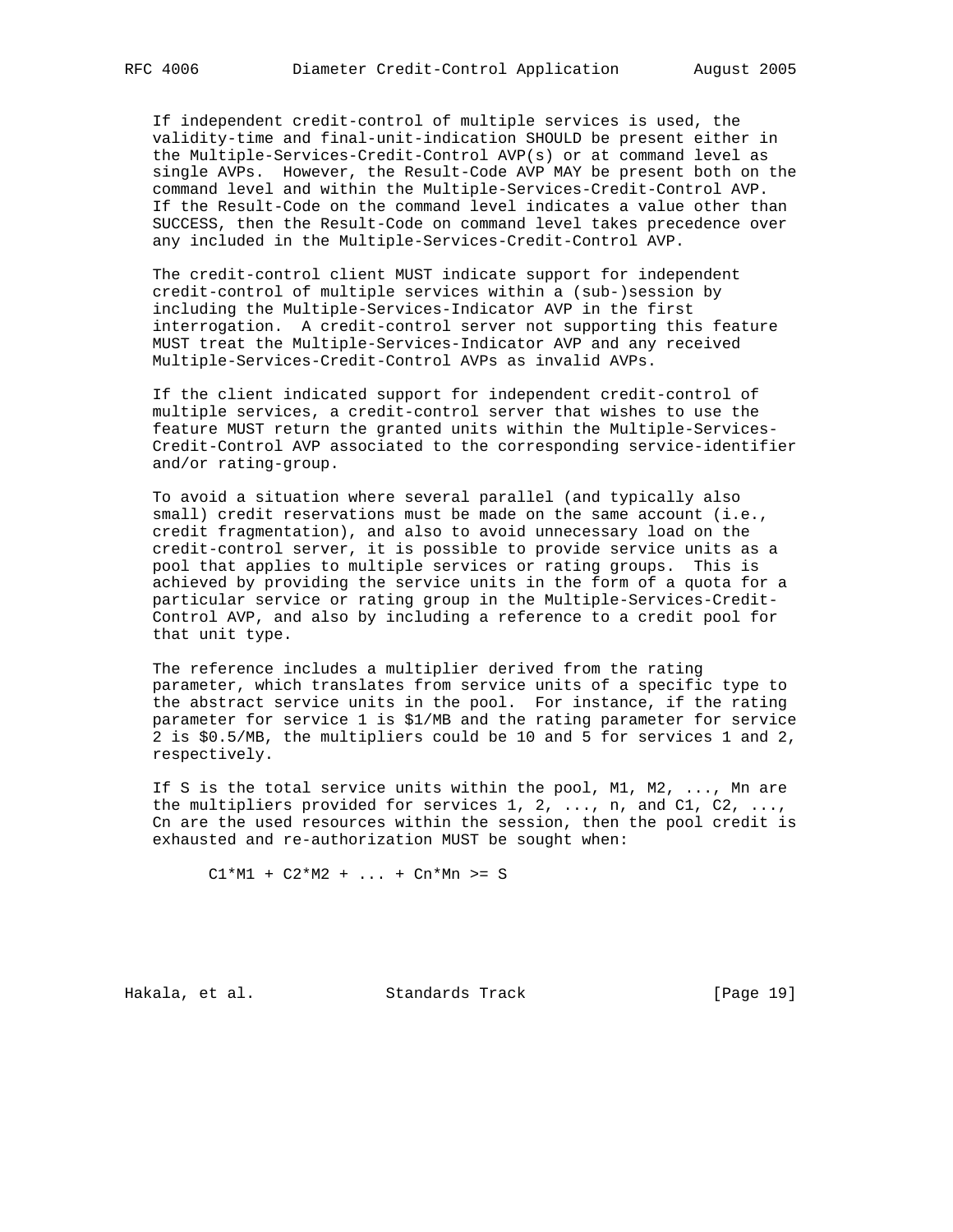If independent credit-control of multiple services is used, the validity-time and final-unit-indication SHOULD be present either in the Multiple-Services-Credit-Control AVP(s) or at command level as single AVPs. However, the Result-Code AVP MAY be present both on the command level and within the Multiple-Services-Credit-Control AVP. If the Result-Code on the command level indicates a value other than SUCCESS, then the Result-Code on command level takes precedence over any included in the Multiple-Services-Credit-Control AVP.

 The credit-control client MUST indicate support for independent credit-control of multiple services within a (sub-)session by including the Multiple-Services-Indicator AVP in the first interrogation. A credit-control server not supporting this feature MUST treat the Multiple-Services-Indicator AVP and any received Multiple-Services-Credit-Control AVPs as invalid AVPs.

 If the client indicated support for independent credit-control of multiple services, a credit-control server that wishes to use the feature MUST return the granted units within the Multiple-Services- Credit-Control AVP associated to the corresponding service-identifier and/or rating-group.

 To avoid a situation where several parallel (and typically also small) credit reservations must be made on the same account (i.e., credit fragmentation), and also to avoid unnecessary load on the credit-control server, it is possible to provide service units as a pool that applies to multiple services or rating groups. This is achieved by providing the service units in the form of a quota for a particular service or rating group in the Multiple-Services-Credit- Control AVP, and also by including a reference to a credit pool for that unit type.

 The reference includes a multiplier derived from the rating parameter, which translates from service units of a specific type to the abstract service units in the pool. For instance, if the rating parameter for service 1 is \$1/MB and the rating parameter for service 2 is \$0.5/MB, the multipliers could be 10 and 5 for services 1 and 2, respectively.

 If S is the total service units within the pool, M1, M2, ..., Mn are the multipliers provided for services 1, 2, ..., n, and C1, C2, ..., Cn are the used resources within the session, then the pool credit is exhausted and re-authorization MUST be sought when:

 $C1*M1 + C2*M2 + ... + Cn*Mn > = S$ 

Hakala, et al. Standards Track [Page 19]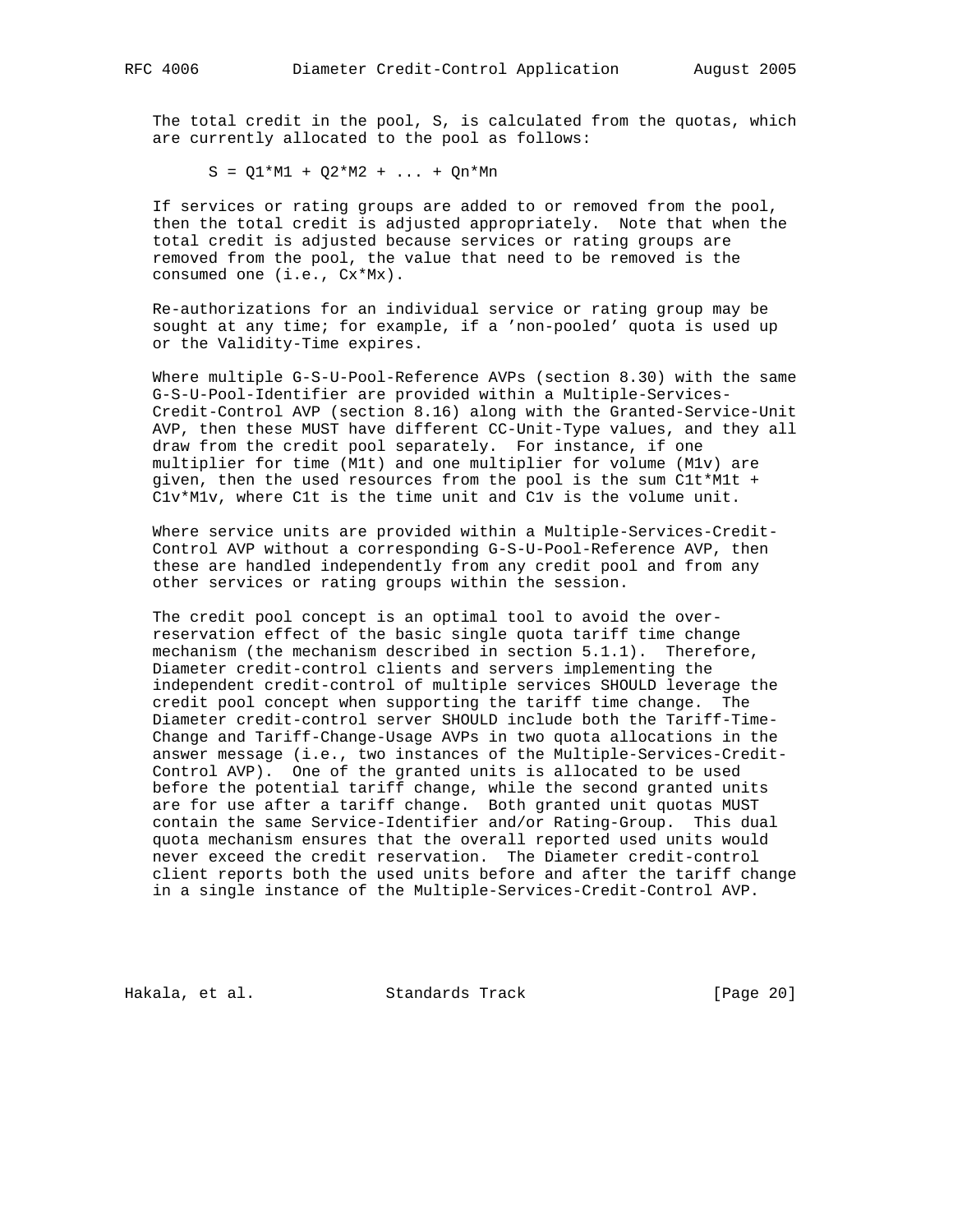The total credit in the pool, S, is calculated from the quotas, which are currently allocated to the pool as follows:

 $S = Q1*M1 + Q2*M2 + ... + Qn*Mn$ 

 If services or rating groups are added to or removed from the pool, then the total credit is adjusted appropriately. Note that when the total credit is adjusted because services or rating groups are removed from the pool, the value that need to be removed is the consumed one (i.e., Cx\*Mx).

 Re-authorizations for an individual service or rating group may be sought at any time; for example, if a 'non-pooled' quota is used up or the Validity-Time expires.

 Where multiple G-S-U-Pool-Reference AVPs (section 8.30) with the same G-S-U-Pool-Identifier are provided within a Multiple-Services- Credit-Control AVP (section 8.16) along with the Granted-Service-Unit AVP, then these MUST have different CC-Unit-Type values, and they all draw from the credit pool separately. For instance, if one multiplier for time (M1t) and one multiplier for volume (M1v) are given, then the used resources from the pool is the sum C1t\*M1t + C1v\*M1v, where C1t is the time unit and C1v is the volume unit.

 Where service units are provided within a Multiple-Services-Credit- Control AVP without a corresponding G-S-U-Pool-Reference AVP, then these are handled independently from any credit pool and from any other services or rating groups within the session.

 The credit pool concept is an optimal tool to avoid the over reservation effect of the basic single quota tariff time change mechanism (the mechanism described in section 5.1.1). Therefore, Diameter credit-control clients and servers implementing the independent credit-control of multiple services SHOULD leverage the credit pool concept when supporting the tariff time change. The Diameter credit-control server SHOULD include both the Tariff-Time- Change and Tariff-Change-Usage AVPs in two quota allocations in the answer message (i.e., two instances of the Multiple-Services-Credit- Control AVP). One of the granted units is allocated to be used before the potential tariff change, while the second granted units are for use after a tariff change. Both granted unit quotas MUST contain the same Service-Identifier and/or Rating-Group. This dual quota mechanism ensures that the overall reported used units would never exceed the credit reservation. The Diameter credit-control client reports both the used units before and after the tariff change in a single instance of the Multiple-Services-Credit-Control AVP.

Hakala, et al. Standards Track [Page 20]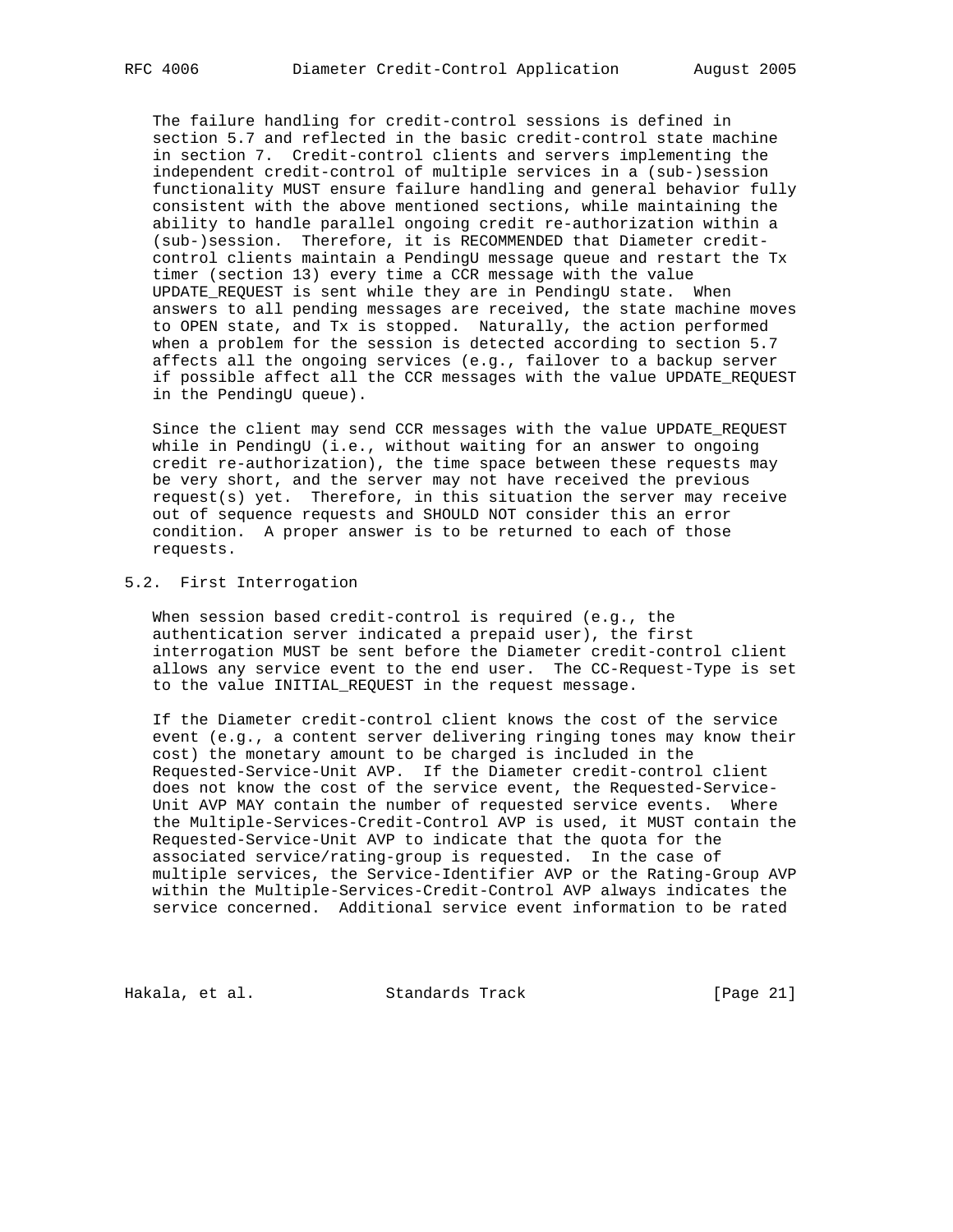The failure handling for credit-control sessions is defined in section 5.7 and reflected in the basic credit-control state machine in section 7. Credit-control clients and servers implementing the independent credit-control of multiple services in a (sub-)session functionality MUST ensure failure handling and general behavior fully consistent with the above mentioned sections, while maintaining the ability to handle parallel ongoing credit re-authorization within a (sub-)session. Therefore, it is RECOMMENDED that Diameter credit control clients maintain a PendingU message queue and restart the Tx timer (section 13) every time a CCR message with the value UPDATE\_REQUEST is sent while they are in PendingU state. When answers to all pending messages are received, the state machine moves to OPEN state, and Tx is stopped. Naturally, the action performed when a problem for the session is detected according to section 5.7 affects all the ongoing services (e.g., failover to a backup server if possible affect all the CCR messages with the value UPDATE\_REQUEST in the PendingU queue).

 Since the client may send CCR messages with the value UPDATE\_REQUEST while in PendingU (i.e., without waiting for an answer to ongoing credit re-authorization), the time space between these requests may be very short, and the server may not have received the previous request(s) yet. Therefore, in this situation the server may receive out of sequence requests and SHOULD NOT consider this an error condition. A proper answer is to be returned to each of those requests.

## 5.2. First Interrogation

 When session based credit-control is required (e.g., the authentication server indicated a prepaid user), the first interrogation MUST be sent before the Diameter credit-control client allows any service event to the end user. The CC-Request-Type is set to the value INITIAL REQUEST in the request message.

 If the Diameter credit-control client knows the cost of the service event (e.g., a content server delivering ringing tones may know their cost) the monetary amount to be charged is included in the Requested-Service-Unit AVP. If the Diameter credit-control client does not know the cost of the service event, the Requested-Service- Unit AVP MAY contain the number of requested service events. Where the Multiple-Services-Credit-Control AVP is used, it MUST contain the Requested-Service-Unit AVP to indicate that the quota for the associated service/rating-group is requested. In the case of multiple services, the Service-Identifier AVP or the Rating-Group AVP within the Multiple-Services-Credit-Control AVP always indicates the service concerned. Additional service event information to be rated

Hakala, et al. Standards Track [Page 21]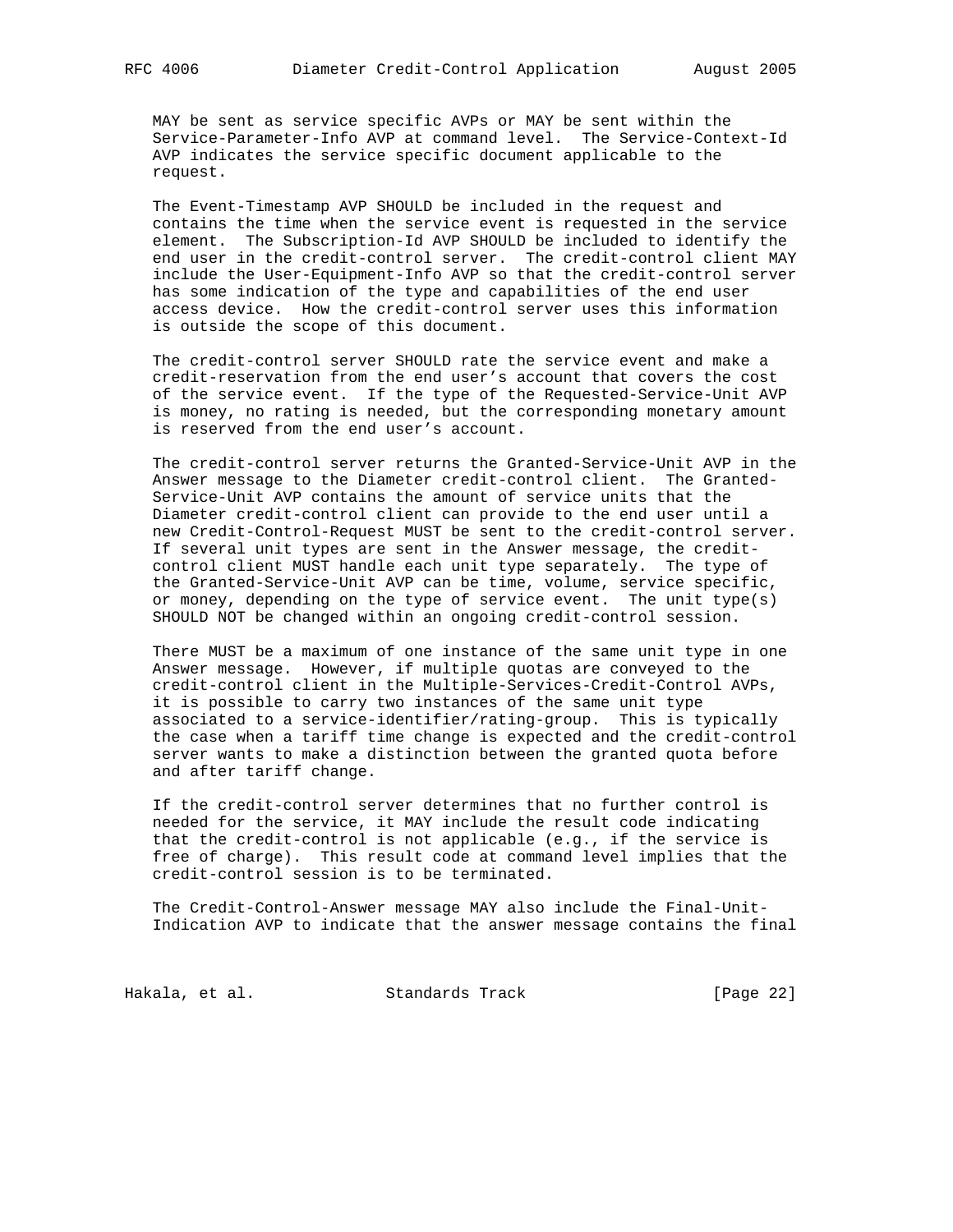MAY be sent as service specific AVPs or MAY be sent within the Service-Parameter-Info AVP at command level. The Service-Context-Id AVP indicates the service specific document applicable to the request.

 The Event-Timestamp AVP SHOULD be included in the request and contains the time when the service event is requested in the service element. The Subscription-Id AVP SHOULD be included to identify the end user in the credit-control server. The credit-control client MAY include the User-Equipment-Info AVP so that the credit-control server has some indication of the type and capabilities of the end user access device. How the credit-control server uses this information is outside the scope of this document.

 The credit-control server SHOULD rate the service event and make a credit-reservation from the end user's account that covers the cost of the service event. If the type of the Requested-Service-Unit AVP is money, no rating is needed, but the corresponding monetary amount is reserved from the end user's account.

 The credit-control server returns the Granted-Service-Unit AVP in the Answer message to the Diameter credit-control client. The Granted- Service-Unit AVP contains the amount of service units that the Diameter credit-control client can provide to the end user until a new Credit-Control-Request MUST be sent to the credit-control server. If several unit types are sent in the Answer message, the credit control client MUST handle each unit type separately. The type of the Granted-Service-Unit AVP can be time, volume, service specific, or money, depending on the type of service event. The unit type(s) SHOULD NOT be changed within an ongoing credit-control session.

 There MUST be a maximum of one instance of the same unit type in one Answer message. However, if multiple quotas are conveyed to the credit-control client in the Multiple-Services-Credit-Control AVPs, it is possible to carry two instances of the same unit type associated to a service-identifier/rating-group. This is typically the case when a tariff time change is expected and the credit-control server wants to make a distinction between the granted quota before and after tariff change.

 If the credit-control server determines that no further control is needed for the service, it MAY include the result code indicating that the credit-control is not applicable (e.g., if the service is free of charge). This result code at command level implies that the credit-control session is to be terminated.

 The Credit-Control-Answer message MAY also include the Final-Unit- Indication AVP to indicate that the answer message contains the final

Hakala, et al. Standards Track [Page 22]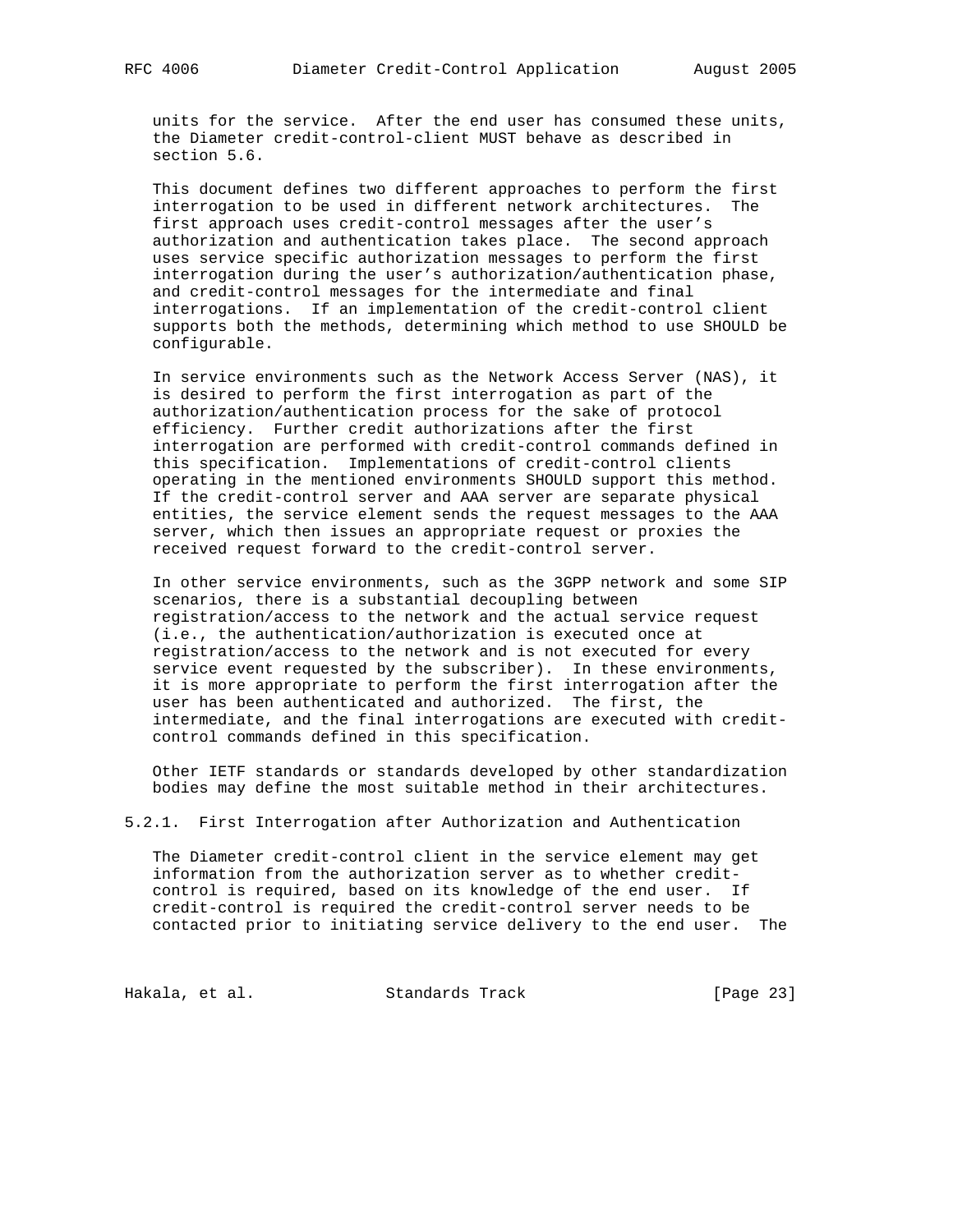units for the service. After the end user has consumed these units, the Diameter credit-control-client MUST behave as described in section 5.6.

 This document defines two different approaches to perform the first interrogation to be used in different network architectures. The first approach uses credit-control messages after the user's authorization and authentication takes place. The second approach uses service specific authorization messages to perform the first interrogation during the user's authorization/authentication phase, and credit-control messages for the intermediate and final interrogations. If an implementation of the credit-control client supports both the methods, determining which method to use SHOULD be configurable.

 In service environments such as the Network Access Server (NAS), it is desired to perform the first interrogation as part of the authorization/authentication process for the sake of protocol efficiency. Further credit authorizations after the first interrogation are performed with credit-control commands defined in this specification. Implementations of credit-control clients operating in the mentioned environments SHOULD support this method. If the credit-control server and AAA server are separate physical entities, the service element sends the request messages to the AAA server, which then issues an appropriate request or proxies the received request forward to the credit-control server.

 In other service environments, such as the 3GPP network and some SIP scenarios, there is a substantial decoupling between registration/access to the network and the actual service request (i.e., the authentication/authorization is executed once at registration/access to the network and is not executed for every service event requested by the subscriber). In these environments, it is more appropriate to perform the first interrogation after the user has been authenticated and authorized. The first, the intermediate, and the final interrogations are executed with credit control commands defined in this specification.

 Other IETF standards or standards developed by other standardization bodies may define the most suitable method in their architectures.

5.2.1. First Interrogation after Authorization and Authentication

 The Diameter credit-control client in the service element may get information from the authorization server as to whether credit control is required, based on its knowledge of the end user. If credit-control is required the credit-control server needs to be contacted prior to initiating service delivery to the end user. The

Hakala, et al. Standards Track [Page 23]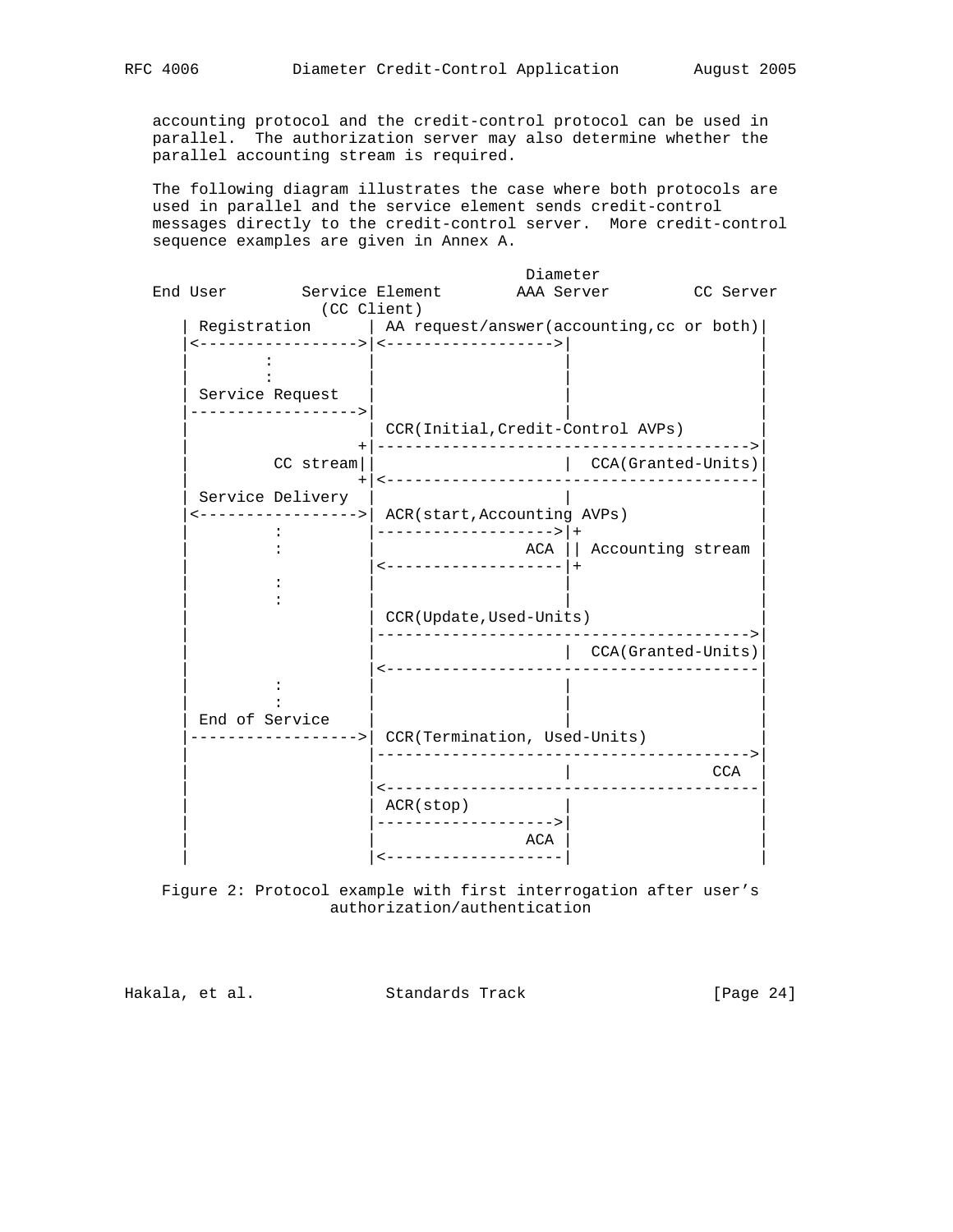accounting protocol and the credit-control protocol can be used in parallel. The authorization server may also determine whether the parallel accounting stream is required.

 The following diagram illustrates the case where both protocols are used in parallel and the service element sends credit-control messages directly to the credit-control server. More credit-control sequence examples are given in Annex A.



 Figure 2: Protocol example with first interrogation after user's authorization/authentication

Hakala, et al. Standards Track [Page 24]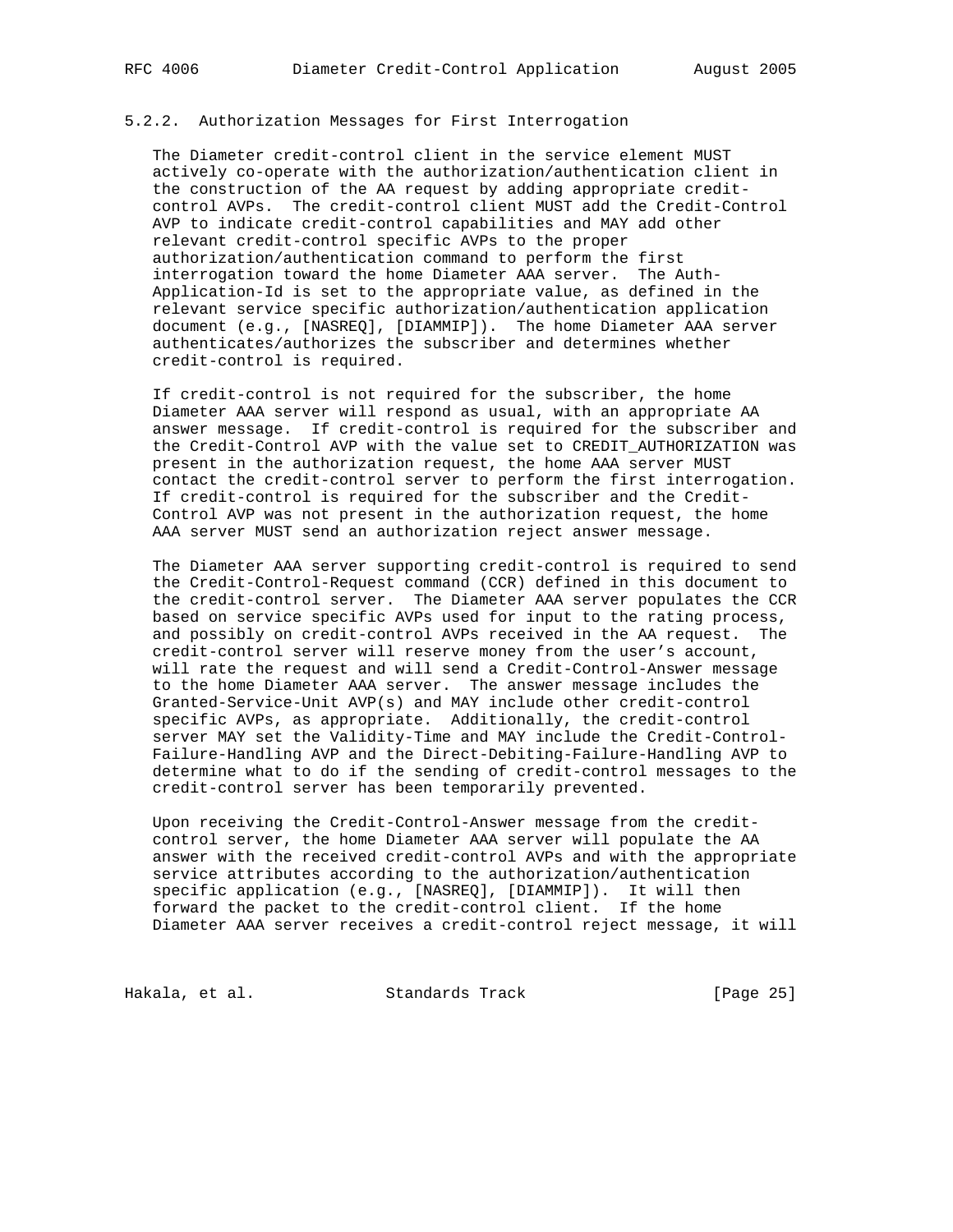### 5.2.2. Authorization Messages for First Interrogation

 The Diameter credit-control client in the service element MUST actively co-operate with the authorization/authentication client in the construction of the AA request by adding appropriate credit control AVPs. The credit-control client MUST add the Credit-Control AVP to indicate credit-control capabilities and MAY add other relevant credit-control specific AVPs to the proper authorization/authentication command to perform the first interrogation toward the home Diameter AAA server. The Auth- Application-Id is set to the appropriate value, as defined in the relevant service specific authorization/authentication application document (e.g., [NASREQ], [DIAMMIP]). The home Diameter AAA server authenticates/authorizes the subscriber and determines whether credit-control is required.

 If credit-control is not required for the subscriber, the home Diameter AAA server will respond as usual, with an appropriate AA answer message. If credit-control is required for the subscriber and the Credit-Control AVP with the value set to CREDIT\_AUTHORIZATION was present in the authorization request, the home AAA server MUST contact the credit-control server to perform the first interrogation. If credit-control is required for the subscriber and the Credit- Control AVP was not present in the authorization request, the home AAA server MUST send an authorization reject answer message.

 The Diameter AAA server supporting credit-control is required to send the Credit-Control-Request command (CCR) defined in this document to the credit-control server. The Diameter AAA server populates the CCR based on service specific AVPs used for input to the rating process, and possibly on credit-control AVPs received in the AA request. The credit-control server will reserve money from the user's account, will rate the request and will send a Credit-Control-Answer message to the home Diameter AAA server. The answer message includes the Granted-Service-Unit AVP(s) and MAY include other credit-control specific AVPs, as appropriate. Additionally, the credit-control server MAY set the Validity-Time and MAY include the Credit-Control- Failure-Handling AVP and the Direct-Debiting-Failure-Handling AVP to determine what to do if the sending of credit-control messages to the credit-control server has been temporarily prevented.

 Upon receiving the Credit-Control-Answer message from the credit control server, the home Diameter AAA server will populate the AA answer with the received credit-control AVPs and with the appropriate service attributes according to the authorization/authentication specific application (e.g., [NASREQ], [DIAMMIP]). It will then forward the packet to the credit-control client. If the home Diameter AAA server receives a credit-control reject message, it will

Hakala, et al. Standards Track [Page 25]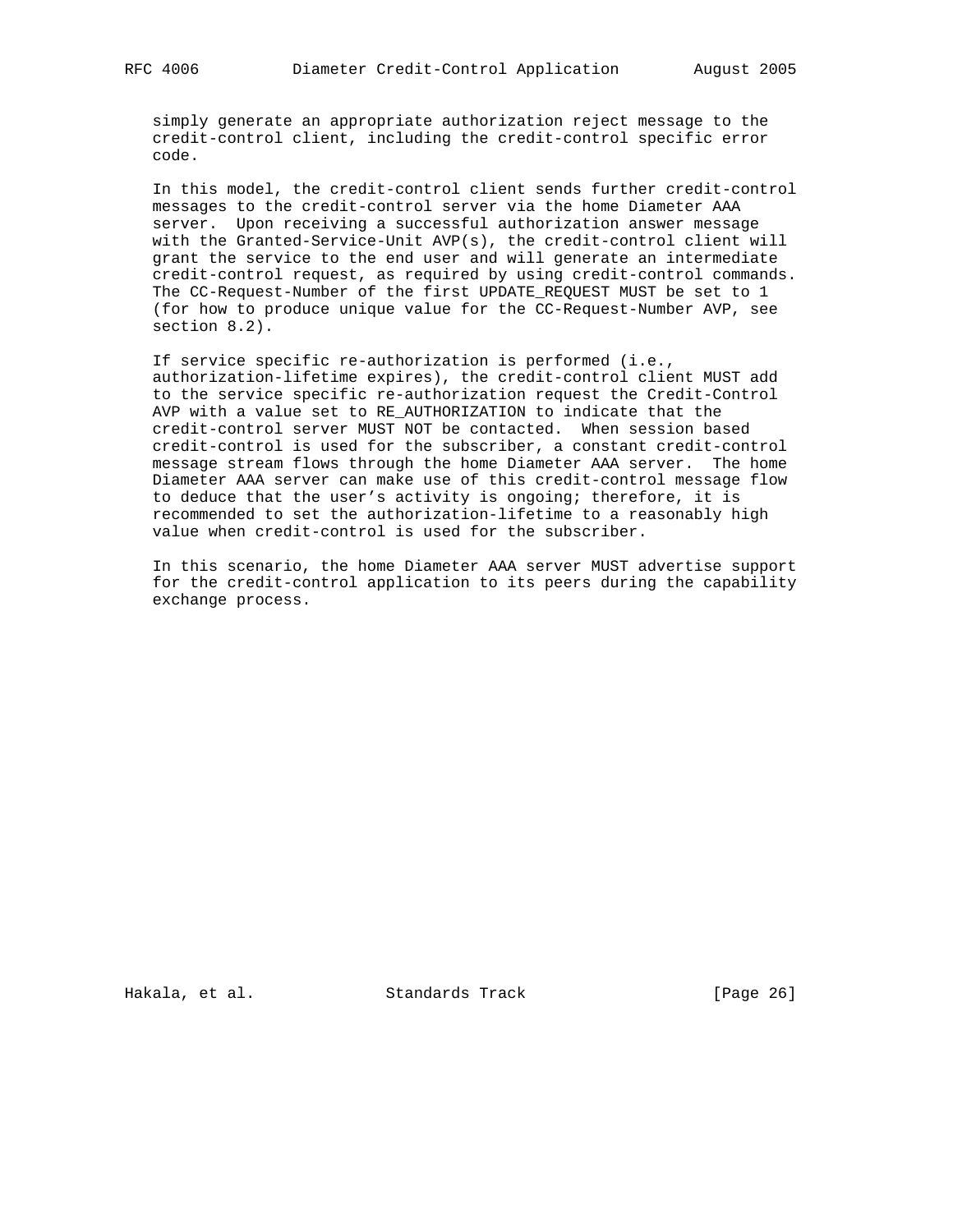simply generate an appropriate authorization reject message to the credit-control client, including the credit-control specific error code.

 In this model, the credit-control client sends further credit-control messages to the credit-control server via the home Diameter AAA server. Upon receiving a successful authorization answer message with the Granted-Service-Unit AVP(s), the credit-control client will grant the service to the end user and will generate an intermediate credit-control request, as required by using credit-control commands. The CC-Request-Number of the first UPDATE\_REQUEST MUST be set to 1 (for how to produce unique value for the CC-Request-Number AVP, see section 8.2).

 If service specific re-authorization is performed (i.e., authorization-lifetime expires), the credit-control client MUST add to the service specific re-authorization request the Credit-Control AVP with a value set to RE\_AUTHORIZATION to indicate that the credit-control server MUST NOT be contacted. When session based credit-control is used for the subscriber, a constant credit-control message stream flows through the home Diameter AAA server. The home Diameter AAA server can make use of this credit-control message flow to deduce that the user's activity is ongoing; therefore, it is recommended to set the authorization-lifetime to a reasonably high value when credit-control is used for the subscriber.

 In this scenario, the home Diameter AAA server MUST advertise support for the credit-control application to its peers during the capability exchange process.

Hakala, et al. Standards Track [Page 26]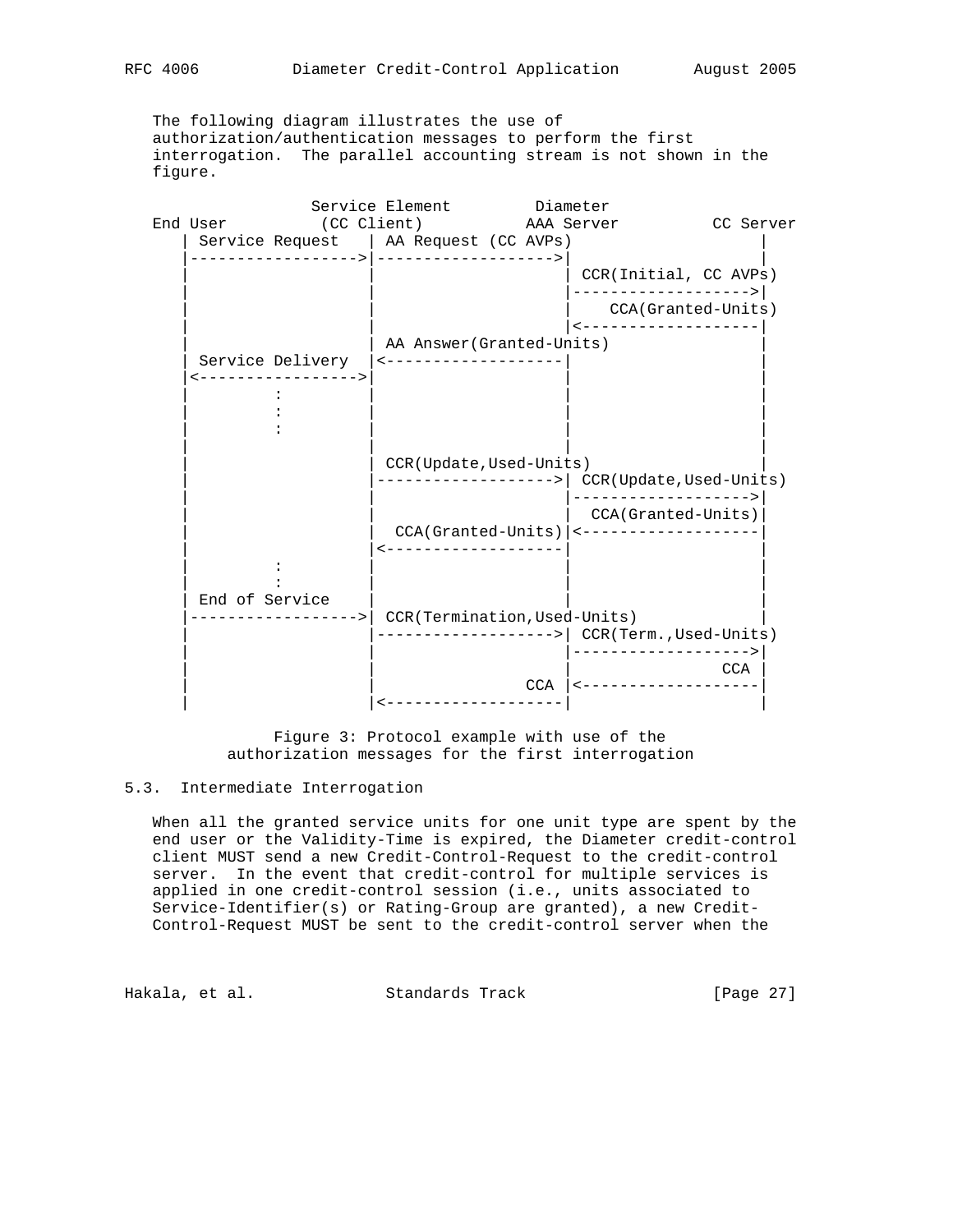The following diagram illustrates the use of authorization/authentication messages to perform the first interrogation. The parallel accounting stream is not shown in the figure.

|                |                                         | Service Element Diameter                        |     |                                              |           |
|----------------|-----------------------------------------|-------------------------------------------------|-----|----------------------------------------------|-----------|
|                |                                         | End User (CC Client) AAA Server                 |     |                                              | CC Server |
|                |                                         | Service Request   AA Request (CC AVPs)          |     |                                              |           |
|                |                                         |                                                 |     | CCR(Initial, CC AVPs)                        |           |
|                |                                         |                                                 |     | ------------------->                         |           |
|                |                                         |                                                 |     | CCA(Granted-Units)                           |           |
|                |                                         |                                                 |     | -------------------                          |           |
|                |                                         | AA Answer (Granted-Units)                       |     |                                              |           |
|                | Service Delivery<br><-----------------> | <--------------------                           |     |                                              |           |
|                |                                         |                                                 |     |                                              |           |
|                |                                         |                                                 |     |                                              |           |
|                |                                         |                                                 |     |                                              |           |
|                |                                         |                                                 |     |                                              |           |
|                |                                         | CCR(Update, Used-Units)                         |     |                                              |           |
|                |                                         |                                                 |     | ------------------->  CCR(Update,Used-Units) |           |
|                |                                         |                                                 |     | ------------------->                         |           |
|                |                                         |                                                 |     | CCA(Granted-Units)                           |           |
|                |                                         | --------------------                            |     | CCA(Granted-Units)  <-------------------     |           |
|                |                                         |                                                 |     |                                              |           |
|                |                                         |                                                 |     |                                              |           |
| End of Service |                                         |                                                 |     |                                              |           |
|                |                                         | ----------------->  CCR(Termination,Used-Units) |     |                                              |           |
|                |                                         |                                                 |     | ------------------>   CCR(Term., Used-Units) |           |
|                |                                         |                                                 |     |                                              |           |
|                |                                         |                                                 |     |                                              | CCA       |
|                |                                         |                                                 | CCA |                                              |           |
|                |                                         | -------------------                             |     |                                              |           |
|                |                                         |                                                 |     |                                              |           |

 Figure 3: Protocol example with use of the authorization messages for the first interrogation

# 5.3. Intermediate Interrogation

 When all the granted service units for one unit type are spent by the end user or the Validity-Time is expired, the Diameter credit-control client MUST send a new Credit-Control-Request to the credit-control server. In the event that credit-control for multiple services is applied in one credit-control session (i.e., units associated to Service-Identifier(s) or Rating-Group are granted), a new Credit- Control-Request MUST be sent to the credit-control server when the

Hakala, et al. Standards Track [Page 27]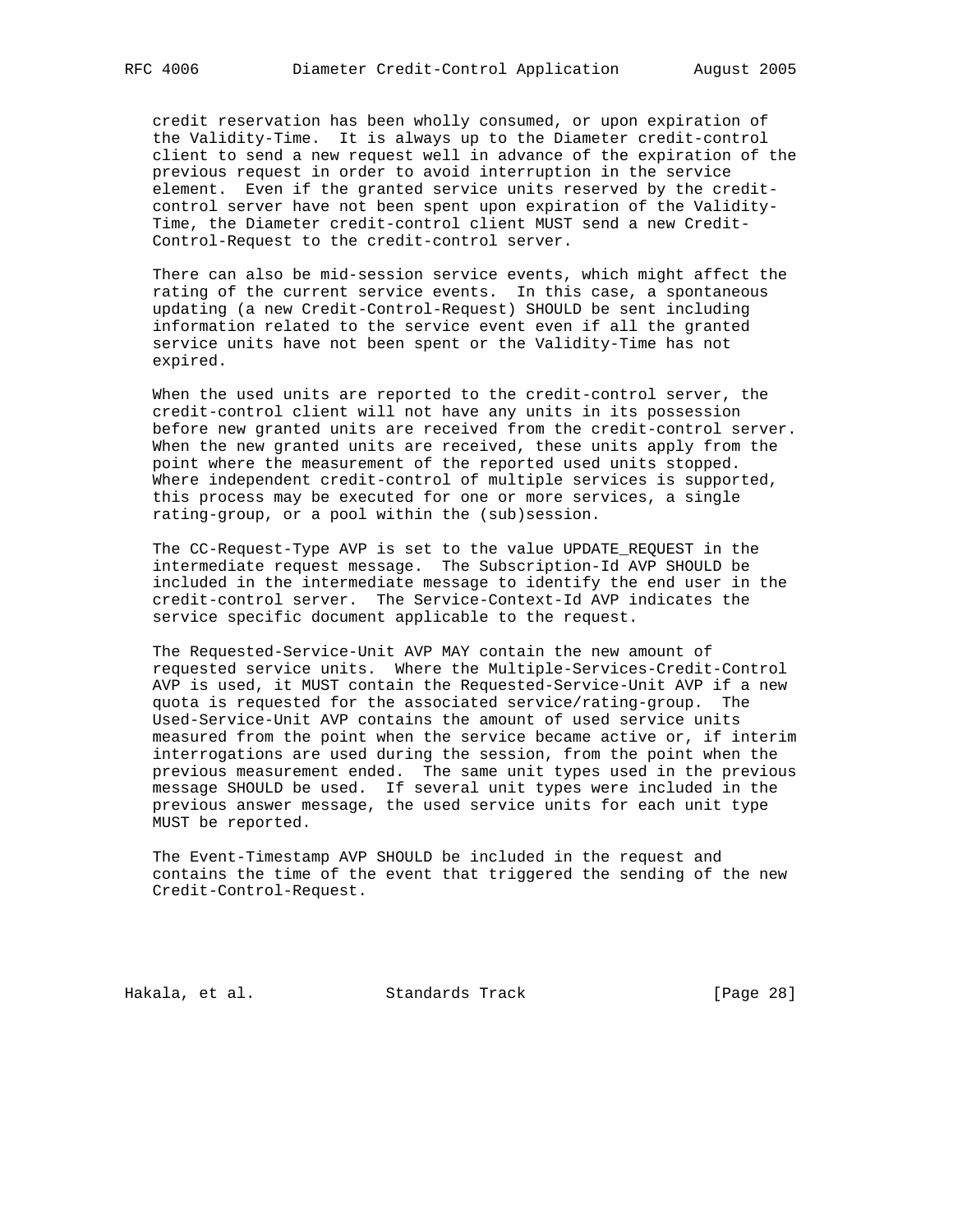credit reservation has been wholly consumed, or upon expiration of the Validity-Time. It is always up to the Diameter credit-control client to send a new request well in advance of the expiration of the previous request in order to avoid interruption in the service element. Even if the granted service units reserved by the credit control server have not been spent upon expiration of the Validity- Time, the Diameter credit-control client MUST send a new Credit- Control-Request to the credit-control server.

 There can also be mid-session service events, which might affect the rating of the current service events. In this case, a spontaneous updating (a new Credit-Control-Request) SHOULD be sent including information related to the service event even if all the granted service units have not been spent or the Validity-Time has not expired.

 When the used units are reported to the credit-control server, the credit-control client will not have any units in its possession before new granted units are received from the credit-control server. When the new granted units are received, these units apply from the point where the measurement of the reported used units stopped. Where independent credit-control of multiple services is supported, this process may be executed for one or more services, a single rating-group, or a pool within the (sub)session.

 The CC-Request-Type AVP is set to the value UPDATE\_REQUEST in the intermediate request message. The Subscription-Id AVP SHOULD be included in the intermediate message to identify the end user in the credit-control server. The Service-Context-Id AVP indicates the service specific document applicable to the request.

 The Requested-Service-Unit AVP MAY contain the new amount of requested service units. Where the Multiple-Services-Credit-Control AVP is used, it MUST contain the Requested-Service-Unit AVP if a new quota is requested for the associated service/rating-group. The Used-Service-Unit AVP contains the amount of used service units measured from the point when the service became active or, if interim interrogations are used during the session, from the point when the previous measurement ended. The same unit types used in the previous message SHOULD be used. If several unit types were included in the previous answer message, the used service units for each unit type MUST be reported.

 The Event-Timestamp AVP SHOULD be included in the request and contains the time of the event that triggered the sending of the new Credit-Control-Request.

Hakala, et al. Standards Track [Page 28]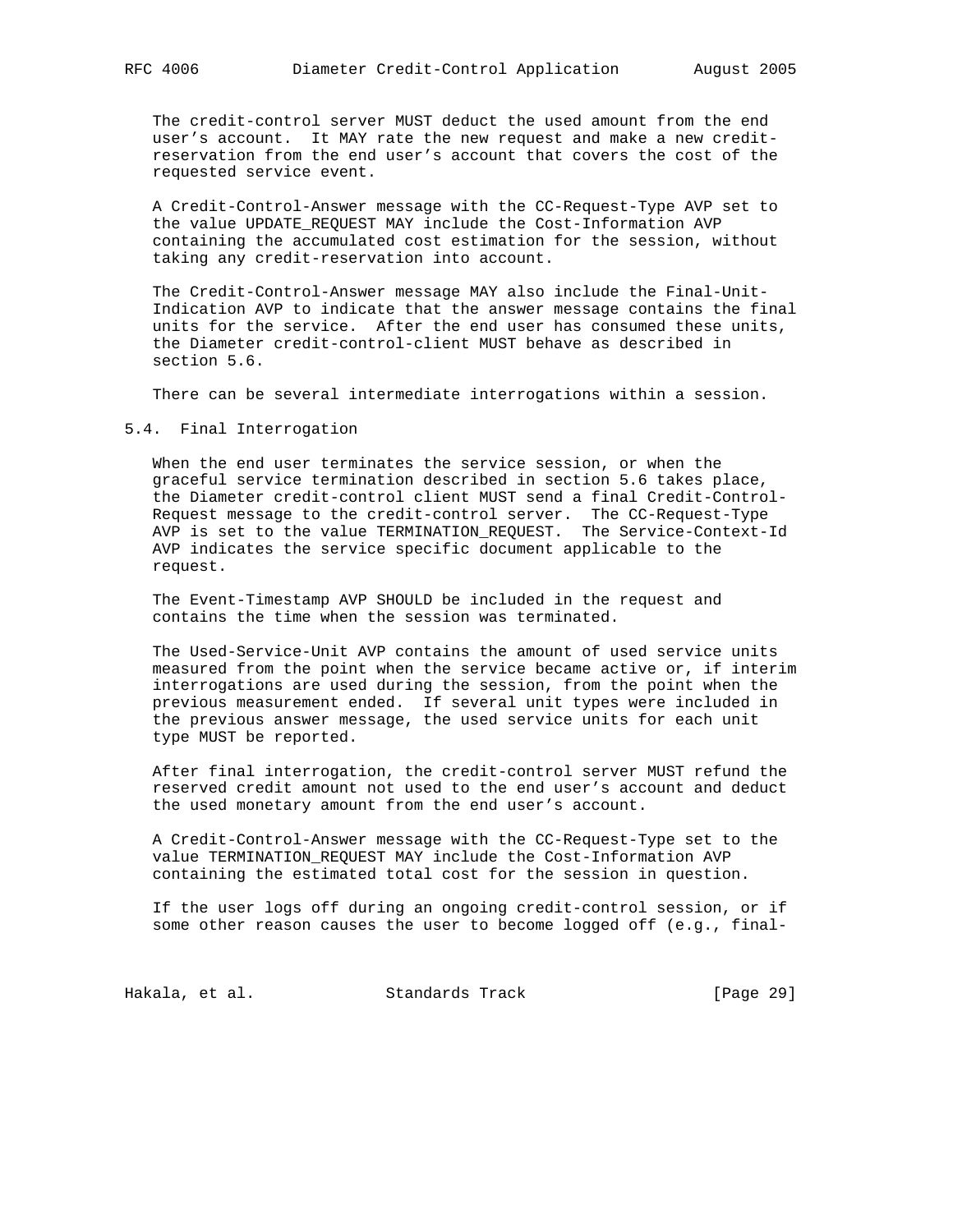The credit-control server MUST deduct the used amount from the end user's account. It MAY rate the new request and make a new credit reservation from the end user's account that covers the cost of the requested service event.

 A Credit-Control-Answer message with the CC-Request-Type AVP set to the value UPDATE\_REQUEST MAY include the Cost-Information AVP containing the accumulated cost estimation for the session, without taking any credit-reservation into account.

 The Credit-Control-Answer message MAY also include the Final-Unit- Indication AVP to indicate that the answer message contains the final units for the service. After the end user has consumed these units, the Diameter credit-control-client MUST behave as described in section 5.6.

There can be several intermediate interrogations within a session.

### 5.4. Final Interrogation

 When the end user terminates the service session, or when the graceful service termination described in section 5.6 takes place, the Diameter credit-control client MUST send a final Credit-Control- Request message to the credit-control server. The CC-Request-Type AVP is set to the value TERMINATION\_REQUEST. The Service-Context-Id AVP indicates the service specific document applicable to the request.

 The Event-Timestamp AVP SHOULD be included in the request and contains the time when the session was terminated.

 The Used-Service-Unit AVP contains the amount of used service units measured from the point when the service became active or, if interim interrogations are used during the session, from the point when the previous measurement ended. If several unit types were included in the previous answer message, the used service units for each unit type MUST be reported.

 After final interrogation, the credit-control server MUST refund the reserved credit amount not used to the end user's account and deduct the used monetary amount from the end user's account.

 A Credit-Control-Answer message with the CC-Request-Type set to the value TERMINATION\_REQUEST MAY include the Cost-Information AVP containing the estimated total cost for the session in question.

 If the user logs off during an ongoing credit-control session, or if some other reason causes the user to become logged off (e.g., final-

Hakala, et al. Standards Track [Page 29]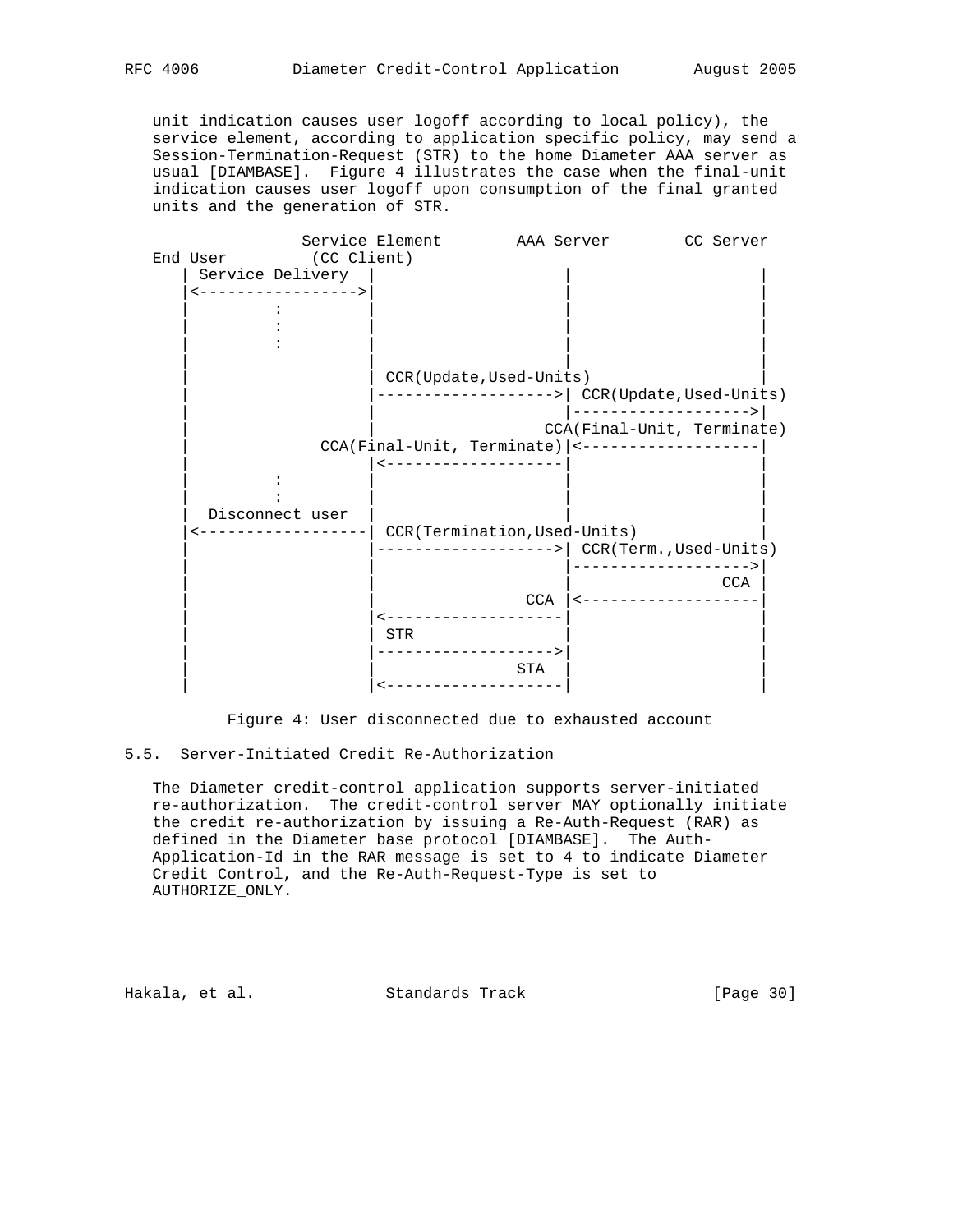unit indication causes user logoff according to local policy), the service element, according to application specific policy, may send a Session-Termination-Request (STR) to the home Diameter AAA server as usual [DIAMBASE]. Figure 4 illustrates the case when the final-unit indication causes user logoff upon consumption of the final granted units and the generation of STR.



Figure 4: User disconnected due to exhausted account

## 5.5. Server-Initiated Credit Re-Authorization

 The Diameter credit-control application supports server-initiated re-authorization. The credit-control server MAY optionally initiate the credit re-authorization by issuing a Re-Auth-Request (RAR) as defined in the Diameter base protocol [DIAMBASE]. The Auth- Application-Id in the RAR message is set to 4 to indicate Diameter Credit Control, and the Re-Auth-Request-Type is set to AUTHORIZE\_ONLY.

Hakala, et al. Standards Track [Page 30]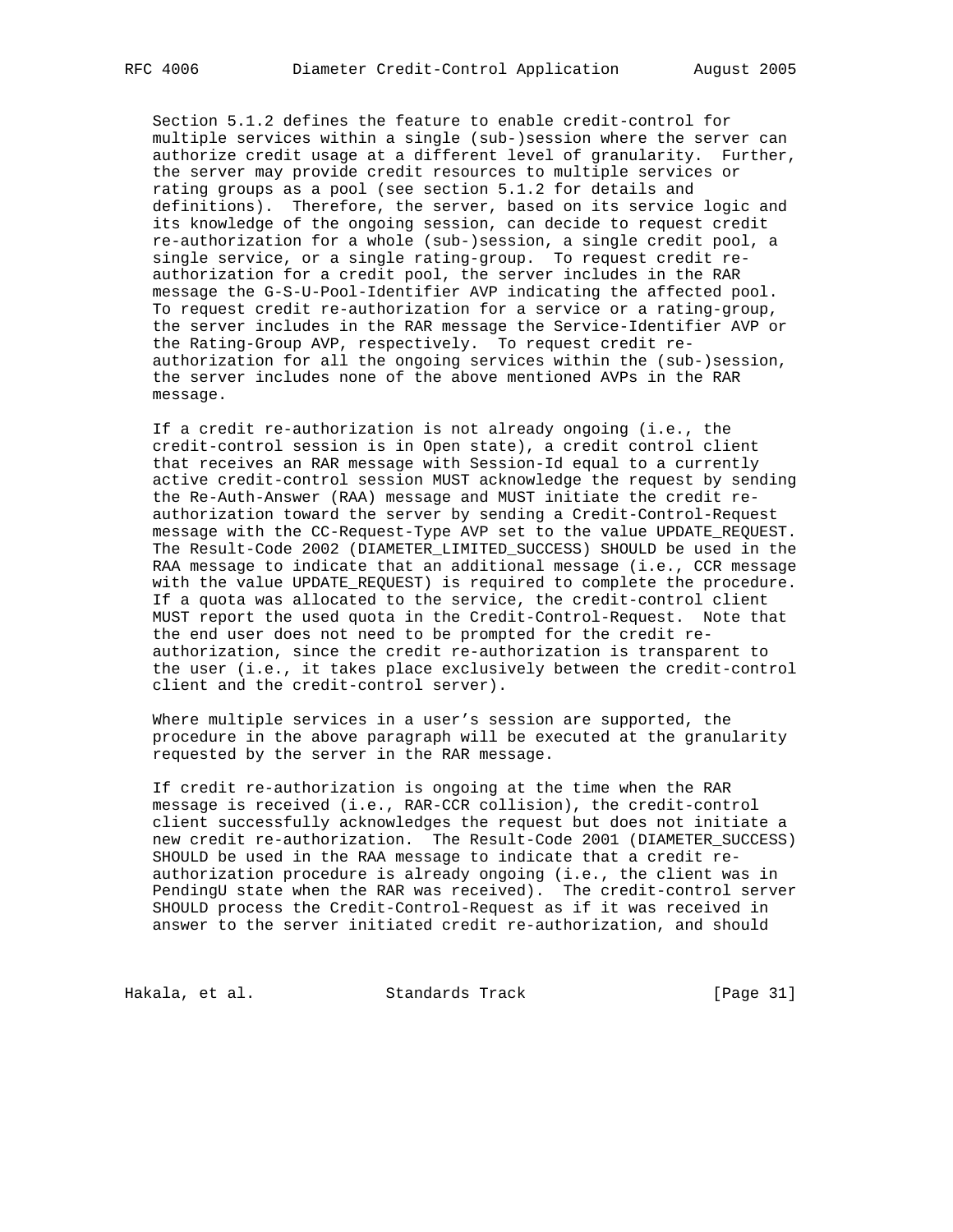Section 5.1.2 defines the feature to enable credit-control for multiple services within a single (sub-)session where the server can authorize credit usage at a different level of granularity. Further, the server may provide credit resources to multiple services or rating groups as a pool (see section 5.1.2 for details and definitions). Therefore, the server, based on its service logic and its knowledge of the ongoing session, can decide to request credit re-authorization for a whole (sub-)session, a single credit pool, a single service, or a single rating-group. To request credit re authorization for a credit pool, the server includes in the RAR message the G-S-U-Pool-Identifier AVP indicating the affected pool. To request credit re-authorization for a service or a rating-group, the server includes in the RAR message the Service-Identifier AVP or the Rating-Group AVP, respectively. To request credit re authorization for all the ongoing services within the (sub-)session, the server includes none of the above mentioned AVPs in the RAR message.

 If a credit re-authorization is not already ongoing (i.e., the credit-control session is in Open state), a credit control client that receives an RAR message with Session-Id equal to a currently active credit-control session MUST acknowledge the request by sending the Re-Auth-Answer (RAA) message and MUST initiate the credit re authorization toward the server by sending a Credit-Control-Request message with the CC-Request-Type AVP set to the value UPDATE\_REQUEST. The Result-Code 2002 (DIAMETER\_LIMITED\_SUCCESS) SHOULD be used in the RAA message to indicate that an additional message (i.e., CCR message with the value UPDATE\_REQUEST) is required to complete the procedure. If a quota was allocated to the service, the credit-control client MUST report the used quota in the Credit-Control-Request. Note that the end user does not need to be prompted for the credit re authorization, since the credit re-authorization is transparent to the user (i.e., it takes place exclusively between the credit-control client and the credit-control server).

 Where multiple services in a user's session are supported, the procedure in the above paragraph will be executed at the granularity requested by the server in the RAR message.

 If credit re-authorization is ongoing at the time when the RAR message is received (i.e., RAR-CCR collision), the credit-control client successfully acknowledges the request but does not initiate a new credit re-authorization. The Result-Code 2001 (DIAMETER\_SUCCESS) SHOULD be used in the RAA message to indicate that a credit re authorization procedure is already ongoing (i.e., the client was in PendingU state when the RAR was received). The credit-control server SHOULD process the Credit-Control-Request as if it was received in answer to the server initiated credit re-authorization, and should

Hakala, et al. Standards Track [Page 31]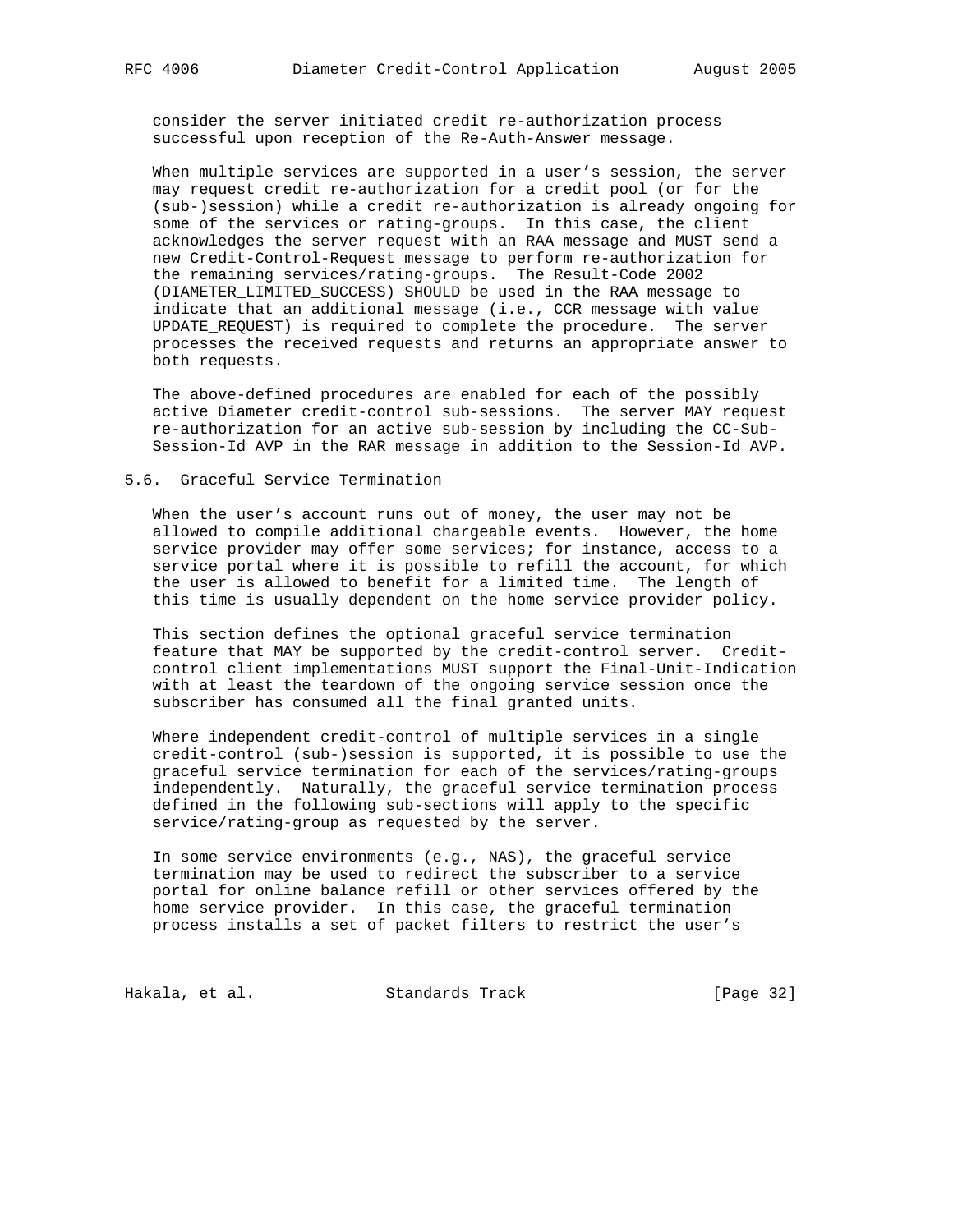consider the server initiated credit re-authorization process successful upon reception of the Re-Auth-Answer message.

 When multiple services are supported in a user's session, the server may request credit re-authorization for a credit pool (or for the (sub-)session) while a credit re-authorization is already ongoing for some of the services or rating-groups. In this case, the client acknowledges the server request with an RAA message and MUST send a new Credit-Control-Request message to perform re-authorization for the remaining services/rating-groups. The Result-Code 2002 (DIAMETER\_LIMITED\_SUCCESS) SHOULD be used in the RAA message to indicate that an additional message (i.e., CCR message with value UPDATE\_REQUEST) is required to complete the procedure. The server processes the received requests and returns an appropriate answer to both requests.

 The above-defined procedures are enabled for each of the possibly active Diameter credit-control sub-sessions. The server MAY request re-authorization for an active sub-session by including the CC-Sub- Session-Id AVP in the RAR message in addition to the Session-Id AVP.

### 5.6. Graceful Service Termination

 When the user's account runs out of money, the user may not be allowed to compile additional chargeable events. However, the home service provider may offer some services; for instance, access to a service portal where it is possible to refill the account, for which the user is allowed to benefit for a limited time. The length of this time is usually dependent on the home service provider policy.

 This section defines the optional graceful service termination feature that MAY be supported by the credit-control server. Credit control client implementations MUST support the Final-Unit-Indication with at least the teardown of the ongoing service session once the subscriber has consumed all the final granted units.

 Where independent credit-control of multiple services in a single credit-control (sub-)session is supported, it is possible to use the graceful service termination for each of the services/rating-groups independently. Naturally, the graceful service termination process defined in the following sub-sections will apply to the specific service/rating-group as requested by the server.

 In some service environments (e.g., NAS), the graceful service termination may be used to redirect the subscriber to a service portal for online balance refill or other services offered by the home service provider. In this case, the graceful termination process installs a set of packet filters to restrict the user's

Hakala, et al. Standards Track [Page 32]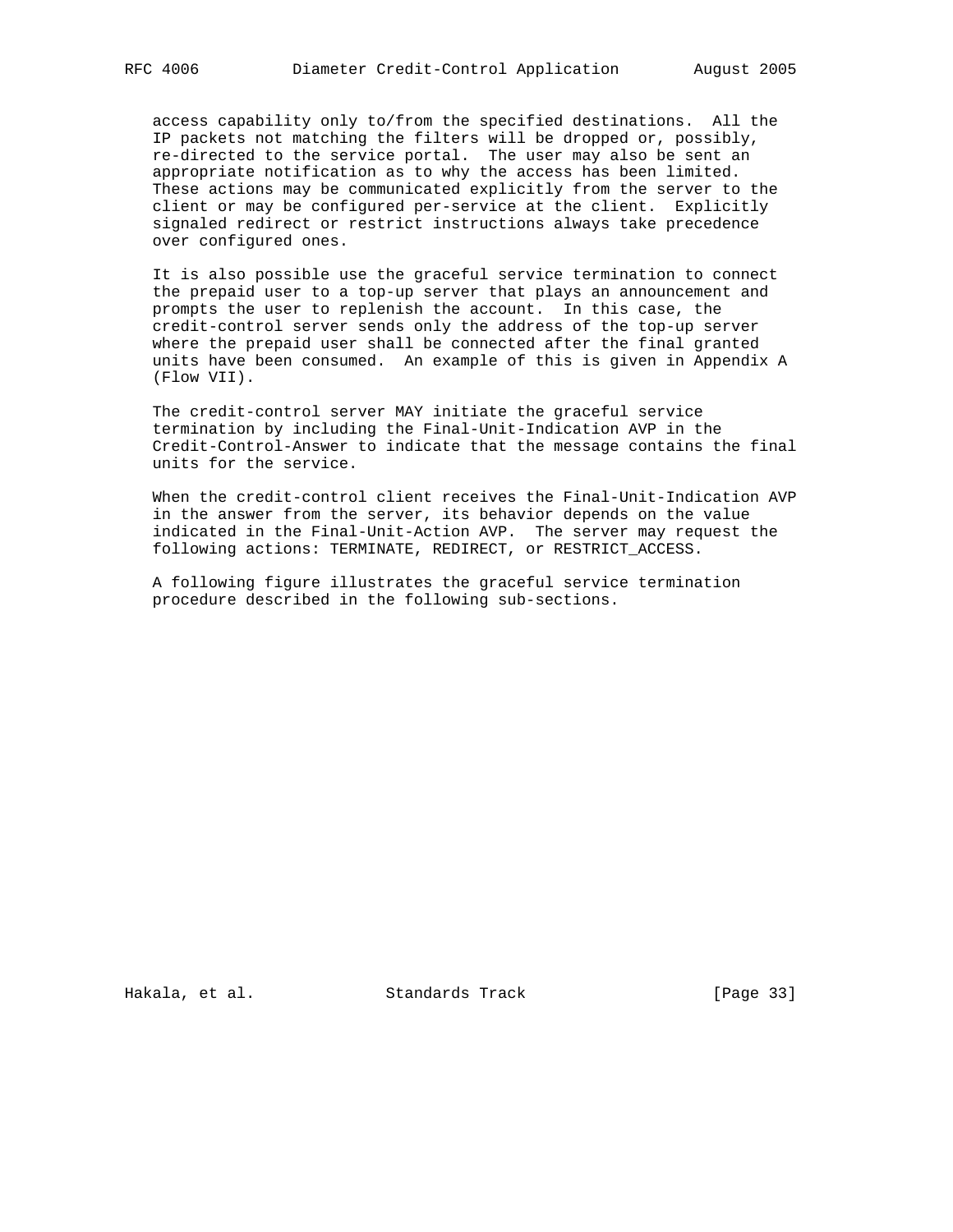access capability only to/from the specified destinations. All the IP packets not matching the filters will be dropped or, possibly, re-directed to the service portal. The user may also be sent an appropriate notification as to why the access has been limited. These actions may be communicated explicitly from the server to the client or may be configured per-service at the client. Explicitly signaled redirect or restrict instructions always take precedence over configured ones.

 It is also possible use the graceful service termination to connect the prepaid user to a top-up server that plays an announcement and prompts the user to replenish the account. In this case, the credit-control server sends only the address of the top-up server where the prepaid user shall be connected after the final granted units have been consumed. An example of this is given in Appendix A (Flow VII).

 The credit-control server MAY initiate the graceful service termination by including the Final-Unit-Indication AVP in the Credit-Control-Answer to indicate that the message contains the final units for the service.

 When the credit-control client receives the Final-Unit-Indication AVP in the answer from the server, its behavior depends on the value indicated in the Final-Unit-Action AVP. The server may request the following actions: TERMINATE, REDIRECT, or RESTRICT\_ACCESS.

 A following figure illustrates the graceful service termination procedure described in the following sub-sections.

Hakala, et al. Standards Track [Page 33]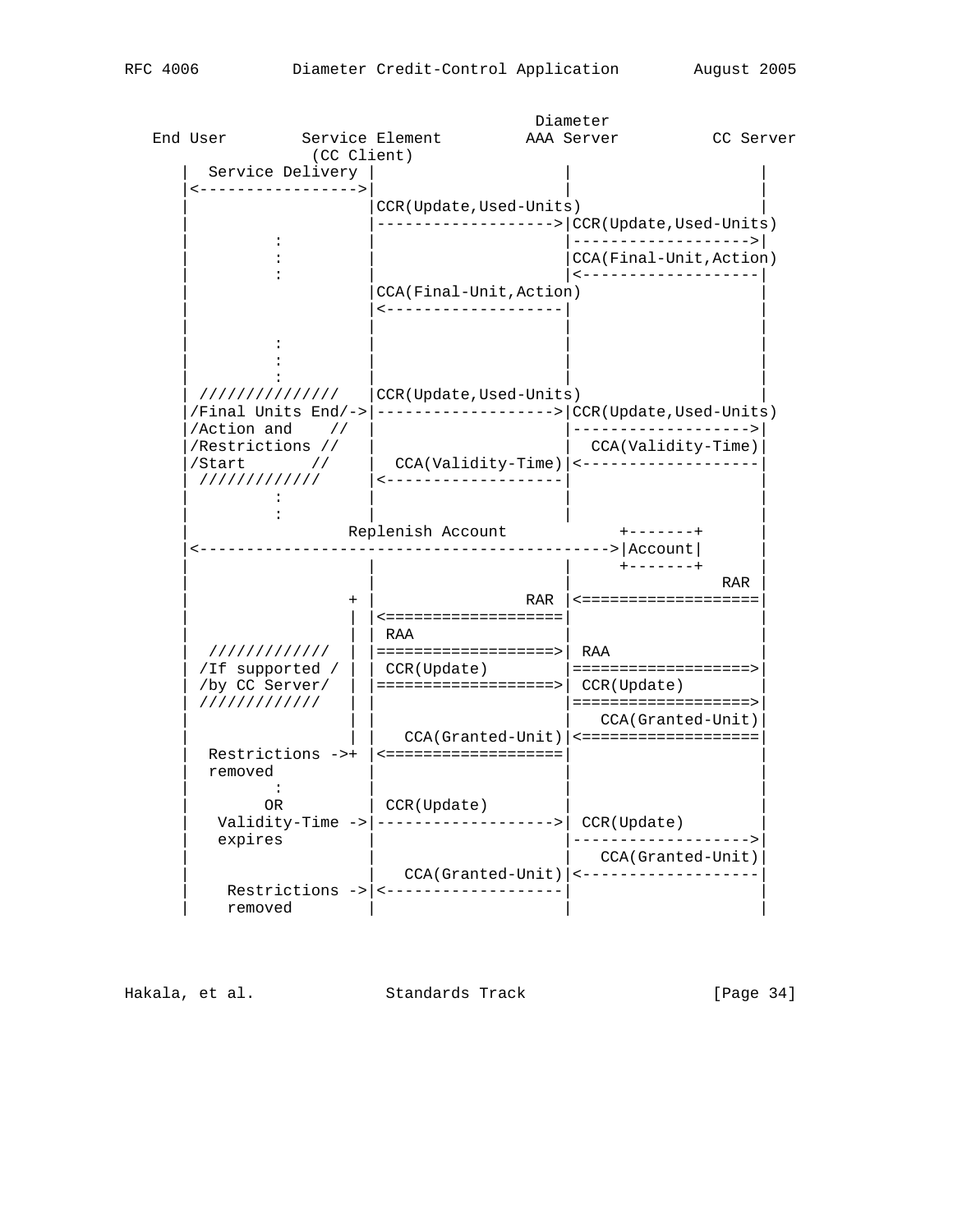|                          |                   |                                                            | Diameter   |                             |            |
|--------------------------|-------------------|------------------------------------------------------------|------------|-----------------------------|------------|
| End User                 | Service Element   |                                                            | AAA Server |                             | CC Server  |
|                          | (CC Client)       |                                                            |            |                             |            |
| Service Delivery         |                   |                                                            |            |                             |            |
| <---------------->       |                   |                                                            |            |                             |            |
|                          |                   | CCR(Update, Used-Units)                                    |            |                             |            |
|                          |                   | ----------------> CCR(Update,Used-Units)                   |            |                             |            |
| $\ddot{\cdot}$           |                   |                                                            |            | ------------------->        |            |
|                          |                   |                                                            |            | CCA(Final-Unit, Action)     |            |
|                          |                   |                                                            |            | <--------------------       |            |
|                          |                   | CCA(Final-Unit, Action)                                    |            |                             |            |
|                          |                   | -------------------                                        |            |                             |            |
|                          |                   |                                                            |            |                             |            |
|                          |                   |                                                            |            |                             |            |
|                          |                   |                                                            |            |                             |            |
|                          |                   |                                                            |            |                             |            |
| ///////////////          |                   | CCR(Update,Used-Units)                                     |            |                             |            |
| $/Final$ Units End/->    |                   | ------------------>   CCR (Update, Used-Units)             |            |                             |            |
| $/$ Action and $//$      |                   |                                                            |            | -------------------->       |            |
| //Restrictions //        |                   |                                                            |            | CCA(Validity-Time)          |            |
| $\sqrt{\text{Start}}$ // |                   | CCA(Validity-Time)  <----------------                      |            |                             |            |
| /////////////            |                   | -------------------                                        |            |                             |            |
|                          |                   |                                                            |            |                             |            |
|                          |                   |                                                            |            |                             |            |
|                          | $+ - - - - - - +$ |                                                            |            |                             |            |
|                          |                   | Replenish Account<br>----------------------------> Account |            |                             |            |
|                          |                   |                                                            |            | $+ - - - - - - +$           |            |
|                          |                   |                                                            |            |                             | <b>RAR</b> |
|                          | $^{+}$            |                                                            |            | RAR   <==================== |            |
|                          |                   | <===================                                       |            |                             |            |
|                          |                   | RAA                                                        |            |                             |            |
| /////////////            |                   | $=$ = = = = = = = = = = = = = = = = >   RAA                |            |                             |            |
| /If supported /          |                   | CCR(Update)                                                |            | ===================>        |            |
| /by CC Server/           |                   | ==================>   CCR(Update)                          |            |                             |            |
| ////////////             |                   |                                                            |            | ===================>        |            |
|                          |                   |                                                            |            | CCA(Granted-Unit)           |            |
|                          |                   | $CCA(Granted-Unit)$   <====================                |            |                             |            |
|                          |                   |                                                            |            |                             |            |
| removed                  |                   |                                                            |            |                             |            |
| $\ddot{\cdot}$           |                   |                                                            |            |                             |            |
| OR.                      |                   | CCR(Update)                                                |            |                             |            |
|                          |                   | Validity-Time -> $ $ -------------------> $ $ CCR(Update)  |            |                             |            |
|                          |                   |                                                            |            |                             |            |
| expires                  |                   |                                                            |            | CCA(Granted-Unit)           |            |
|                          |                   | CCA(Granted-Unit)  <-------------------                    |            |                             |            |
|                          |                   | $Restrictions$ -> $ $ -----------------                    |            |                             |            |
|                          |                   |                                                            |            |                             |            |
| removed                  |                   |                                                            |            |                             |            |

Hakala, et al. Standards Track [Page 34]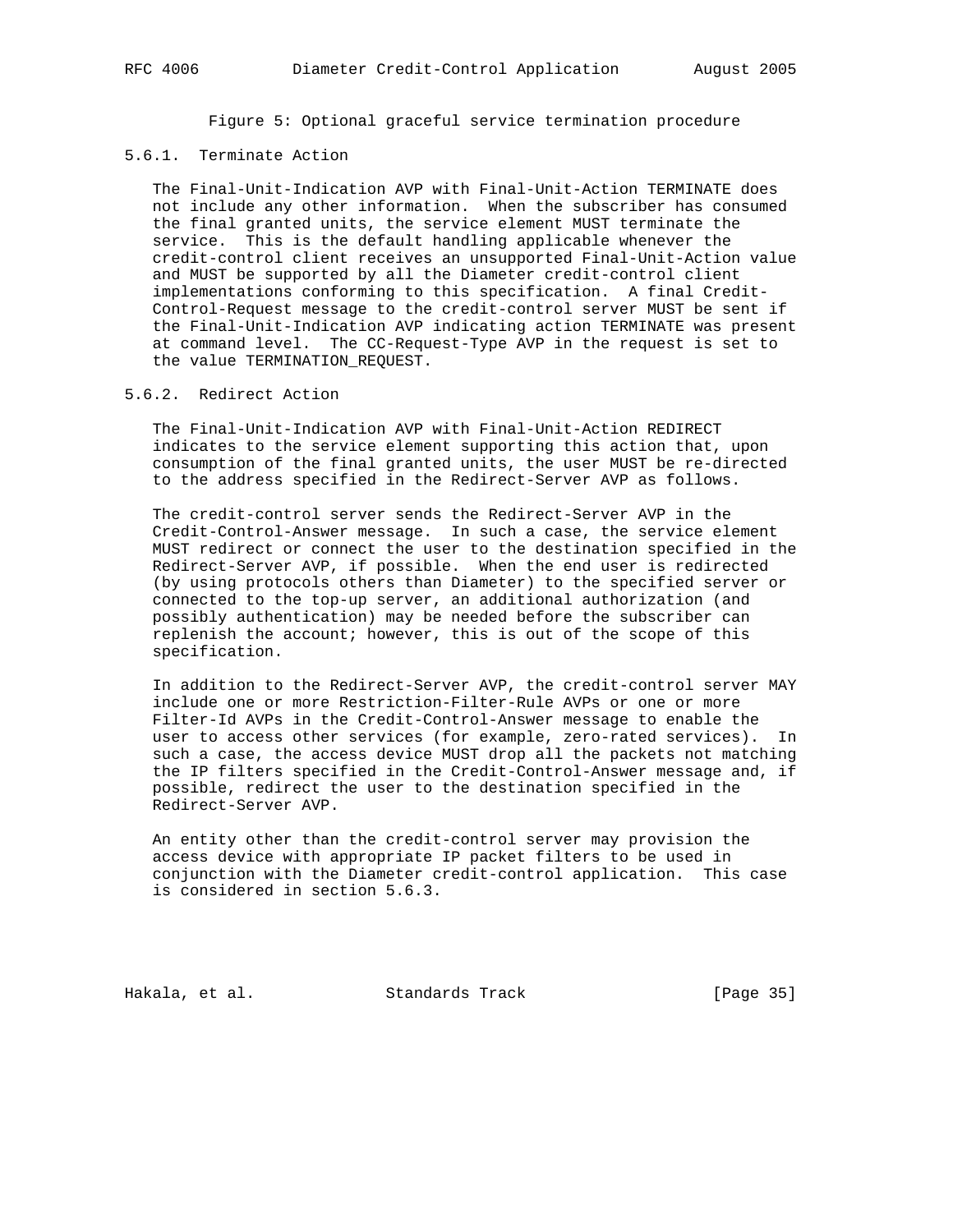Figure 5: Optional graceful service termination procedure

# 5.6.1. Terminate Action

 The Final-Unit-Indication AVP with Final-Unit-Action TERMINATE does not include any other information. When the subscriber has consumed the final granted units, the service element MUST terminate the service. This is the default handling applicable whenever the credit-control client receives an unsupported Final-Unit-Action value and MUST be supported by all the Diameter credit-control client implementations conforming to this specification. A final Credit- Control-Request message to the credit-control server MUST be sent if the Final-Unit-Indication AVP indicating action TERMINATE was present at command level. The CC-Request-Type AVP in the request is set to the value TERMINATION\_REQUEST.

# 5.6.2. Redirect Action

 The Final-Unit-Indication AVP with Final-Unit-Action REDIRECT indicates to the service element supporting this action that, upon consumption of the final granted units, the user MUST be re-directed to the address specified in the Redirect-Server AVP as follows.

 The credit-control server sends the Redirect-Server AVP in the Credit-Control-Answer message. In such a case, the service element MUST redirect or connect the user to the destination specified in the Redirect-Server AVP, if possible. When the end user is redirected (by using protocols others than Diameter) to the specified server or connected to the top-up server, an additional authorization (and possibly authentication) may be needed before the subscriber can replenish the account; however, this is out of the scope of this specification.

 In addition to the Redirect-Server AVP, the credit-control server MAY include one or more Restriction-Filter-Rule AVPs or one or more Filter-Id AVPs in the Credit-Control-Answer message to enable the user to access other services (for example, zero-rated services). In such a case, the access device MUST drop all the packets not matching the IP filters specified in the Credit-Control-Answer message and, if possible, redirect the user to the destination specified in the Redirect-Server AVP.

 An entity other than the credit-control server may provision the access device with appropriate IP packet filters to be used in conjunction with the Diameter credit-control application. This case is considered in section 5.6.3.

Hakala, et al. Standards Track [Page 35]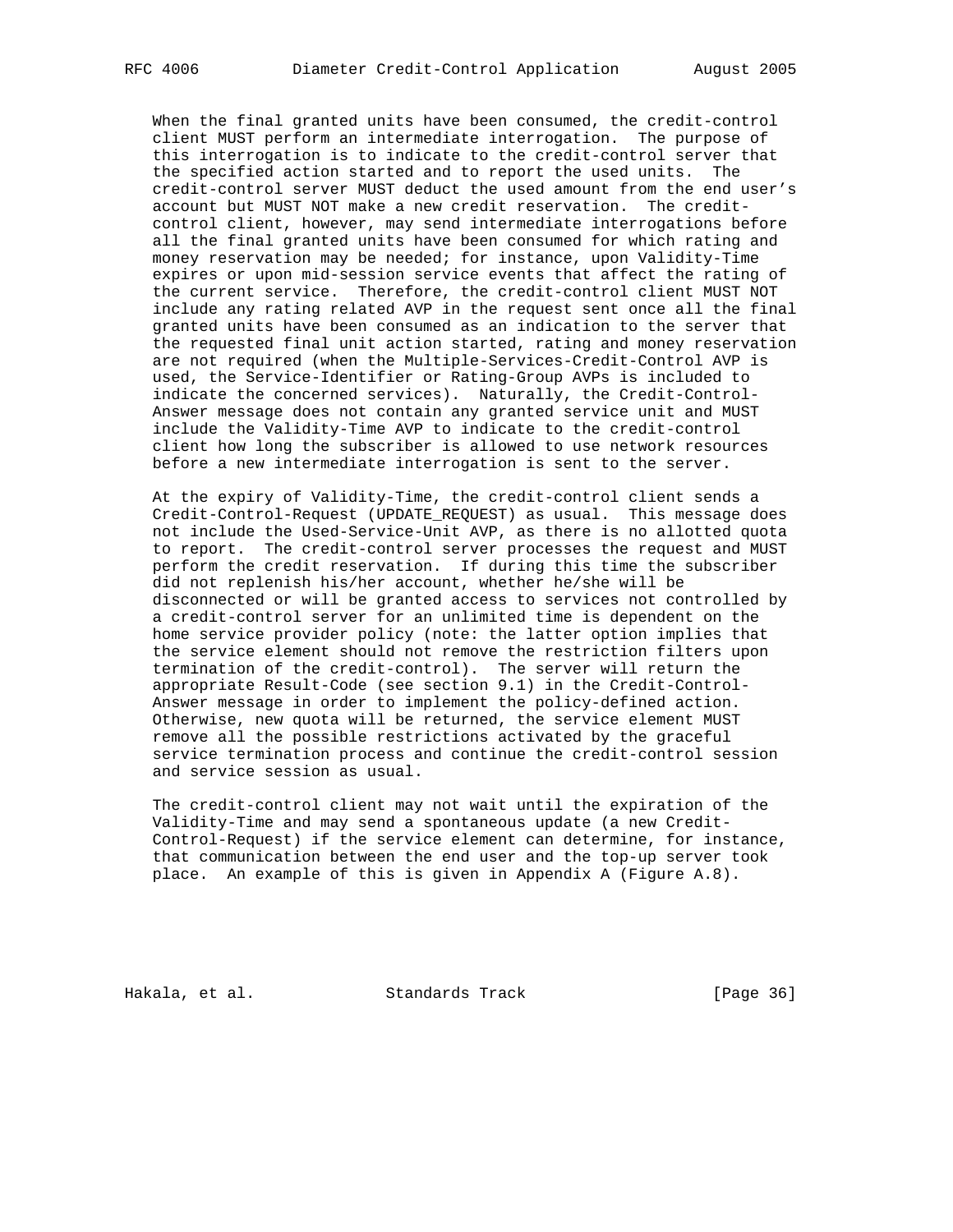When the final granted units have been consumed, the credit-control client MUST perform an intermediate interrogation. The purpose of this interrogation is to indicate to the credit-control server that the specified action started and to report the used units. The credit-control server MUST deduct the used amount from the end user's account but MUST NOT make a new credit reservation. The credit control client, however, may send intermediate interrogations before all the final granted units have been consumed for which rating and money reservation may be needed; for instance, upon Validity-Time expires or upon mid-session service events that affect the rating of the current service. Therefore, the credit-control client MUST NOT include any rating related AVP in the request sent once all the final granted units have been consumed as an indication to the server that the requested final unit action started, rating and money reservation are not required (when the Multiple-Services-Credit-Control AVP is used, the Service-Identifier or Rating-Group AVPs is included to indicate the concerned services). Naturally, the Credit-Control- Answer message does not contain any granted service unit and MUST include the Validity-Time AVP to indicate to the credit-control client how long the subscriber is allowed to use network resources before a new intermediate interrogation is sent to the server.

 At the expiry of Validity-Time, the credit-control client sends a Credit-Control-Request (UPDATE\_REQUEST) as usual. This message does not include the Used-Service-Unit AVP, as there is no allotted quota to report. The credit-control server processes the request and MUST perform the credit reservation. If during this time the subscriber did not replenish his/her account, whether he/she will be disconnected or will be granted access to services not controlled by a credit-control server for an unlimited time is dependent on the home service provider policy (note: the latter option implies that the service element should not remove the restriction filters upon termination of the credit-control). The server will return the appropriate Result-Code (see section 9.1) in the Credit-Control- Answer message in order to implement the policy-defined action. Otherwise, new quota will be returned, the service element MUST remove all the possible restrictions activated by the graceful service termination process and continue the credit-control session and service session as usual.

 The credit-control client may not wait until the expiration of the Validity-Time and may send a spontaneous update (a new Credit- Control-Request) if the service element can determine, for instance, that communication between the end user and the top-up server took place. An example of this is given in Appendix A (Figure A.8).

Hakala, et al. Standards Track [Page 36]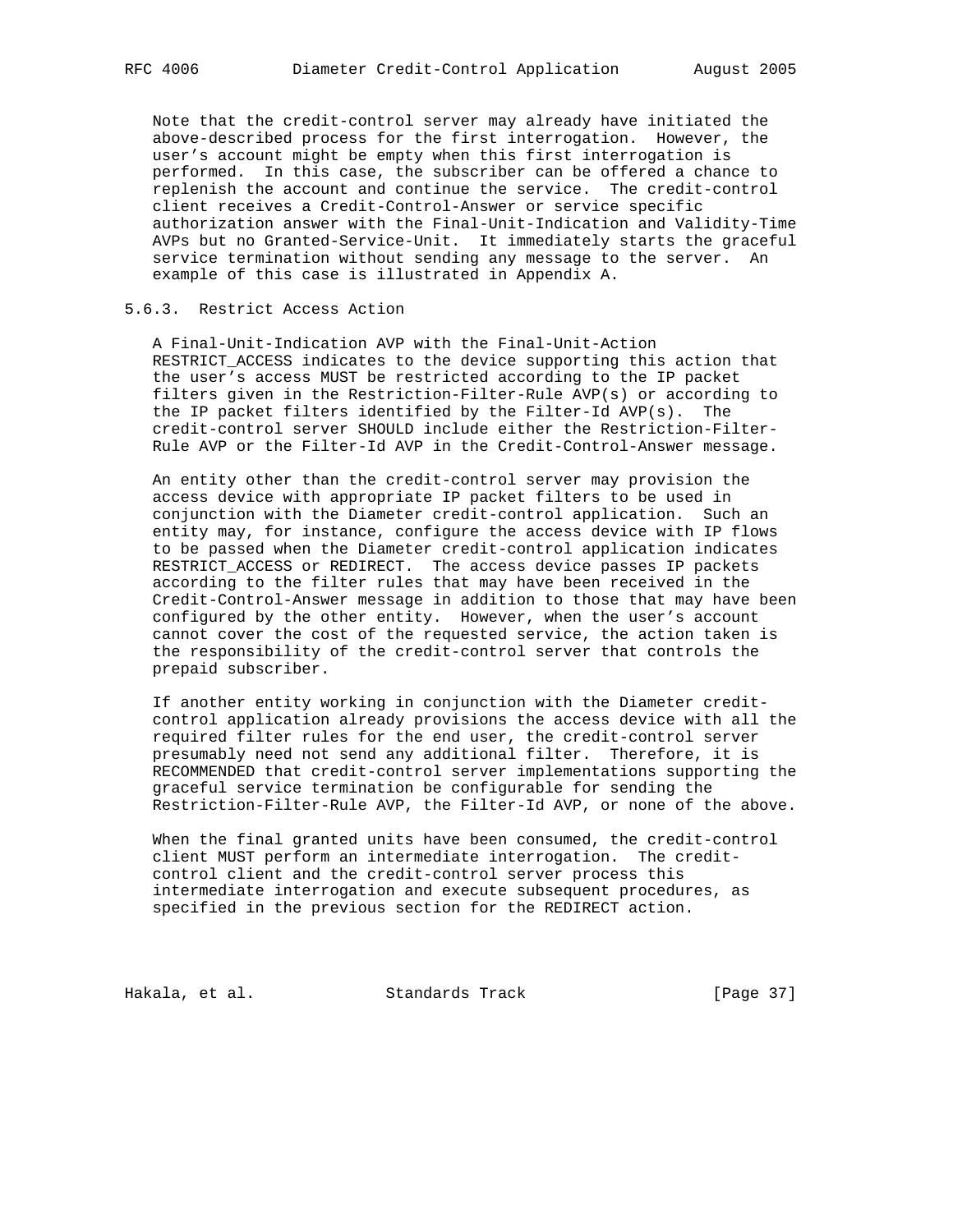Note that the credit-control server may already have initiated the above-described process for the first interrogation. However, the user's account might be empty when this first interrogation is performed. In this case, the subscriber can be offered a chance to replenish the account and continue the service. The credit-control client receives a Credit-Control-Answer or service specific authorization answer with the Final-Unit-Indication and Validity-Time AVPs but no Granted-Service-Unit. It immediately starts the graceful service termination without sending any message to the server. An example of this case is illustrated in Appendix A.

## 5.6.3. Restrict Access Action

 A Final-Unit-Indication AVP with the Final-Unit-Action RESTRICT\_ACCESS indicates to the device supporting this action that the user's access MUST be restricted according to the IP packet filters given in the Restriction-Filter-Rule AVP(s) or according to the IP packet filters identified by the Filter-Id AVP(s). The credit-control server SHOULD include either the Restriction-Filter- Rule AVP or the Filter-Id AVP in the Credit-Control-Answer message.

 An entity other than the credit-control server may provision the access device with appropriate IP packet filters to be used in conjunction with the Diameter credit-control application. Such an entity may, for instance, configure the access device with IP flows to be passed when the Diameter credit-control application indicates RESTRICT\_ACCESS or REDIRECT. The access device passes IP packets according to the filter rules that may have been received in the Credit-Control-Answer message in addition to those that may have been configured by the other entity. However, when the user's account cannot cover the cost of the requested service, the action taken is the responsibility of the credit-control server that controls the prepaid subscriber.

 If another entity working in conjunction with the Diameter credit control application already provisions the access device with all the required filter rules for the end user, the credit-control server presumably need not send any additional filter. Therefore, it is RECOMMENDED that credit-control server implementations supporting the graceful service termination be configurable for sending the Restriction-Filter-Rule AVP, the Filter-Id AVP, or none of the above.

 When the final granted units have been consumed, the credit-control client MUST perform an intermediate interrogation. The credit control client and the credit-control server process this intermediate interrogation and execute subsequent procedures, as specified in the previous section for the REDIRECT action.

Hakala, et al. Standards Track [Page 37]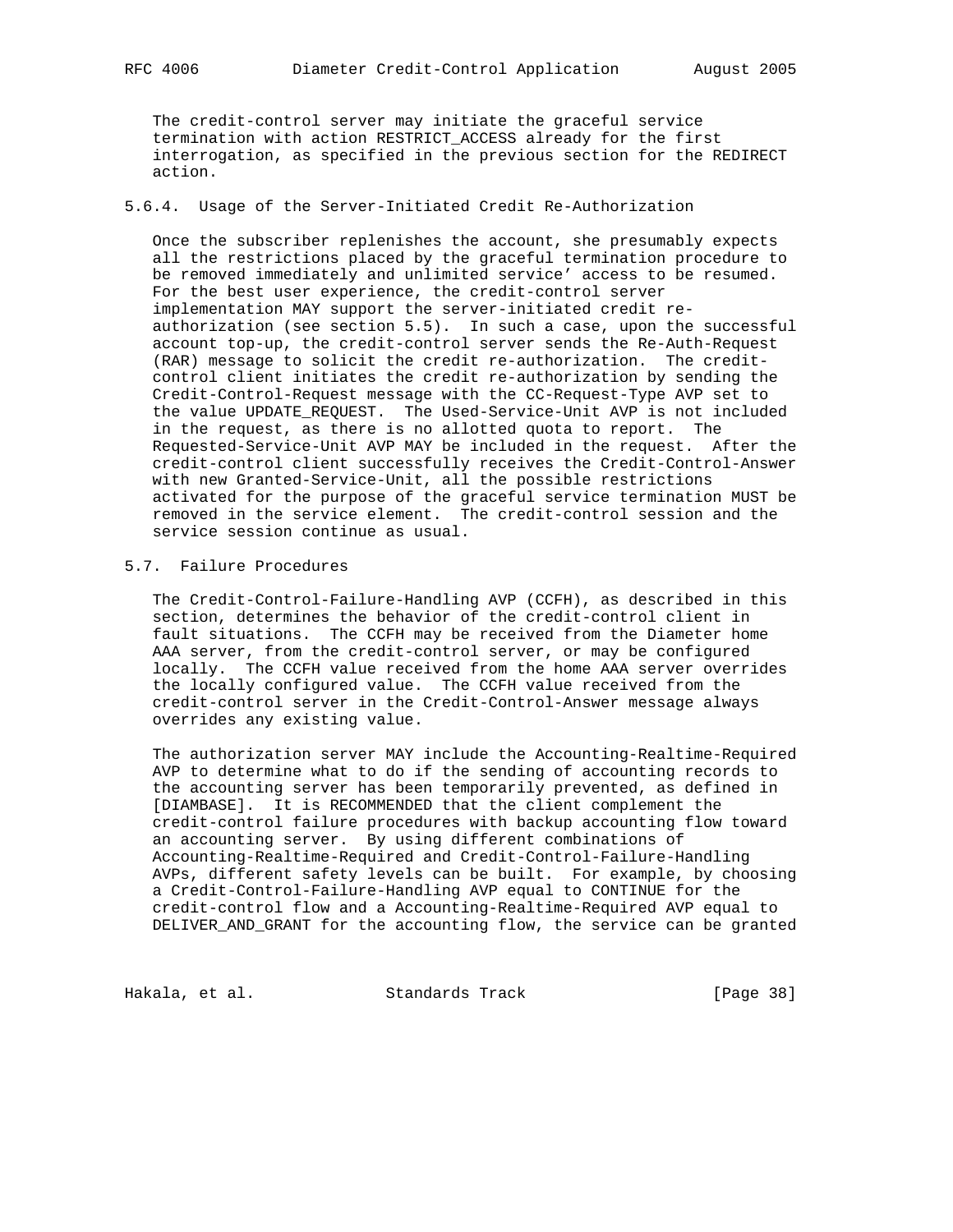The credit-control server may initiate the graceful service termination with action RESTRICT\_ACCESS already for the first interrogation, as specified in the previous section for the REDIRECT action.

### 5.6.4. Usage of the Server-Initiated Credit Re-Authorization

 Once the subscriber replenishes the account, she presumably expects all the restrictions placed by the graceful termination procedure to be removed immediately and unlimited service' access to be resumed. For the best user experience, the credit-control server implementation MAY support the server-initiated credit re authorization (see section 5.5). In such a case, upon the successful account top-up, the credit-control server sends the Re-Auth-Request (RAR) message to solicit the credit re-authorization. The credit control client initiates the credit re-authorization by sending the Credit-Control-Request message with the CC-Request-Type AVP set to the value UPDATE\_REQUEST. The Used-Service-Unit AVP is not included in the request, as there is no allotted quota to report. The Requested-Service-Unit AVP MAY be included in the request. After the credit-control client successfully receives the Credit-Control-Answer with new Granted-Service-Unit, all the possible restrictions activated for the purpose of the graceful service termination MUST be removed in the service element. The credit-control session and the service session continue as usual.

# 5.7. Failure Procedures

 The Credit-Control-Failure-Handling AVP (CCFH), as described in this section, determines the behavior of the credit-control client in fault situations. The CCFH may be received from the Diameter home AAA server, from the credit-control server, or may be configured locally. The CCFH value received from the home AAA server overrides the locally configured value. The CCFH value received from the credit-control server in the Credit-Control-Answer message always overrides any existing value.

 The authorization server MAY include the Accounting-Realtime-Required AVP to determine what to do if the sending of accounting records to the accounting server has been temporarily prevented, as defined in [DIAMBASE]. It is RECOMMENDED that the client complement the credit-control failure procedures with backup accounting flow toward an accounting server. By using different combinations of Accounting-Realtime-Required and Credit-Control-Failure-Handling AVPs, different safety levels can be built. For example, by choosing a Credit-Control-Failure-Handling AVP equal to CONTINUE for the credit-control flow and a Accounting-Realtime-Required AVP equal to DELIVER\_AND\_GRANT for the accounting flow, the service can be granted

Hakala, et al. Standards Track [Page 38]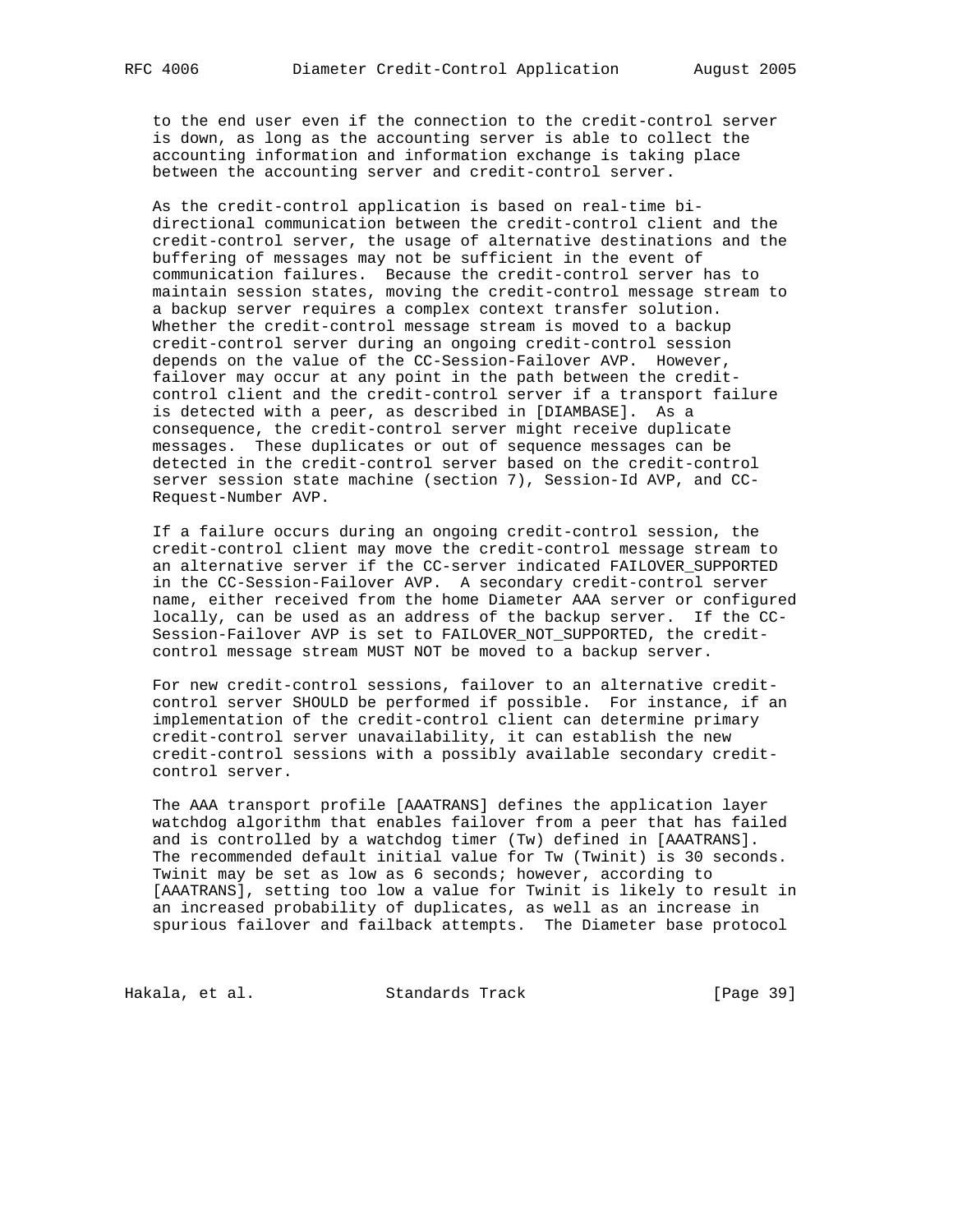to the end user even if the connection to the credit-control server is down, as long as the accounting server is able to collect the accounting information and information exchange is taking place between the accounting server and credit-control server.

 As the credit-control application is based on real-time bi directional communication between the credit-control client and the credit-control server, the usage of alternative destinations and the buffering of messages may not be sufficient in the event of communication failures. Because the credit-control server has to maintain session states, moving the credit-control message stream to a backup server requires a complex context transfer solution. Whether the credit-control message stream is moved to a backup credit-control server during an ongoing credit-control session depends on the value of the CC-Session-Failover AVP. However, failover may occur at any point in the path between the credit control client and the credit-control server if a transport failure is detected with a peer, as described in [DIAMBASE]. As a consequence, the credit-control server might receive duplicate messages. These duplicates or out of sequence messages can be detected in the credit-control server based on the credit-control server session state machine (section 7), Session-Id AVP, and CC- Request-Number AVP.

 If a failure occurs during an ongoing credit-control session, the credit-control client may move the credit-control message stream to an alternative server if the CC-server indicated FAILOVER\_SUPPORTED in the CC-Session-Failover AVP. A secondary credit-control server name, either received from the home Diameter AAA server or configured locally, can be used as an address of the backup server. If the CC- Session-Failover AVP is set to FAILOVER\_NOT\_SUPPORTED, the credit control message stream MUST NOT be moved to a backup server.

 For new credit-control sessions, failover to an alternative credit control server SHOULD be performed if possible. For instance, if an implementation of the credit-control client can determine primary credit-control server unavailability, it can establish the new credit-control sessions with a possibly available secondary credit control server.

 The AAA transport profile [AAATRANS] defines the application layer watchdog algorithm that enables failover from a peer that has failed and is controlled by a watchdog timer (Tw) defined in [AAATRANS]. The recommended default initial value for Tw (Twinit) is 30 seconds. Twinit may be set as low as 6 seconds; however, according to [AAATRANS], setting too low a value for Twinit is likely to result in an increased probability of duplicates, as well as an increase in spurious failover and failback attempts. The Diameter base protocol

Hakala, et al. Standards Track [Page 39]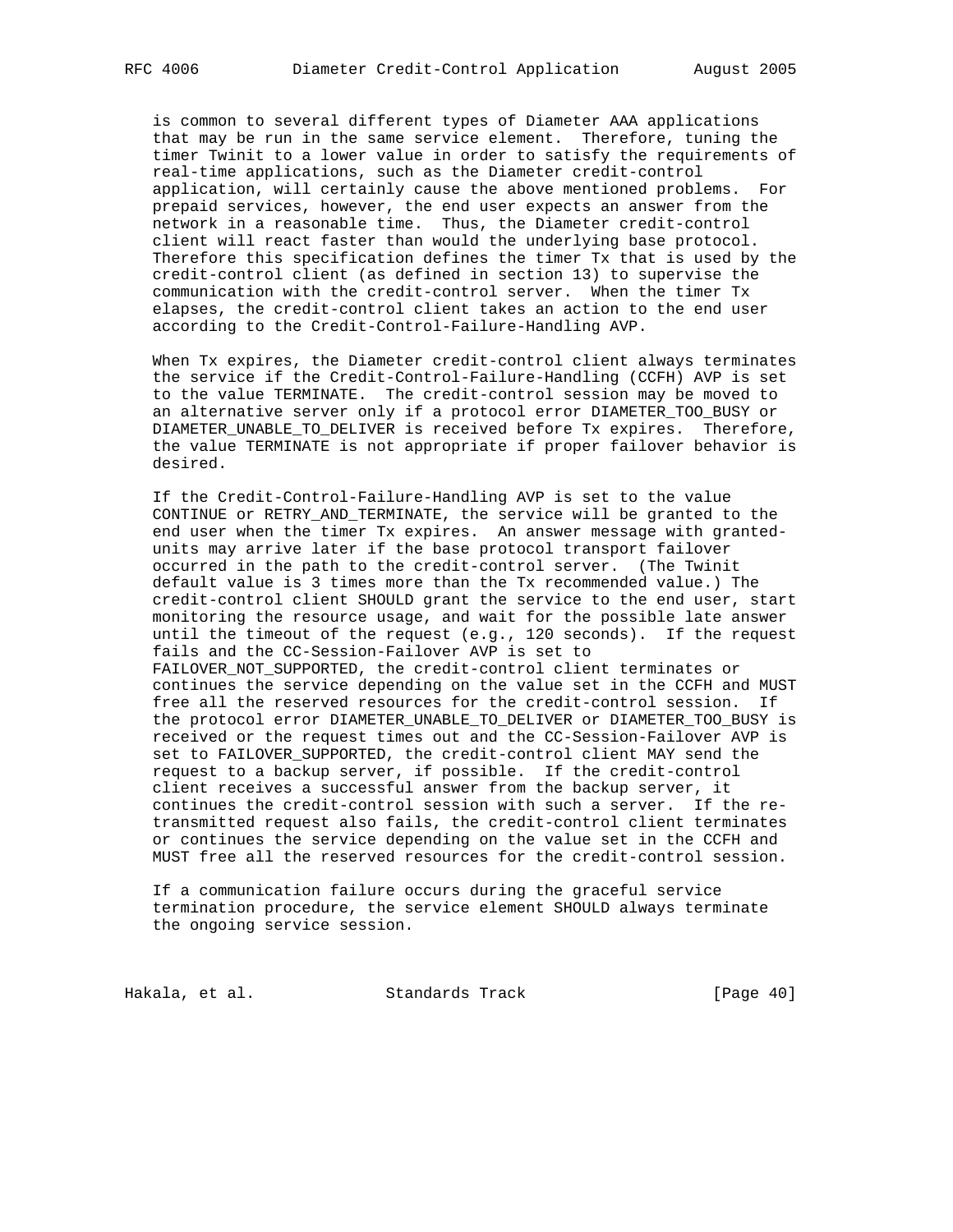is common to several different types of Diameter AAA applications that may be run in the same service element. Therefore, tuning the timer Twinit to a lower value in order to satisfy the requirements of real-time applications, such as the Diameter credit-control application, will certainly cause the above mentioned problems. For prepaid services, however, the end user expects an answer from the network in a reasonable time. Thus, the Diameter credit-control client will react faster than would the underlying base protocol. Therefore this specification defines the timer Tx that is used by the credit-control client (as defined in section 13) to supervise the communication with the credit-control server. When the timer Tx elapses, the credit-control client takes an action to the end user according to the Credit-Control-Failure-Handling AVP.

 When Tx expires, the Diameter credit-control client always terminates the service if the Credit-Control-Failure-Handling (CCFH) AVP is set to the value TERMINATE. The credit-control session may be moved to an alternative server only if a protocol error DIAMETER\_TOO\_BUSY or DIAMETER\_UNABLE\_TO\_DELIVER is received before Tx expires. Therefore, the value TERMINATE is not appropriate if proper failover behavior is desired.

 If the Credit-Control-Failure-Handling AVP is set to the value CONTINUE or RETRY\_AND\_TERMINATE, the service will be granted to the end user when the timer Tx expires. An answer message with granted units may arrive later if the base protocol transport failover occurred in the path to the credit-control server. (The Twinit default value is 3 times more than the Tx recommended value.) The credit-control client SHOULD grant the service to the end user, start monitoring the resource usage, and wait for the possible late answer until the timeout of the request (e.g., 120 seconds). If the request fails and the CC-Session-Failover AVP is set to FAILOVER\_NOT\_SUPPORTED, the credit-control client terminates or continues the service depending on the value set in the CCFH and MUST free all the reserved resources for the credit-control session. If the protocol error DIAMETER\_UNABLE\_TO\_DELIVER or DIAMETER\_TOO\_BUSY is received or the request times out and the CC-Session-Failover AVP is set to FAILOVER\_SUPPORTED, the credit-control client MAY send the request to a backup server, if possible. If the credit-control client receives a successful answer from the backup server, it continues the credit-control session with such a server. If the re transmitted request also fails, the credit-control client terminates or continues the service depending on the value set in the CCFH and MUST free all the reserved resources for the credit-control session.

 If a communication failure occurs during the graceful service termination procedure, the service element SHOULD always terminate the ongoing service session.

Hakala, et al. Standards Track [Page 40]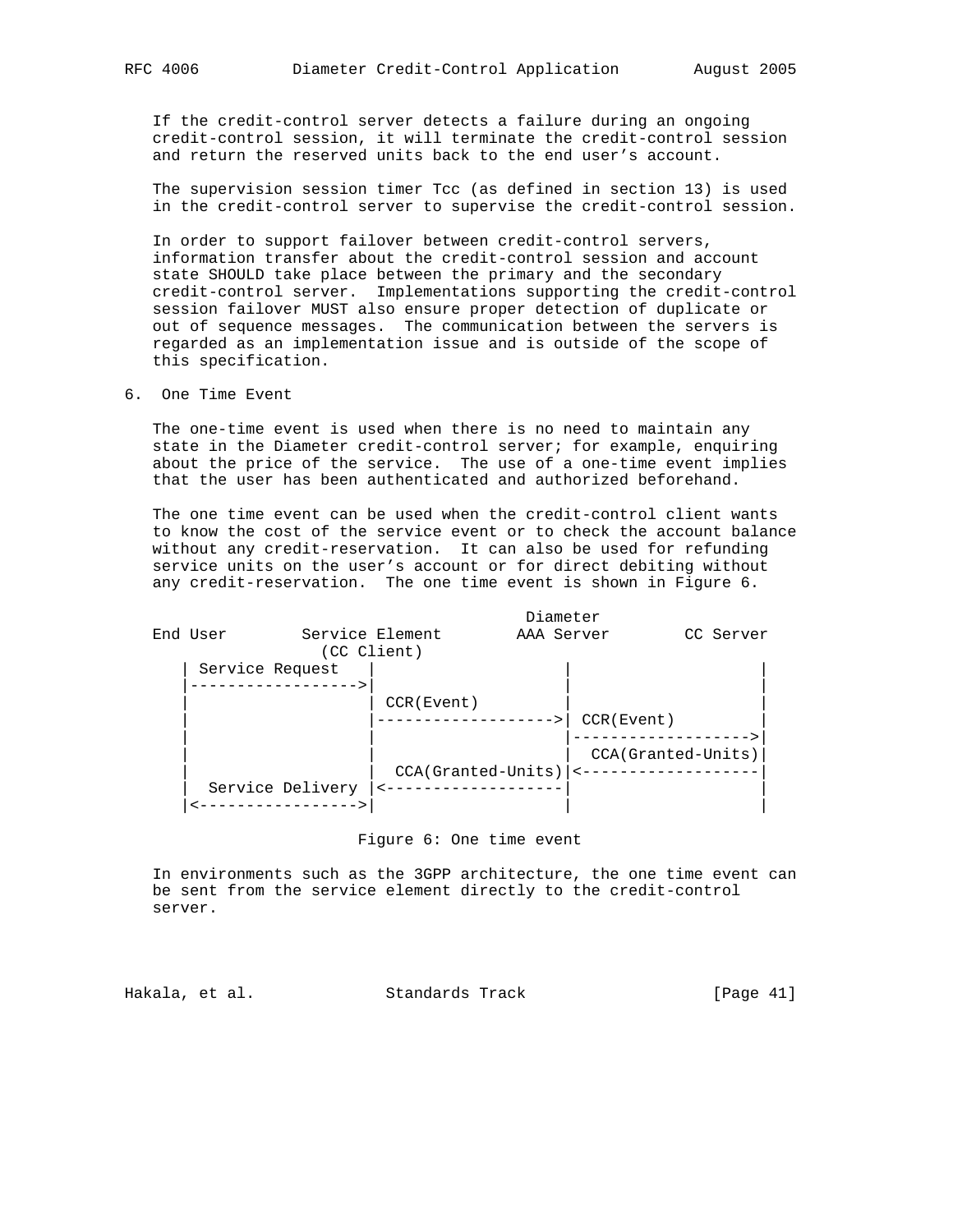If the credit-control server detects a failure during an ongoing credit-control session, it will terminate the credit-control session and return the reserved units back to the end user's account.

 The supervision session timer Tcc (as defined in section 13) is used in the credit-control server to supervise the credit-control session.

 In order to support failover between credit-control servers, information transfer about the credit-control session and account state SHOULD take place between the primary and the secondary credit-control server. Implementations supporting the credit-control session failover MUST also ensure proper detection of duplicate or out of sequence messages. The communication between the servers is regarded as an implementation issue and is outside of the scope of this specification.

6. One Time Event

 The one-time event is used when there is no need to maintain any state in the Diameter credit-control server; for example, enquiring about the price of the service. The use of a one-time event implies that the user has been authenticated and authorized beforehand.

 The one time event can be used when the credit-control client wants to know the cost of the service event or to check the account balance without any credit-reservation. It can also be used for refunding service units on the user's account or for direct debiting without any credit-reservation. The one time event is shown in Figure 6.



#### Figure 6: One time event

 In environments such as the 3GPP architecture, the one time event can be sent from the service element directly to the credit-control server.

Hakala, et al. Standards Track [Page 41]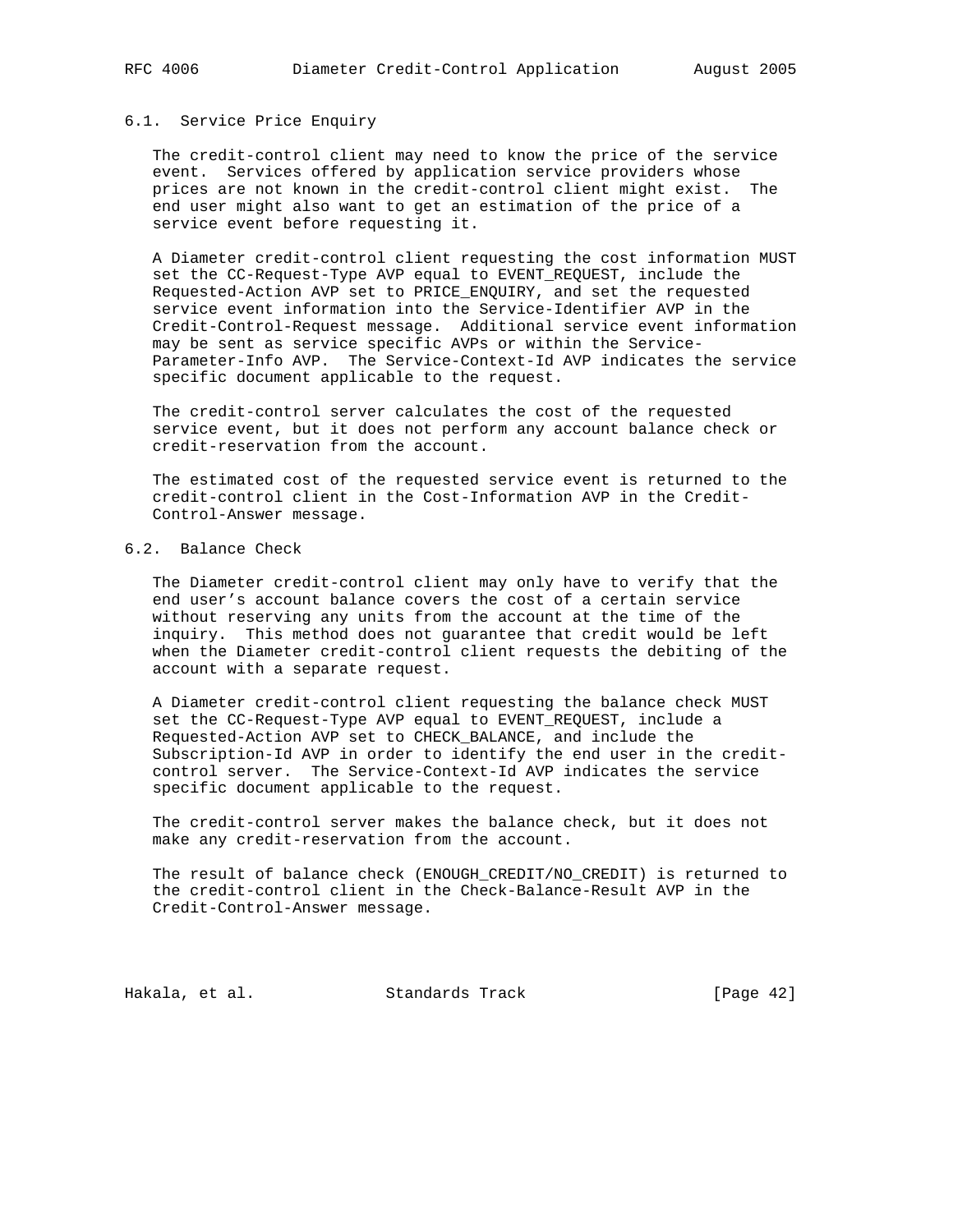# 6.1. Service Price Enquiry

 The credit-control client may need to know the price of the service event. Services offered by application service providers whose prices are not known in the credit-control client might exist. The end user might also want to get an estimation of the price of a service event before requesting it.

 A Diameter credit-control client requesting the cost information MUST set the CC-Request-Type AVP equal to EVENT\_REQUEST, include the Requested-Action AVP set to PRICE\_ENQUIRY, and set the requested service event information into the Service-Identifier AVP in the Credit-Control-Request message. Additional service event information may be sent as service specific AVPs or within the Service- Parameter-Info AVP. The Service-Context-Id AVP indicates the service specific document applicable to the request.

 The credit-control server calculates the cost of the requested service event, but it does not perform any account balance check or credit-reservation from the account.

 The estimated cost of the requested service event is returned to the credit-control client in the Cost-Information AVP in the Credit- Control-Answer message.

# 6.2. Balance Check

 The Diameter credit-control client may only have to verify that the end user's account balance covers the cost of a certain service without reserving any units from the account at the time of the inquiry. This method does not guarantee that credit would be left when the Diameter credit-control client requests the debiting of the account with a separate request.

 A Diameter credit-control client requesting the balance check MUST set the CC-Request-Type AVP equal to EVENT\_REQUEST, include a Requested-Action AVP set to CHECK\_BALANCE, and include the Subscription-Id AVP in order to identify the end user in the credit control server. The Service-Context-Id AVP indicates the service specific document applicable to the request.

 The credit-control server makes the balance check, but it does not make any credit-reservation from the account.

 The result of balance check (ENOUGH\_CREDIT/NO\_CREDIT) is returned to the credit-control client in the Check-Balance-Result AVP in the Credit-Control-Answer message.

Hakala, et al. Standards Track [Page 42]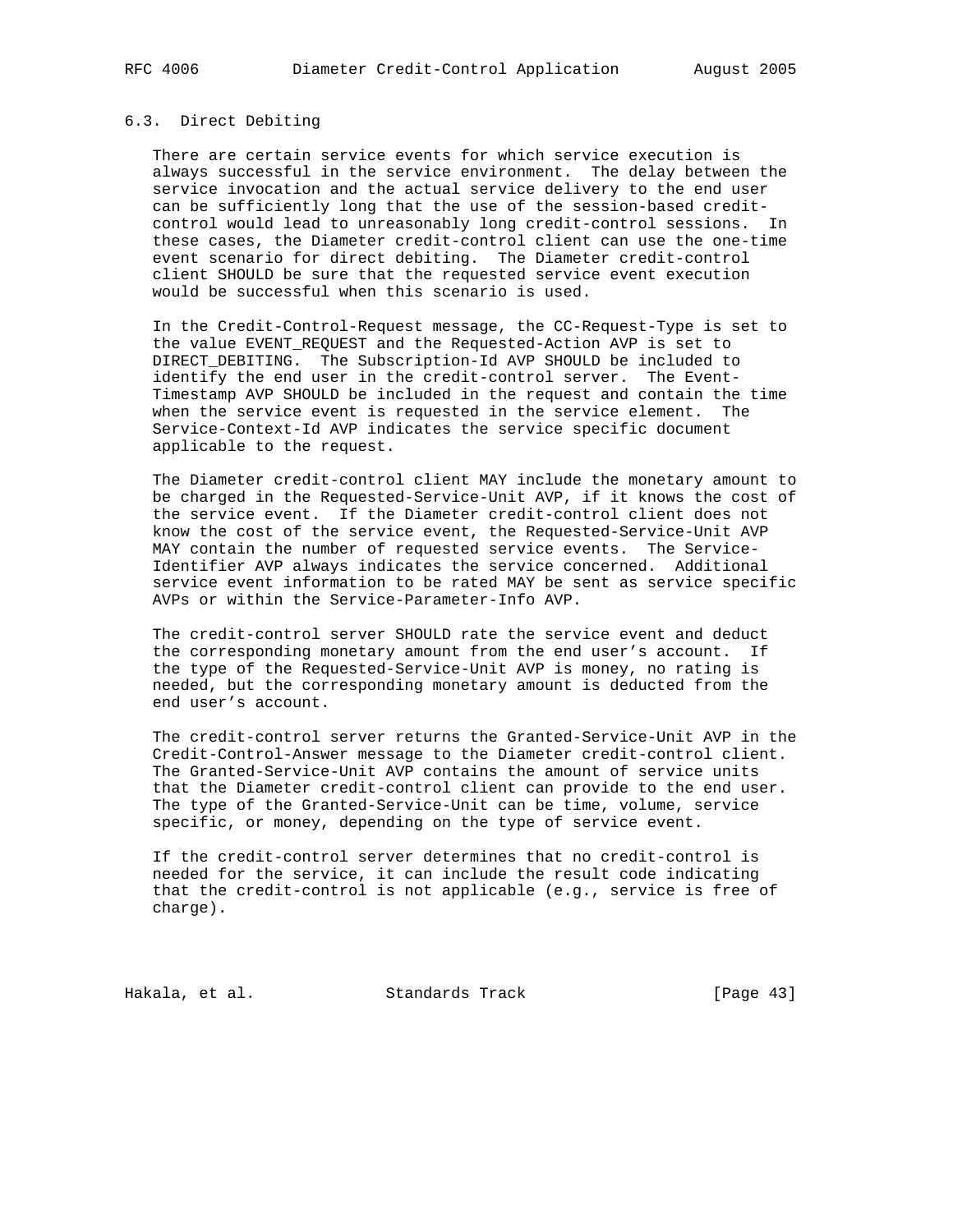# 6.3. Direct Debiting

 There are certain service events for which service execution is always successful in the service environment. The delay between the service invocation and the actual service delivery to the end user can be sufficiently long that the use of the session-based credit control would lead to unreasonably long credit-control sessions. In these cases, the Diameter credit-control client can use the one-time event scenario for direct debiting. The Diameter credit-control client SHOULD be sure that the requested service event execution would be successful when this scenario is used.

 In the Credit-Control-Request message, the CC-Request-Type is set to the value EVENT\_REQUEST and the Requested-Action AVP is set to DIRECT\_DEBITING. The Subscription-Id AVP SHOULD be included to identify the end user in the credit-control server. The Event- Timestamp AVP SHOULD be included in the request and contain the time when the service event is requested in the service element. The Service-Context-Id AVP indicates the service specific document applicable to the request.

 The Diameter credit-control client MAY include the monetary amount to be charged in the Requested-Service-Unit AVP, if it knows the cost of the service event. If the Diameter credit-control client does not know the cost of the service event, the Requested-Service-Unit AVP MAY contain the number of requested service events. The Service- Identifier AVP always indicates the service concerned. Additional service event information to be rated MAY be sent as service specific AVPs or within the Service-Parameter-Info AVP.

 The credit-control server SHOULD rate the service event and deduct the corresponding monetary amount from the end user's account. If the type of the Requested-Service-Unit AVP is money, no rating is needed, but the corresponding monetary amount is deducted from the end user's account.

 The credit-control server returns the Granted-Service-Unit AVP in the Credit-Control-Answer message to the Diameter credit-control client. The Granted-Service-Unit AVP contains the amount of service units that the Diameter credit-control client can provide to the end user. The type of the Granted-Service-Unit can be time, volume, service specific, or money, depending on the type of service event.

 If the credit-control server determines that no credit-control is needed for the service, it can include the result code indicating that the credit-control is not applicable (e.g., service is free of charge).

Hakala, et al. Standards Track [Page 43]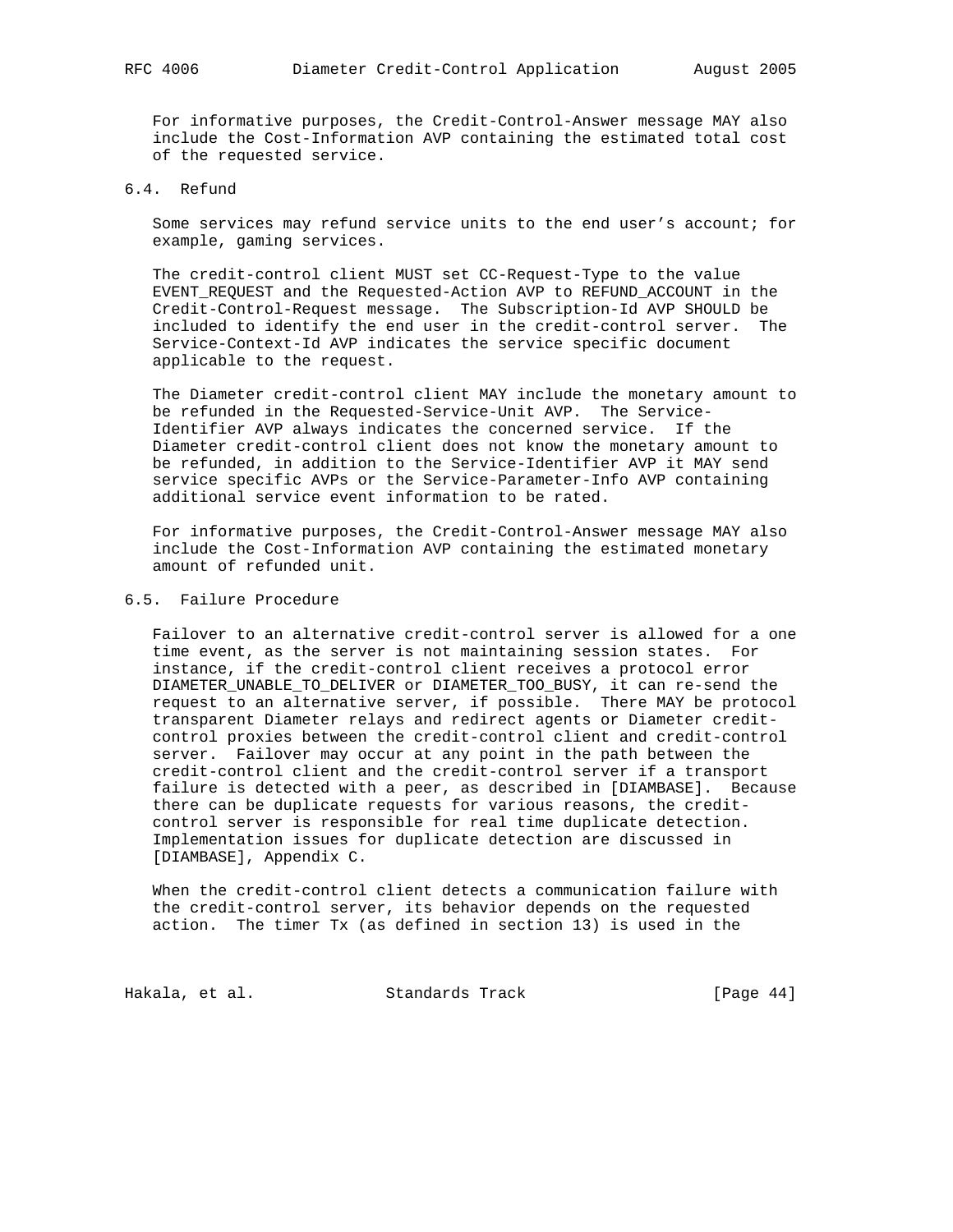For informative purposes, the Credit-Control-Answer message MAY also include the Cost-Information AVP containing the estimated total cost of the requested service.

# 6.4. Refund

 Some services may refund service units to the end user's account; for example, gaming services.

 The credit-control client MUST set CC-Request-Type to the value EVENT\_REQUEST and the Requested-Action AVP to REFUND\_ACCOUNT in the Credit-Control-Request message. The Subscription-Id AVP SHOULD be included to identify the end user in the credit-control server. The Service-Context-Id AVP indicates the service specific document applicable to the request.

 The Diameter credit-control client MAY include the monetary amount to be refunded in the Requested-Service-Unit AVP. The Service- Identifier AVP always indicates the concerned service. If the Diameter credit-control client does not know the monetary amount to be refunded, in addition to the Service-Identifier AVP it MAY send service specific AVPs or the Service-Parameter-Info AVP containing additional service event information to be rated.

 For informative purposes, the Credit-Control-Answer message MAY also include the Cost-Information AVP containing the estimated monetary amount of refunded unit.

# 6.5. Failure Procedure

 Failover to an alternative credit-control server is allowed for a one time event, as the server is not maintaining session states. For instance, if the credit-control client receives a protocol error DIAMETER\_UNABLE\_TO\_DELIVER or DIAMETER\_TOO\_BUSY, it can re-send the request to an alternative server, if possible. There MAY be protocol transparent Diameter relays and redirect agents or Diameter credit control proxies between the credit-control client and credit-control server. Failover may occur at any point in the path between the credit-control client and the credit-control server if a transport failure is detected with a peer, as described in [DIAMBASE]. Because there can be duplicate requests for various reasons, the credit control server is responsible for real time duplicate detection. Implementation issues for duplicate detection are discussed in [DIAMBASE], Appendix C.

 When the credit-control client detects a communication failure with the credit-control server, its behavior depends on the requested action. The timer Tx (as defined in section 13) is used in the

Hakala, et al. Standards Track [Page 44]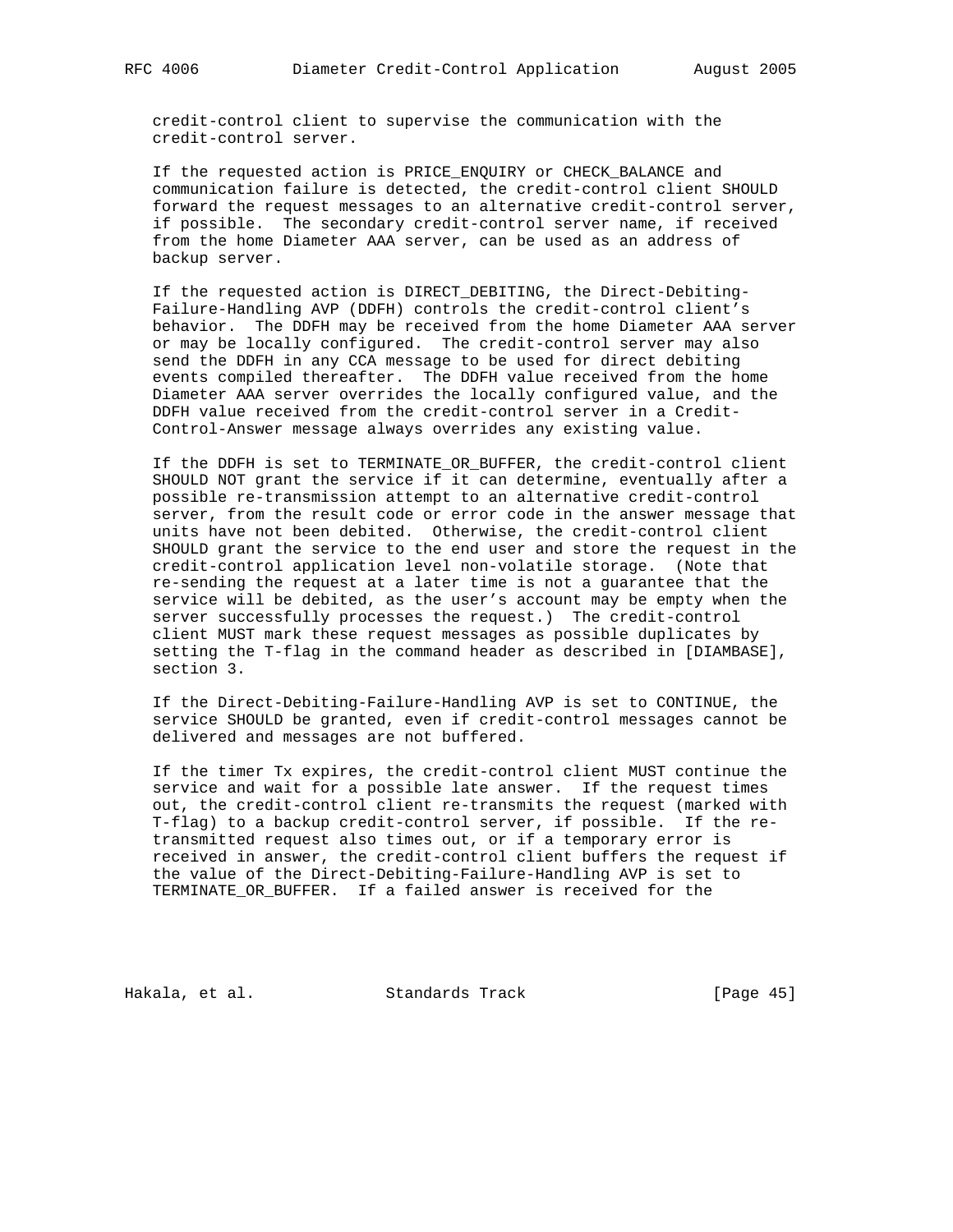credit-control client to supervise the communication with the credit-control server.

 If the requested action is PRICE\_ENQUIRY or CHECK\_BALANCE and communication failure is detected, the credit-control client SHOULD forward the request messages to an alternative credit-control server, if possible. The secondary credit-control server name, if received from the home Diameter AAA server, can be used as an address of backup server.

 If the requested action is DIRECT\_DEBITING, the Direct-Debiting- Failure-Handling AVP (DDFH) controls the credit-control client's behavior. The DDFH may be received from the home Diameter AAA server or may be locally configured. The credit-control server may also send the DDFH in any CCA message to be used for direct debiting events compiled thereafter. The DDFH value received from the home Diameter AAA server overrides the locally configured value, and the DDFH value received from the credit-control server in a Credit- Control-Answer message always overrides any existing value.

 If the DDFH is set to TERMINATE\_OR\_BUFFER, the credit-control client SHOULD NOT grant the service if it can determine, eventually after a possible re-transmission attempt to an alternative credit-control server, from the result code or error code in the answer message that units have not been debited. Otherwise, the credit-control client SHOULD grant the service to the end user and store the request in the credit-control application level non-volatile storage. (Note that re-sending the request at a later time is not a guarantee that the service will be debited, as the user's account may be empty when the server successfully processes the request.) The credit-control client MUST mark these request messages as possible duplicates by setting the T-flag in the command header as described in [DIAMBASE], section 3.

 If the Direct-Debiting-Failure-Handling AVP is set to CONTINUE, the service SHOULD be granted, even if credit-control messages cannot be delivered and messages are not buffered.

 If the timer Tx expires, the credit-control client MUST continue the service and wait for a possible late answer. If the request times out, the credit-control client re-transmits the request (marked with T-flag) to a backup credit-control server, if possible. If the re transmitted request also times out, or if a temporary error is received in answer, the credit-control client buffers the request if the value of the Direct-Debiting-Failure-Handling AVP is set to TERMINATE\_OR\_BUFFER. If a failed answer is received for the

Hakala, et al. Standards Track [Page 45]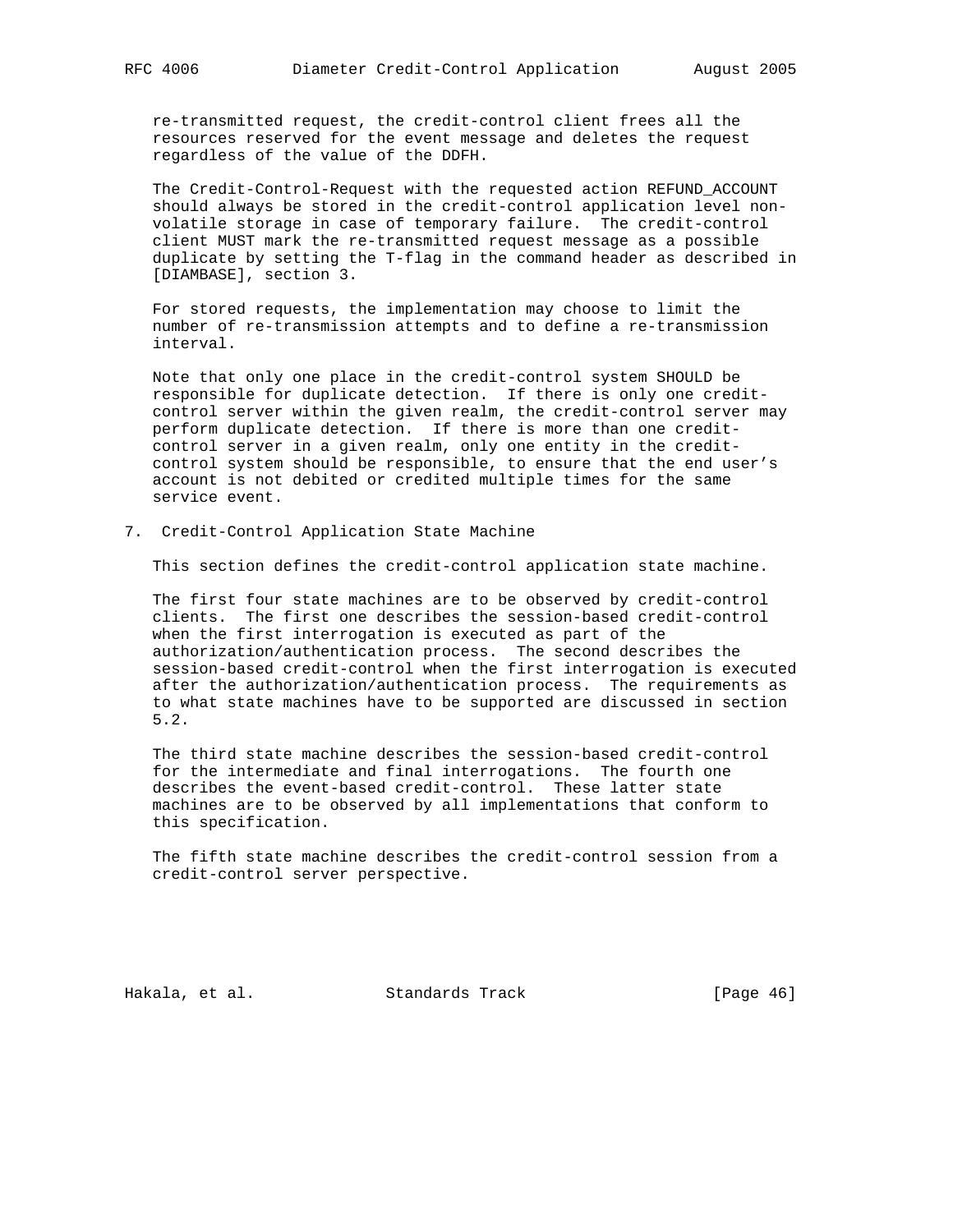re-transmitted request, the credit-control client frees all the resources reserved for the event message and deletes the request regardless of the value of the DDFH.

 The Credit-Control-Request with the requested action REFUND\_ACCOUNT should always be stored in the credit-control application level non volatile storage in case of temporary failure. The credit-control client MUST mark the re-transmitted request message as a possible duplicate by setting the T-flag in the command header as described in [DIAMBASE], section 3.

 For stored requests, the implementation may choose to limit the number of re-transmission attempts and to define a re-transmission interval.

 Note that only one place in the credit-control system SHOULD be responsible for duplicate detection. If there is only one credit control server within the given realm, the credit-control server may perform duplicate detection. If there is more than one credit control server in a given realm, only one entity in the credit control system should be responsible, to ensure that the end user's account is not debited or credited multiple times for the same service event.

7. Credit-Control Application State Machine

This section defines the credit-control application state machine.

 The first four state machines are to be observed by credit-control clients. The first one describes the session-based credit-control when the first interrogation is executed as part of the authorization/authentication process. The second describes the session-based credit-control when the first interrogation is executed after the authorization/authentication process. The requirements as to what state machines have to be supported are discussed in section 5.2.

 The third state machine describes the session-based credit-control for the intermediate and final interrogations. The fourth one describes the event-based credit-control. These latter state machines are to be observed by all implementations that conform to this specification.

 The fifth state machine describes the credit-control session from a credit-control server perspective.

Hakala, et al. Standards Track [Page 46]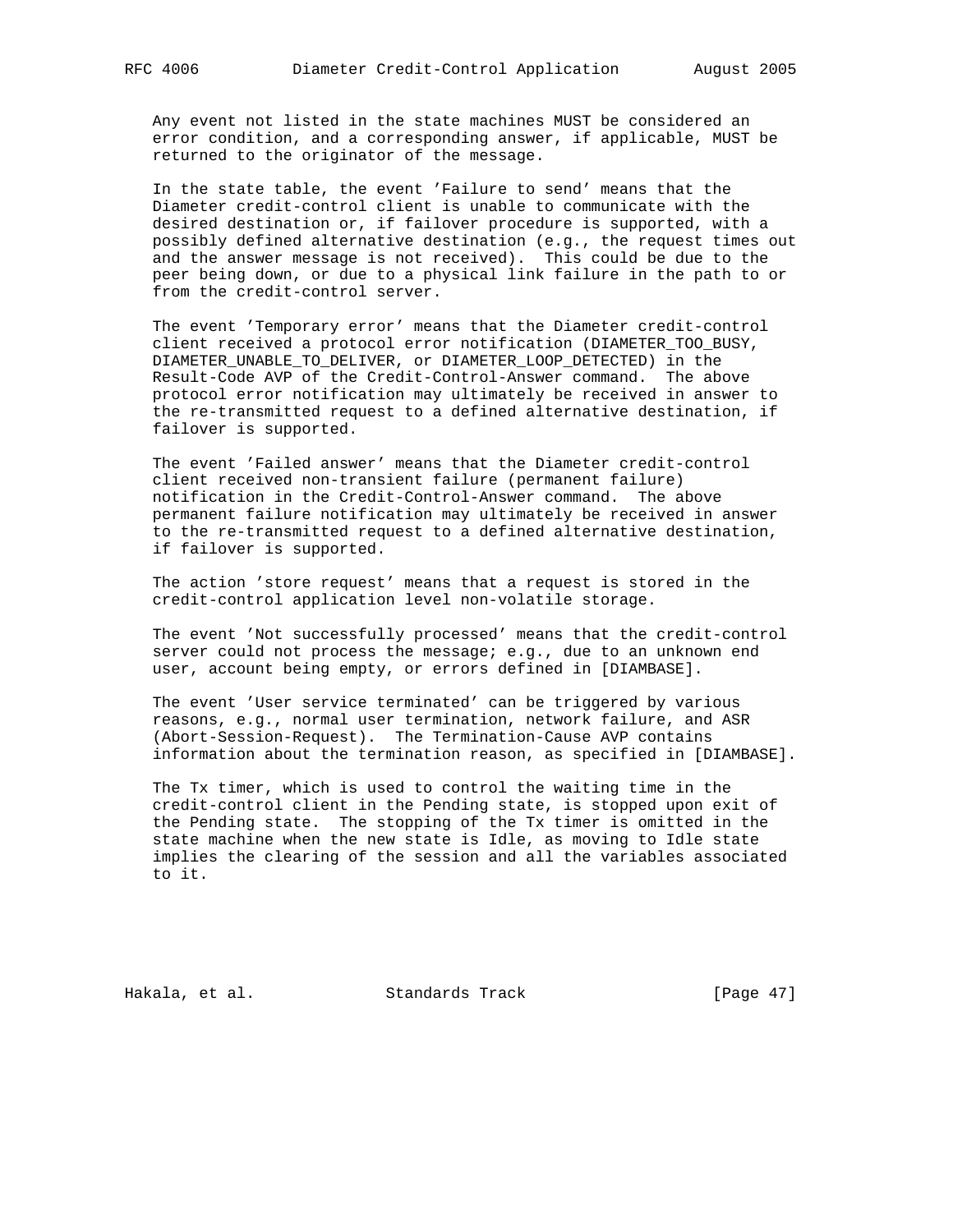Any event not listed in the state machines MUST be considered an error condition, and a corresponding answer, if applicable, MUST be returned to the originator of the message.

 In the state table, the event 'Failure to send' means that the Diameter credit-control client is unable to communicate with the desired destination or, if failover procedure is supported, with a possibly defined alternative destination (e.g., the request times out and the answer message is not received). This could be due to the peer being down, or due to a physical link failure in the path to or from the credit-control server.

 The event 'Temporary error' means that the Diameter credit-control client received a protocol error notification (DIAMETER\_TOO\_BUSY, DIAMETER\_UNABLE\_TO\_DELIVER, or DIAMETER\_LOOP\_DETECTED) in the Result-Code AVP of the Credit-Control-Answer command. The above protocol error notification may ultimately be received in answer to the re-transmitted request to a defined alternative destination, if failover is supported.

 The event 'Failed answer' means that the Diameter credit-control client received non-transient failure (permanent failure) notification in the Credit-Control-Answer command. The above permanent failure notification may ultimately be received in answer to the re-transmitted request to a defined alternative destination, if failover is supported.

 The action 'store request' means that a request is stored in the credit-control application level non-volatile storage.

 The event 'Not successfully processed' means that the credit-control server could not process the message; e.g., due to an unknown end user, account being empty, or errors defined in [DIAMBASE].

 The event 'User service terminated' can be triggered by various reasons, e.g., normal user termination, network failure, and ASR (Abort-Session-Request). The Termination-Cause AVP contains information about the termination reason, as specified in [DIAMBASE].

 The Tx timer, which is used to control the waiting time in the credit-control client in the Pending state, is stopped upon exit of the Pending state. The stopping of the Tx timer is omitted in the state machine when the new state is Idle, as moving to Idle state implies the clearing of the session and all the variables associated to it.

Hakala, et al. Standards Track [Page 47]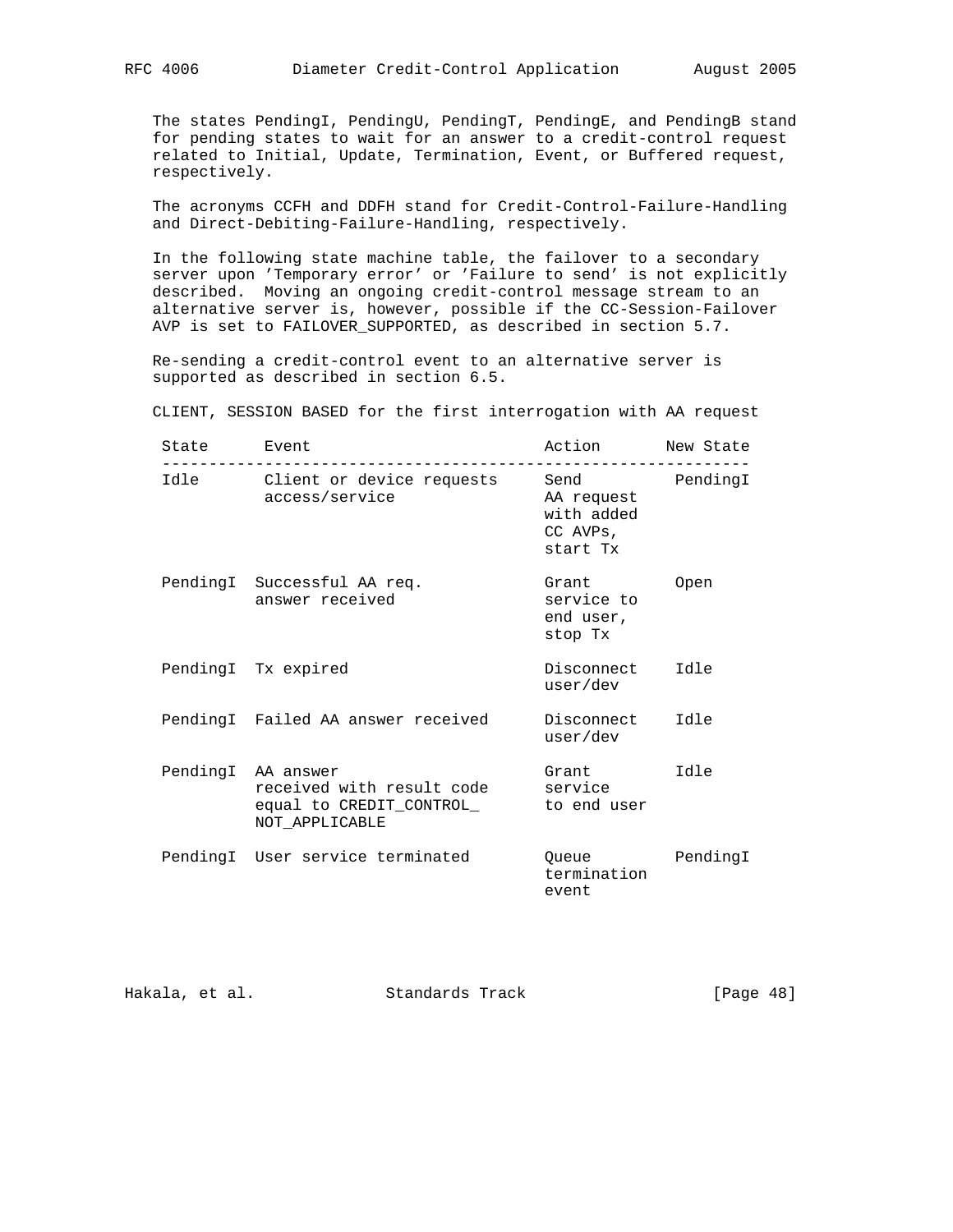The states PendingI, PendingU, PendingT, PendingE, and PendingB stand for pending states to wait for an answer to a credit-control request related to Initial, Update, Termination, Event, or Buffered request, respectively.

 The acronyms CCFH and DDFH stand for Credit-Control-Failure-Handling and Direct-Debiting-Failure-Handling, respectively.

 In the following state machine table, the failover to a secondary server upon 'Temporary error' or 'Failure to send' is not explicitly described. Moving an ongoing credit-control message stream to an alternative server is, however, possible if the CC-Session-Failover AVP is set to FAILOVER\_SUPPORTED, as described in section 5.7.

 Re-sending a credit-control event to an alternative server is supported as described in section 6.5.

CLIENT, SESSION BASED for the first interrogation with AA request

| State | Event                                                                                         | Action                                                   | New State |
|-------|-----------------------------------------------------------------------------------------------|----------------------------------------------------------|-----------|
|       | Idle Client or device requests<br>access/service                                              | Send<br>AA request<br>with added<br>CC AVPs,<br>start Tx | PendingI  |
|       | PendingI Successful AA req.<br>answer received                                                | Grant<br>service to<br>end user,<br>stop Tx              | Open      |
|       | PendingI Tx expired                                                                           | Disconnect<br>user/dev                                   | e [bT     |
|       | PendingI Failed AA answer received                                                            | Disconnect<br>user/dev                                   | Idle      |
|       | PendingI AA answer<br>received with result code<br>equal to CREDIT_CONTROL_<br>NOT APPLICABLE | Grant<br>service<br>to end user                          | Idle      |
|       | PendingI User service terminated                                                              | Queue<br>termination<br>event                            | PendingI  |

Hakala, et al. Standards Track [Page 48]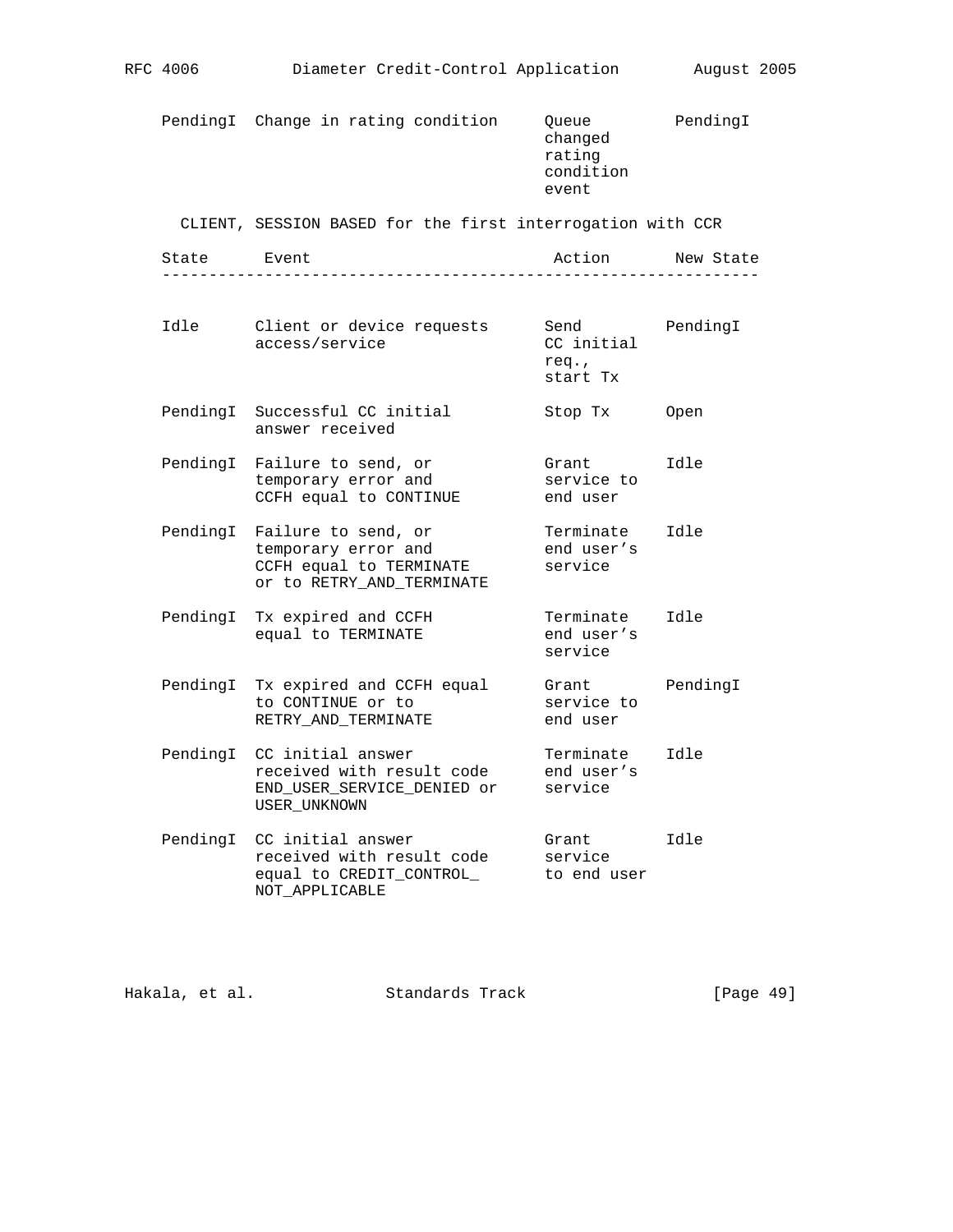PendingI Change in rating condition Queue PendingI changed rating condition event

CLIENT, SESSION BASED for the first interrogation with CCR

|      |  | NAM |       |
|------|--|-----|-------|
| $ -$ |  |     | _ _ _ |

| Idle     | Client or device requests<br>access/service                                                                 | Send<br>CC initial<br>req.,<br>start Tx | PendingI |
|----------|-------------------------------------------------------------------------------------------------------------|-----------------------------------------|----------|
| PendingI | Successful CC initial<br>answer received                                                                    | Stop Tx                                 | Open     |
| PendingI | Failure to send, or<br>temporary error and<br>CCFH equal to CONTINUE                                        | Grant<br>service to<br>end user         | Idle     |
|          | PendingI Failure to send, or<br>temporary error and<br>CCFH equal to TERMINATE<br>or to RETRY AND TERMINATE | Terminate<br>end user's<br>service      | Idle     |
|          | PendingI Tx expired and CCFH<br>equal to TERMINATE                                                          | Terminate<br>end user's<br>service      | Idle     |
| PendingI | Tx expired and CCFH equal<br>to CONTINUE or to<br>RETRY_AND_TERMINATE                                       | Grant<br>service to<br>end user         | PendingI |
| PendingI | CC initial answer<br>received with result code<br>END_USER_SERVICE_DENIED or<br>USER_UNKNOWN                | Terminate<br>end user's<br>service      | e [bT    |
|          | PendingI CC initial answer<br>received with result code<br>equal to CREDIT CONTROL<br>NOT APPLICABLE        | Grant<br>service<br>to end user         | Idle     |

Hakala, et al. Standards Track [Page 49]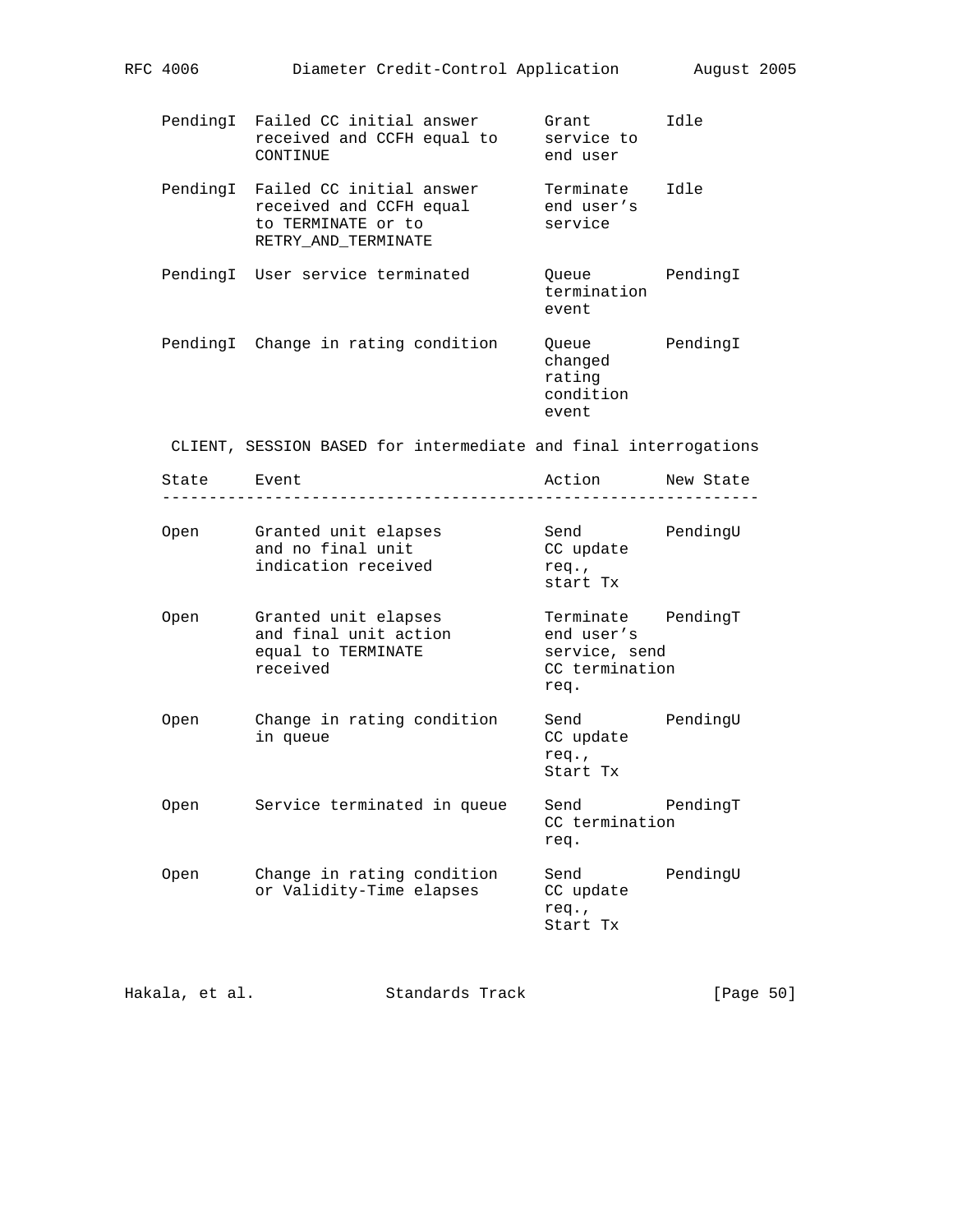|             | PendingI Failed CC initial answer<br>received and CCFH equal to<br>CONTINUE                               | Grant<br>service to<br>end user                                             | Idle     |
|-------------|-----------------------------------------------------------------------------------------------------------|-----------------------------------------------------------------------------|----------|
|             | PendingI Failed CC initial answer<br>received and CCFH equal<br>to TERMINATE or to<br>RETRY_AND_TERMINATE | Terminate Idle<br>end user's<br>service                                     |          |
|             | PendingI User service terminated                                                                          | Queue PendingI<br>termination<br>event                                      |          |
|             | PendingI Change in rating condition                                                                       | Queue PendingI<br>changed<br>rating<br>condition<br>event                   |          |
|             | CLIENT, SESSION BASED for intermediate and final interrogations                                           |                                                                             |          |
| State Event |                                                                                                           | Action New State                                                            |          |
| Open        | Granted unit elapses<br>and no final unit<br>indication received                                          | Send PendingU<br>CC update<br>req.<br>start Tx                              |          |
| Open        | Granted unit elapses<br>and final unit action<br>equal to TERMINATE<br>received                           | Terminate PendingT<br>end user's<br>service, send<br>CC termination<br>req. |          |
| Open        | Change in rating condition<br>in queue                                                                    | Send<br>CC update<br>req.,<br>Start Tx                                      | PendingU |
| Open        | Service terminated in queue Send TendingT                                                                 | CC termination<br>req.                                                      |          |
| Open        | Change in rating condition<br>or Validity-Time elapses                                                    | Send<br>CC update                                                           | PendingU |

Hakala, et al. Standards Track [Page 50]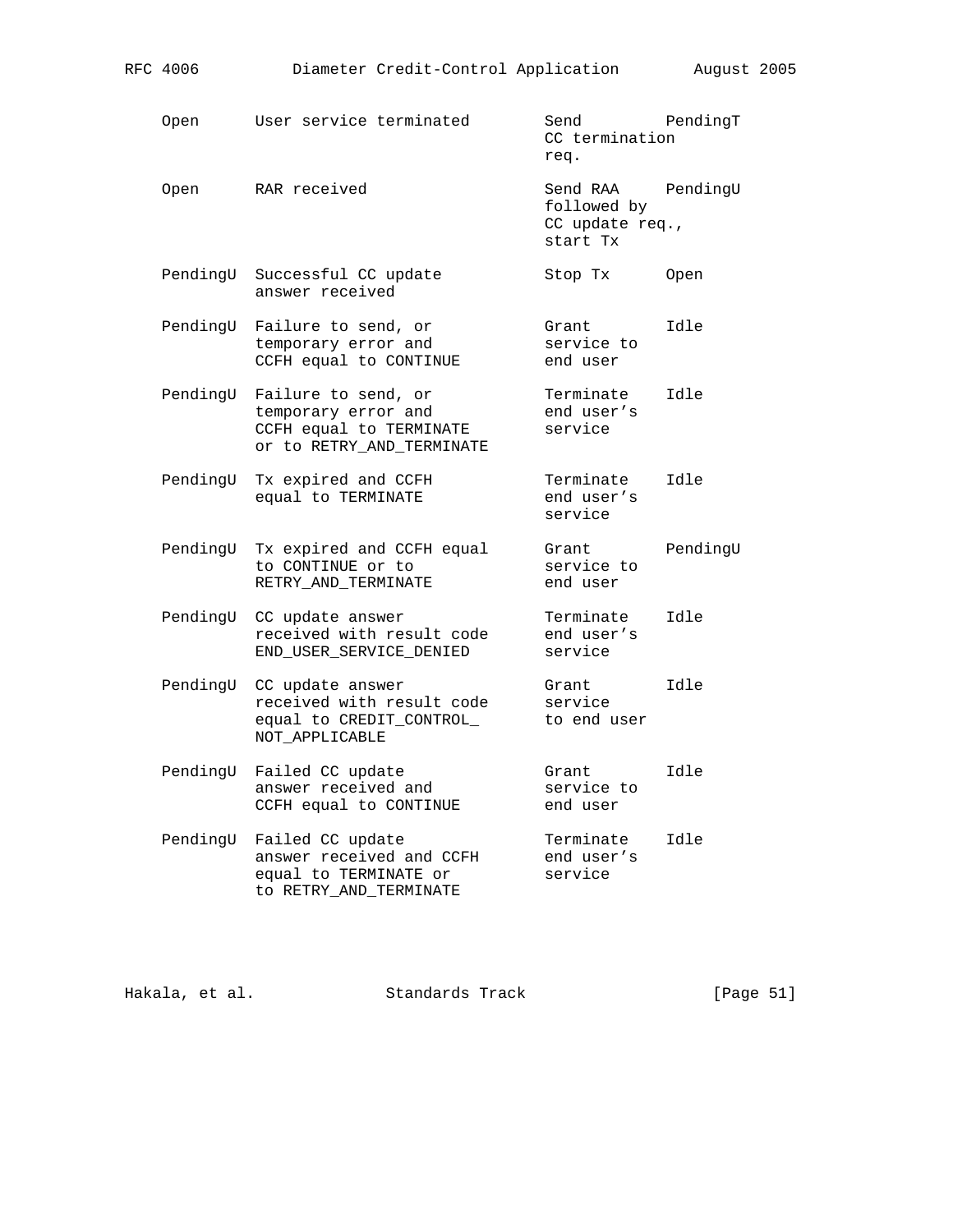| Open     | User service terminated                                                                            | Send<br>CC termination<br>req.                         | PendingT |
|----------|----------------------------------------------------------------------------------------------------|--------------------------------------------------------|----------|
| Open     | RAR received                                                                                       | Send RAA<br>followed by<br>CC update req.,<br>start Tx | PendingU |
| PendingU | Successful CC update<br>answer received                                                            | Stop Tx                                                | Open     |
| PendingU | Failure to send, or<br>temporary error and<br>CCFH equal to CONTINUE                               | Grant<br>service to<br>end user                        | Idle     |
| PendingU | Failure to send, or<br>temporary error and<br>CCFH equal to TERMINATE<br>or to RETRY_AND_TERMINATE | Terminate<br>end user's<br>service                     | Idle     |
| PendingU | Tx expired and CCFH<br>equal to TERMINATE                                                          | Terminate<br>end user's<br>service                     | Idle     |
| PendingU | Tx expired and CCFH equal<br>to CONTINUE or to<br>RETRY_AND_TERMINATE                              | Grant<br>service to<br>end user                        | PendingU |
| PendingU | CC update answer<br>received with result code<br>END_USER_SERVICE_DENIED                           | Terminate<br>end user's<br>service                     | Idle     |
| PendingU | CC update answer<br>received with result code<br>equal to CREDIT_CONTROL_<br>NOT APPLICABLE        | Grant<br>service<br>to end user                        | Idle     |
| PendingU | Failed CC update<br>answer received and<br>CCFH equal to CONTINUE                                  | Grant<br>service to<br>end user                        | Idle     |
| PendingU | Failed CC update<br>answer received and CCFH<br>equal to TERMINATE or<br>to RETRY_AND_TERMINATE    | Terminate<br>end user's<br>service                     | Idle     |

Hakala, et al. Standards Track [Page 51]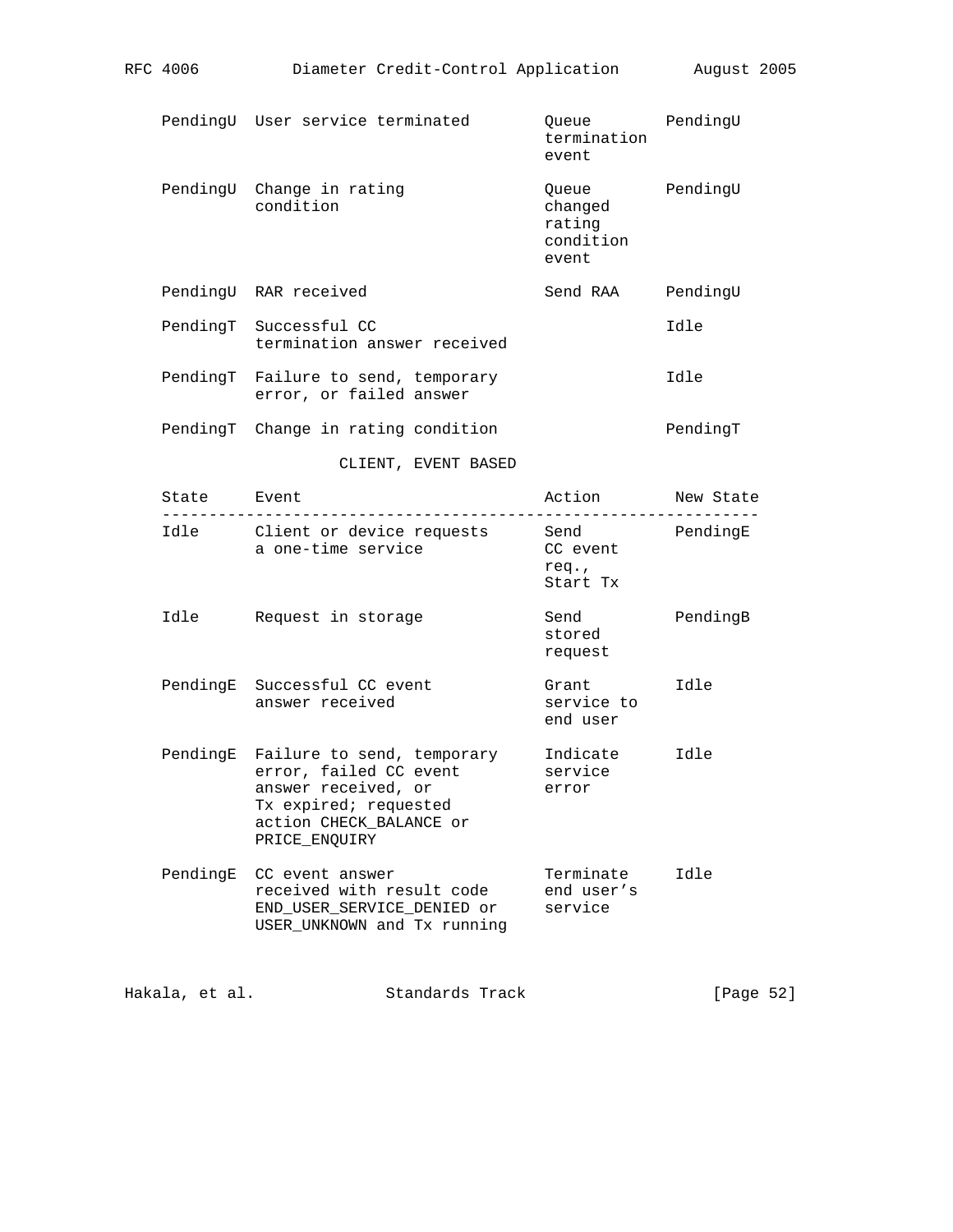|             | PendingU User service terminated                                                                                                                          | Queue<br>termination<br>event                    | PendingU |
|-------------|-----------------------------------------------------------------------------------------------------------------------------------------------------------|--------------------------------------------------|----------|
|             | PendingU Change in rating<br>condition                                                                                                                    | Queue<br>changed<br>rating<br>condition<br>event | PendingU |
|             | PendingU RAR received                                                                                                                                     | Send RAA                                         | PendingU |
|             | PendingT Successful CC<br>termination answer received                                                                                                     |                                                  | Idle     |
|             | PendingT Failure to send, temporary<br>error, or failed answer                                                                                            |                                                  | Idle     |
|             | PendingT Change in rating condition                                                                                                                       |                                                  | PendingT |
|             | CLIENT, EVENT BASED                                                                                                                                       |                                                  |          |
| State Event |                                                                                                                                                           | Action New State<br>. _ _ _ _ _ _ _ _ _ _ _ _ _  |          |
|             | Idle Client or device requests Send<br>a one-time service                                                                                                 | CC event<br>req.<br>Start Tx                     | PendingE |
| Idle        | Request in storage                                                                                                                                        | Send<br>stored<br>request                        | PendingB |
|             | PendingE Successful CC event<br>answer received                                                                                                           | Grant<br>service to<br>end user                  | Idle     |
|             | PendingE Failure to send, temporary<br>error, failed CC event<br>answer received, or<br>Tx expired; requested<br>action CHECK_BALANCE or<br>PRICE ENQUIRY | Indicate<br>service<br>error                     | Idle     |
|             | PendingE CC event answer<br>received with result code<br>END_USER_SERVICE_DENIED or<br>USER_UNKNOWN and Tx running                                        | Terminate<br>end user's<br>service               | Idle     |
|             |                                                                                                                                                           |                                                  |          |

RFC 4006 Diameter Credit-Control Application August 2005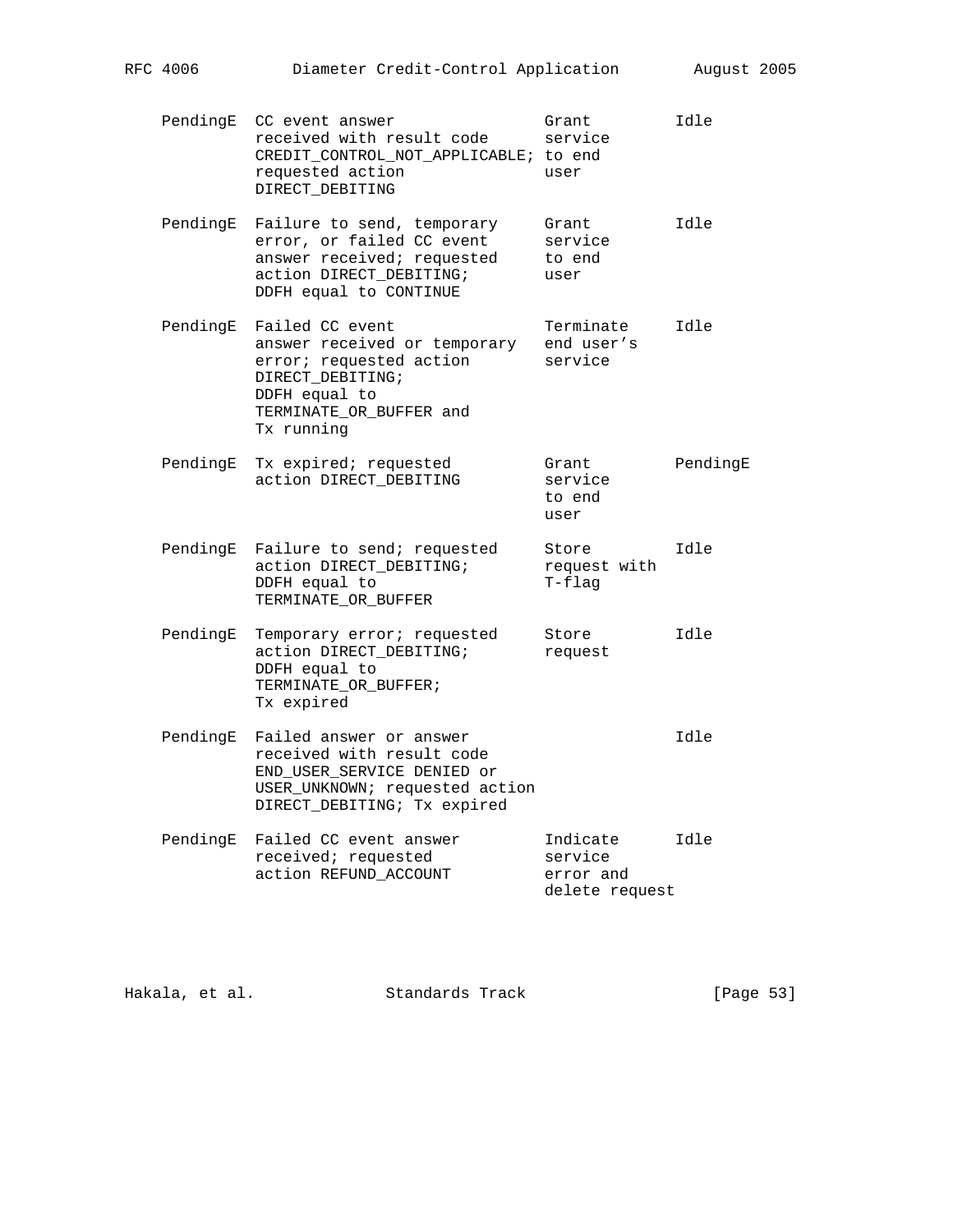| PendingE | CC event answer<br>received with result code<br>CREDIT_CONTROL_NOT_APPLICABLE; to end<br>requested action<br>DIRECT_DEBITING                             | Grant<br>service<br>user                           | Idle     |
|----------|----------------------------------------------------------------------------------------------------------------------------------------------------------|----------------------------------------------------|----------|
| PendingE | Failure to send, temporary<br>error, or failed CC event<br>answer received; requested<br>action DIRECT_DEBITING;<br>DDFH equal to CONTINUE               | Grant<br>service<br>to end<br>user                 | Idle     |
| PendingE | Failed CC event<br>answer received or temporary<br>error; requested action<br>DIRECT_DEBITING;<br>DDFH equal to<br>TERMINATE_OR_BUFFER and<br>Tx running | Terminate<br>end user's<br>service                 | Idle     |
| PendingE | Tx expired; requested<br>action DIRECT_DEBITING                                                                                                          | Grant<br>service<br>to end<br>user                 | PendingE |
| PendingE | Failure to send; requested<br>action DIRECT_DEBITING;<br>DDFH equal to<br>TERMINATE_OR_BUFFER                                                            | Store<br>request with<br>T-flag                    | Idle     |
| PendingE | Temporary error; requested<br>action DIRECT_DEBITING;<br>DDFH equal to<br>TERMINATE_OR_BUFFER;<br>Tx expired                                             | Store<br>request                                   | Idle     |
| PendingE | Failed answer or answer<br>received with result code<br>END_USER_SERVICE DENIED or<br>USER_UNKNOWN; requested action<br>DIRECT_DEBITING; Tx expired      |                                                    | Idle     |
| PendingE | Failed CC event answer<br>received; requested<br>action REFUND_ACCOUNT                                                                                   | Indicate<br>service<br>error and<br>delete request | Idle     |

Hakala, et al. Standards Track [Page 53]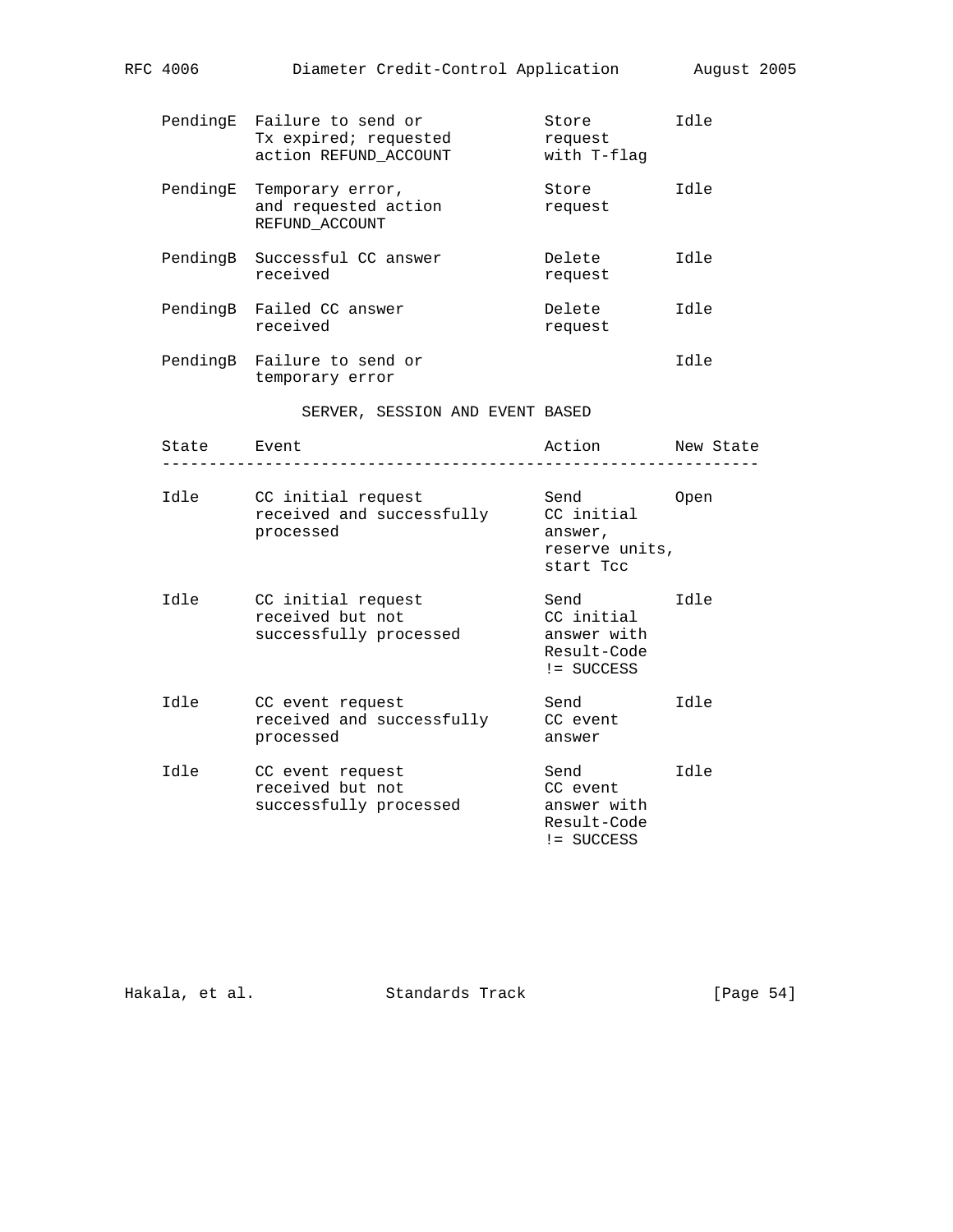|             | PendingE Failure to send or<br>Tx expired; requested<br>action REFUND_ACCOUNT | Store<br>request<br>with T-flag                                  | Idle      |
|-------------|-------------------------------------------------------------------------------|------------------------------------------------------------------|-----------|
|             | PendingE Temporary error,<br>and requested action<br>REFUND ACCOUNT           | Store<br>request                                                 | Idle      |
| PendingB    | Successful CC answer<br>received                                              | Delete<br>request                                                | Idle      |
|             | PendingB Failed CC answer<br>received                                         | Delete<br>request                                                | Idle      |
|             | PendingB Failure to send or<br>temporary error                                |                                                                  | Idle      |
|             | SERVER, SESSION AND EVENT BASED                                               |                                                                  |           |
| State Event |                                                                               | Action                                                           | New State |
| Idle        | CC initial request<br>received and successfully<br>processed                  | Send<br>CC initial<br>answer,<br>reserve units,<br>start Tcc     | Open      |
| Idle        | CC initial request<br>received but not<br>successfully processed              | Send<br>CC initial<br>answer with<br>Result-Code<br>$!=$ SUCCESS | Idle      |
| Idle        | CC event request<br>received and successfully<br>processed                    | Send<br>CC event<br>answer                                       | Idle      |
| Idle        | CC event request<br>received but not<br>successfully processed                | Send<br>CC event<br>answer with<br>Result-Code<br>!= SUCCESS     | Idle      |

Hakala, et al. Standards Track [Page 54]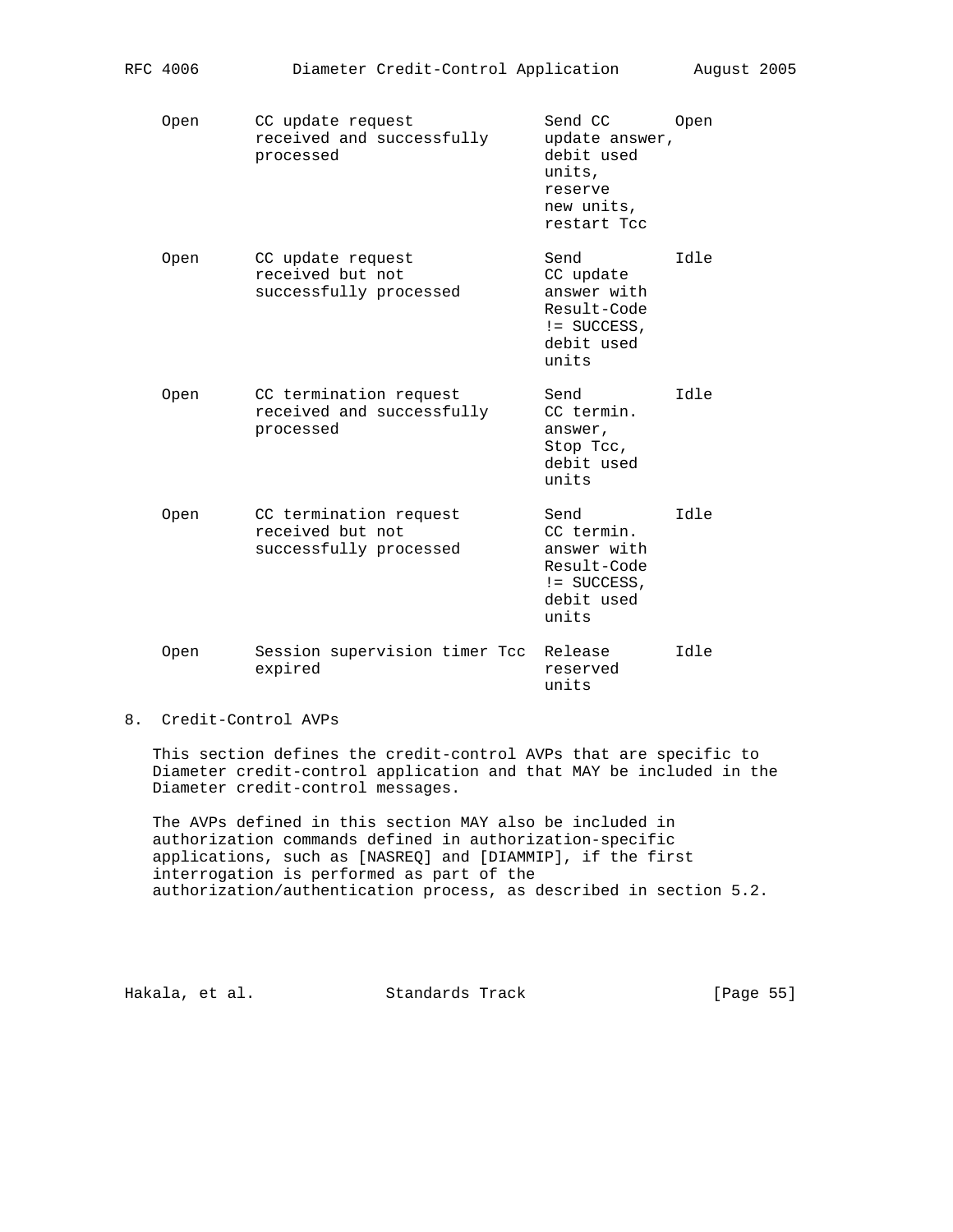| Open        | CC update request<br>received and successfully<br>processed          | Send CC<br>update answer,<br>debit used<br>units,<br>reserve<br>new units.<br>restart Tcc | Open  |
|-------------|----------------------------------------------------------------------|-------------------------------------------------------------------------------------------|-------|
| <b>Open</b> | CC update request<br>received but not<br>successfully processed      | Send<br>CC update<br>answer with<br>Result-Code<br>$!=$ SUCCESS,<br>debit used<br>units   | Idle  |
| Open        | CC termination request<br>received and successfully<br>processed     | Send<br>CC termin.<br>answer,<br>Stop Tcc,<br>debit used<br>units                         | Idle  |
| <b>Open</b> | CC termination request<br>received but not<br>successfully processed | Send<br>CC termin.<br>answer with<br>Result-Code<br>$!=$ SUCCESS,<br>debit used<br>units  | e [bT |
| Open        | Session supervision timer Tcc<br>expired                             | Release<br>reserved<br>units                                                              | e [bT |

RFC 4006 Diameter Credit-Control Application August 2005

# 8. Credit-Control AVPs

 This section defines the credit-control AVPs that are specific to Diameter credit-control application and that MAY be included in the Diameter credit-control messages.

 The AVPs defined in this section MAY also be included in authorization commands defined in authorization-specific applications, such as [NASREQ] and [DIAMMIP], if the first interrogation is performed as part of the authorization/authentication process, as described in section 5.2.

Hakala, et al. Standards Track [Page 55]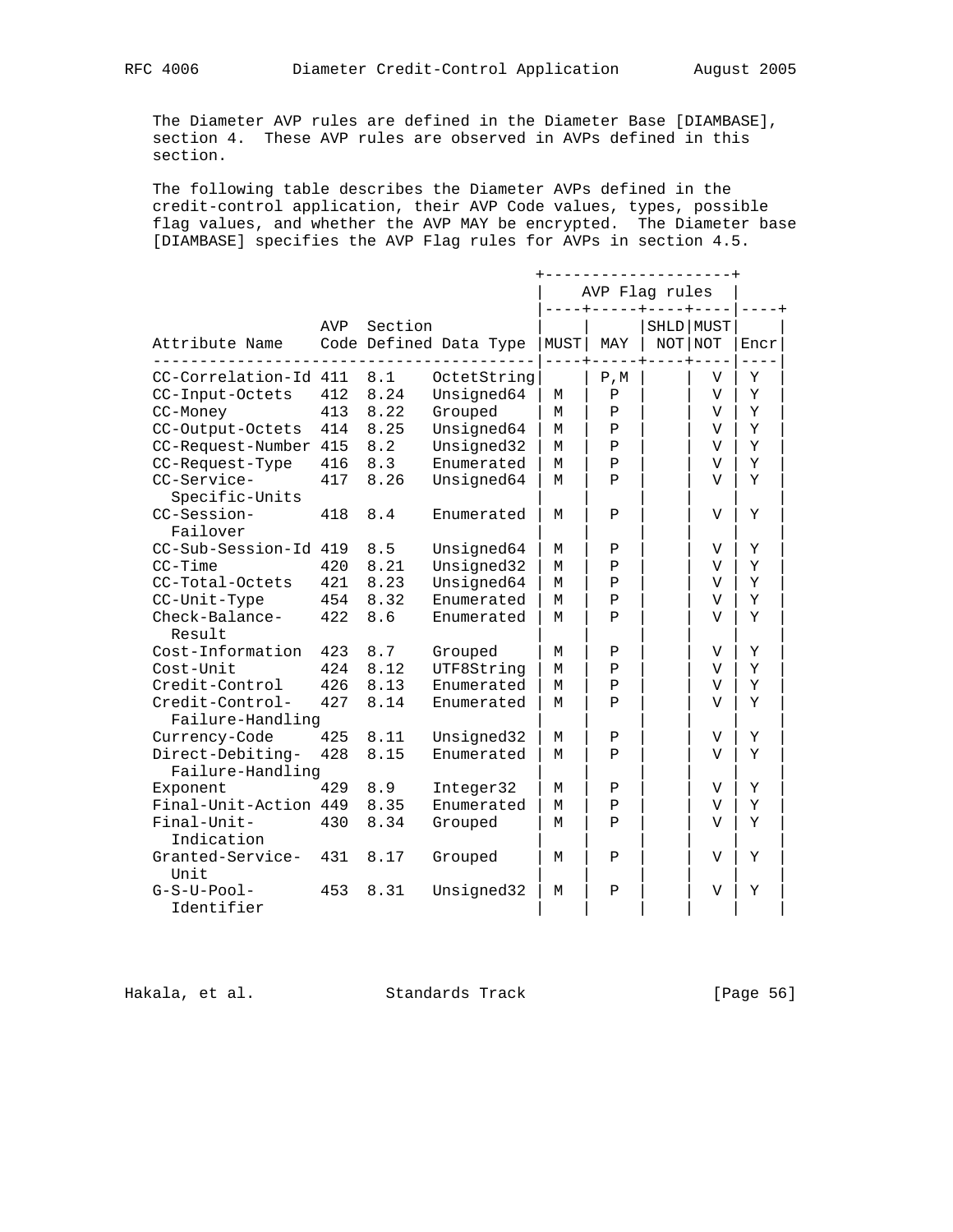The Diameter AVP rules are defined in the Diameter Base [DIAMBASE], section 4. These AVP rules are observed in AVPs defined in this section.

 The following table describes the Diameter AVPs defined in the credit-control application, their AVP Code values, types, possible flag values, and whether the AVP MAY be encrypted. The Diameter base [DIAMBASE] specifies the AVP Flag rules for AVPs in section 4.5.

|                                      |     |         |                        |      | ------------------+<br>AVP Flag rules |                      |      |
|--------------------------------------|-----|---------|------------------------|------|---------------------------------------|----------------------|------|
| Attribute Name                       | AVP | Section | Code Defined Data Type | MUST | MAY                                   | SHLD MUST<br>NOT NOT | Encr |
| CC-Correlation-Id 411                |     | 8.1     | OctetString            |      | ${\mathbb P}$ , ${\mathbb M}$         | V                    | Υ    |
| CC-Input-Octets                      | 412 | 8.24    | Unsigned64             | М    | $\mathbf P$                           | V                    | Υ    |
| CC-Money                             | 413 | 8.22    | Grouped                | М    | Ρ                                     | V                    | Υ    |
| CC-Output-Octets                     | 414 | 8.25    | Unsigned64             | М    | Ρ                                     | V                    | Y    |
| CC-Request-Number                    | 415 | 8.2     | Unsigned32             | М    | Ρ                                     | V                    | Y    |
| CC-Request-Type                      | 416 | 8.3     | Enumerated             | M    | P                                     | V                    | Y    |
| CC-Service-<br>Specific-Units        | 417 | 8.26    | Unsigned64             | М    | $\mathbf P$                           | V                    | Y    |
| CC-Session-<br>Failover              | 418 | 8.4     | Enumerated             | М    | Ρ                                     | V                    | Υ    |
| CC-Sub-Session-Id 419                |     | 8.5     | Unsigned64             | М    | Ρ                                     | V                    | Y    |
| $CC-Time$                            | 420 | 8.21    | Unsigned32             | М    | $\, {\bf P}$                          | V                    | Y    |
| CC-Total-Octets                      | 421 | 8.23    | Unsigned64             | М    | $\mathbf P$                           | $\mathbf{V}$         | Y    |
| CC-Unit-Type                         | 454 | 8.32    | Enumerated             | M    | $\, {\bf P}$                          | V                    | Y    |
| Check-Balance-<br>Result             | 422 | 8.6     | Enumerated             | M    | $\mathbf{P}$                          | V                    | Y    |
| Cost-Information                     | 423 | 8.7     | Grouped                | М    | Ρ                                     | V                    | Y    |
| Cost-Unit                            | 424 | 8.12    | UTF8String             | М    | $\mathbf P$                           | V                    | Y    |
| Credit-Control                       | 426 | 8.13    | Enumerated             | M    | $\mathbf P$                           | V                    | Y    |
| Credit-Control-<br>Failure-Handling  | 427 | 8.14    | Enumerated             | М    | $\mathbf{P}$                          | V                    | Y    |
| Currency-Code                        | 425 | 8.11    | Unsigned32             | М    | Ρ                                     | V                    | Y    |
| Direct-Debiting-<br>Failure-Handling | 428 | 8.15    | Enumerated             | М    | $\mathbf P$                           | V                    | Y    |
| Exponent                             | 429 | 8.9     | Integer32              | М    | Ρ                                     | V                    | Υ    |
| Final-Unit-Action 449                |     | 8.35    | Enumerated             | М    | $\, {\bf P}$                          | V                    | Υ    |
| Final-Unit-<br>Indication            | 430 | 8.34    | Grouped                | М    | $\mathbf P$                           | V                    | Y    |
| Granted-Service-<br>Unit             | 431 | 8.17    | Grouped                | М    | Ρ                                     | V                    | Υ    |
| $G-S-U-Pool-$<br>Identifier          | 453 | 8.31    | Unsigned32             | М    | Ρ                                     | V                    | Υ    |

Hakala, et al. Standards Track [Page 56]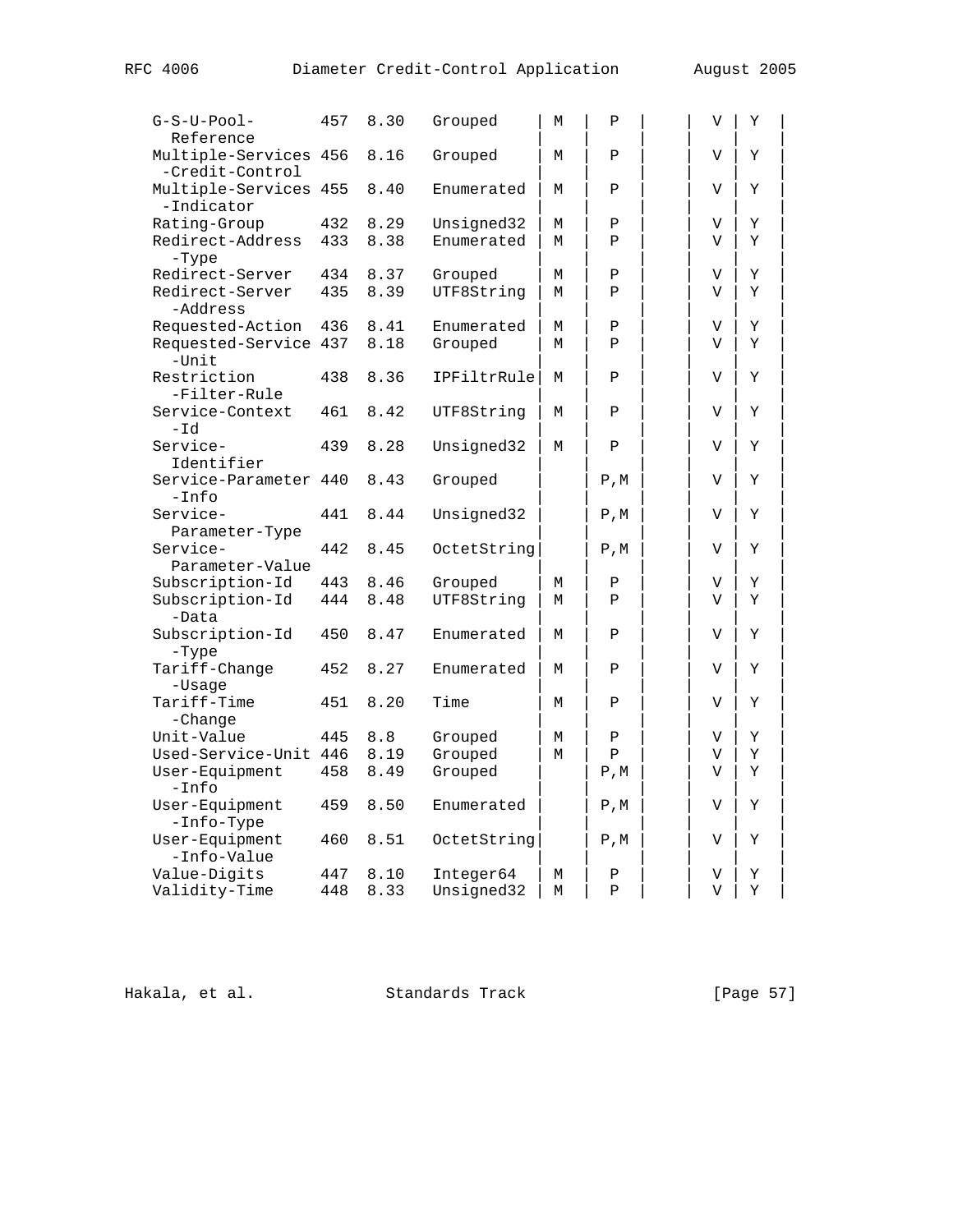| $G-S-U-Pool-$<br>Reference               | 457 | 8.30 | Grouped     | M | Ρ                             | V | Y |  |
|------------------------------------------|-----|------|-------------|---|-------------------------------|---|---|--|
| Multiple-Services 456<br>-Credit-Control |     | 8.16 | Grouped     | М | P                             | V | Y |  |
| Multiple-Services 455<br>-Indicator      |     | 8.40 | Enumerated  | М | P                             | V | Y |  |
| Rating-Group                             | 432 | 8.29 | Unsigned32  | M | $\, {\bf P}$                  | V | Υ |  |
| Redirect-Address                         | 433 | 8.38 | Enumerated  | M | P                             | V | Y |  |
| -Type                                    |     |      |             |   |                               |   |   |  |
| Redirect-Server                          | 434 | 8.37 | Grouped     | М | Ρ                             | V | Υ |  |
| Redirect-Server<br>-Address              | 435 | 8.39 | UTF8String  | М | P                             | V | Υ |  |
| Requested-Action                         | 436 | 8.41 | Enumerated  | М | P                             | V | Υ |  |
| Requested-Service 437<br>$-Unit$         |     | 8.18 | Grouped     | М | $\mathbf{P}$                  | V | Y |  |
| Restriction<br>-Filter-Rule              | 438 | 8.36 | IPFiltrRule | М | P                             | V | Υ |  |
| Service-Context<br>-Id                   | 461 | 8.42 | UTF8String  | М | $\mathbf{P}$                  | V | Y |  |
| Service-                                 | 439 | 8.28 | Unsigned32  | М | $\, {\bf P}$                  | V | Υ |  |
| Identifier                               |     |      |             |   |                               |   |   |  |
| Service-Parameter 440<br>$-Into$         |     | 8.43 | Grouped     |   | $P$ , M                       | V | Y |  |
| Service-<br>Parameter-Type               | 441 | 8.44 | Unsigned32  |   | ${\mathbb P}$ , ${\mathbb M}$ | V | Y |  |
| Service-<br>Parameter-Value              | 442 | 8.45 | OctetString |   | ${\mathbb P}$ , ${\mathbb M}$ | V | Y |  |
| Subscription-Id                          | 443 | 8.46 | Grouped     | М | P                             | V | Υ |  |
| Subscription-Id<br>-Data                 | 444 | 8.48 | UTF8String  | M | $\mathsf{P}$                  | V | Y |  |
| Subscription-Id<br>-Type                 | 450 | 8.47 | Enumerated  | M | P                             | V | Y |  |
| Tariff-Change<br>-Usage                  | 452 | 8.27 | Enumerated  | М | Ρ                             | V | Υ |  |
| Tariff-Time<br>-Change                   | 451 | 8.20 | Time        | М | Ρ                             | V | Υ |  |
| Unit-Value                               | 445 | 8.8  | Grouped     | М | $\, {\bf P}$                  | V | Υ |  |
| Used-Service-Unit 446                    |     | 8.19 | Grouped     | M | $\mathbf{P}$                  | V | Y |  |
| User-Equipment<br>$-Into$                | 458 | 8.49 | Grouped     |   | $P$ , M                       | V | Υ |  |
| User-Equipment<br>-Info-Type             | 459 | 8.50 | Enumerated  |   | $P$ , M                       | V | Y |  |
| User-Equipment<br>-Info-Value            | 460 | 8.51 | OctetString |   | ${\mathbb P}$ , ${\mathbb M}$ | V | Y |  |
| Value-Digits                             | 447 | 8.10 | Integer64   | М | Ρ                             | V | Υ |  |
| Validity-Time                            | 448 | 8.33 | Unsigned32  | М | $\mathbf P$                   | V | Υ |  |
|                                          |     |      |             |   |                               |   |   |  |

Hakala, et al. Standards Track [Page 57]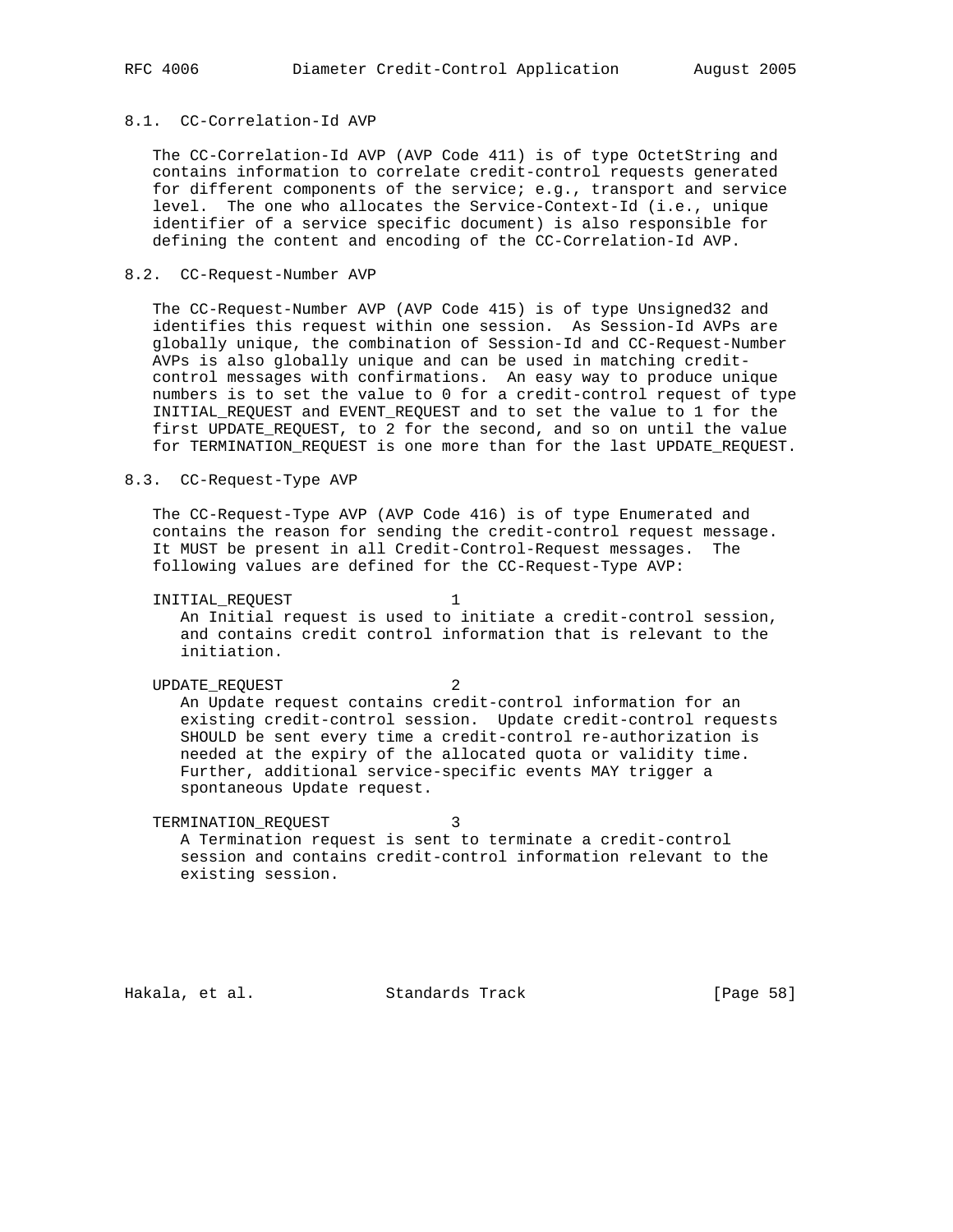# 8.1. CC-Correlation-Id AVP

 The CC-Correlation-Id AVP (AVP Code 411) is of type OctetString and contains information to correlate credit-control requests generated for different components of the service; e.g., transport and service level. The one who allocates the Service-Context-Id (i.e., unique identifier of a service specific document) is also responsible for defining the content and encoding of the CC-Correlation-Id AVP.

## 8.2. CC-Request-Number AVP

 The CC-Request-Number AVP (AVP Code 415) is of type Unsigned32 and identifies this request within one session. As Session-Id AVPs are globally unique, the combination of Session-Id and CC-Request-Number AVPs is also globally unique and can be used in matching credit control messages with confirmations. An easy way to produce unique numbers is to set the value to 0 for a credit-control request of type INITIAL\_REQUEST and EVENT\_REQUEST and to set the value to 1 for the first UPDATE\_REQUEST, to 2 for the second, and so on until the value for TERMINATION\_REQUEST is one more than for the last UPDATE\_REQUEST.

### 8.3. CC-Request-Type AVP

 The CC-Request-Type AVP (AVP Code 416) is of type Enumerated and contains the reason for sending the credit-control request message. It MUST be present in all Credit-Control-Request messages. The following values are defined for the CC-Request-Type AVP:

INITIAL\_REQUEST 1 An Initial request is used to initiate a credit-control session, and contains credit control information that is relevant to the initiation.

UPDATE\_REQUEST 2 An Update request contains credit-control information for an existing credit-control session. Update credit-control requests SHOULD be sent every time a credit-control re-authorization is needed at the expiry of the allocated quota or validity time. Further, additional service-specific events MAY trigger a spontaneous Update request.

TERMINATION\_REQUEST 3 A Termination request is sent to terminate a credit-control session and contains credit-control information relevant to the existing session.

Hakala, et al. Standards Track [Page 58]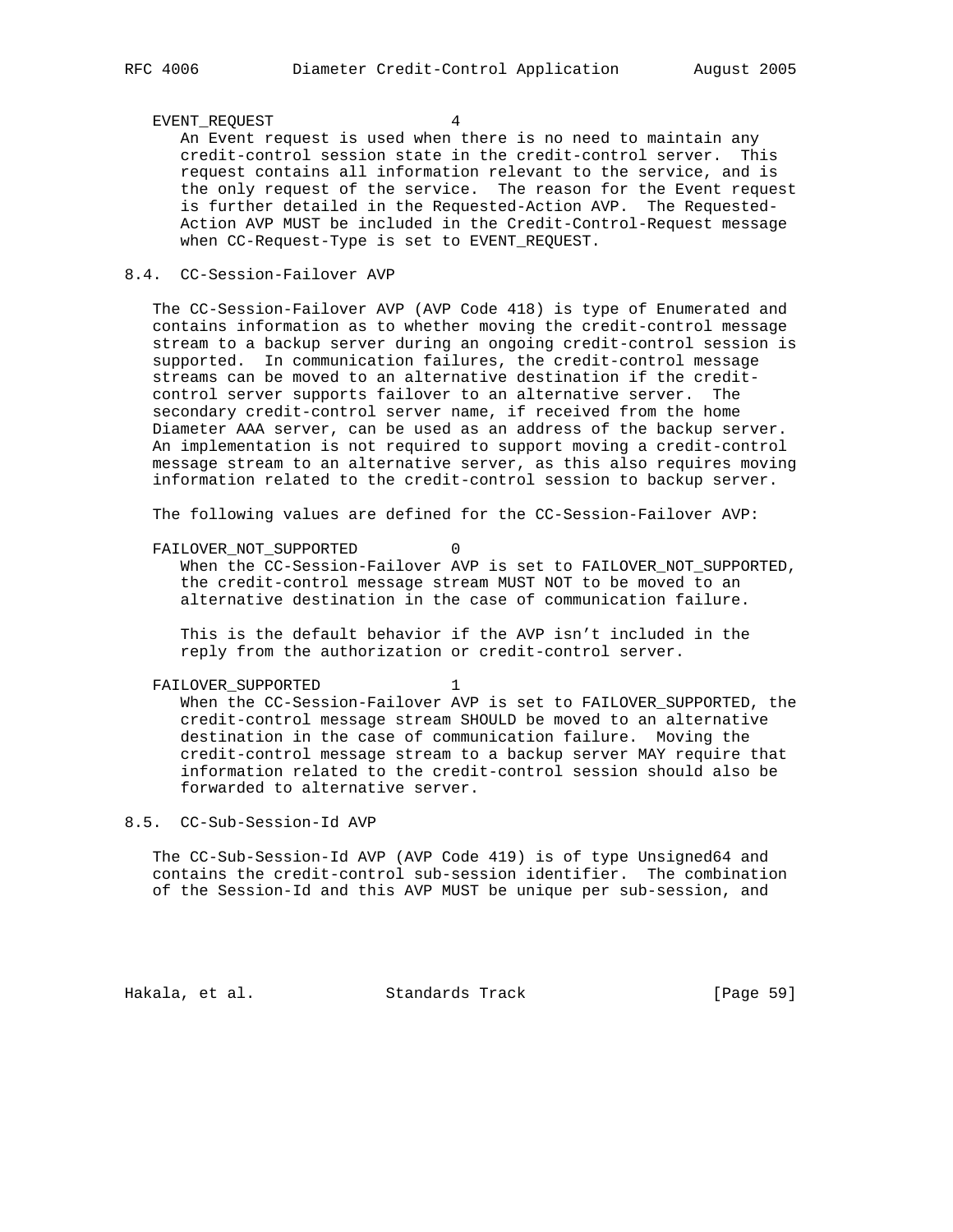#### EVENT\_REQUEST 4

 An Event request is used when there is no need to maintain any credit-control session state in the credit-control server. This request contains all information relevant to the service, and is the only request of the service. The reason for the Event request is further detailed in the Requested-Action AVP. The Requested- Action AVP MUST be included in the Credit-Control-Request message when CC-Request-Type is set to EVENT\_REQUEST.

### 8.4. CC-Session-Failover AVP

 The CC-Session-Failover AVP (AVP Code 418) is type of Enumerated and contains information as to whether moving the credit-control message stream to a backup server during an ongoing credit-control session is supported. In communication failures, the credit-control message streams can be moved to an alternative destination if the credit control server supports failover to an alternative server. The secondary credit-control server name, if received from the home Diameter AAA server, can be used as an address of the backup server. An implementation is not required to support moving a credit-control message stream to an alternative server, as this also requires moving information related to the credit-control session to backup server.

The following values are defined for the CC-Session-Failover AVP:

#### FAILOVER\_NOT\_SUPPORTED 0

 When the CC-Session-Failover AVP is set to FAILOVER\_NOT\_SUPPORTED, the credit-control message stream MUST NOT to be moved to an alternative destination in the case of communication failure.

 This is the default behavior if the AVP isn't included in the reply from the authorization or credit-control server.

#### FAILOVER SUPPORTED 1

 When the CC-Session-Failover AVP is set to FAILOVER\_SUPPORTED, the credit-control message stream SHOULD be moved to an alternative destination in the case of communication failure. Moving the credit-control message stream to a backup server MAY require that information related to the credit-control session should also be forwarded to alternative server.

# 8.5. CC-Sub-Session-Id AVP

 The CC-Sub-Session-Id AVP (AVP Code 419) is of type Unsigned64 and contains the credit-control sub-session identifier. The combination of the Session-Id and this AVP MUST be unique per sub-session, and

Hakala, et al. Standards Track [Page 59]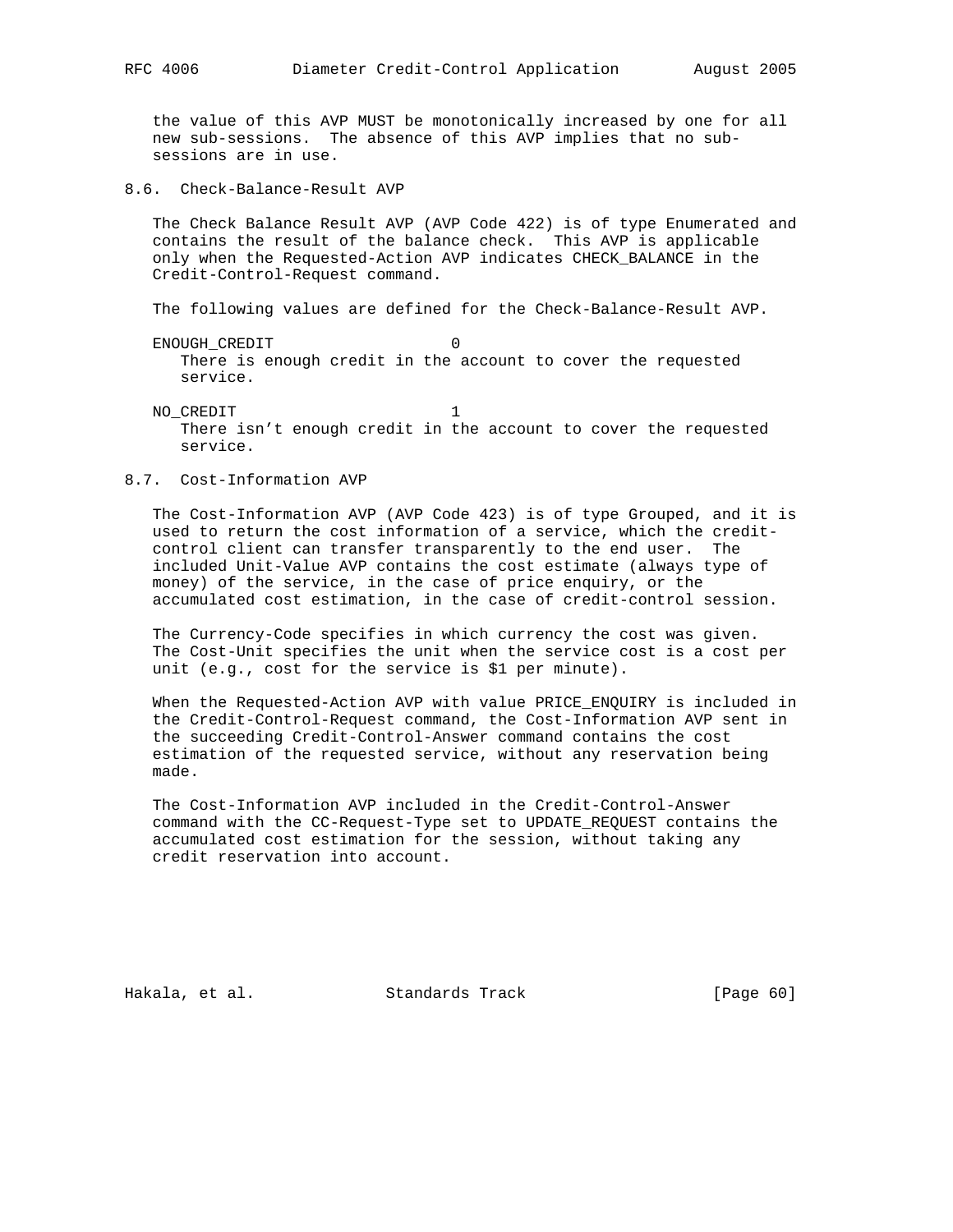the value of this AVP MUST be monotonically increased by one for all new sub-sessions. The absence of this AVP implies that no sub sessions are in use.

8.6. Check-Balance-Result AVP

 The Check Balance Result AVP (AVP Code 422) is of type Enumerated and contains the result of the balance check. This AVP is applicable only when the Requested-Action AVP indicates CHECK\_BALANCE in the Credit-Control-Request command.

The following values are defined for the Check-Balance-Result AVP.

 ENOUGH\_CREDIT 0 There is enough credit in the account to cover the requested service.

NO\_CREDIT 1 There isn't enough credit in the account to cover the requested service.

### 8.7. Cost-Information AVP

 The Cost-Information AVP (AVP Code 423) is of type Grouped, and it is used to return the cost information of a service, which the credit control client can transfer transparently to the end user. The included Unit-Value AVP contains the cost estimate (always type of money) of the service, in the case of price enquiry, or the accumulated cost estimation, in the case of credit-control session.

 The Currency-Code specifies in which currency the cost was given. The Cost-Unit specifies the unit when the service cost is a cost per unit (e.g., cost for the service is \$1 per minute).

 When the Requested-Action AVP with value PRICE\_ENQUIRY is included in the Credit-Control-Request command, the Cost-Information AVP sent in the succeeding Credit-Control-Answer command contains the cost estimation of the requested service, without any reservation being made.

 The Cost-Information AVP included in the Credit-Control-Answer command with the CC-Request-Type set to UPDATE\_REQUEST contains the accumulated cost estimation for the session, without taking any credit reservation into account.

Hakala, et al. Standards Track [Page 60]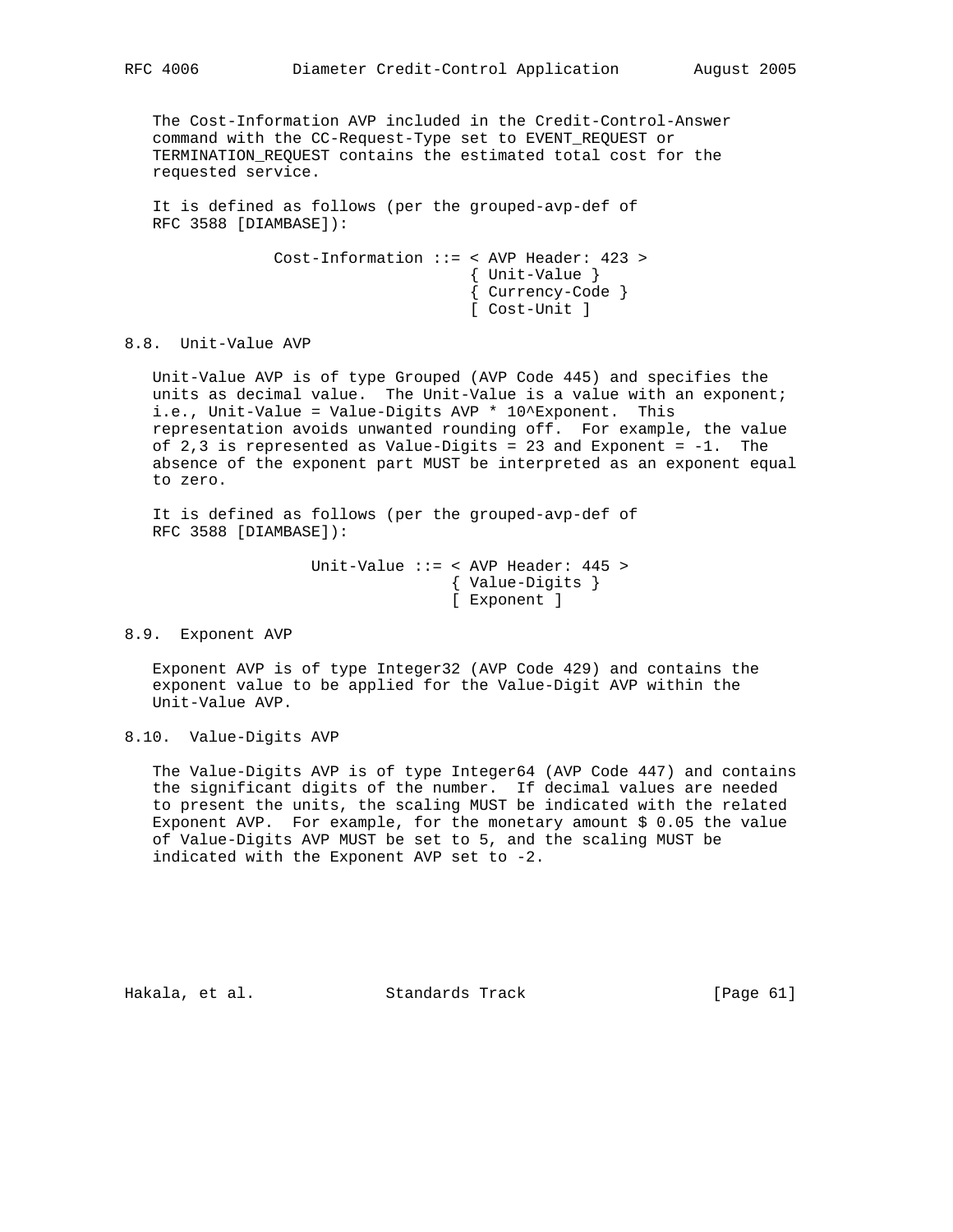The Cost-Information AVP included in the Credit-Control-Answer command with the CC-Request-Type set to EVENT\_REQUEST or TERMINATION\_REQUEST contains the estimated total cost for the requested service.

 It is defined as follows (per the grouped-avp-def of RFC 3588 [DIAMBASE]):

> Cost-Information ::= < AVP Header: 423 > { Unit-Value } { Currency-Code } [ Cost-Unit ]

## 8.8. Unit-Value AVP

 Unit-Value AVP is of type Grouped (AVP Code 445) and specifies the units as decimal value. The Unit-Value is a value with an exponent; i.e., Unit-Value = Value-Digits AVP \* 10^Exponent. This representation avoids unwanted rounding off. For example, the value of  $2,3$  is represented as Value-Digits = 23 and Exponent =  $-1$ . The absence of the exponent part MUST be interpreted as an exponent equal to zero.

 It is defined as follows (per the grouped-avp-def of RFC 3588 [DIAMBASE]):

> Unit-Value ::= < AVP Header: 445 > { Value-Digits } [ Exponent ]

#### 8.9. Exponent AVP

 Exponent AVP is of type Integer32 (AVP Code 429) and contains the exponent value to be applied for the Value-Digit AVP within the Unit-Value AVP.

8.10. Value-Digits AVP

 The Value-Digits AVP is of type Integer64 (AVP Code 447) and contains the significant digits of the number. If decimal values are needed to present the units, the scaling MUST be indicated with the related Exponent AVP. For example, for the monetary amount  $$0.05$  the value of Value-Digits AVP MUST be set to 5, and the scaling MUST be indicated with the Exponent AVP set to -2.

Hakala, et al. Standards Track [Page 61]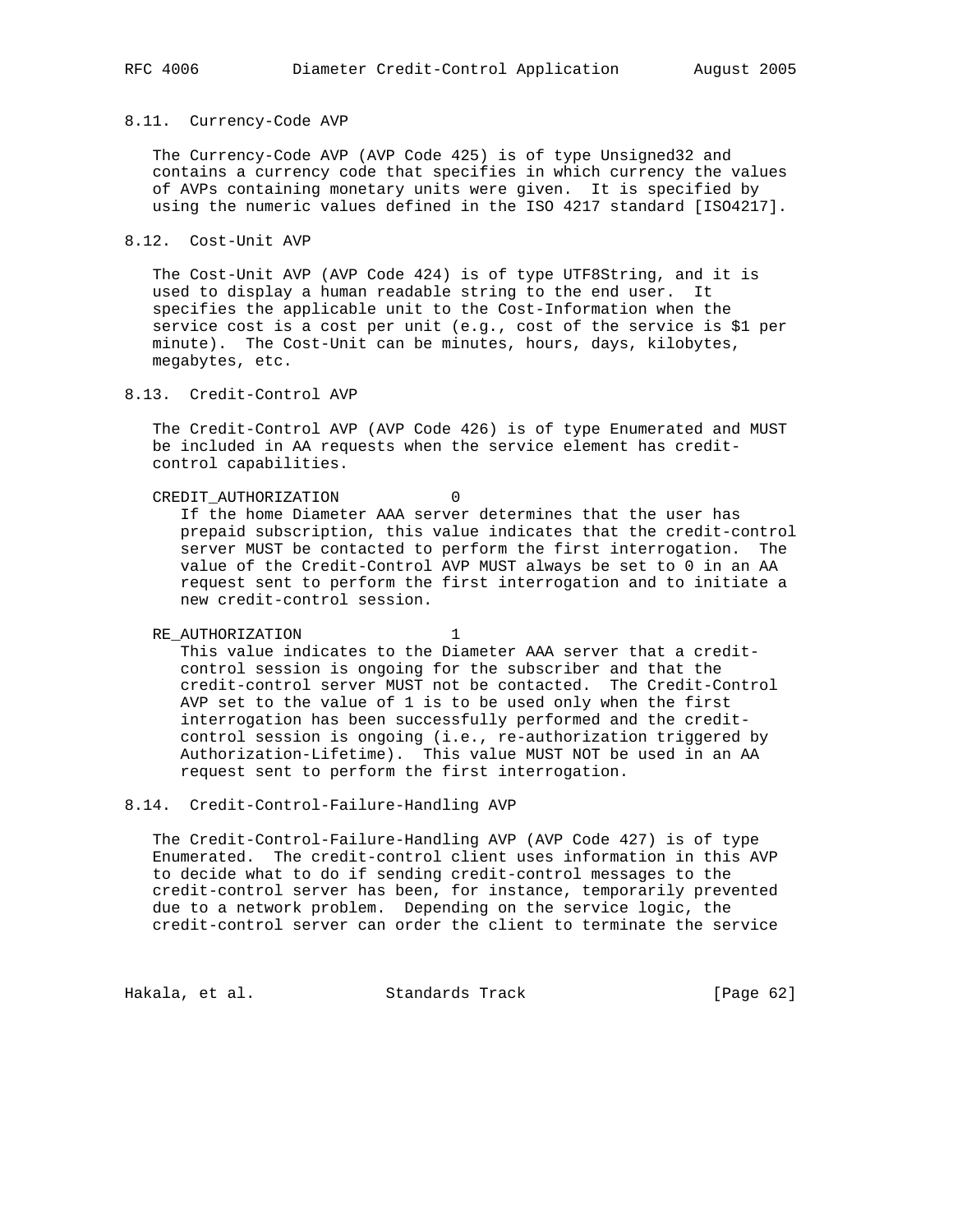#### 8.11. Currency-Code AVP

 The Currency-Code AVP (AVP Code 425) is of type Unsigned32 and contains a currency code that specifies in which currency the values of AVPs containing monetary units were given. It is specified by using the numeric values defined in the ISO 4217 standard [ISO4217].

8.12. Cost-Unit AVP

 The Cost-Unit AVP (AVP Code 424) is of type UTF8String, and it is used to display a human readable string to the end user. It specifies the applicable unit to the Cost-Information when the service cost is a cost per unit (e.g., cost of the service is \$1 per minute). The Cost-Unit can be minutes, hours, days, kilobytes, megabytes, etc.

8.13. Credit-Control AVP

 The Credit-Control AVP (AVP Code 426) is of type Enumerated and MUST be included in AA requests when the service element has credit control capabilities.

CREDIT\_AUTHORIZATION 0

 If the home Diameter AAA server determines that the user has prepaid subscription, this value indicates that the credit-control server MUST be contacted to perform the first interrogation. The value of the Credit-Control AVP MUST always be set to 0 in an AA request sent to perform the first interrogation and to initiate a new credit-control session.

RE\_AUTHORIZATION 1 This value indicates to the Diameter AAA server that a credit control session is ongoing for the subscriber and that the credit-control server MUST not be contacted. The Credit-Control AVP set to the value of 1 is to be used only when the first interrogation has been successfully performed and the credit control session is ongoing (i.e., re-authorization triggered by Authorization-Lifetime). This value MUST NOT be used in an AA request sent to perform the first interrogation.

8.14. Credit-Control-Failure-Handling AVP

 The Credit-Control-Failure-Handling AVP (AVP Code 427) is of type Enumerated. The credit-control client uses information in this AVP to decide what to do if sending credit-control messages to the credit-control server has been, for instance, temporarily prevented due to a network problem. Depending on the service logic, the credit-control server can order the client to terminate the service

Hakala, et al. Standards Track [Page 62]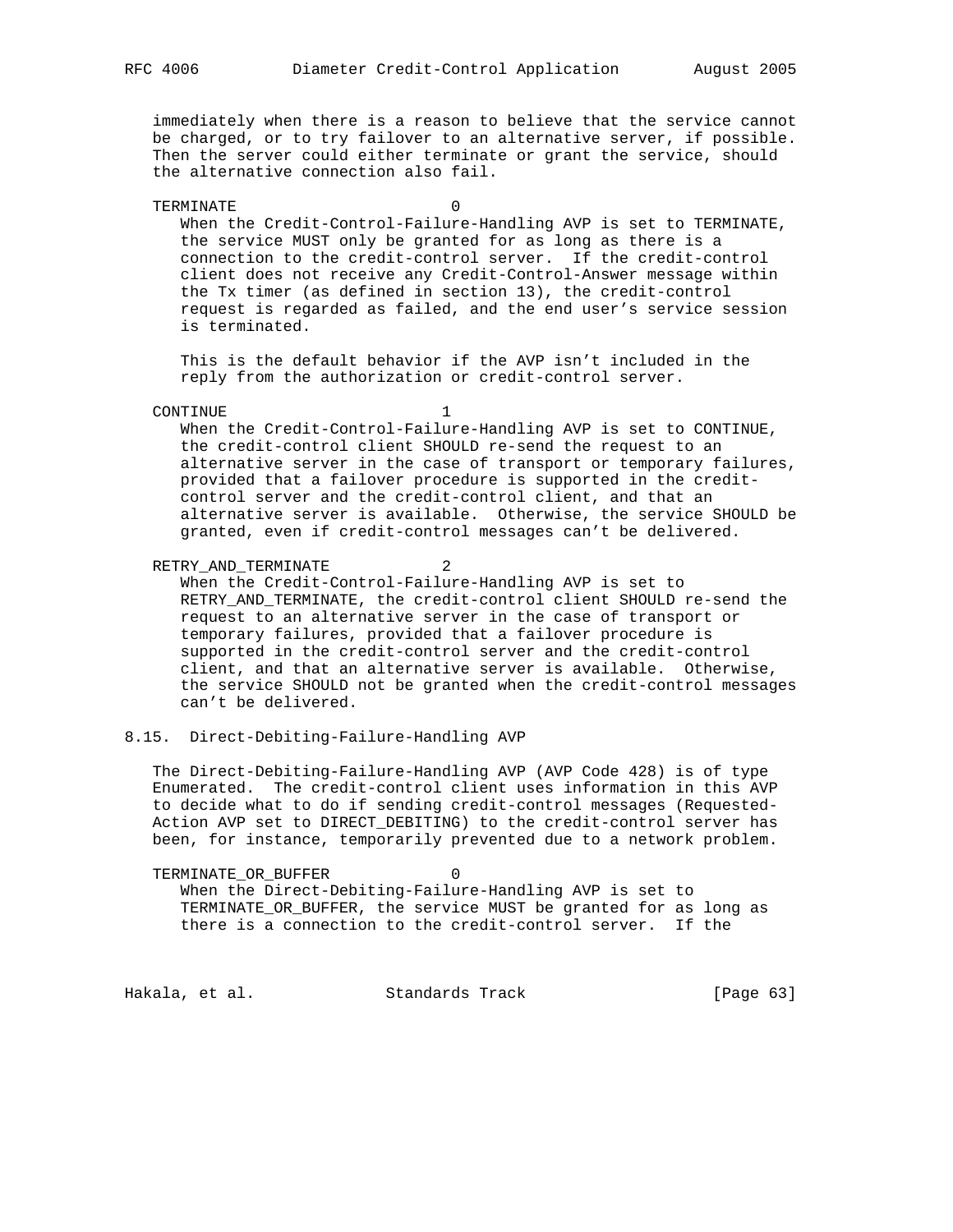immediately when there is a reason to believe that the service cannot be charged, or to try failover to an alternative server, if possible. Then the server could either terminate or grant the service, should the alternative connection also fail.

#### TERMINATE 0

 When the Credit-Control-Failure-Handling AVP is set to TERMINATE, the service MUST only be granted for as long as there is a connection to the credit-control server. If the credit-control client does not receive any Credit-Control-Answer message within the Tx timer (as defined in section 13), the credit-control request is regarded as failed, and the end user's service session is terminated.

 This is the default behavior if the AVP isn't included in the reply from the authorization or credit-control server.

#### CONTINUE 1

 When the Credit-Control-Failure-Handling AVP is set to CONTINUE, the credit-control client SHOULD re-send the request to an alternative server in the case of transport or temporary failures, provided that a failover procedure is supported in the credit control server and the credit-control client, and that an alternative server is available. Otherwise, the service SHOULD be granted, even if credit-control messages can't be delivered.

RETRY\_AND\_TERMINATE 2

 When the Credit-Control-Failure-Handling AVP is set to RETRY\_AND\_TERMINATE, the credit-control client SHOULD re-send the request to an alternative server in the case of transport or temporary failures, provided that a failover procedure is supported in the credit-control server and the credit-control client, and that an alternative server is available. Otherwise, the service SHOULD not be granted when the credit-control messages can't be delivered.

## 8.15. Direct-Debiting-Failure-Handling AVP

 The Direct-Debiting-Failure-Handling AVP (AVP Code 428) is of type Enumerated. The credit-control client uses information in this AVP to decide what to do if sending credit-control messages (Requested- Action AVP set to DIRECT\_DEBITING) to the credit-control server has been, for instance, temporarily prevented due to a network problem.

TERMINATE OR BUFFER 0 When the Direct-Debiting-Failure-Handling AVP is set to TERMINATE\_OR\_BUFFER, the service MUST be granted for as long as there is a connection to the credit-control server. If the

Hakala, et al. Standards Track [Page 63]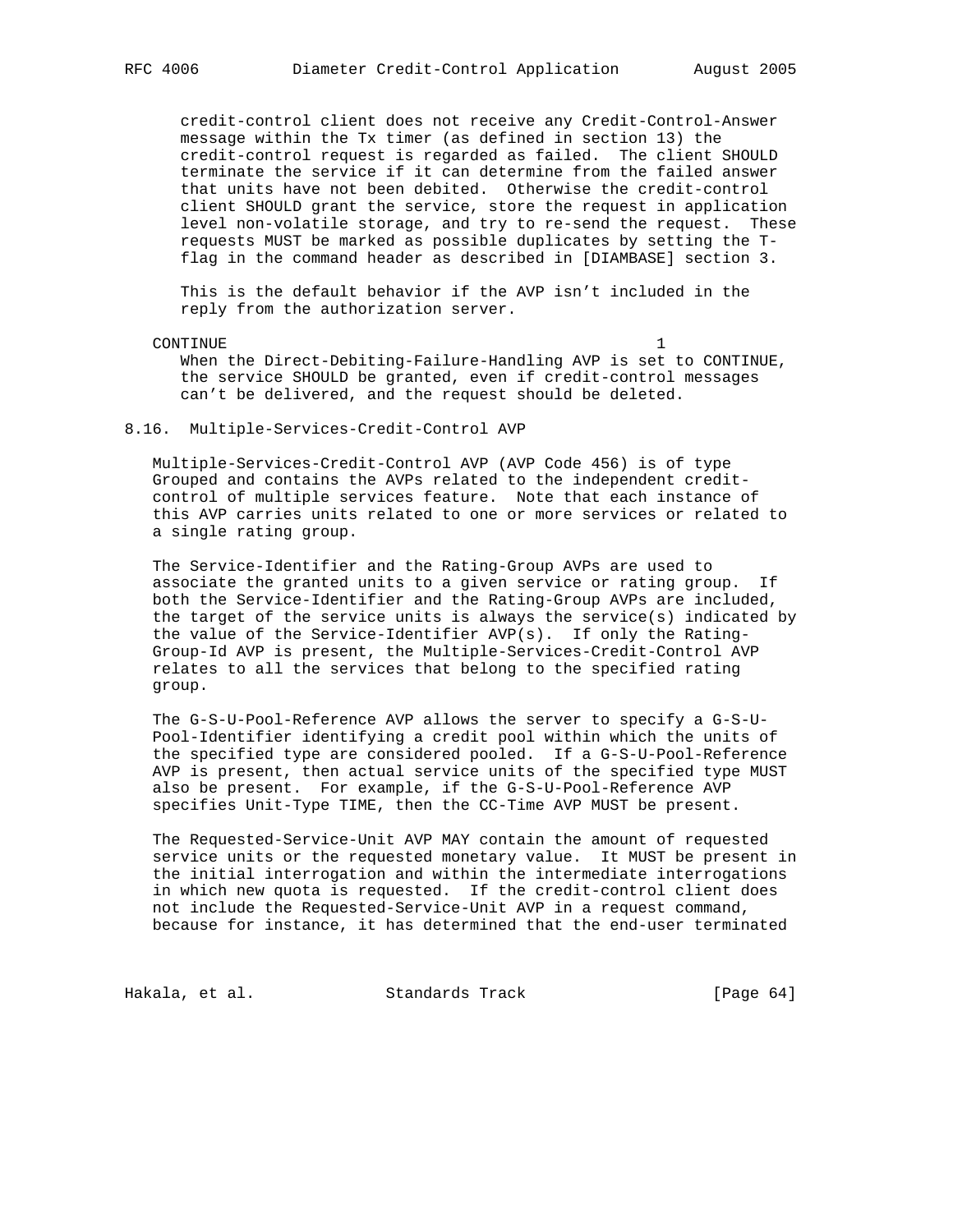credit-control client does not receive any Credit-Control-Answer message within the Tx timer (as defined in section 13) the credit-control request is regarded as failed. The client SHOULD terminate the service if it can determine from the failed answer that units have not been debited. Otherwise the credit-control client SHOULD grant the service, store the request in application level non-volatile storage, and try to re-send the request. These requests MUST be marked as possible duplicates by setting the T flag in the command header as described in [DIAMBASE] section 3.

 This is the default behavior if the AVP isn't included in the reply from the authorization server.

CONTINUE 1

 When the Direct-Debiting-Failure-Handling AVP is set to CONTINUE, the service SHOULD be granted, even if credit-control messages can't be delivered, and the request should be deleted.

### 8.16. Multiple-Services-Credit-Control AVP

 Multiple-Services-Credit-Control AVP (AVP Code 456) is of type Grouped and contains the AVPs related to the independent credit control of multiple services feature. Note that each instance of this AVP carries units related to one or more services or related to a single rating group.

 The Service-Identifier and the Rating-Group AVPs are used to associate the granted units to a given service or rating group. If both the Service-Identifier and the Rating-Group AVPs are included, the target of the service units is always the service(s) indicated by the value of the Service-Identifier AVP(s). If only the Rating- Group-Id AVP is present, the Multiple-Services-Credit-Control AVP relates to all the services that belong to the specified rating group.

 The G-S-U-Pool-Reference AVP allows the server to specify a G-S-U- Pool-Identifier identifying a credit pool within which the units of the specified type are considered pooled. If a G-S-U-Pool-Reference AVP is present, then actual service units of the specified type MUST also be present. For example, if the G-S-U-Pool-Reference AVP specifies Unit-Type TIME, then the CC-Time AVP MUST be present.

 The Requested-Service-Unit AVP MAY contain the amount of requested service units or the requested monetary value. It MUST be present in the initial interrogation and within the intermediate interrogations in which new quota is requested. If the credit-control client does not include the Requested-Service-Unit AVP in a request command, because for instance, it has determined that the end-user terminated

Hakala, et al. Standards Track [Page 64]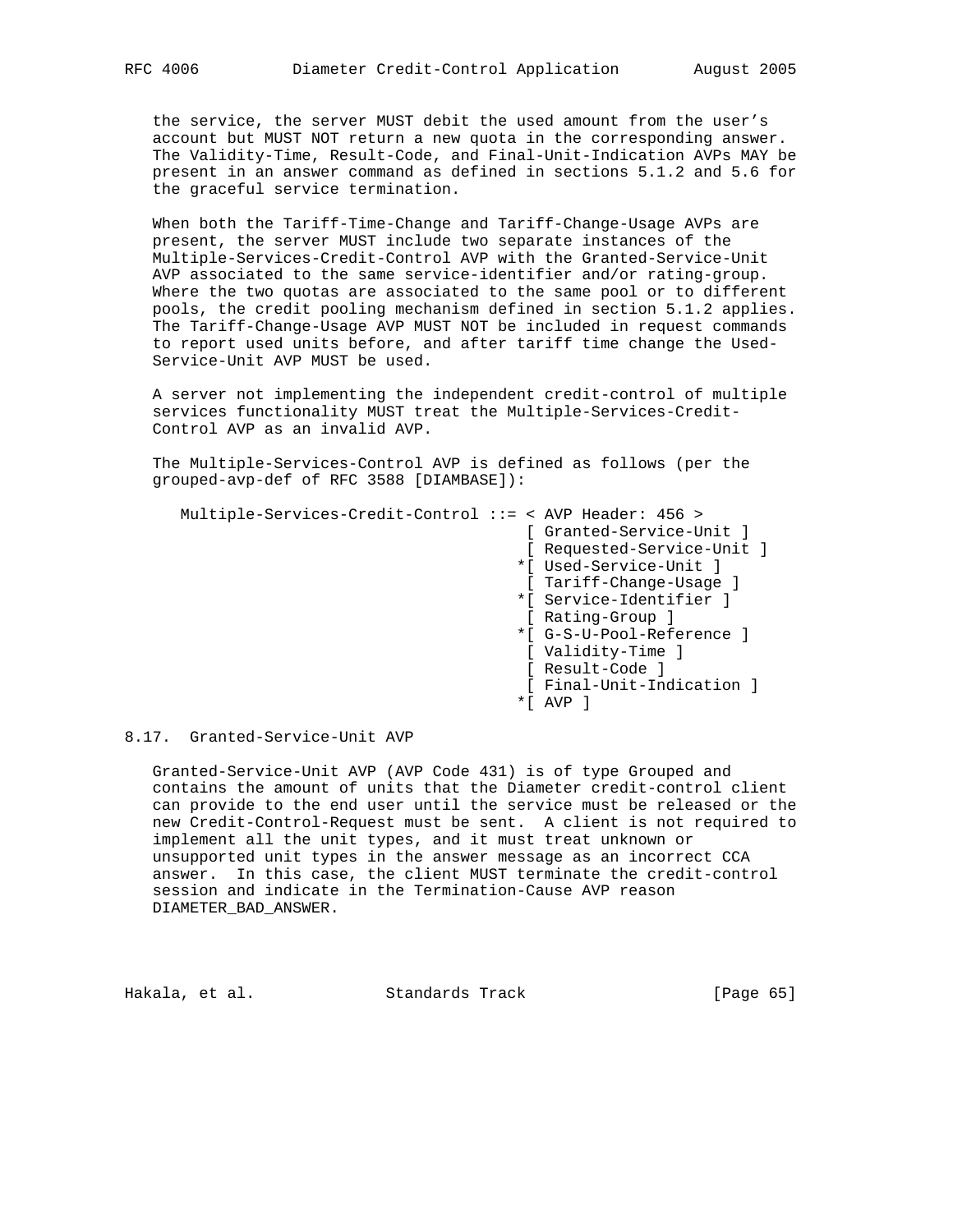the service, the server MUST debit the used amount from the user's account but MUST NOT return a new quota in the corresponding answer. The Validity-Time, Result-Code, and Final-Unit-Indication AVPs MAY be present in an answer command as defined in sections 5.1.2 and 5.6 for the graceful service termination.

 When both the Tariff-Time-Change and Tariff-Change-Usage AVPs are present, the server MUST include two separate instances of the Multiple-Services-Credit-Control AVP with the Granted-Service-Unit AVP associated to the same service-identifier and/or rating-group. Where the two quotas are associated to the same pool or to different pools, the credit pooling mechanism defined in section 5.1.2 applies. The Tariff-Change-Usage AVP MUST NOT be included in request commands to report used units before, and after tariff time change the Used- Service-Unit AVP MUST be used.

 A server not implementing the independent credit-control of multiple services functionality MUST treat the Multiple-Services-Credit- Control AVP as an invalid AVP.

 The Multiple-Services-Control AVP is defined as follows (per the grouped-avp-def of RFC 3588 [DIAMBASE]):

 Multiple-Services-Credit-Control ::= < AVP Header: 456 > [ Granted-Service-Unit ] [ Requested-Service-Unit ] \*[ Used-Service-Unit ] [ Tariff-Change-Usage ] \*[ Service-Identifier ] [ Rating-Group ] \*[ G-S-U-Pool-Reference ] [ Validity-Time ] [ Result-Code ] [ Final-Unit-Indication ] \*[ AVP ]

# 8.17. Granted-Service-Unit AVP

 Granted-Service-Unit AVP (AVP Code 431) is of type Grouped and contains the amount of units that the Diameter credit-control client can provide to the end user until the service must be released or the new Credit-Control-Request must be sent. A client is not required to implement all the unit types, and it must treat unknown or unsupported unit types in the answer message as an incorrect CCA answer. In this case, the client MUST terminate the credit-control session and indicate in the Termination-Cause AVP reason DIAMETER\_BAD\_ANSWER.

Hakala, et al. Standards Track [Page 65]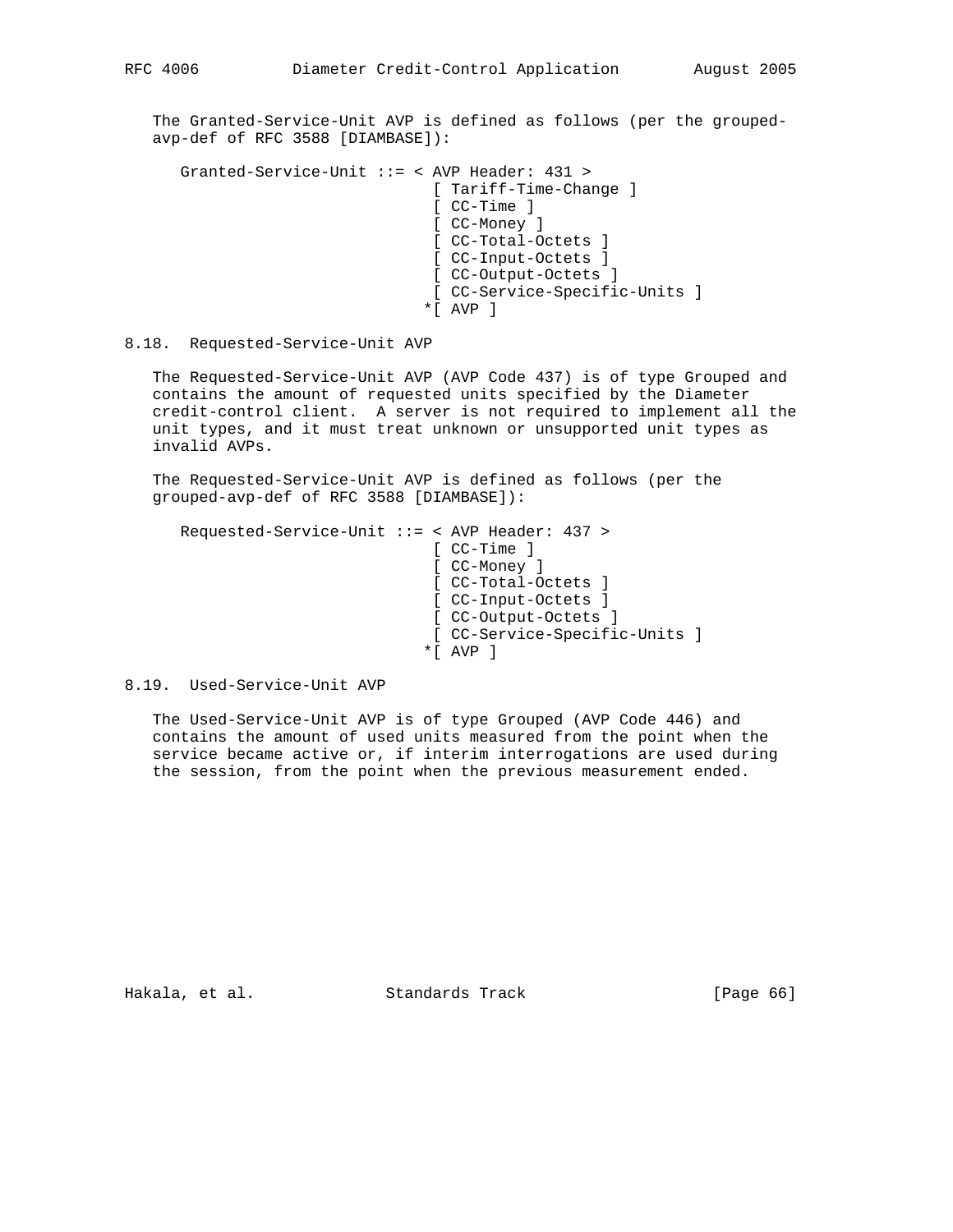The Granted-Service-Unit AVP is defined as follows (per the grouped avp-def of RFC 3588 [DIAMBASE]):

```
 Granted-Service-Unit ::= < AVP Header: 431 >
                 [ Tariff-Time-Change ]
                 [ CC-Time ]
                 [ CC-Money ]
                 [ CC-Total-Octets ]
                 [ CC-Input-Octets ]
                 [ CC-Output-Octets ]
                 [ CC-Service-Specific-Units ]
               *[ AVP ]
```
8.18. Requested-Service-Unit AVP

 The Requested-Service-Unit AVP (AVP Code 437) is of type Grouped and contains the amount of requested units specified by the Diameter credit-control client. A server is not required to implement all the unit types, and it must treat unknown or unsupported unit types as invalid AVPs.

 The Requested-Service-Unit AVP is defined as follows (per the grouped-avp-def of RFC 3588 [DIAMBASE]):

```
 Requested-Service-Unit ::= < AVP Header: 437 >
                 [ CC-Time ]
                 [ CC-Money ]
                 [ CC-Total-Octets ]
                 [ CC-Input-Octets ]
                 [ CC-Output-Octets ]
                 [ CC-Service-Specific-Units ]
                *[ AVP ]
```
8.19. Used-Service-Unit AVP

 The Used-Service-Unit AVP is of type Grouped (AVP Code 446) and contains the amount of used units measured from the point when the service became active or, if interim interrogations are used during the session, from the point when the previous measurement ended.

Hakala, et al. Standards Track [Page 66]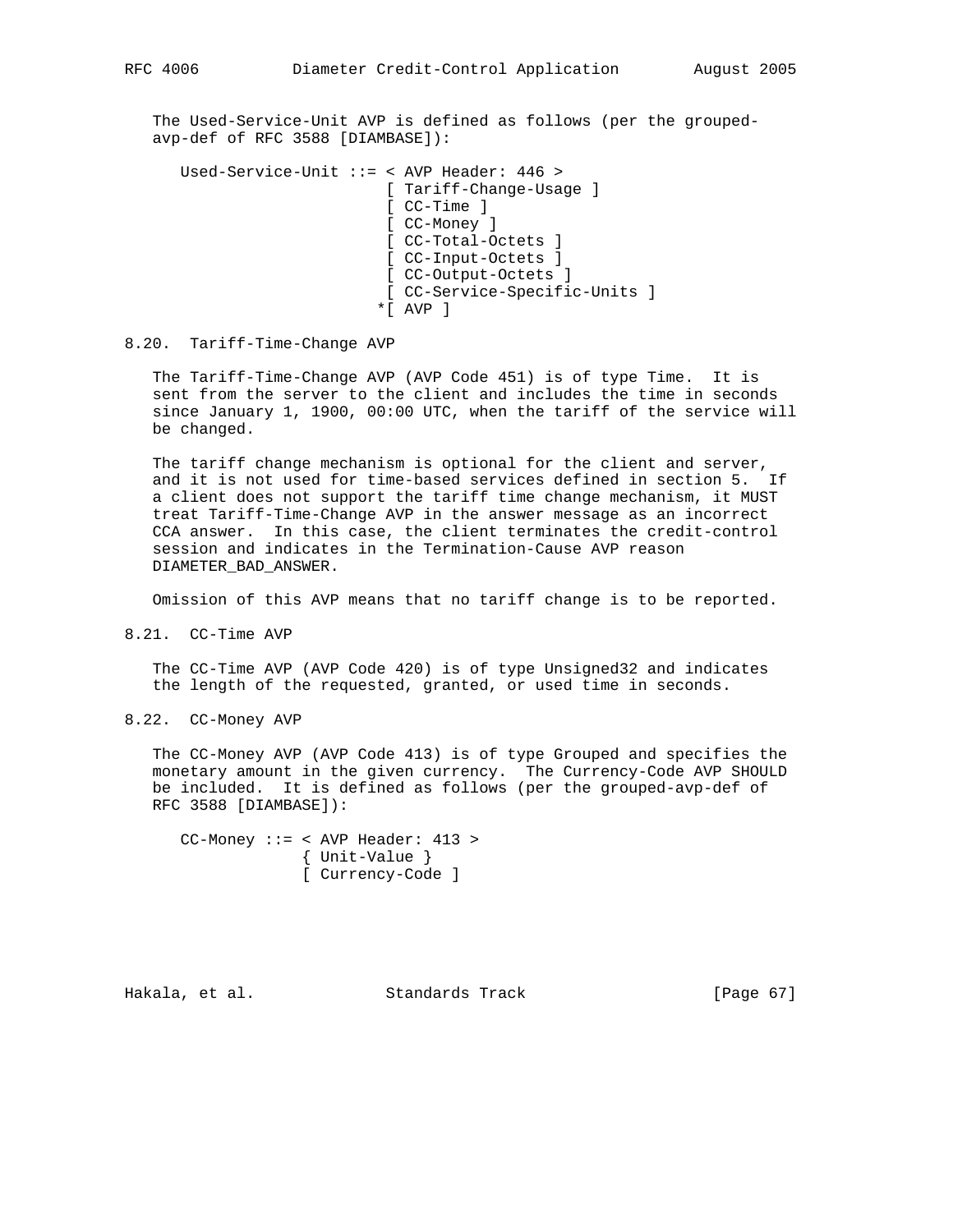The Used-Service-Unit AVP is defined as follows (per the grouped avp-def of RFC 3588 [DIAMBASE]):

 Used-Service-Unit ::= < AVP Header: 446 > [ Tariff-Change-Usage ] [ CC-Time ] [ CC-Money ] [ CC-Total-Octets ] [ CC-Input-Octets ] [ CC-Output-Octets ] [ CC-Service-Specific-Units ]  $*$ [ AVP ]

#### 8.20. Tariff-Time-Change AVP

 The Tariff-Time-Change AVP (AVP Code 451) is of type Time. It is sent from the server to the client and includes the time in seconds since January 1, 1900, 00:00 UTC, when the tariff of the service will be changed.

 The tariff change mechanism is optional for the client and server, and it is not used for time-based services defined in section 5. If a client does not support the tariff time change mechanism, it MUST treat Tariff-Time-Change AVP in the answer message as an incorrect CCA answer. In this case, the client terminates the credit-control session and indicates in the Termination-Cause AVP reason DIAMETER\_BAD\_ANSWER.

Omission of this AVP means that no tariff change is to be reported.

8.21. CC-Time AVP

 The CC-Time AVP (AVP Code 420) is of type Unsigned32 and indicates the length of the requested, granted, or used time in seconds.

8.22. CC-Money AVP

 The CC-Money AVP (AVP Code 413) is of type Grouped and specifies the monetary amount in the given currency. The Currency-Code AVP SHOULD be included. It is defined as follows (per the grouped-avp-def of RFC 3588 [DIAMBASE]):

 CC-Money ::= < AVP Header: 413 > { Unit-Value } [ Currency-Code ]

Hakala, et al. Standards Track [Page 67]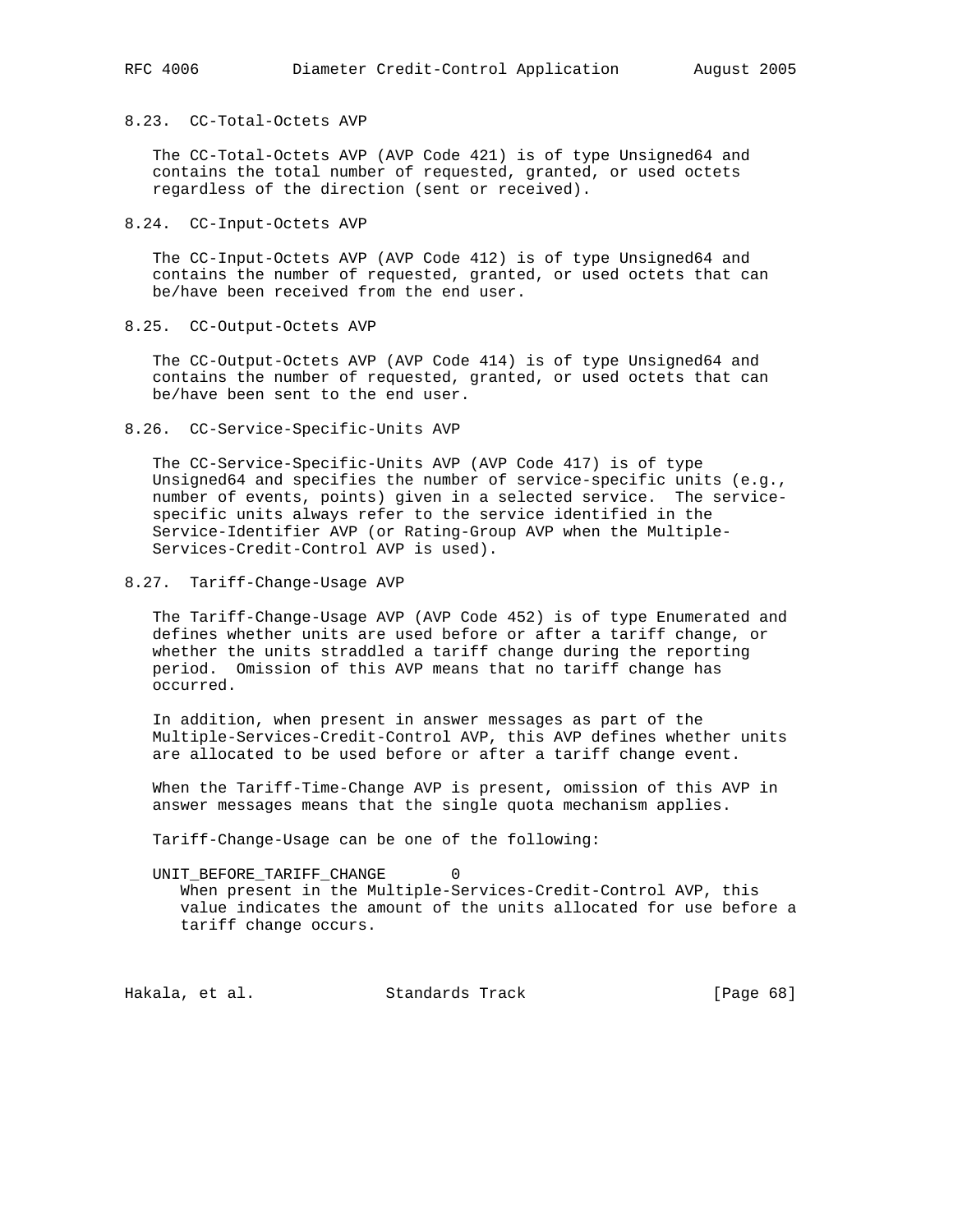## 8.23. CC-Total-Octets AVP

 The CC-Total-Octets AVP (AVP Code 421) is of type Unsigned64 and contains the total number of requested, granted, or used octets regardless of the direction (sent or received).

8.24. CC-Input-Octets AVP

 The CC-Input-Octets AVP (AVP Code 412) is of type Unsigned64 and contains the number of requested, granted, or used octets that can be/have been received from the end user.

8.25. CC-Output-Octets AVP

 The CC-Output-Octets AVP (AVP Code 414) is of type Unsigned64 and contains the number of requested, granted, or used octets that can be/have been sent to the end user.

8.26. CC-Service-Specific-Units AVP

 The CC-Service-Specific-Units AVP (AVP Code 417) is of type Unsigned64 and specifies the number of service-specific units (e.g., number of events, points) given in a selected service. The service specific units always refer to the service identified in the Service-Identifier AVP (or Rating-Group AVP when the Multiple- Services-Credit-Control AVP is used).

8.27. Tariff-Change-Usage AVP

 The Tariff-Change-Usage AVP (AVP Code 452) is of type Enumerated and defines whether units are used before or after a tariff change, or whether the units straddled a tariff change during the reporting period. Omission of this AVP means that no tariff change has occurred.

 In addition, when present in answer messages as part of the Multiple-Services-Credit-Control AVP, this AVP defines whether units are allocated to be used before or after a tariff change event.

 When the Tariff-Time-Change AVP is present, omission of this AVP in answer messages means that the single quota mechanism applies.

Tariff-Change-Usage can be one of the following:

UNIT\_BEFORE\_TARIFF\_CHANGE 0

 When present in the Multiple-Services-Credit-Control AVP, this value indicates the amount of the units allocated for use before a tariff change occurs.

Hakala, et al. Standards Track [Page 68]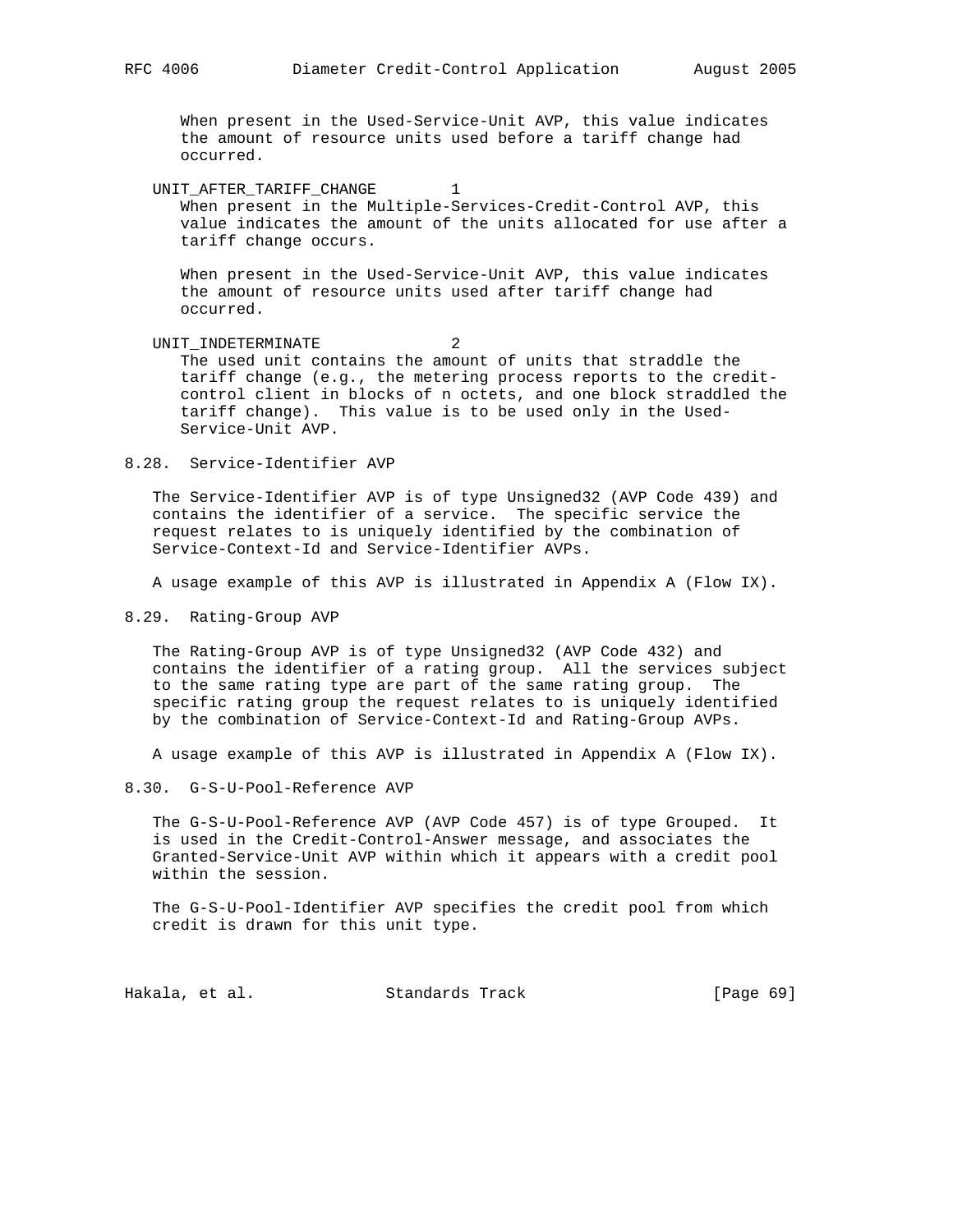When present in the Used-Service-Unit AVP, this value indicates the amount of resource units used before a tariff change had occurred.

UNIT\_AFTER\_TARIFF\_CHANGE 1 When present in the Multiple-Services-Credit-Control AVP, this value indicates the amount of the units allocated for use after a tariff change occurs.

 When present in the Used-Service-Unit AVP, this value indicates the amount of resource units used after tariff change had occurred.

UNIT\_INDETERMINATE 2 The used unit contains the amount of units that straddle the tariff change (e.g., the metering process reports to the credit control client in blocks of n octets, and one block straddled the tariff change). This value is to be used only in the Used- Service-Unit AVP.

8.28. Service-Identifier AVP

 The Service-Identifier AVP is of type Unsigned32 (AVP Code 439) and contains the identifier of a service. The specific service the request relates to is uniquely identified by the combination of Service-Context-Id and Service-Identifier AVPs.

A usage example of this AVP is illustrated in Appendix A (Flow IX).

8.29. Rating-Group AVP

 The Rating-Group AVP is of type Unsigned32 (AVP Code 432) and contains the identifier of a rating group. All the services subject to the same rating type are part of the same rating group. The specific rating group the request relates to is uniquely identified by the combination of Service-Context-Id and Rating-Group AVPs.

A usage example of this AVP is illustrated in Appendix A (Flow IX).

8.30. G-S-U-Pool-Reference AVP

 The G-S-U-Pool-Reference AVP (AVP Code 457) is of type Grouped. It is used in the Credit-Control-Answer message, and associates the Granted-Service-Unit AVP within which it appears with a credit pool within the session.

 The G-S-U-Pool-Identifier AVP specifies the credit pool from which credit is drawn for this unit type.

Hakala, et al. Standards Track [Page 69]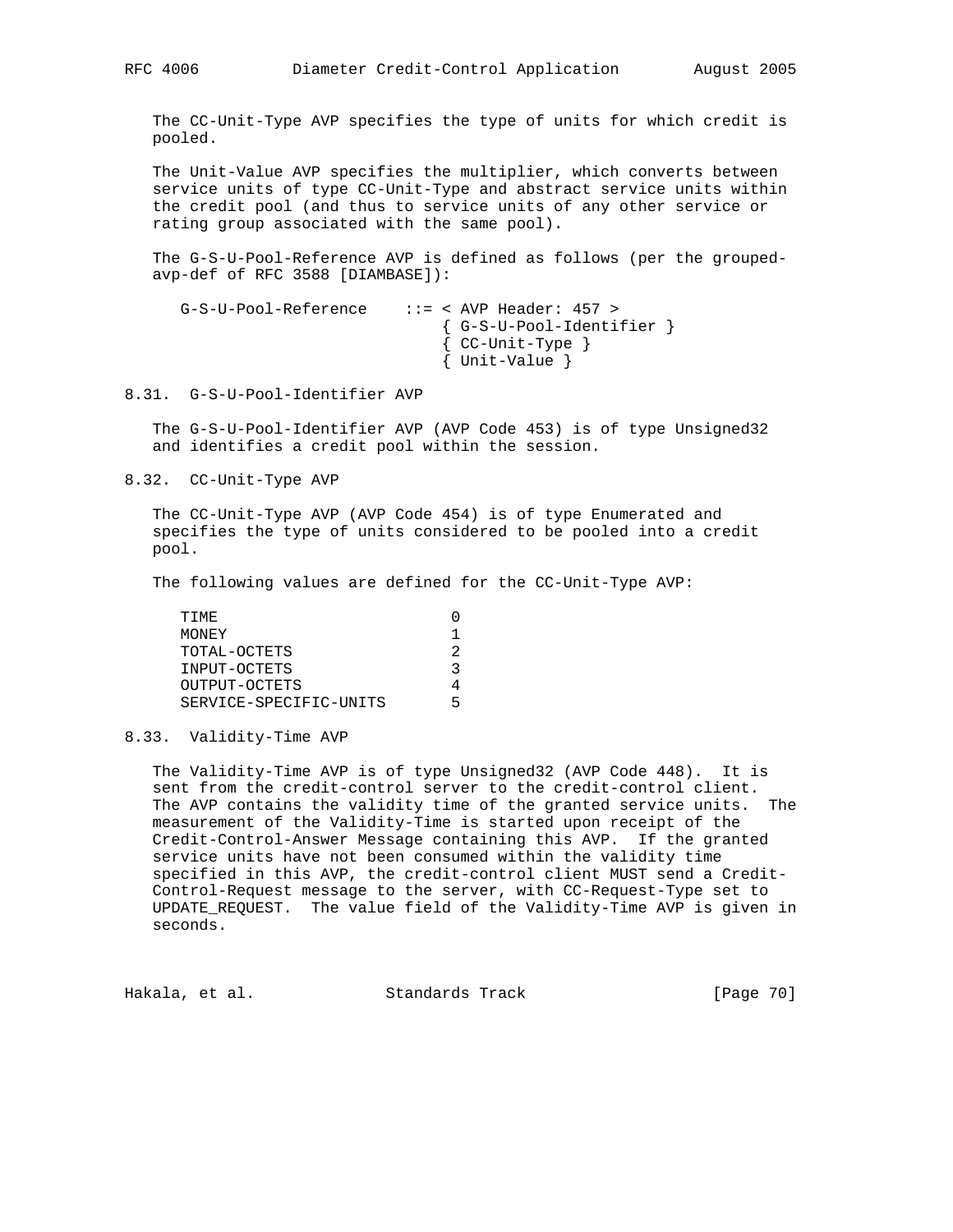The CC-Unit-Type AVP specifies the type of units for which credit is pooled.

 The Unit-Value AVP specifies the multiplier, which converts between service units of type CC-Unit-Type and abstract service units within the credit pool (and thus to service units of any other service or rating group associated with the same pool).

 The G-S-U-Pool-Reference AVP is defined as follows (per the grouped avp-def of RFC 3588 [DIAMBASE]):

```
 G-S-U-Pool-Reference ::= < AVP Header: 457 >
                  { G-S-U-Pool-Identifier }
                  { CC-Unit-Type }
                  { Unit-Value }
```
8.31. G-S-U-Pool-Identifier AVP

 The G-S-U-Pool-Identifier AVP (AVP Code 453) is of type Unsigned32 and identifies a credit pool within the session.

8.32. CC-Unit-Type AVP

 The CC-Unit-Type AVP (AVP Code 454) is of type Enumerated and specifies the type of units considered to be pooled into a credit pool.

The following values are defined for the CC-Unit-Type AVP:

| TTMF.                  |    |
|------------------------|----|
| MONEY                  | 1. |
| TOTAL-OCTETS           | 2  |
| INPUT-OCTETS           | 3  |
| OUTPUT-OCTETS          | 4  |
| SERVICE-SPECIFIC-UNITS | 5  |
|                        |    |

8.33. Validity-Time AVP

 The Validity-Time AVP is of type Unsigned32 (AVP Code 448). It is sent from the credit-control server to the credit-control client. The AVP contains the validity time of the granted service units. The measurement of the Validity-Time is started upon receipt of the Credit-Control-Answer Message containing this AVP. If the granted service units have not been consumed within the validity time specified in this AVP, the credit-control client MUST send a Credit- Control-Request message to the server, with CC-Request-Type set to UPDATE\_REQUEST. The value field of the Validity-Time AVP is given in seconds.

Hakala, et al. Standards Track [Page 70]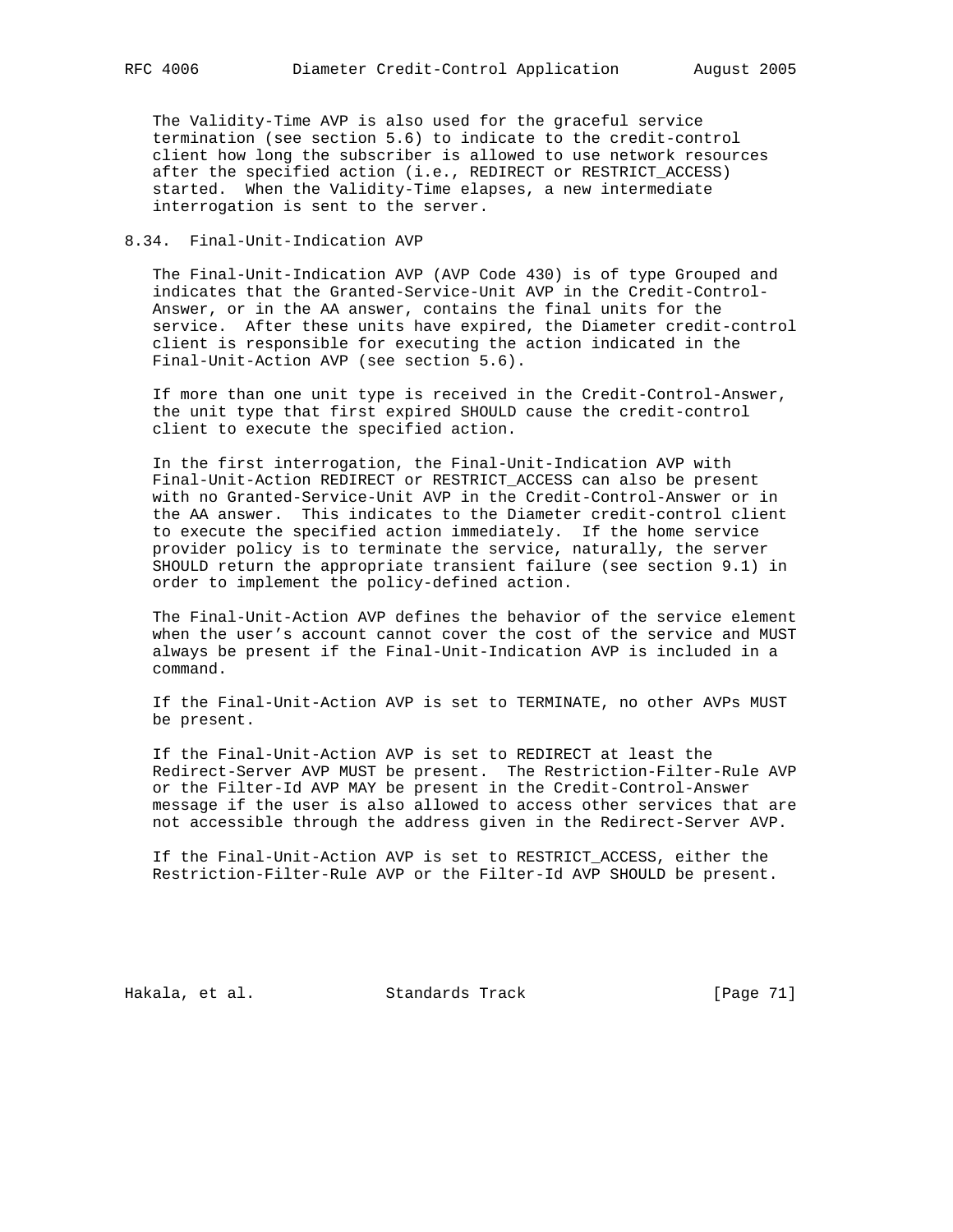The Validity-Time AVP is also used for the graceful service termination (see section 5.6) to indicate to the credit-control client how long the subscriber is allowed to use network resources after the specified action (i.e., REDIRECT or RESTRICT\_ACCESS) started. When the Validity-Time elapses, a new intermediate interrogation is sent to the server.

### 8.34. Final-Unit-Indication AVP

 The Final-Unit-Indication AVP (AVP Code 430) is of type Grouped and indicates that the Granted-Service-Unit AVP in the Credit-Control- Answer, or in the AA answer, contains the final units for the service. After these units have expired, the Diameter credit-control client is responsible for executing the action indicated in the Final-Unit-Action AVP (see section 5.6).

 If more than one unit type is received in the Credit-Control-Answer, the unit type that first expired SHOULD cause the credit-control client to execute the specified action.

 In the first interrogation, the Final-Unit-Indication AVP with Final-Unit-Action REDIRECT or RESTRICT\_ACCESS can also be present with no Granted-Service-Unit AVP in the Credit-Control-Answer or in the AA answer. This indicates to the Diameter credit-control client to execute the specified action immediately. If the home service provider policy is to terminate the service, naturally, the server SHOULD return the appropriate transient failure (see section 9.1) in order to implement the policy-defined action.

 The Final-Unit-Action AVP defines the behavior of the service element when the user's account cannot cover the cost of the service and MUST always be present if the Final-Unit-Indication AVP is included in a command.

 If the Final-Unit-Action AVP is set to TERMINATE, no other AVPs MUST be present.

 If the Final-Unit-Action AVP is set to REDIRECT at least the Redirect-Server AVP MUST be present. The Restriction-Filter-Rule AVP or the Filter-Id AVP MAY be present in the Credit-Control-Answer message if the user is also allowed to access other services that are not accessible through the address given in the Redirect-Server AVP.

 If the Final-Unit-Action AVP is set to RESTRICT\_ACCESS, either the Restriction-Filter-Rule AVP or the Filter-Id AVP SHOULD be present.

Hakala, et al. Standards Track [Page 71]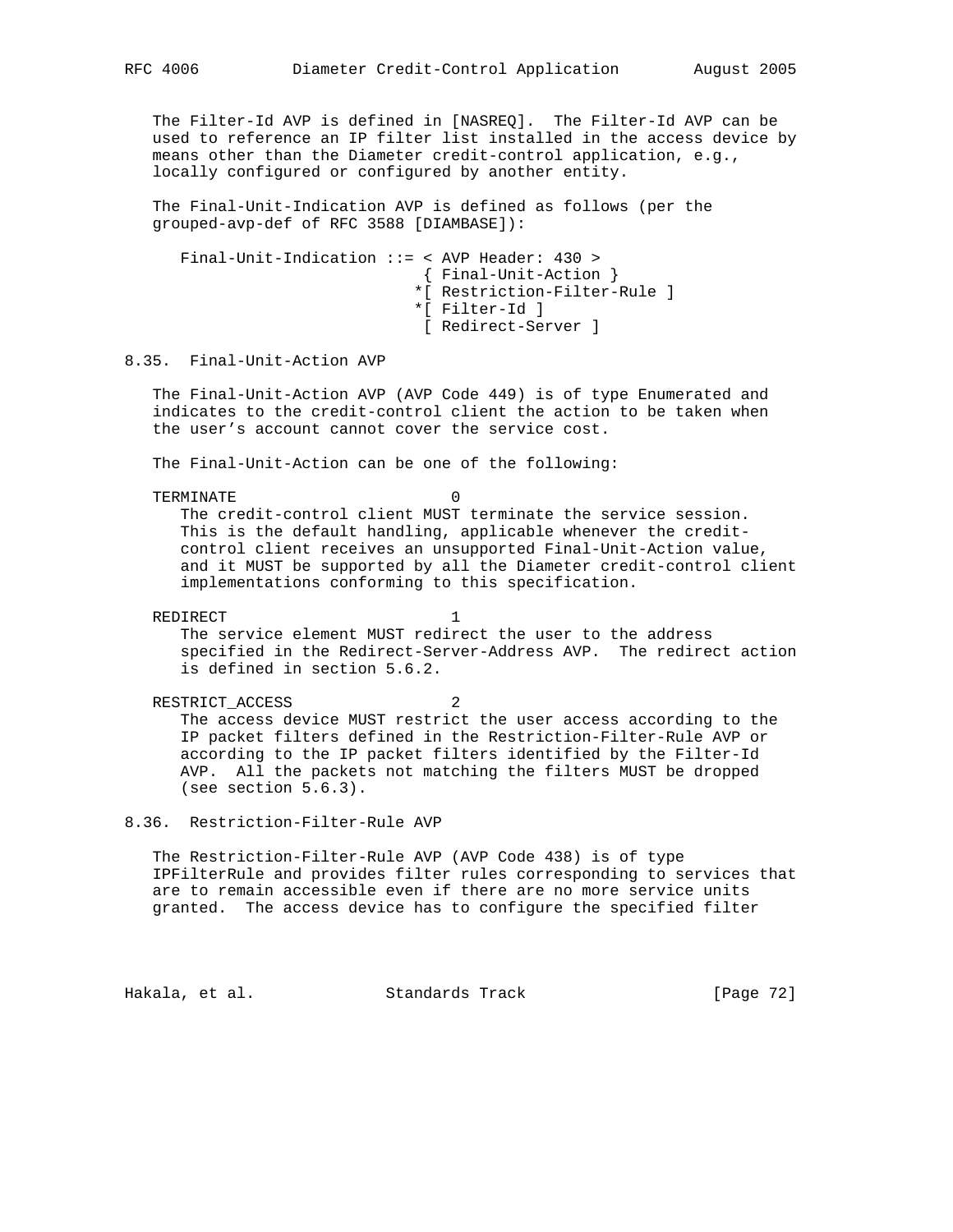The Filter-Id AVP is defined in [NASREQ]. The Filter-Id AVP can be used to reference an IP filter list installed in the access device by means other than the Diameter credit-control application, e.g., locally configured or configured by another entity.

 The Final-Unit-Indication AVP is defined as follows (per the grouped-avp-def of RFC 3588 [DIAMBASE]):

 Final-Unit-Indication ::= < AVP Header: 430 > { Final-Unit-Action } \*[ Restriction-Filter-Rule ] \*[ Filter-Id ] [ Redirect-Server ]

# 8.35. Final-Unit-Action AVP

 The Final-Unit-Action AVP (AVP Code 449) is of type Enumerated and indicates to the credit-control client the action to be taken when the user's account cannot cover the service cost.

The Final-Unit-Action can be one of the following:

TERMINATE 0

 The credit-control client MUST terminate the service session. This is the default handling, applicable whenever the credit control client receives an unsupported Final-Unit-Action value, and it MUST be supported by all the Diameter credit-control client implementations conforming to this specification.

REDIRECT 1

 The service element MUST redirect the user to the address specified in the Redirect-Server-Address AVP. The redirect action is defined in section 5.6.2.

RESTRICT\_ACCESS 2 The access device MUST restrict the user access according to the IP packet filters defined in the Restriction-Filter-Rule AVP or according to the IP packet filters identified by the Filter-Id AVP. All the packets not matching the filters MUST be dropped (see section 5.6.3).

8.36. Restriction-Filter-Rule AVP

 The Restriction-Filter-Rule AVP (AVP Code 438) is of type IPFilterRule and provides filter rules corresponding to services that are to remain accessible even if there are no more service units granted. The access device has to configure the specified filter

Hakala, et al. Standards Track [Page 72]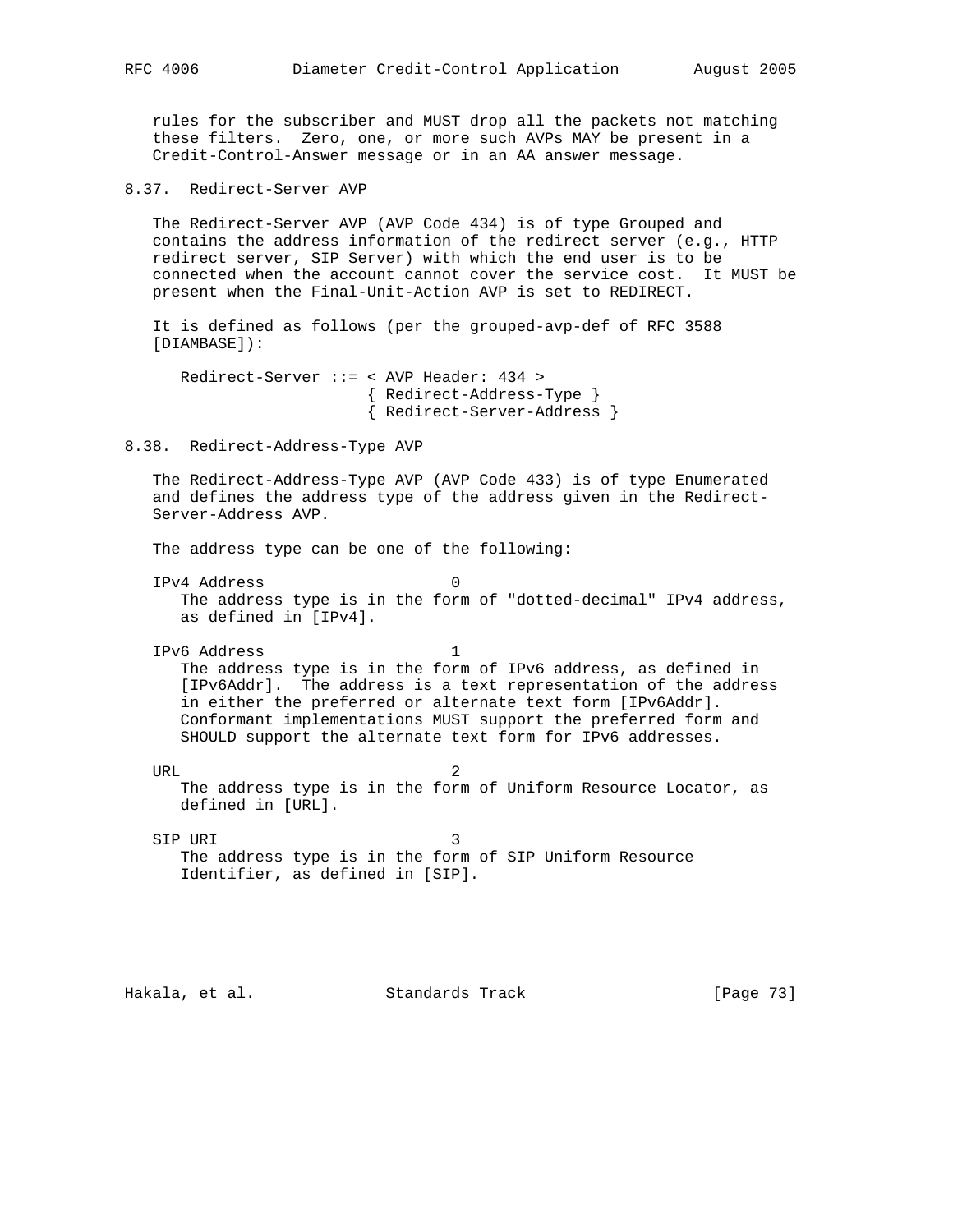rules for the subscriber and MUST drop all the packets not matching these filters. Zero, one, or more such AVPs MAY be present in a Credit-Control-Answer message or in an AA answer message.

8.37. Redirect-Server AVP

 The Redirect-Server AVP (AVP Code 434) is of type Grouped and contains the address information of the redirect server (e.g., HTTP redirect server, SIP Server) with which the end user is to be connected when the account cannot cover the service cost. It MUST be present when the Final-Unit-Action AVP is set to REDIRECT.

 It is defined as follows (per the grouped-avp-def of RFC 3588 [DIAMBASE]):

 Redirect-Server ::= < AVP Header: 434 > { Redirect-Address-Type } { Redirect-Server-Address }

8.38. Redirect-Address-Type AVP

 The Redirect-Address-Type AVP (AVP Code 433) is of type Enumerated and defines the address type of the address given in the Redirect- Server-Address AVP.

The address type can be one of the following:

 IPv4 Address 0 The address type is in the form of "dotted-decimal" IPv4 address, as defined in [IPv4].

 IPv6 Address 1 The address type is in the form of IPv6 address, as defined in [IPv6Addr]. The address is a text representation of the address in either the preferred or alternate text form [IPv6Addr]. Conformant implementations MUST support the preferred form and SHOULD support the alternate text form for IPv6 addresses.

URL 2 The address type is in the form of Uniform Resource Locator, as defined in [URL].

SIP URI 3 The address type is in the form of SIP Uniform Resource Identifier, as defined in [SIP].

Hakala, et al. Standards Track [Page 73]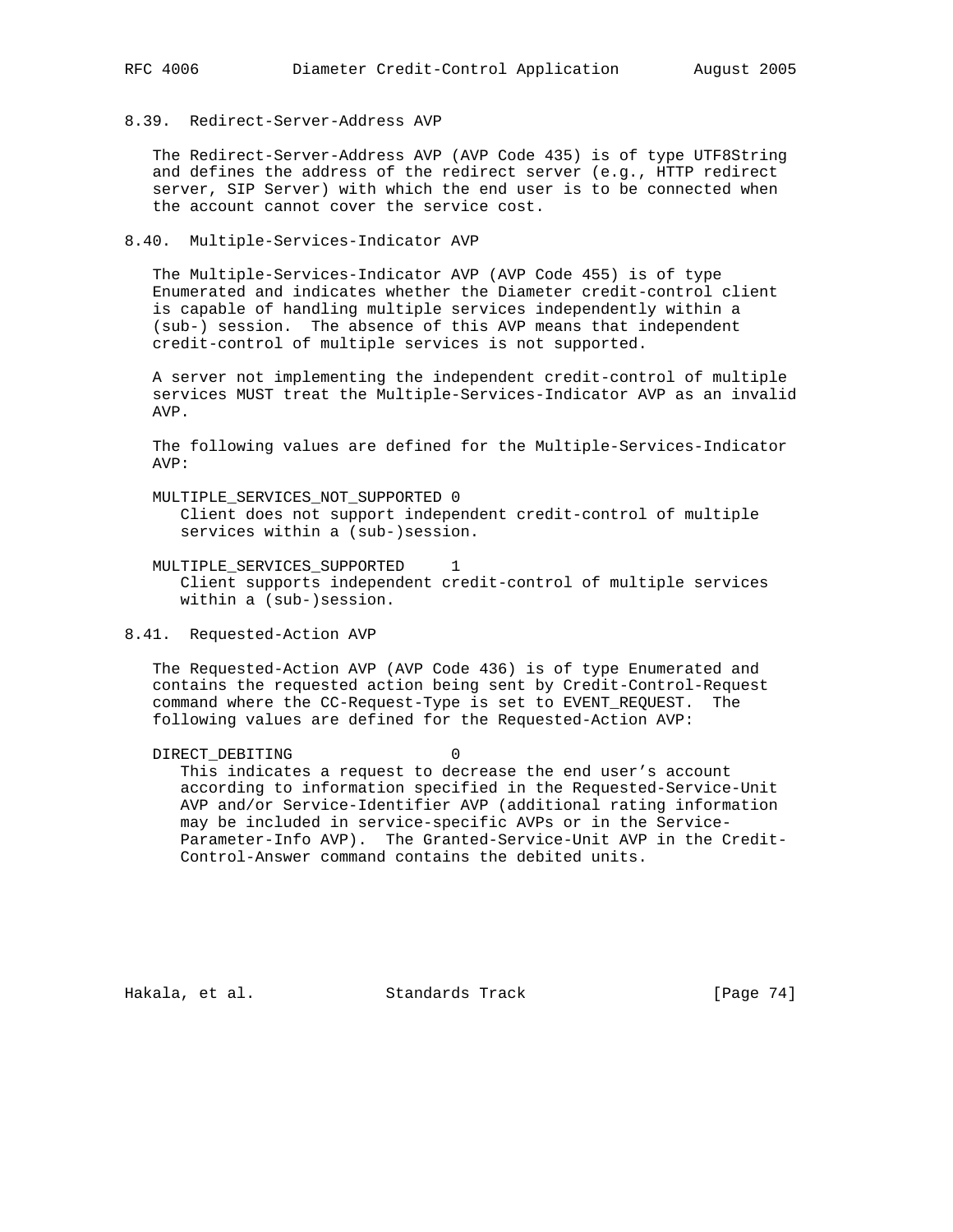### 8.39. Redirect-Server-Address AVP

 The Redirect-Server-Address AVP (AVP Code 435) is of type UTF8String and defines the address of the redirect server (e.g., HTTP redirect server, SIP Server) with which the end user is to be connected when the account cannot cover the service cost.

#### 8.40. Multiple-Services-Indicator AVP

 The Multiple-Services-Indicator AVP (AVP Code 455) is of type Enumerated and indicates whether the Diameter credit-control client is capable of handling multiple services independently within a (sub-) session. The absence of this AVP means that independent credit-control of multiple services is not supported.

 A server not implementing the independent credit-control of multiple services MUST treat the Multiple-Services-Indicator AVP as an invalid AVP.

 The following values are defined for the Multiple-Services-Indicator AVP:

 MULTIPLE\_SERVICES\_NOT\_SUPPORTED 0 Client does not support independent credit-control of multiple services within a (sub-)session.

- MULTIPLE\_SERVICES\_SUPPORTED 1 Client supports independent credit-control of multiple services within a (sub-)session.
- 8.41. Requested-Action AVP

 The Requested-Action AVP (AVP Code 436) is of type Enumerated and contains the requested action being sent by Credit-Control-Request command where the CC-Request-Type is set to EVENT\_REQUEST. The following values are defined for the Requested-Action AVP:

DIRECT\_DEBITING 0 This indicates a request to decrease the end user's account according to information specified in the Requested-Service-Unit AVP and/or Service-Identifier AVP (additional rating information may be included in service-specific AVPs or in the Service- Parameter-Info AVP). The Granted-Service-Unit AVP in the Credit- Control-Answer command contains the debited units.

Hakala, et al. Standards Track [Page 74]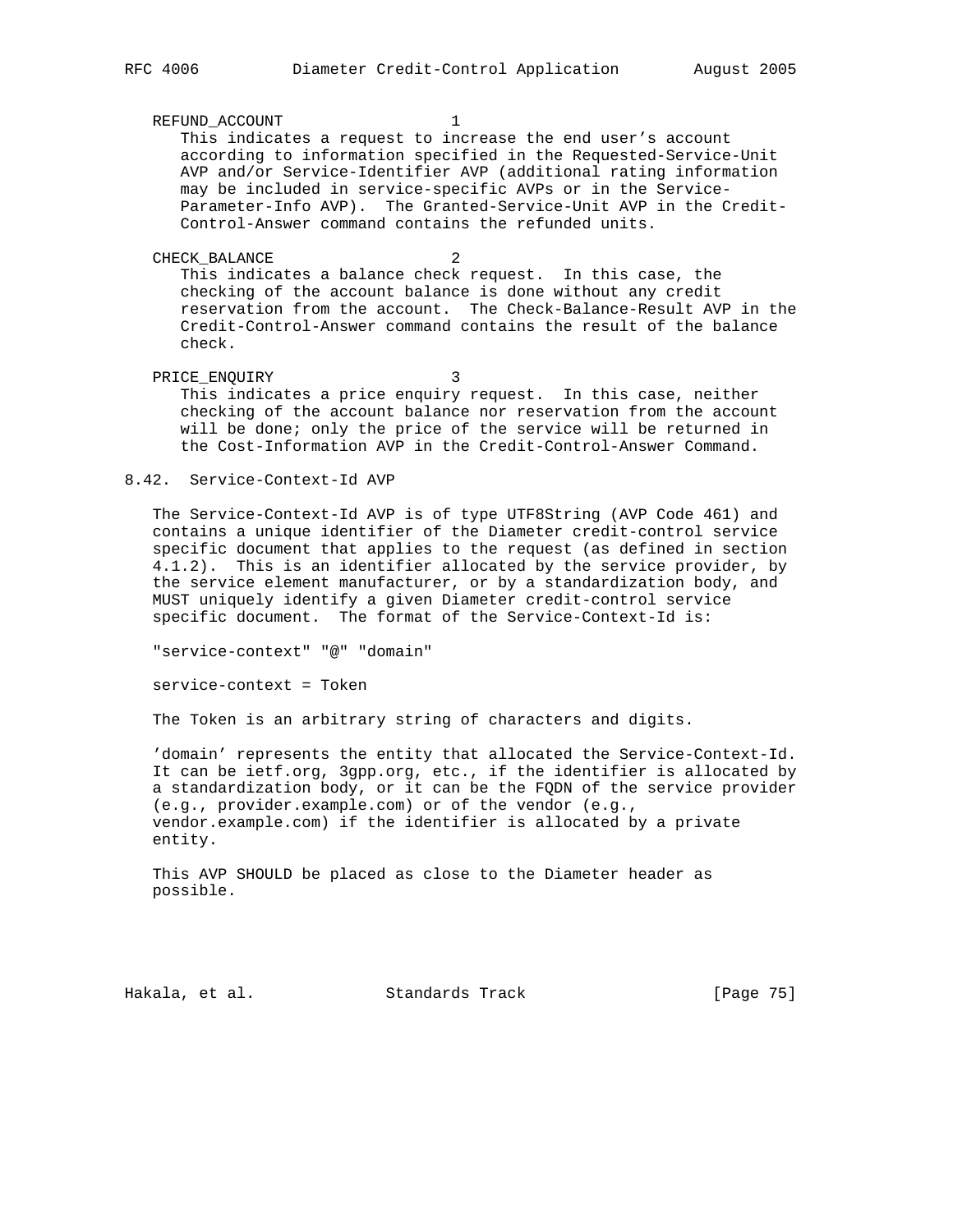#### REFUND\_ACCOUNT 1

 This indicates a request to increase the end user's account according to information specified in the Requested-Service-Unit AVP and/or Service-Identifier AVP (additional rating information may be included in service-specific AVPs or in the Service- Parameter-Info AVP). The Granted-Service-Unit AVP in the Credit- Control-Answer command contains the refunded units.

CHECK BALANCE 2

 This indicates a balance check request. In this case, the checking of the account balance is done without any credit reservation from the account. The Check-Balance-Result AVP in the Credit-Control-Answer command contains the result of the balance check.

PRICE\_ENQUIRY 3 This indicates a price enquiry request. In this case, neither checking of the account balance nor reservation from the account will be done; only the price of the service will be returned in the Cost-Information AVP in the Credit-Control-Answer Command.

## 8.42. Service-Context-Id AVP

 The Service-Context-Id AVP is of type UTF8String (AVP Code 461) and contains a unique identifier of the Diameter credit-control service specific document that applies to the request (as defined in section 4.1.2). This is an identifier allocated by the service provider, by the service element manufacturer, or by a standardization body, and MUST uniquely identify a given Diameter credit-control service specific document. The format of the Service-Context-Id is:

"service-context" "@" "domain"

service-context = Token

The Token is an arbitrary string of characters and digits.

 'domain' represents the entity that allocated the Service-Context-Id. It can be ietf.org, 3gpp.org, etc., if the identifier is allocated by a standardization body, or it can be the FQDN of the service provider (e.g., provider.example.com) or of the vendor (e.g., vendor.example.com) if the identifier is allocated by a private entity.

 This AVP SHOULD be placed as close to the Diameter header as possible.

Hakala, et al. Standards Track [Page 75]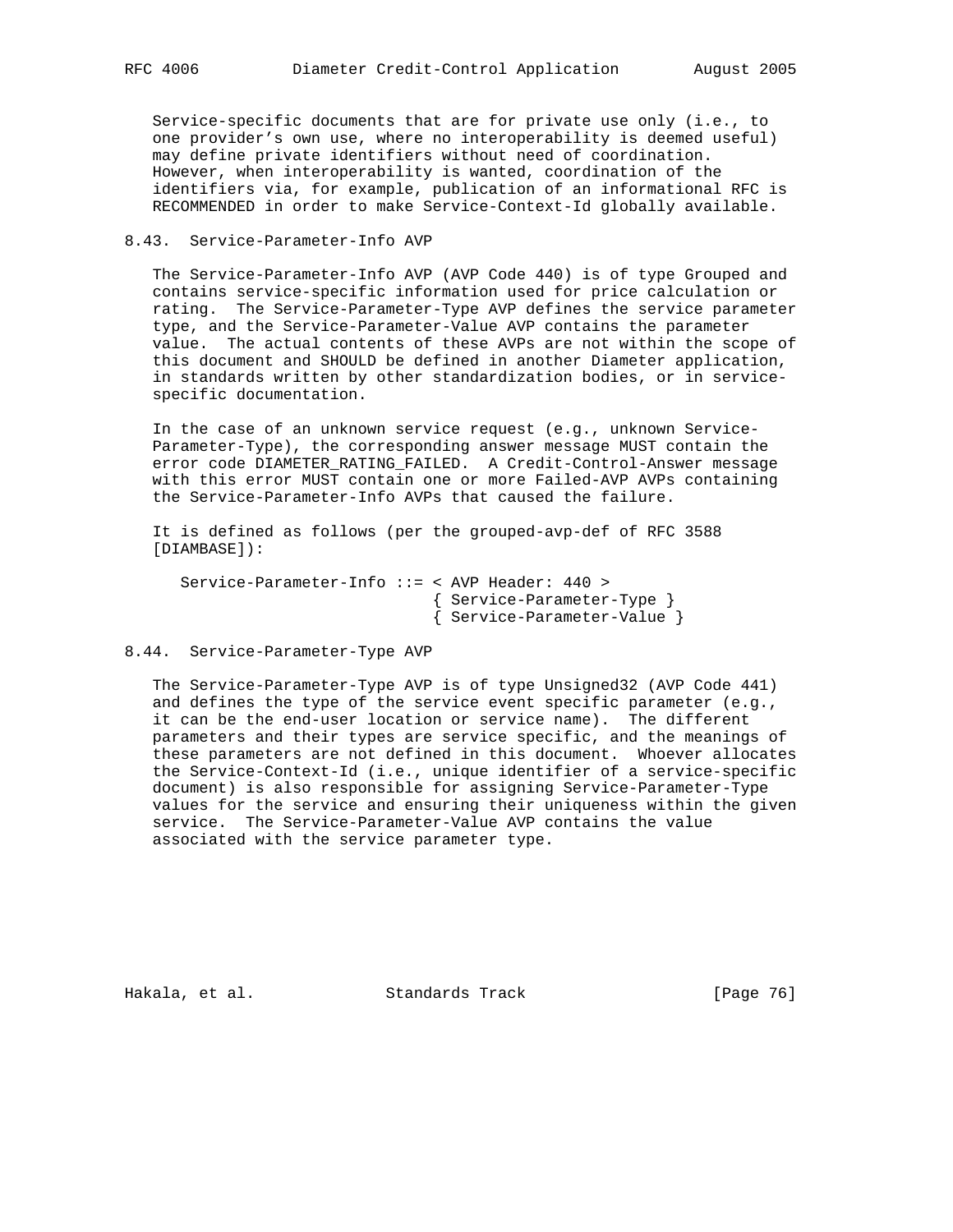Service-specific documents that are for private use only (i.e., to one provider's own use, where no interoperability is deemed useful) may define private identifiers without need of coordination. However, when interoperability is wanted, coordination of the identifiers via, for example, publication of an informational RFC is RECOMMENDED in order to make Service-Context-Id globally available.

### 8.43. Service-Parameter-Info AVP

 The Service-Parameter-Info AVP (AVP Code 440) is of type Grouped and contains service-specific information used for price calculation or rating. The Service-Parameter-Type AVP defines the service parameter type, and the Service-Parameter-Value AVP contains the parameter value. The actual contents of these AVPs are not within the scope of this document and SHOULD be defined in another Diameter application, in standards written by other standardization bodies, or in service specific documentation.

 In the case of an unknown service request (e.g., unknown Service- Parameter-Type), the corresponding answer message MUST contain the error code DIAMETER\_RATING\_FAILED. A Credit-Control-Answer message with this error MUST contain one or more Failed-AVP AVPs containing the Service-Parameter-Info AVPs that caused the failure.

 It is defined as follows (per the grouped-avp-def of RFC 3588 [DIAMBASE]):

 Service-Parameter-Info ::= < AVP Header: 440 > { Service-Parameter-Type } { Service-Parameter-Value }

#### 8.44. Service-Parameter-Type AVP

 The Service-Parameter-Type AVP is of type Unsigned32 (AVP Code 441) and defines the type of the service event specific parameter (e.g., it can be the end-user location or service name). The different parameters and their types are service specific, and the meanings of these parameters are not defined in this document. Whoever allocates the Service-Context-Id (i.e., unique identifier of a service-specific document) is also responsible for assigning Service-Parameter-Type values for the service and ensuring their uniqueness within the given service. The Service-Parameter-Value AVP contains the value associated with the service parameter type.

Hakala, et al. Standards Track [Page 76]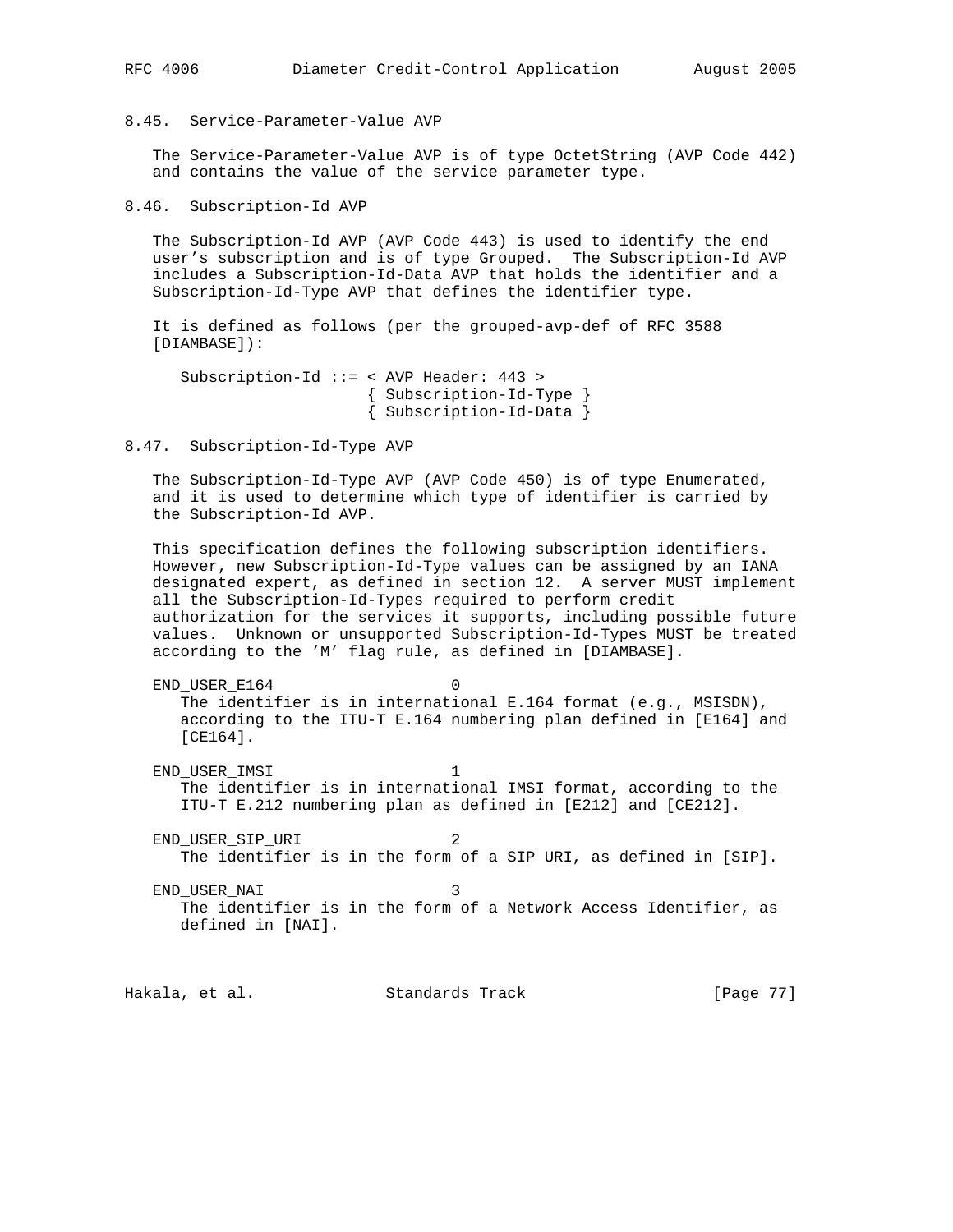8.45. Service-Parameter-Value AVP

 The Service-Parameter-Value AVP is of type OctetString (AVP Code 442) and contains the value of the service parameter type.

8.46. Subscription-Id AVP

 The Subscription-Id AVP (AVP Code 443) is used to identify the end user's subscription and is of type Grouped. The Subscription-Id AVP includes a Subscription-Id-Data AVP that holds the identifier and a Subscription-Id-Type AVP that defines the identifier type.

 It is defined as follows (per the grouped-avp-def of RFC 3588 [DIAMBASE]):

```
 Subscription-Id ::= < AVP Header: 443 >
          { Subscription-Id-Type }
          { Subscription-Id-Data }
```
#### 8.47. Subscription-Id-Type AVP

 The Subscription-Id-Type AVP (AVP Code 450) is of type Enumerated, and it is used to determine which type of identifier is carried by the Subscription-Id AVP.

 This specification defines the following subscription identifiers. However, new Subscription-Id-Type values can be assigned by an IANA designated expert, as defined in section 12. A server MUST implement all the Subscription-Id-Types required to perform credit authorization for the services it supports, including possible future values. Unknown or unsupported Subscription-Id-Types MUST be treated according to the 'M' flag rule, as defined in [DIAMBASE].

END USER E164 0 The identifier is in international E.164 format (e.g., MSISDN), according to the ITU-T E.164 numbering plan defined in [E164] and [CE164].

END\_USER\_IMSI 1 The identifier is in international IMSI format, according to the ITU-T E.212 numbering plan as defined in [E212] and [CE212].

END\_USER\_SIP\_URI 2 The identifier is in the form of a SIP URI, as defined in [SIP].

END USER NAI 3 The identifier is in the form of a Network Access Identifier, as defined in [NAI].

Hakala, et al. Standards Track [Page 77]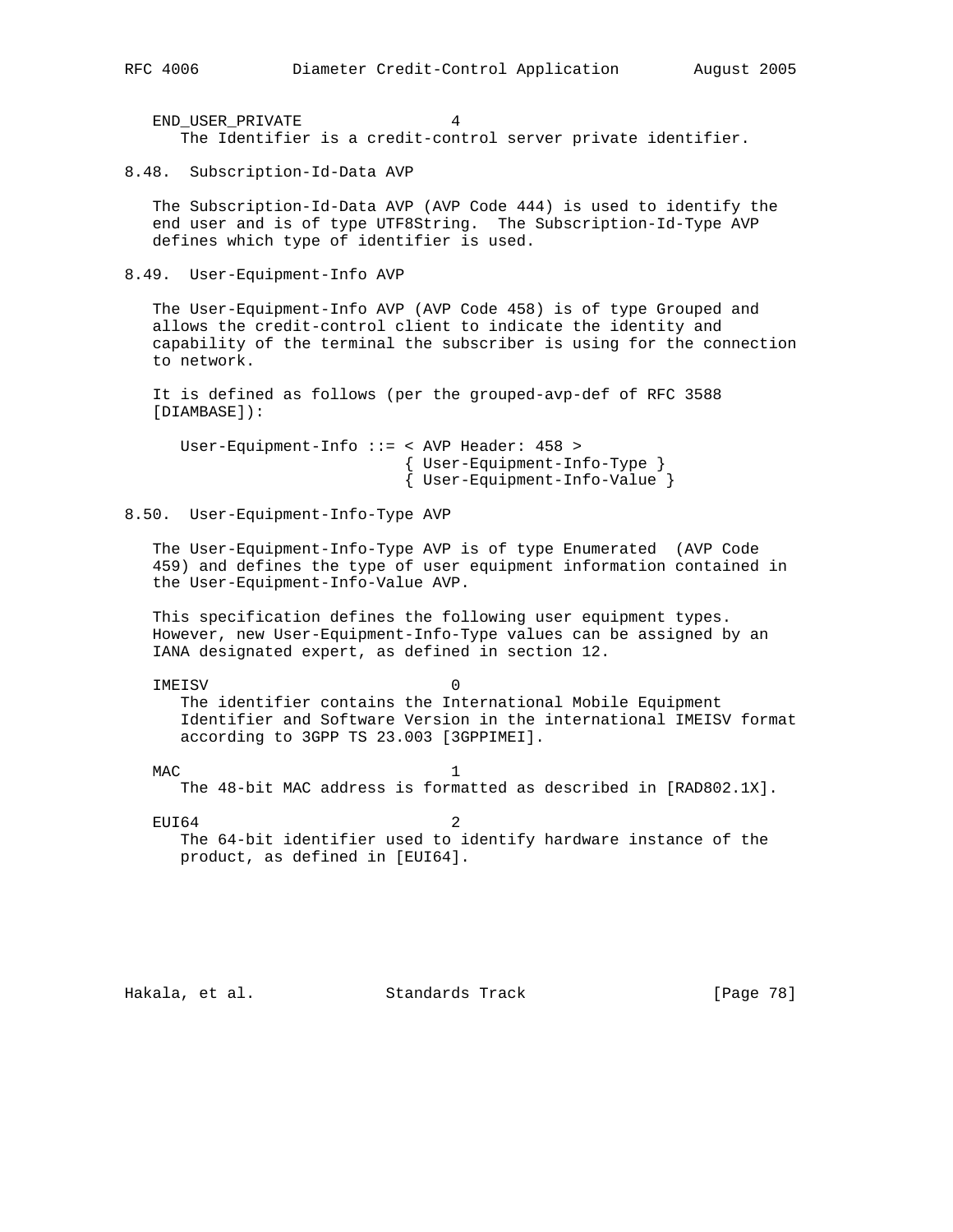END\_USER\_PRIVATE 4 The Identifier is a credit-control server private identifier.

8.48. Subscription-Id-Data AVP

 The Subscription-Id-Data AVP (AVP Code 444) is used to identify the end user and is of type UTF8String. The Subscription-Id-Type AVP defines which type of identifier is used.

8.49. User-Equipment-Info AVP

 The User-Equipment-Info AVP (AVP Code 458) is of type Grouped and allows the credit-control client to indicate the identity and capability of the terminal the subscriber is using for the connection to network.

 It is defined as follows (per the grouped-avp-def of RFC 3588 [DIAMBASE]):

 User-Equipment-Info ::= < AVP Header: 458 > { User-Equipment-Info-Type } { User-Equipment-Info-Value }

8.50. User-Equipment-Info-Type AVP

 The User-Equipment-Info-Type AVP is of type Enumerated (AVP Code 459) and defines the type of user equipment information contained in the User-Equipment-Info-Value AVP.

 This specification defines the following user equipment types. However, new User-Equipment-Info-Type values can be assigned by an IANA designated expert, as defined in section 12.

 IMEISV 0 The identifier contains the International Mobile Equipment Identifier and Software Version in the international IMEISV format according to 3GPP TS 23.003 [3GPPIMEI].

 $MAC$  1 The 48-bit MAC address is formatted as described in [RAD802.1X].

 $EUI64$  2 The 64-bit identifier used to identify hardware instance of the product, as defined in [EUI64].

Hakala, et al. Standards Track [Page 78]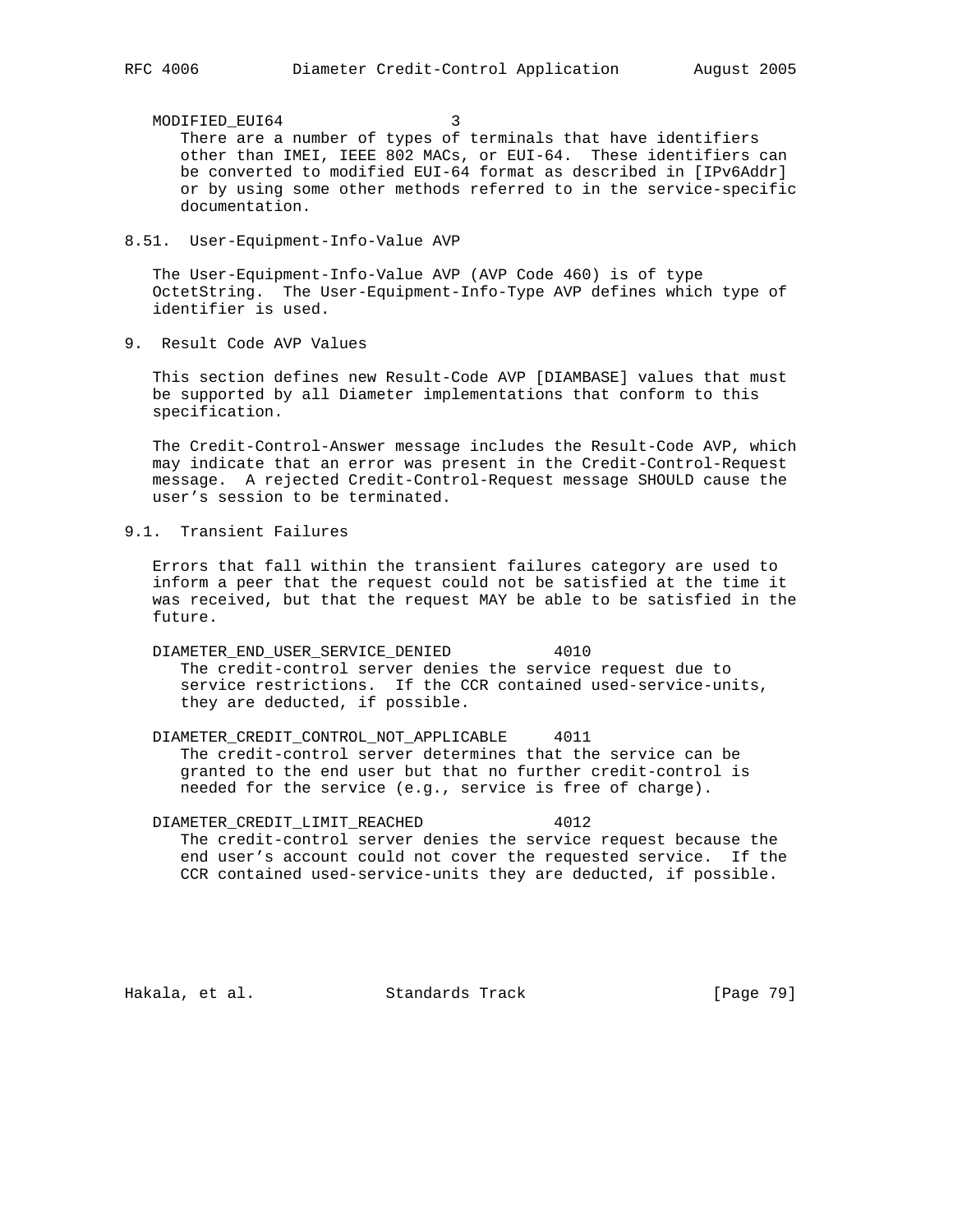MODIFIED\_EUI64 3 There are a number of types of terminals that have identifiers other than IMEI, IEEE 802 MACs, or EUI-64. These identifiers can be converted to modified EUI-64 format as described in [IPv6Addr] or by using some other methods referred to in the service-specific documentation.

8.51. User-Equipment-Info-Value AVP

 The User-Equipment-Info-Value AVP (AVP Code 460) is of type OctetString. The User-Equipment-Info-Type AVP defines which type of identifier is used.

9. Result Code AVP Values

 This section defines new Result-Code AVP [DIAMBASE] values that must be supported by all Diameter implementations that conform to this specification.

 The Credit-Control-Answer message includes the Result-Code AVP, which may indicate that an error was present in the Credit-Control-Request message. A rejected Credit-Control-Request message SHOULD cause the user's session to be terminated.

9.1. Transient Failures

 Errors that fall within the transient failures category are used to inform a peer that the request could not be satisfied at the time it was received, but that the request MAY be able to be satisfied in the future.

 DIAMETER\_END\_USER\_SERVICE\_DENIED 4010 The credit-control server denies the service request due to service restrictions. If the CCR contained used-service-units, they are deducted, if possible.

 DIAMETER\_CREDIT\_CONTROL\_NOT\_APPLICABLE 4011 The credit-control server determines that the service can be granted to the end user but that no further credit-control is needed for the service (e.g., service is free of charge).

 DIAMETER\_CREDIT\_LIMIT\_REACHED 4012 The credit-control server denies the service request because the end user's account could not cover the requested service. If the CCR contained used-service-units they are deducted, if possible.

Hakala, et al. Standards Track [Page 79]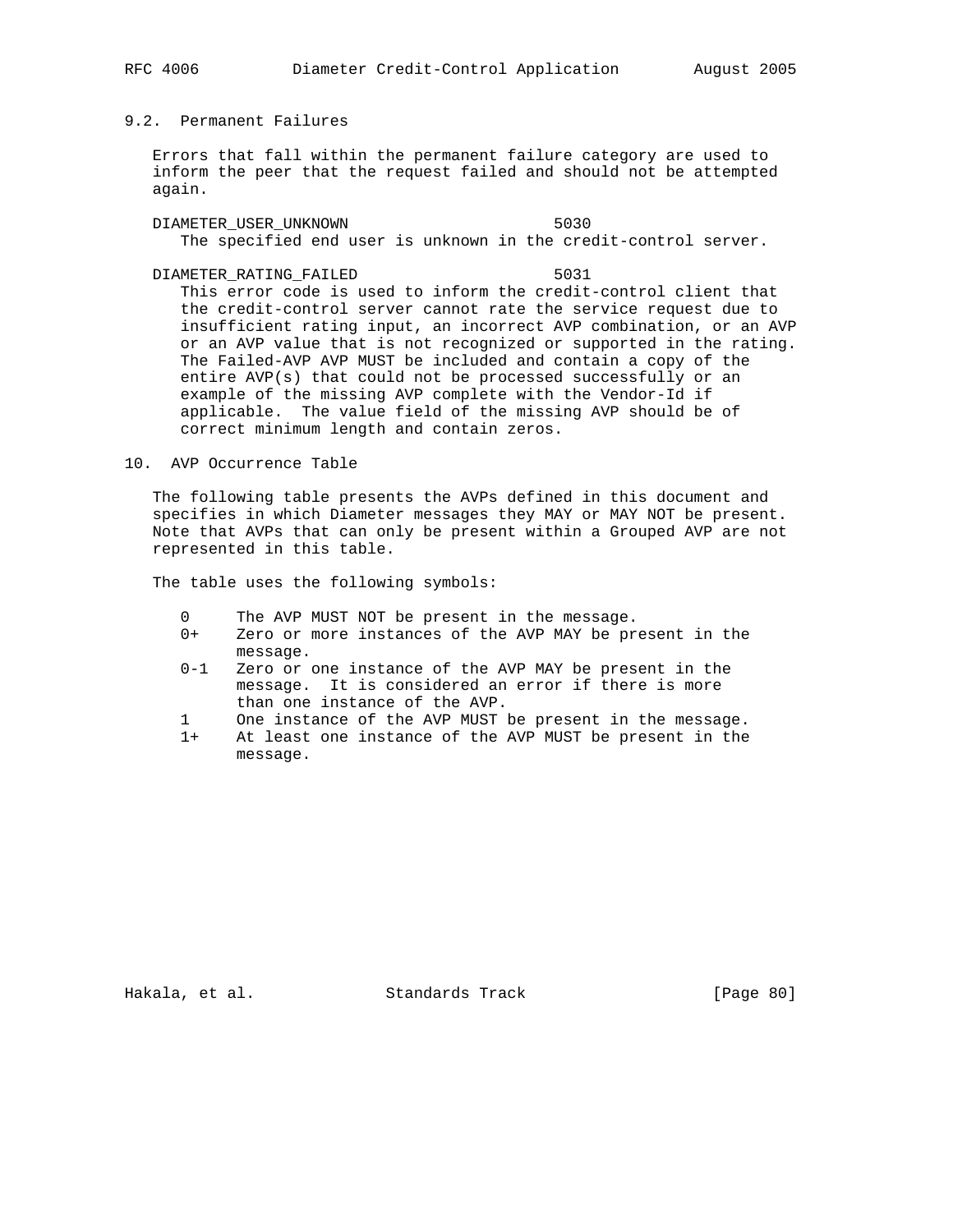# 9.2. Permanent Failures

 Errors that fall within the permanent failure category are used to inform the peer that the request failed and should not be attempted again.

 DIAMETER\_USER\_UNKNOWN 5030 The specified end user is unknown in the credit-control server.

DIAMETER RATING FAILED 5031 This error code is used to inform the credit-control client that

 the credit-control server cannot rate the service request due to insufficient rating input, an incorrect AVP combination, or an AVP or an AVP value that is not recognized or supported in the rating. The Failed-AVP AVP MUST be included and contain a copy of the entire AVP(s) that could not be processed successfully or an example of the missing AVP complete with the Vendor-Id if applicable. The value field of the missing AVP should be of correct minimum length and contain zeros.

## 10. AVP Occurrence Table

 The following table presents the AVPs defined in this document and specifies in which Diameter messages they MAY or MAY NOT be present. Note that AVPs that can only be present within a Grouped AVP are not represented in this table.

The table uses the following symbols:

- 0 The AVP MUST NOT be present in the message.
- 0+ Zero or more instances of the AVP MAY be present in the message.
- 0-1 Zero or one instance of the AVP MAY be present in the message. It is considered an error if there is more than one instance of the AVP.
- 1 One instance of the AVP MUST be present in the message.
- 1+ At least one instance of the AVP MUST be present in the message.

Hakala, et al. Standards Track [Page 80]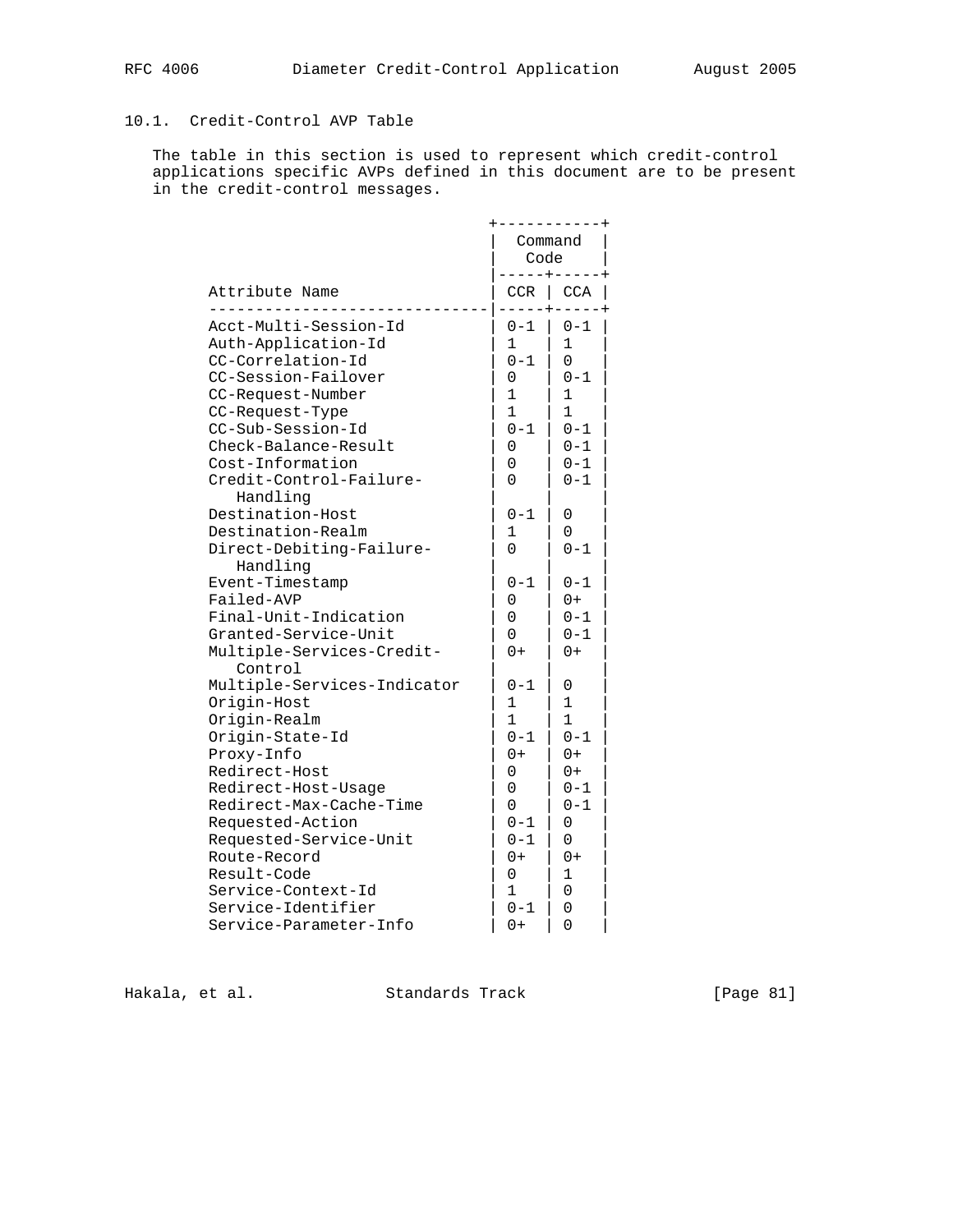# 10.1. Credit-Control AVP Table

 The table in this section is used to represent which credit-control applications specific AVPs defined in this document are to be present in the credit-control messages.

|                                                                                                                                                                                                                |                                                                                                            | Code                                                                                                 | Command                                                                                                          |
|----------------------------------------------------------------------------------------------------------------------------------------------------------------------------------------------------------------|------------------------------------------------------------------------------------------------------------|------------------------------------------------------------------------------------------------------|------------------------------------------------------------------------------------------------------------------|
| Attribute Name                                                                                                                                                                                                 |                                                                                                            | CCR                                                                                                  | <b>CCA</b>                                                                                                       |
| Auth-Application-Id<br>CC-Correlation-Id<br>CC-Session-Failover<br>CC-Request-Number<br>CC-Request-Type<br>CC-Sub-Session-Id<br>Check-Balance-Result<br>Cost-Information                                       | Acct-Multi-Session-Id<br>Credit-Control-Failure-                                                           | $0 - 1$<br>$\mathbf{1}$<br>$0 - 1$<br>0<br>1<br>1<br>$0 - 1$<br>0<br>0<br>0                          | $0 - 1$<br>1<br>$\Omega$<br>$0 - 1$<br>$\mathbf{1}$<br>1<br>$0 - 1$<br>$0 - 1$<br>$0 - 1$<br>$0 - 1$             |
| Handling<br>Destination-Host<br>Destination-Realm<br>Handling<br>Event-Timestamp<br>Failed-AVP<br>Granted-Service-Unit                                                                                         | Direct-Debiting-Failure-<br>Final-Unit-Indication<br>Multiple-Services-Credit-                             | $0 - 1$<br>1<br>0<br>0-1<br>0<br>0<br>0<br>$0+$                                                      | 0<br>0<br>$0 - 1$<br>$0 - 1$<br>$0+$<br>$0 - 1$<br>$0 - 1$<br>$0+$                                               |
| Control<br>Origin-Host<br>Origin-Realm<br>Origin-State-Id<br>Proxy-Info<br>Redirect-Host<br>Redirect-Host-Usage<br>Requested-Action<br>Route-Record<br>Result-Code<br>Service-Context-Id<br>Service-Identifier | Multiple-Services-Indicator<br>Redirect-Max-Cache-Time<br>Requested-Service-Unit<br>Service-Parameter-Info | 0-1<br>1<br>1<br>$0 - 1$<br>0+<br>0<br>0<br>0<br>$0 - 1$<br>$0 - 1$<br>0+<br>0<br>1<br>$0 - 1$<br>0+ | 0<br>1<br>1<br>$0 - 1$<br>$0+$<br>$0+$<br>0-1<br>$0 - 1$<br>0<br>0<br>$0+$<br>$\mathbf{1}$<br>$\Omega$<br>0<br>0 |

Hakala, et al. Standards Track [Page 81]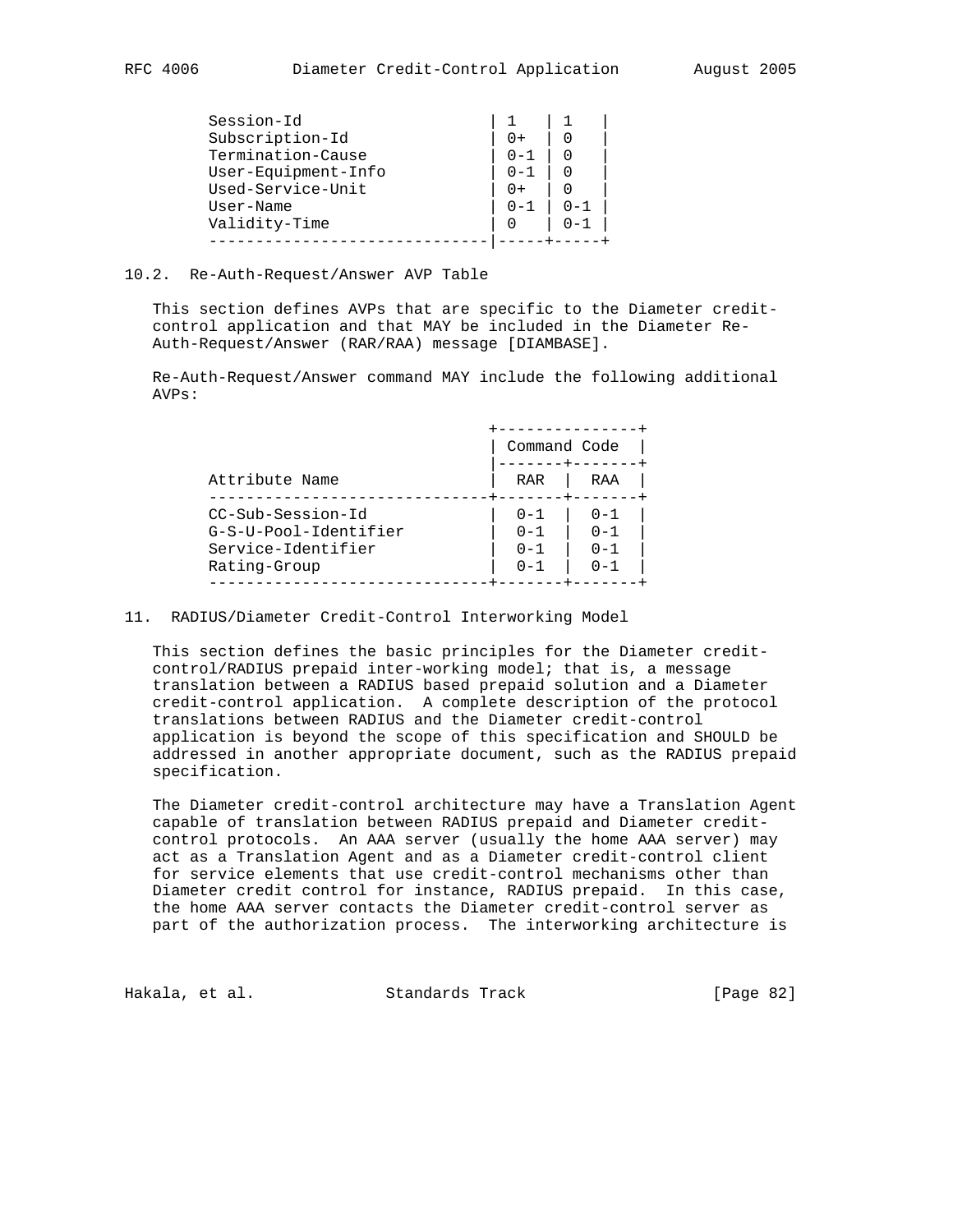## 10.2. Re-Auth-Request/Answer AVP Table

 This section defines AVPs that are specific to the Diameter credit control application and that MAY be included in the Diameter Re- Auth-Request/Answer (RAR/RAA) message [DIAMBASE].

 Re-Auth-Request/Answer command MAY include the following additional AVPs:

|                                                                                  | Command Code                             |                                          |
|----------------------------------------------------------------------------------|------------------------------------------|------------------------------------------|
| Attribute Name                                                                   | RAR                                      | RAA                                      |
| CC-Sub-Session-Id<br>G-S-U-Pool-Identifier<br>Service-Identifier<br>Rating-Group | $0 - 1$<br>$0 - 1$<br>$0 - 1$<br>$0 - 1$ | $0 - 1$<br>$0 - 1$<br>$0 - 1$<br>$0 - 1$ |

## 11. RADIUS/Diameter Credit-Control Interworking Model

 This section defines the basic principles for the Diameter credit control/RADIUS prepaid inter-working model; that is, a message translation between a RADIUS based prepaid solution and a Diameter credit-control application. A complete description of the protocol translations between RADIUS and the Diameter credit-control application is beyond the scope of this specification and SHOULD be addressed in another appropriate document, such as the RADIUS prepaid specification.

 The Diameter credit-control architecture may have a Translation Agent capable of translation between RADIUS prepaid and Diameter credit control protocols. An AAA server (usually the home AAA server) may act as a Translation Agent and as a Diameter credit-control client for service elements that use credit-control mechanisms other than Diameter credit control for instance, RADIUS prepaid. In this case, the home AAA server contacts the Diameter credit-control server as part of the authorization process. The interworking architecture is

Hakala, et al. Standards Track [Page 82]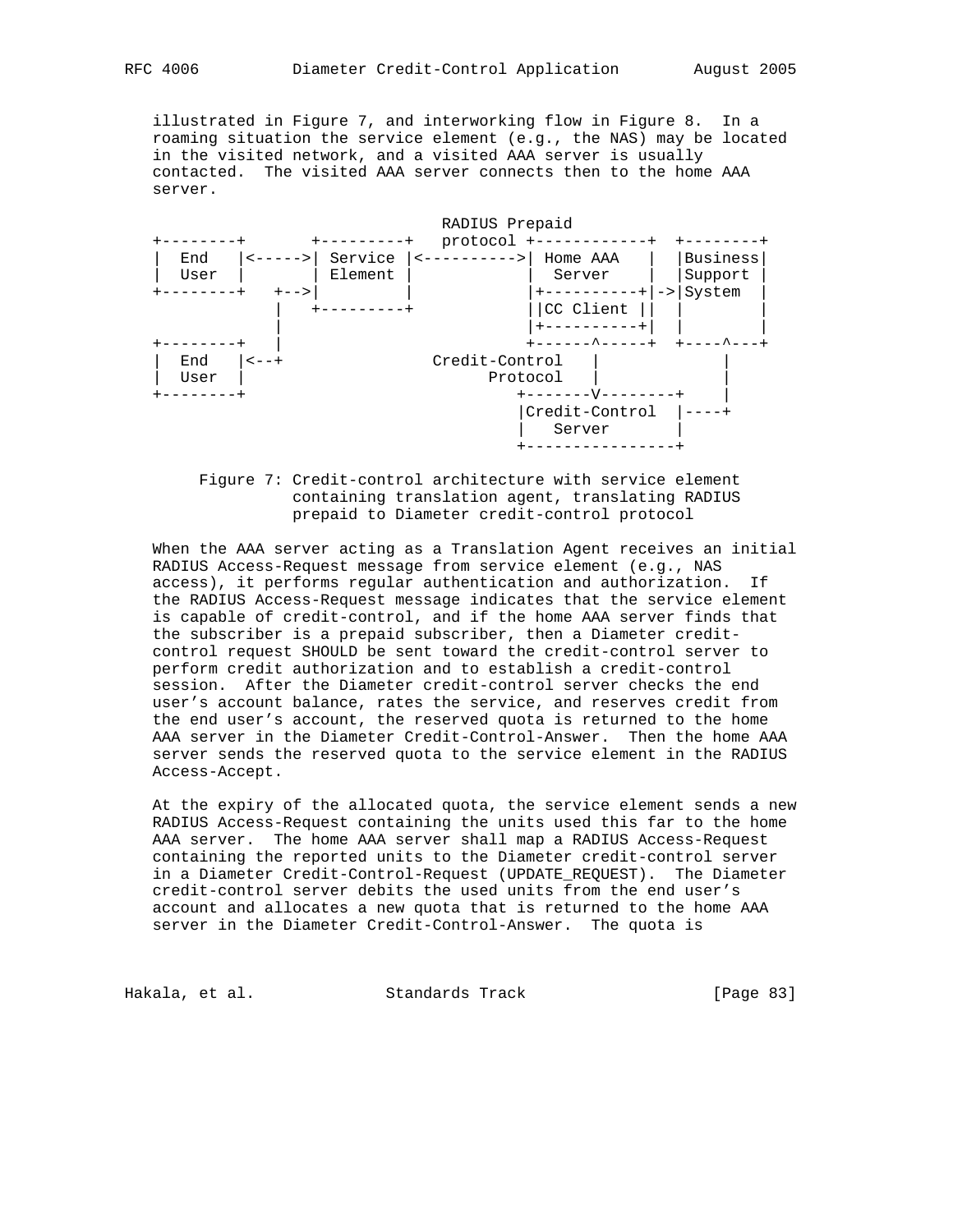illustrated in Figure 7, and interworking flow in Figure 8. In a roaming situation the service element (e.g., the NAS) may be located in the visited network, and a visited AAA server is usually contacted. The visited AAA server connects then to the home AAA server.



 Figure 7: Credit-control architecture with service element containing translation agent, translating RADIUS prepaid to Diameter credit-control protocol

 When the AAA server acting as a Translation Agent receives an initial RADIUS Access-Request message from service element (e.g., NAS access), it performs regular authentication and authorization. If the RADIUS Access-Request message indicates that the service element is capable of credit-control, and if the home AAA server finds that the subscriber is a prepaid subscriber, then a Diameter credit control request SHOULD be sent toward the credit-control server to perform credit authorization and to establish a credit-control session. After the Diameter credit-control server checks the end user's account balance, rates the service, and reserves credit from the end user's account, the reserved quota is returned to the home AAA server in the Diameter Credit-Control-Answer. Then the home AAA server sends the reserved quota to the service element in the RADIUS Access-Accept.

 At the expiry of the allocated quota, the service element sends a new RADIUS Access-Request containing the units used this far to the home AAA server. The home AAA server shall map a RADIUS Access-Request containing the reported units to the Diameter credit-control server in a Diameter Credit-Control-Request (UPDATE\_REQUEST). The Diameter credit-control server debits the used units from the end user's account and allocates a new quota that is returned to the home AAA server in the Diameter Credit-Control-Answer. The quota is

Hakala, et al. Standards Track [Page 83]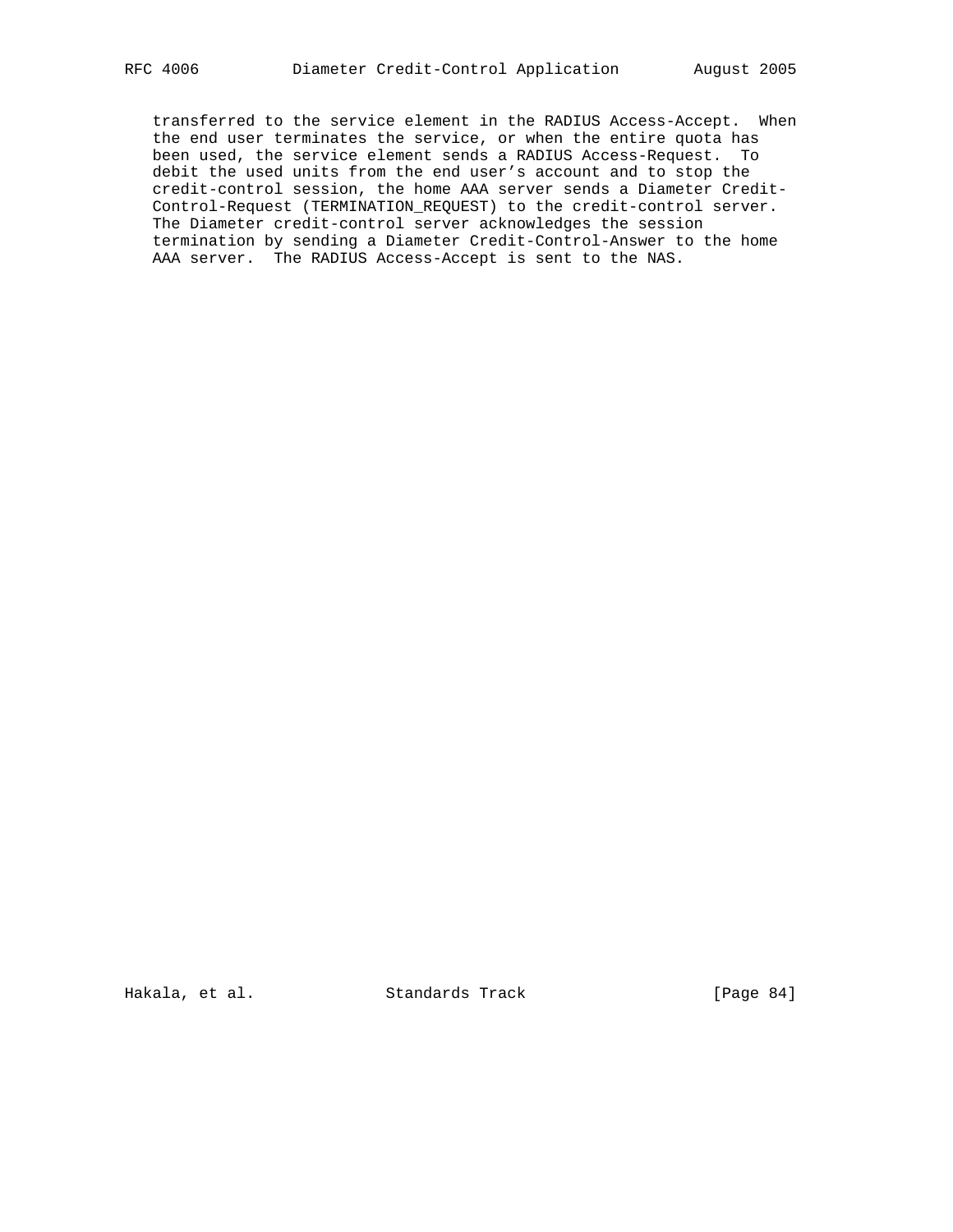transferred to the service element in the RADIUS Access-Accept. When the end user terminates the service, or when the entire quota has been used, the service element sends a RADIUS Access-Request. To debit the used units from the end user's account and to stop the credit-control session, the home AAA server sends a Diameter Credit- Control-Request (TERMINATION\_REQUEST) to the credit-control server. The Diameter credit-control server acknowledges the session termination by sending a Diameter Credit-Control-Answer to the home AAA server. The RADIUS Access-Accept is sent to the NAS.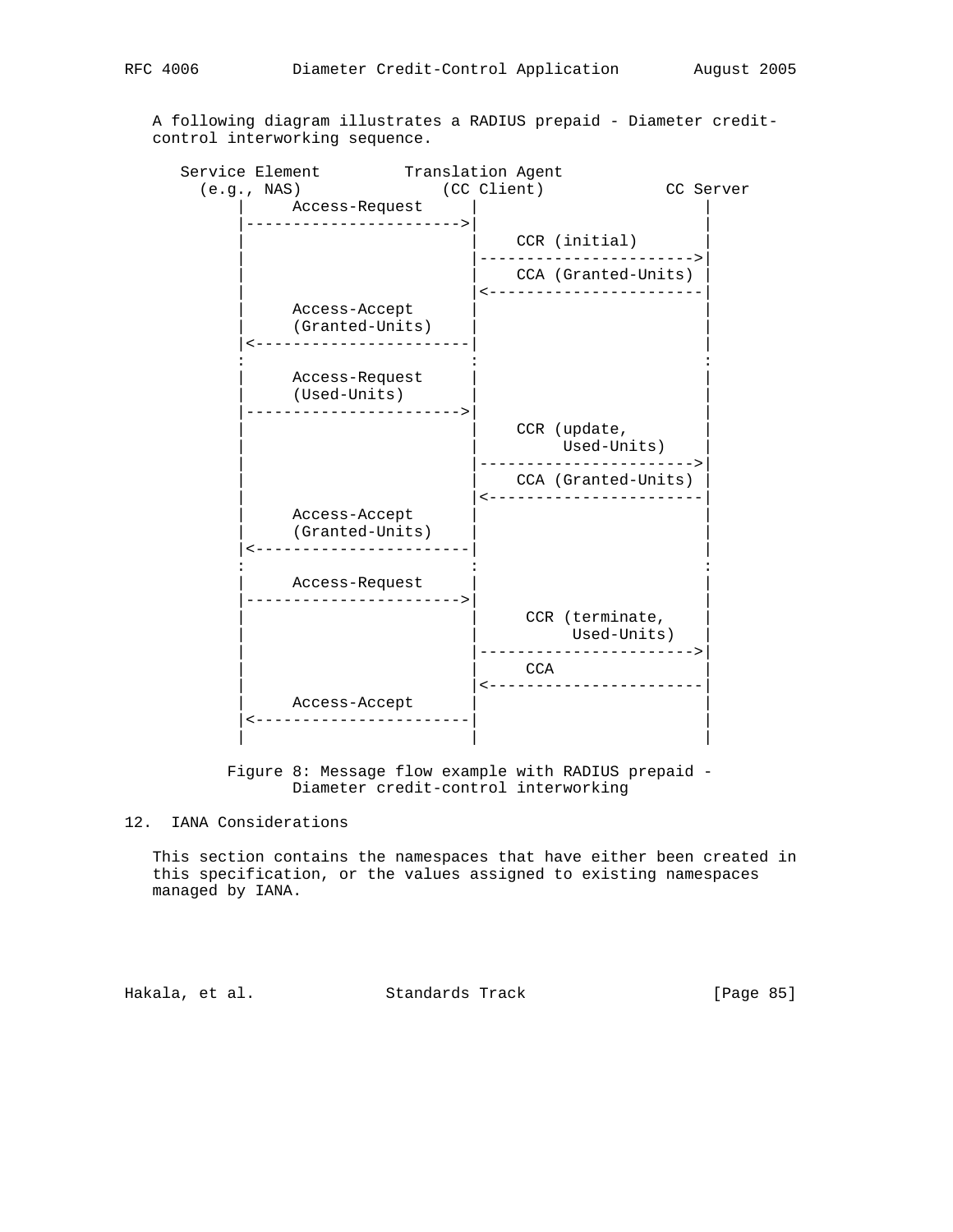A following diagram illustrates a RADIUS prepaid - Diameter credit control interworking sequence.

| Service Element                                      | Translation Agent |                                                        |           |
|------------------------------------------------------|-------------------|--------------------------------------------------------|-----------|
| (e.g., NASA)<br>Access-Request                       | (CC Client)       |                                                        | CC Server |
| . _ _ _ _ _ _ _ _ _ _ _ _ _ _ _ _ _ _                |                   | CCR (initial)                                          |           |
|                                                      |                   | CCA (Granted-Units)<br>------------------              |           |
| Access-Accept<br>(Granted-Units)                     |                   |                                                        |           |
| Access-Request<br>(Used-Units)<br>------------------ |                   |                                                        |           |
|                                                      |                   | CCR (update,<br>Used-Units)                            |           |
|                                                      |                   | CCA (Granted-Units)                                    |           |
| Access-Accept<br>(Granted-Units)                     |                   |                                                        |           |
| Access-Request<br>----------------                   |                   |                                                        |           |
|                                                      |                   | CCR (terminate,<br>Used-Units)<br>-------------------> |           |
|                                                      |                   | CCA<br>.                                               |           |
| Access-Accept                                        |                   |                                                        |           |
|                                                      |                   |                                                        |           |

 Figure 8: Message flow example with RADIUS prepaid - Diameter credit-control interworking

# 12. IANA Considerations

 This section contains the namespaces that have either been created in this specification, or the values assigned to existing namespaces managed by IANA.

Hakala, et al. Standards Track [Page 85]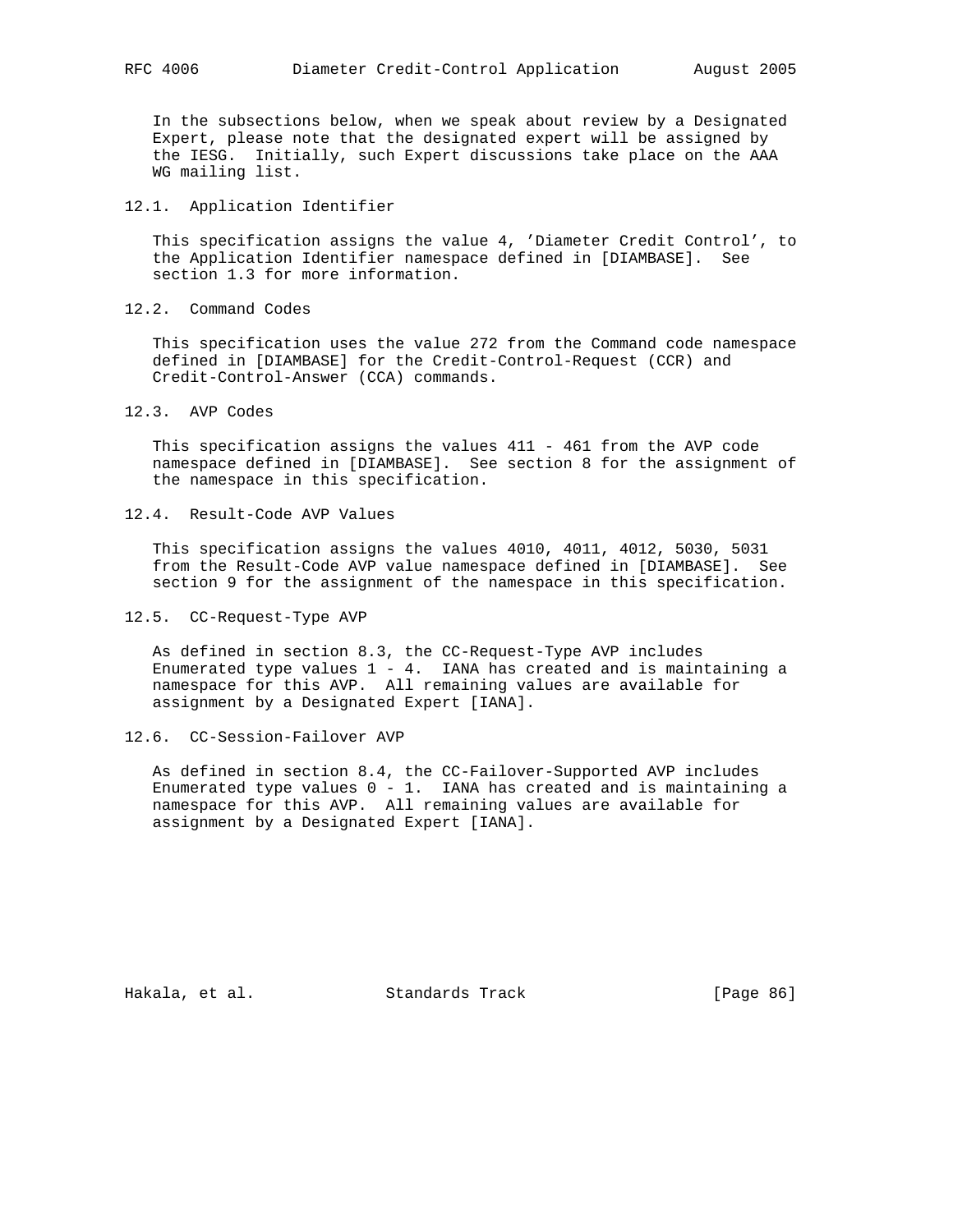In the subsections below, when we speak about review by a Designated Expert, please note that the designated expert will be assigned by the IESG. Initially, such Expert discussions take place on the AAA WG mailing list.

#### 12.1. Application Identifier

 This specification assigns the value 4, 'Diameter Credit Control', to the Application Identifier namespace defined in [DIAMBASE]. See section 1.3 for more information.

12.2. Command Codes

 This specification uses the value 272 from the Command code namespace defined in [DIAMBASE] for the Credit-Control-Request (CCR) and Credit-Control-Answer (CCA) commands.

12.3. AVP Codes

 This specification assigns the values 411 - 461 from the AVP code namespace defined in [DIAMBASE]. See section 8 for the assignment of the namespace in this specification.

12.4. Result-Code AVP Values

 This specification assigns the values 4010, 4011, 4012, 5030, 5031 from the Result-Code AVP value namespace defined in [DIAMBASE]. See section 9 for the assignment of the namespace in this specification.

12.5. CC-Request-Type AVP

 As defined in section 8.3, the CC-Request-Type AVP includes Enumerated type values  $1 - 4$ . IANA has created and is maintaining a namespace for this AVP. All remaining values are available for assignment by a Designated Expert [IANA].

12.6. CC-Session-Failover AVP

 As defined in section 8.4, the CC-Failover-Supported AVP includes Enumerated type values  $0 - 1$ . IANA has created and is maintaining a namespace for this AVP. All remaining values are available for assignment by a Designated Expert [IANA].

Hakala, et al. Standards Track [Page 86]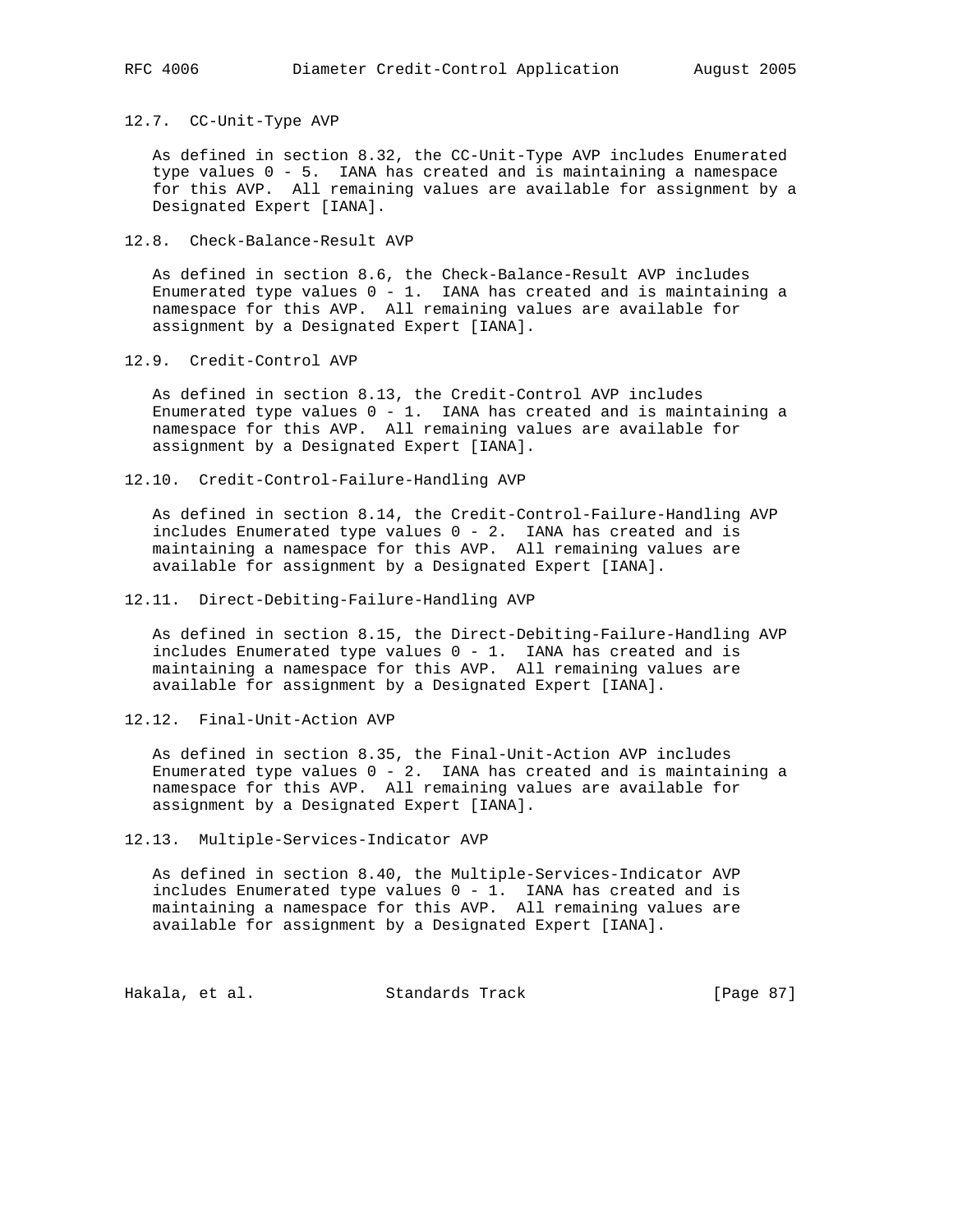12.7. CC-Unit-Type AVP

 As defined in section 8.32, the CC-Unit-Type AVP includes Enumerated type values 0 - 5. IANA has created and is maintaining a namespace for this AVP. All remaining values are available for assignment by a Designated Expert [IANA].

12.8. Check-Balance-Result AVP

 As defined in section 8.6, the Check-Balance-Result AVP includes Enumerated type values  $0 - 1$ . IANA has created and is maintaining a namespace for this AVP. All remaining values are available for assignment by a Designated Expert [IANA].

12.9. Credit-Control AVP

 As defined in section 8.13, the Credit-Control AVP includes Enumerated type values  $0 - 1$ . IANA has created and is maintaining a namespace for this AVP. All remaining values are available for assignment by a Designated Expert [IANA].

12.10. Credit-Control-Failure-Handling AVP

 As defined in section 8.14, the Credit-Control-Failure-Handling AVP includes Enumerated type values 0 - 2. IANA has created and is maintaining a namespace for this AVP. All remaining values are available for assignment by a Designated Expert [IANA].

12.11. Direct-Debiting-Failure-Handling AVP

 As defined in section 8.15, the Direct-Debiting-Failure-Handling AVP includes Enumerated type values  $0 - 1$ . IANA has created and is maintaining a namespace for this AVP. All remaining values are available for assignment by a Designated Expert [IANA].

12.12. Final-Unit-Action AVP

 As defined in section 8.35, the Final-Unit-Action AVP includes Enumerated type values  $0 - 2$ . IANA has created and is maintaining a namespace for this AVP. All remaining values are available for assignment by a Designated Expert [IANA].

12.13. Multiple-Services-Indicator AVP

 As defined in section 8.40, the Multiple-Services-Indicator AVP includes Enumerated type values  $0 - 1$ . IANA has created and is maintaining a namespace for this AVP. All remaining values are available for assignment by a Designated Expert [IANA].

Hakala, et al. Standards Track [Page 87]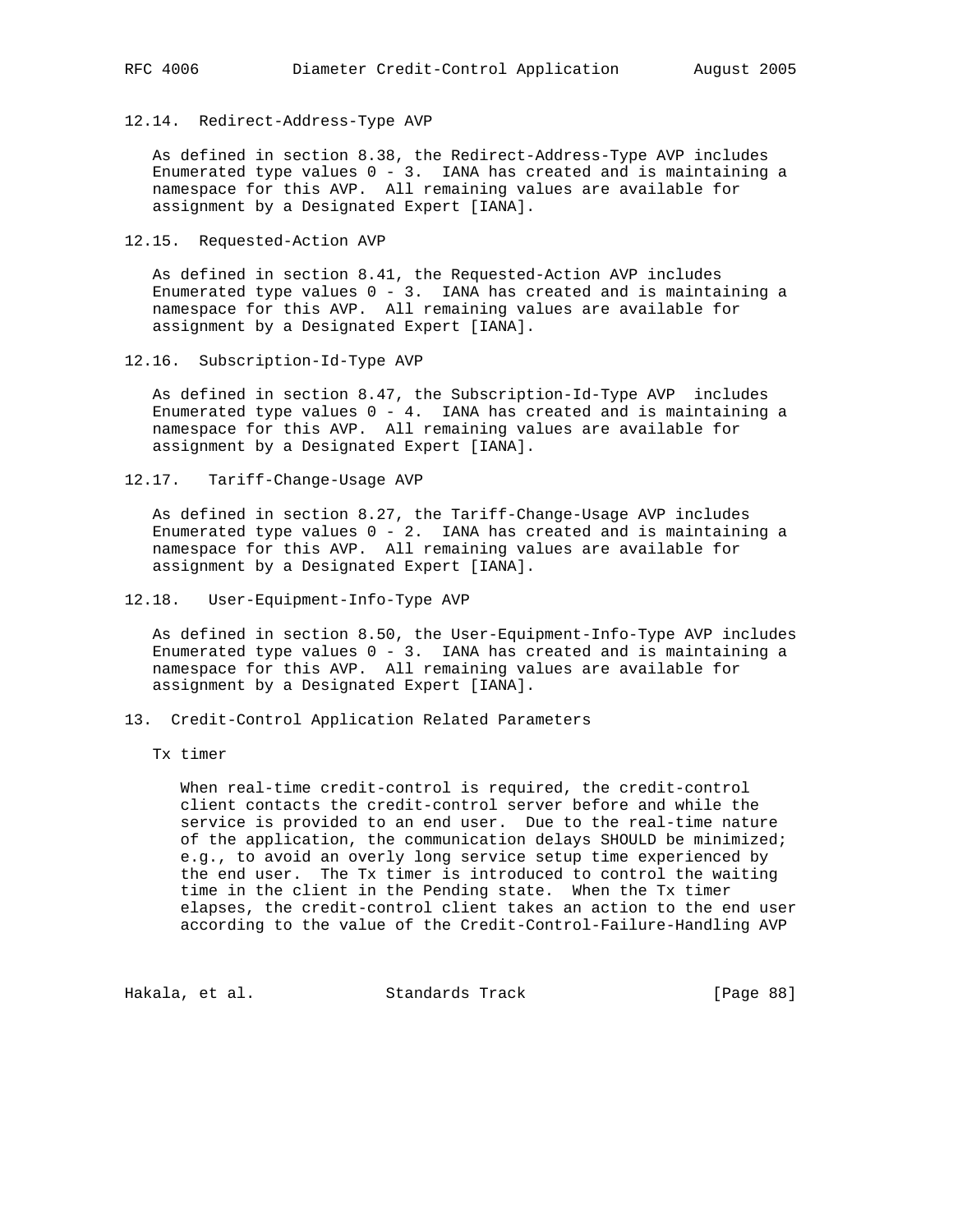#### 12.14. Redirect-Address-Type AVP

 As defined in section 8.38, the Redirect-Address-Type AVP includes Enumerated type values  $0 - 3$ . IANA has created and is maintaining a namespace for this AVP. All remaining values are available for assignment by a Designated Expert [IANA].

12.15. Requested-Action AVP

 As defined in section 8.41, the Requested-Action AVP includes Enumerated type values  $0 - 3$ . IANA has created and is maintaining a namespace for this AVP. All remaining values are available for assignment by a Designated Expert [IANA].

12.16. Subscription-Id-Type AVP

 As defined in section 8.47, the Subscription-Id-Type AVP includes Enumerated type values  $0 - 4$ . IANA has created and is maintaining a namespace for this AVP. All remaining values are available for assignment by a Designated Expert [IANA].

12.17. Tariff-Change-Usage AVP

 As defined in section 8.27, the Tariff-Change-Usage AVP includes Enumerated type values  $0 - 2$ . IANA has created and is maintaining a namespace for this AVP. All remaining values are available for assignment by a Designated Expert [IANA].

12.18. User-Equipment-Info-Type AVP

 As defined in section 8.50, the User-Equipment-Info-Type AVP includes Enumerated type values 0 - 3. IANA has created and is maintaining a namespace for this AVP. All remaining values are available for assignment by a Designated Expert [IANA].

13. Credit-Control Application Related Parameters

Tx timer

 When real-time credit-control is required, the credit-control client contacts the credit-control server before and while the service is provided to an end user. Due to the real-time nature of the application, the communication delays SHOULD be minimized; e.g., to avoid an overly long service setup time experienced by the end user. The Tx timer is introduced to control the waiting time in the client in the Pending state. When the Tx timer elapses, the credit-control client takes an action to the end user according to the value of the Credit-Control-Failure-Handling AVP

Hakala, et al. Standards Track [Page 88]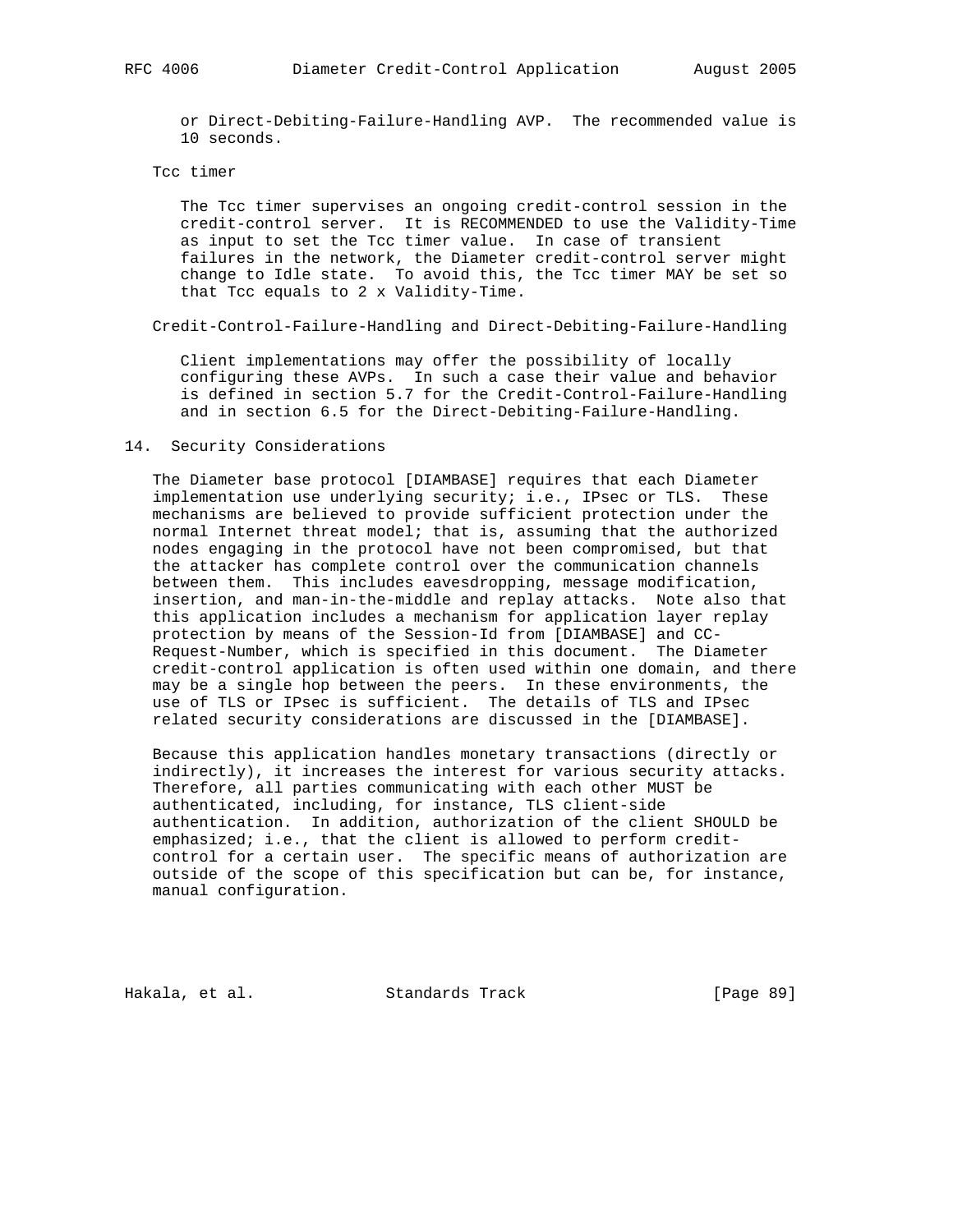or Direct-Debiting-Failure-Handling AVP. The recommended value is 10 seconds.

#### Tcc timer

 The Tcc timer supervises an ongoing credit-control session in the credit-control server. It is RECOMMENDED to use the Validity-Time as input to set the Tcc timer value. In case of transient failures in the network, the Diameter credit-control server might change to Idle state. To avoid this, the Tcc timer MAY be set so that Tcc equals to 2 x Validity-Time.

Credit-Control-Failure-Handling and Direct-Debiting-Failure-Handling

 Client implementations may offer the possibility of locally configuring these AVPs. In such a case their value and behavior is defined in section 5.7 for the Credit-Control-Failure-Handling and in section 6.5 for the Direct-Debiting-Failure-Handling.

#### 14. Security Considerations

 The Diameter base protocol [DIAMBASE] requires that each Diameter implementation use underlying security; i.e., IPsec or TLS. These mechanisms are believed to provide sufficient protection under the normal Internet threat model; that is, assuming that the authorized nodes engaging in the protocol have not been compromised, but that the attacker has complete control over the communication channels between them. This includes eavesdropping, message modification, insertion, and man-in-the-middle and replay attacks. Note also that this application includes a mechanism for application layer replay protection by means of the Session-Id from [DIAMBASE] and CC- Request-Number, which is specified in this document. The Diameter credit-control application is often used within one domain, and there may be a single hop between the peers. In these environments, the use of TLS or IPsec is sufficient. The details of TLS and IPsec related security considerations are discussed in the [DIAMBASE].

 Because this application handles monetary transactions (directly or indirectly), it increases the interest for various security attacks. Therefore, all parties communicating with each other MUST be authenticated, including, for instance, TLS client-side authentication. In addition, authorization of the client SHOULD be emphasized; i.e., that the client is allowed to perform credit control for a certain user. The specific means of authorization are outside of the scope of this specification but can be, for instance, manual configuration.

Hakala, et al. Standards Track [Page 89]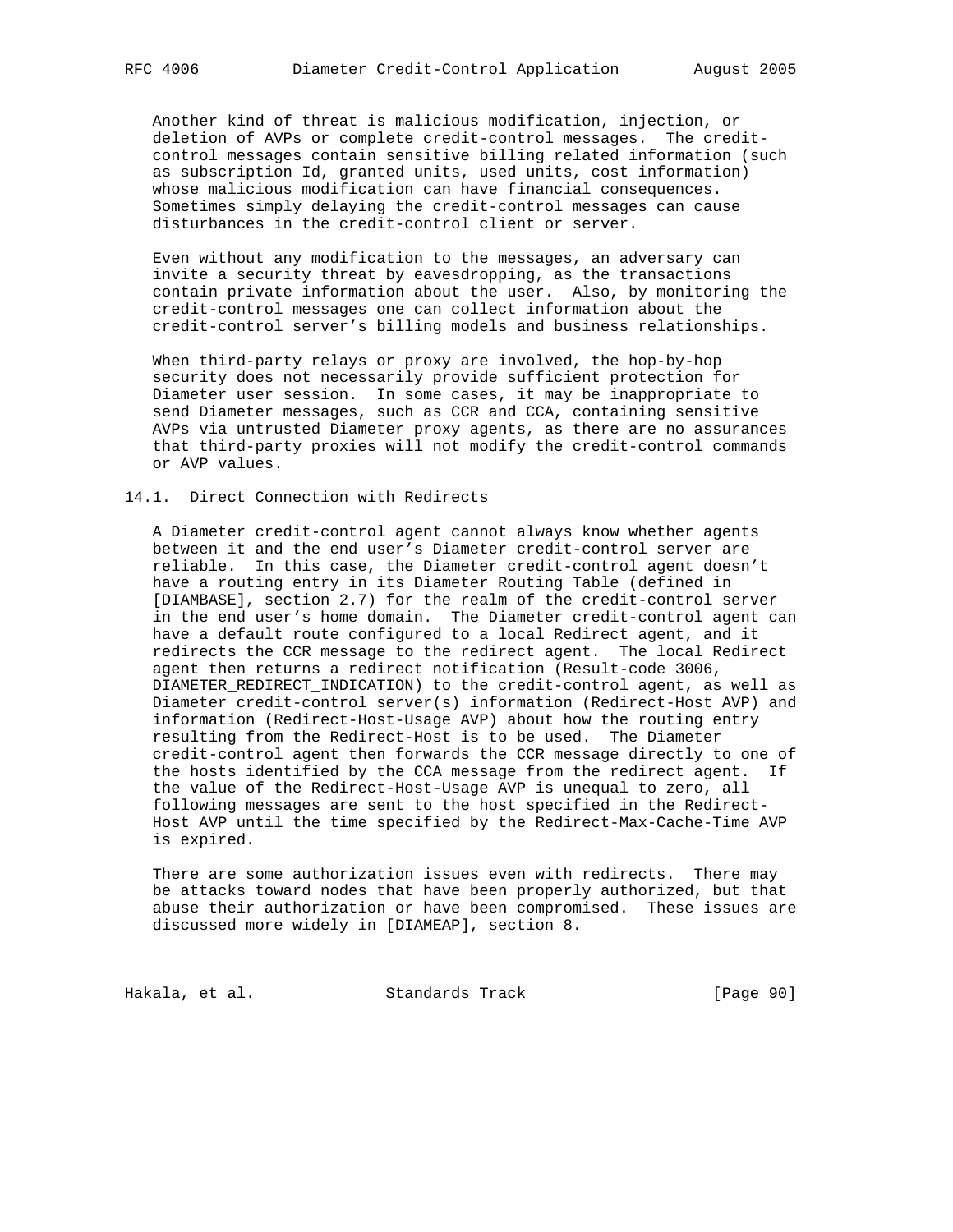Another kind of threat is malicious modification, injection, or deletion of AVPs or complete credit-control messages. The credit control messages contain sensitive billing related information (such as subscription Id, granted units, used units, cost information) whose malicious modification can have financial consequences. Sometimes simply delaying the credit-control messages can cause disturbances in the credit-control client or server.

 Even without any modification to the messages, an adversary can invite a security threat by eavesdropping, as the transactions contain private information about the user. Also, by monitoring the credit-control messages one can collect information about the credit-control server's billing models and business relationships.

 When third-party relays or proxy are involved, the hop-by-hop security does not necessarily provide sufficient protection for Diameter user session. In some cases, it may be inappropriate to send Diameter messages, such as CCR and CCA, containing sensitive AVPs via untrusted Diameter proxy agents, as there are no assurances that third-party proxies will not modify the credit-control commands or AVP values.

#### 14.1. Direct Connection with Redirects

 A Diameter credit-control agent cannot always know whether agents between it and the end user's Diameter credit-control server are reliable. In this case, the Diameter credit-control agent doesn't have a routing entry in its Diameter Routing Table (defined in [DIAMBASE], section 2.7) for the realm of the credit-control server in the end user's home domain. The Diameter credit-control agent can have a default route configured to a local Redirect agent, and it redirects the CCR message to the redirect agent. The local Redirect agent then returns a redirect notification (Result-code 3006, DIAMETER\_REDIRECT\_INDICATION) to the credit-control agent, as well as Diameter credit-control server(s) information (Redirect-Host AVP) and information (Redirect-Host-Usage AVP) about how the routing entry resulting from the Redirect-Host is to be used. The Diameter credit-control agent then forwards the CCR message directly to one of the hosts identified by the CCA message from the redirect agent. If the value of the Redirect-Host-Usage AVP is unequal to zero, all following messages are sent to the host specified in the Redirect- Host AVP until the time specified by the Redirect-Max-Cache-Time AVP is expired.

 There are some authorization issues even with redirects. There may be attacks toward nodes that have been properly authorized, but that abuse their authorization or have been compromised. These issues are discussed more widely in [DIAMEAP], section 8.

Hakala, et al. Standards Track [Page 90]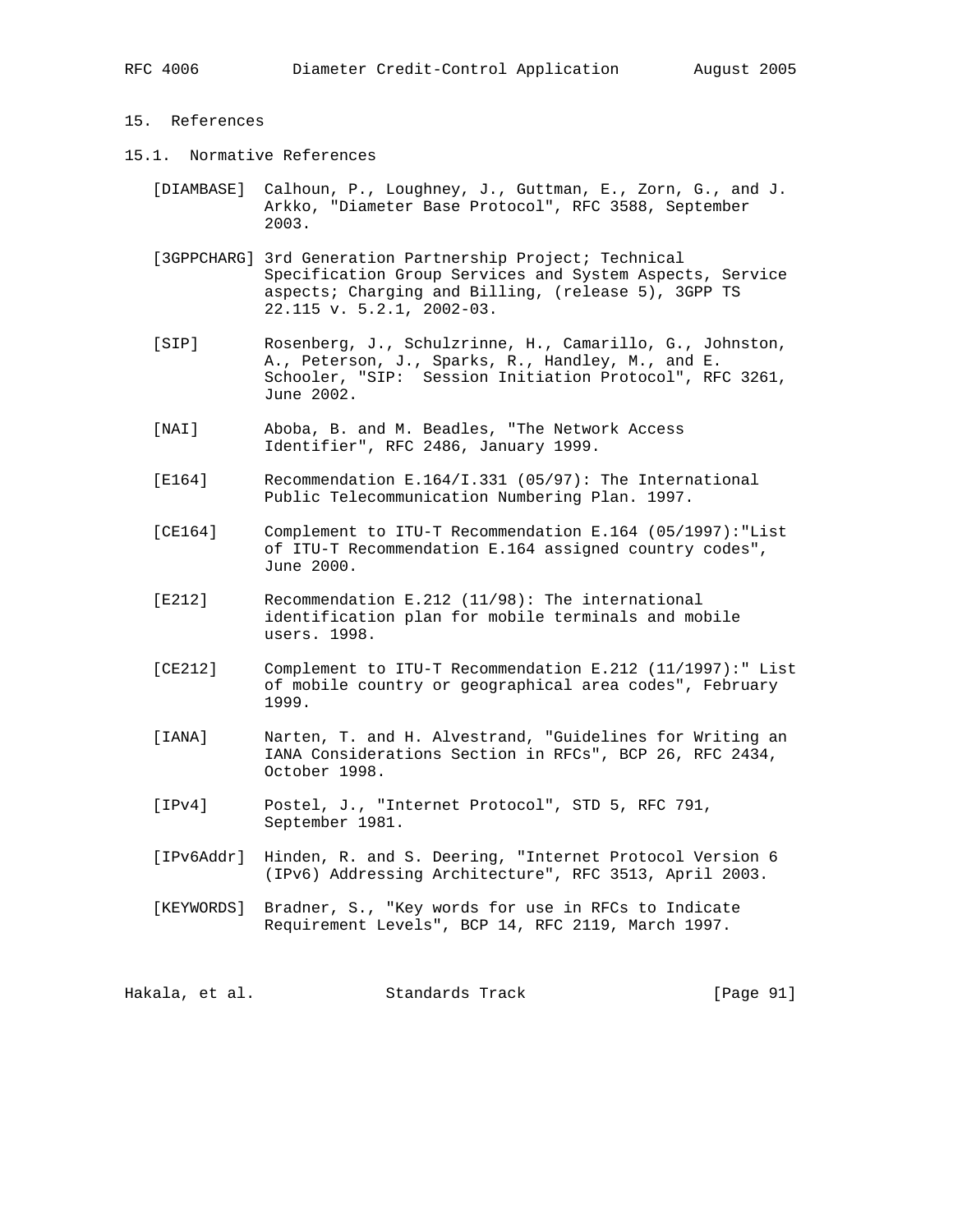# 15. References

- 15.1. Normative References
	- [DIAMBASE] Calhoun, P., Loughney, J., Guttman, E., Zorn, G., and J. Arkko, "Diameter Base Protocol", RFC 3588, September 2003.
	- [3GPPCHARG] 3rd Generation Partnership Project; Technical Specification Group Services and System Aspects, Service aspects; Charging and Billing, (release 5), 3GPP TS 22.115 v. 5.2.1, 2002-03.
	- [SIP] Rosenberg, J., Schulzrinne, H., Camarillo, G., Johnston, A., Peterson, J., Sparks, R., Handley, M., and E. Schooler, "SIP: Session Initiation Protocol", RFC 3261, June 2002.
	- [NAI] Aboba, B. and M. Beadles, "The Network Access Identifier", RFC 2486, January 1999.
	- [E164] Recommendation E.164/I.331 (05/97): The International Public Telecommunication Numbering Plan. 1997.
	- [CE164] Complement to ITU-T Recommendation E.164 (05/1997):"List of ITU-T Recommendation E.164 assigned country codes", June 2000.
	- [E212] Recommendation E.212 (11/98): The international identification plan for mobile terminals and mobile users. 1998.
	- [CE212] Complement to ITU-T Recommendation E.212 (11/1997):" List of mobile country or geographical area codes", February 1999.
	- [IANA] Narten, T. and H. Alvestrand, "Guidelines for Writing an IANA Considerations Section in RFCs", BCP 26, RFC 2434, October 1998.
	- [IPv4] Postel, J., "Internet Protocol", STD 5, RFC 791, September 1981.
	- [IPv6Addr] Hinden, R. and S. Deering, "Internet Protocol Version 6 (IPv6) Addressing Architecture", RFC 3513, April 2003.
	- [KEYWORDS] Bradner, S., "Key words for use in RFCs to Indicate Requirement Levels", BCP 14, RFC 2119, March 1997.

Hakala, et al. Standards Track [Page 91]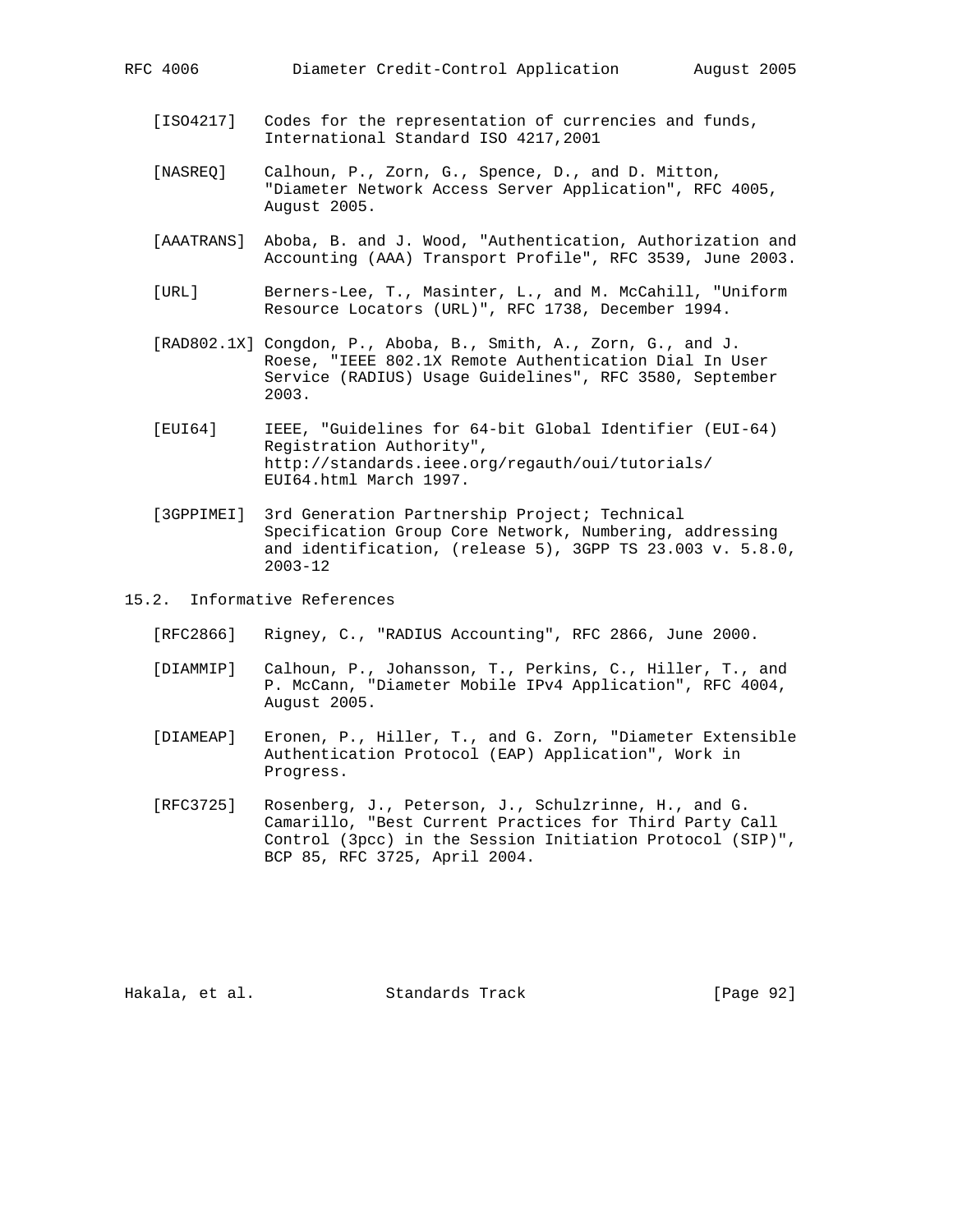- [ISO4217] Codes for the representation of currencies and funds, International Standard ISO 4217,2001
- [NASREQ] Calhoun, P., Zorn, G., Spence, D., and D. Mitton, "Diameter Network Access Server Application", RFC 4005, August 2005.
- [AAATRANS] Aboba, B. and J. Wood, "Authentication, Authorization and Accounting (AAA) Transport Profile", RFC 3539, June 2003.
- [URL] Berners-Lee, T., Masinter, L., and M. McCahill, "Uniform Resource Locators (URL)", RFC 1738, December 1994.
- [RAD802.1X] Congdon, P., Aboba, B., Smith, A., Zorn, G., and J. Roese, "IEEE 802.1X Remote Authentication Dial In User Service (RADIUS) Usage Guidelines", RFC 3580, September 2003.
- [EUI64] IEEE, "Guidelines for 64-bit Global Identifier (EUI-64) Registration Authority", http://standards.ieee.org/regauth/oui/tutorials/ EUI64.html March 1997.
- [3GPPIMEI] 3rd Generation Partnership Project; Technical Specification Group Core Network, Numbering, addressing and identification, (release 5), 3GPP TS 23.003 v. 5.8.0, 2003-12
- 15.2. Informative References
	- [RFC2866] Rigney, C., "RADIUS Accounting", RFC 2866, June 2000.
	- [DIAMMIP] Calhoun, P., Johansson, T., Perkins, C., Hiller, T., and P. McCann, "Diameter Mobile IPv4 Application", RFC 4004, August 2005.
	- [DIAMEAP] Eronen, P., Hiller, T., and G. Zorn, "Diameter Extensible Authentication Protocol (EAP) Application", Work in Progress.
	- [RFC3725] Rosenberg, J., Peterson, J., Schulzrinne, H., and G. Camarillo, "Best Current Practices for Third Party Call Control (3pcc) in the Session Initiation Protocol (SIP)", BCP 85, RFC 3725, April 2004.

Hakala, et al. Standards Track [Page 92]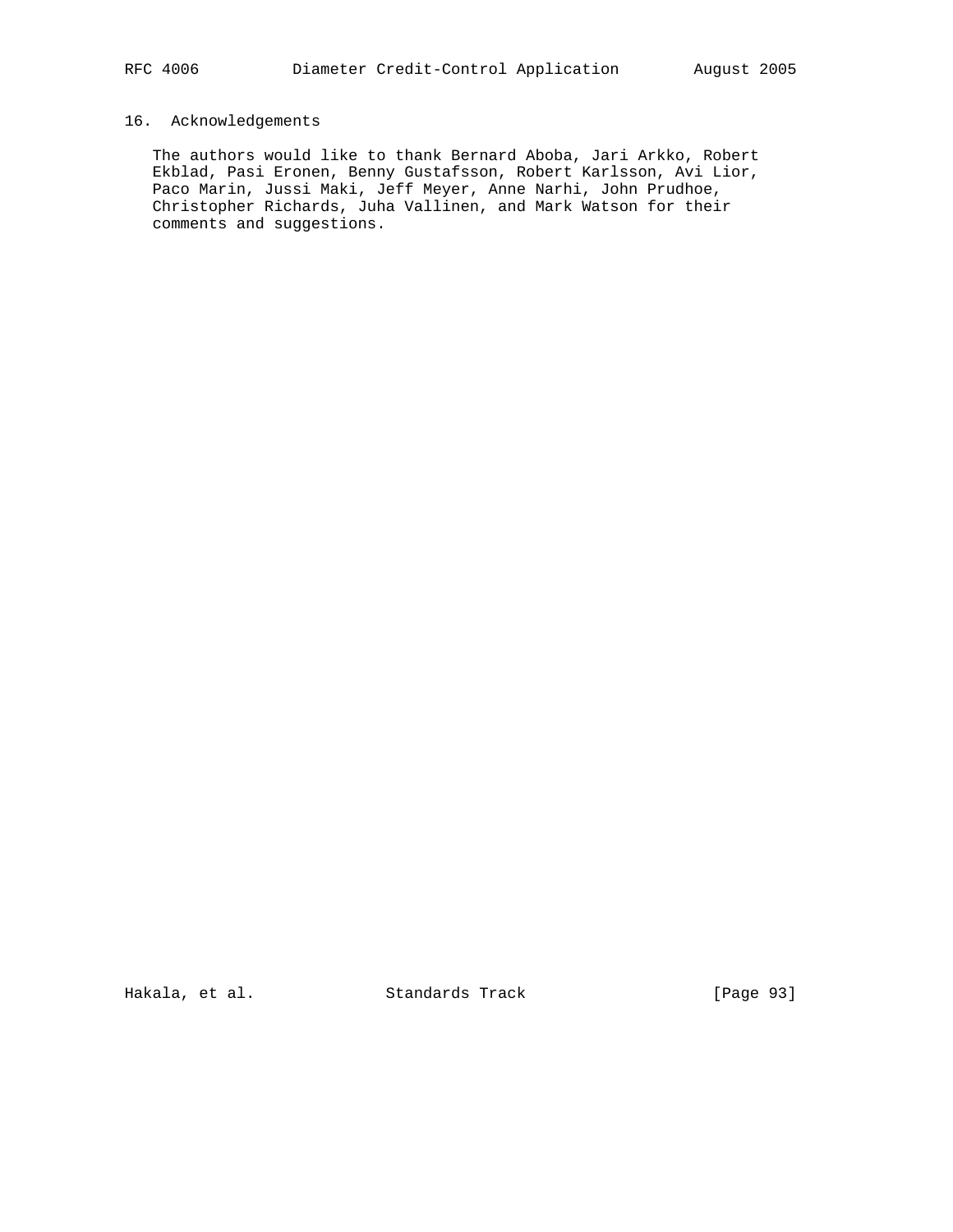# 16. Acknowledgements

 The authors would like to thank Bernard Aboba, Jari Arkko, Robert Ekblad, Pasi Eronen, Benny Gustafsson, Robert Karlsson, Avi Lior, Paco Marin, Jussi Maki, Jeff Meyer, Anne Narhi, John Prudhoe, Christopher Richards, Juha Vallinen, and Mark Watson for their comments and suggestions.

Hakala, et al. Standards Track [Page 93]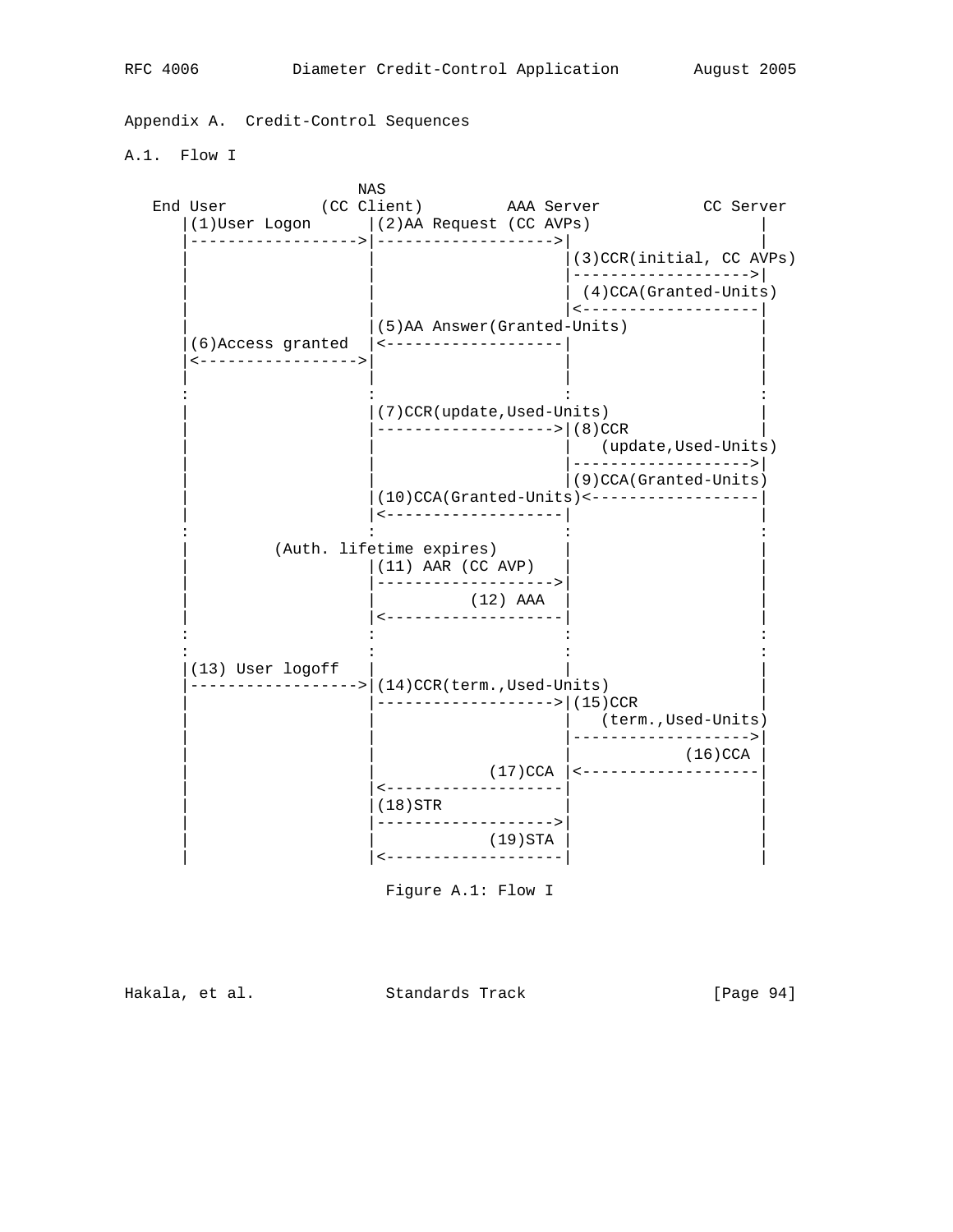Appendix A. Credit-Control Sequences

A.1. Flow I

NAS NAS EXECUTIVAS EN ENTRE EN ENTRE EN ENFEITA EN ENFEITA EN ENFEITA EN ENFEITA EN ENFEITA EN ENFEITA EN ENFEITA EN ENFEITA EN ENFEITA EN ENFEITA EN ENFEITA EN ENFEITA EN ENFEITA EN ENFEITA EN ENFEITA EN ENFEITA EN ENFEIT End User (CC Client) AAA Server CC Server  $|(1)$ User Logon  $|(2)$ AA Request (CC AVPs) |------------------>|------------------->| |  $|(3)$ CCR(initial, CC AVPs) | | |------------------->| (4)CCA(Granted-Units) | | |<-------------------| | |(5)AA Answer(Granted-Units) | |(6)Access granted |<-------------------| | |<----------------->| | | | | | | : : : : | |(7)CCR(update,Used-Units) | | |------------------->|(8)CCR | (update,Used-Units) | | |------------------->| | | |(9)CCA(Granted-Units)  $|(10)CCA(Granted-Units)$  <----------------- | |<-------------------| | : : : : (Auth. lifetime expires) | |(11) AAR (CC AVP) | | | |------------------->| | (12) AAA | |<-------------------| | : : : : : : : :  $|(13)$  User logoff |------------------>|(14)CCR(term.,Used-Units) | |-------------------->|(15)CCR (term.,Used-Units) | | |------------------->| | (16)CCA | (16)CCA | (16)CCA | (16)CCA | (16)CCA | (16)CCA | (16)CCA | (16)CCA | (16)CCA | (16)CCA | (16)CCA | (16)CCA | (16)CCA | (16)CCA | (16)CCA | (16)CCA | (16)CCA | (16)CCA | (16)CCA | (16)CCA | (16)CCA | (16)CCA | | | | (17)CCA |<------------------| | |<-------------------| | | |(18)STR | | | |------------------->| | (19)STA | <--------------------|

Figure A.1: Flow I

Hakala, et al. Standards Track [Page 94]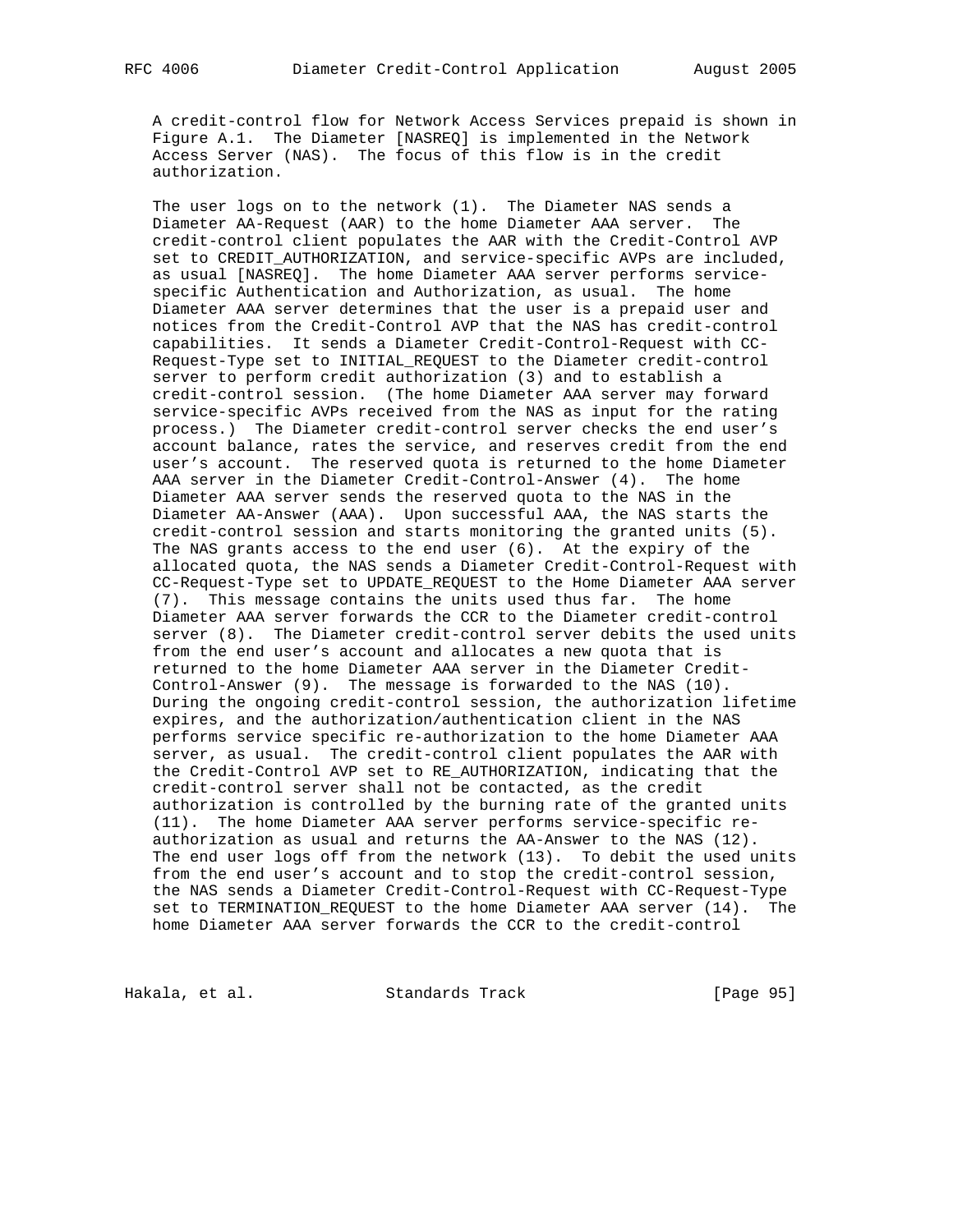A credit-control flow for Network Access Services prepaid is shown in Figure A.1. The Diameter [NASREQ] is implemented in the Network Access Server (NAS). The focus of this flow is in the credit authorization.

 The user logs on to the network (1). The Diameter NAS sends a Diameter AA-Request (AAR) to the home Diameter AAA server. The credit-control client populates the AAR with the Credit-Control AVP set to CREDIT\_AUTHORIZATION, and service-specific AVPs are included, as usual [NASREQ]. The home Diameter AAA server performs service specific Authentication and Authorization, as usual. The home Diameter AAA server determines that the user is a prepaid user and notices from the Credit-Control AVP that the NAS has credit-control capabilities. It sends a Diameter Credit-Control-Request with CC- Request-Type set to INITIAL\_REQUEST to the Diameter credit-control server to perform credit authorization (3) and to establish a credit-control session. (The home Diameter AAA server may forward service-specific AVPs received from the NAS as input for the rating process.) The Diameter credit-control server checks the end user's account balance, rates the service, and reserves credit from the end user's account. The reserved quota is returned to the home Diameter AAA server in the Diameter Credit-Control-Answer (4). The home Diameter AAA server sends the reserved quota to the NAS in the Diameter AA-Answer (AAA). Upon successful AAA, the NAS starts the credit-control session and starts monitoring the granted units (5). The NAS grants access to the end user (6). At the expiry of the allocated quota, the NAS sends a Diameter Credit-Control-Request with CC-Request-Type set to UPDATE\_REQUEST to the Home Diameter AAA server (7). This message contains the units used thus far. The home Diameter AAA server forwards the CCR to the Diameter credit-control server (8). The Diameter credit-control server debits the used units from the end user's account and allocates a new quota that is returned to the home Diameter AAA server in the Diameter Credit- Control-Answer (9). The message is forwarded to the NAS (10). During the ongoing credit-control session, the authorization lifetime expires, and the authorization/authentication client in the NAS performs service specific re-authorization to the home Diameter AAA server, as usual. The credit-control client populates the AAR with the Credit-Control AVP set to RE\_AUTHORIZATION, indicating that the credit-control server shall not be contacted, as the credit authorization is controlled by the burning rate of the granted units (11). The home Diameter AAA server performs service-specific re authorization as usual and returns the AA-Answer to the NAS (12). The end user logs off from the network (13). To debit the used units from the end user's account and to stop the credit-control session, the NAS sends a Diameter Credit-Control-Request with CC-Request-Type set to TERMINATION\_REQUEST to the home Diameter AAA server (14). The home Diameter AAA server forwards the CCR to the credit-control

Hakala, et al. Standards Track [Page 95]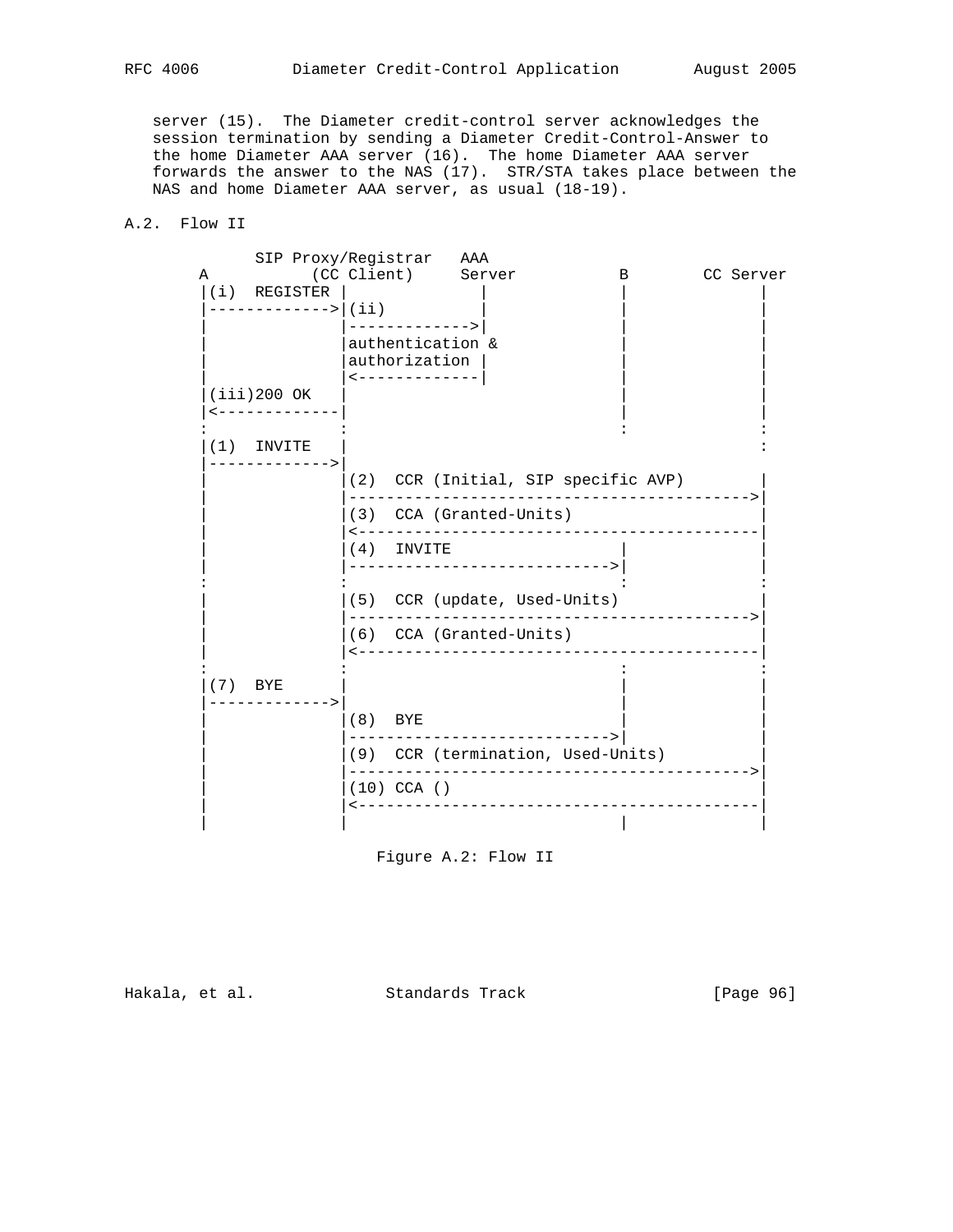server (15). The Diameter credit-control server acknowledges the session termination by sending a Diameter Credit-Control-Answer to the home Diameter AAA server (16). The home Diameter AAA server forwards the answer to the NAS (17). STR/STA takes place between the NAS and home Diameter AAA server, as usual (18-19).

# A.2. Flow II

|   | SIP Proxy/Registrar AAA       |           |                                                    |                                                                 |                              |   |           |
|---|-------------------------------|-----------|----------------------------------------------------|-----------------------------------------------------------------|------------------------------|---|-----------|
| Α | $(i)$ REGISTER                |           |                                                    | (CC Client) Server                                              |                              | в | CC Server |
|   | ------------->   (ii)         |           | ------------->                                     |                                                                 |                              |   |           |
|   |                               |           | authentication &<br>authorization<br>------------- |                                                                 |                              |   |           |
|   | $(iii)200$ OK                 |           |                                                    |                                                                 |                              |   |           |
|   | $(1)$ INVITE<br>------------> |           |                                                    |                                                                 |                              |   |           |
|   |                               |           |                                                    | (2) CCR (Initial, SIP specific AVP)                             |                              |   |           |
|   |                               |           |                                                    | (3) CCA (Granted-Units)                                         |                              |   |           |
|   |                               |           | $(4)$ INVITE                                       | ----------------------------->                                  |                              |   |           |
|   |                               |           |                                                    | (5) CCR (update, Used-Units)                                    |                              |   |           |
|   |                               |           |                                                    | (6) CCA (Granted-Units)<br>____________________________________ |                              |   |           |
|   | $(7)$ BYE<br>------------>    |           |                                                    |                                                                 |                              |   |           |
|   |                               | $(8)$ BYE |                                                    |                                                                 |                              |   |           |
|   |                               |           |                                                    | (9) CCR (termination, Used-Units)                               | ____________________________ |   |           |
|   |                               |           | $(10)$ CCA ()                                      | --------------------------                                      |                              |   |           |
|   |                               |           |                                                    |                                                                 |                              |   |           |

Figure A.2: Flow II

Hakala, et al. Standards Track [Page 96]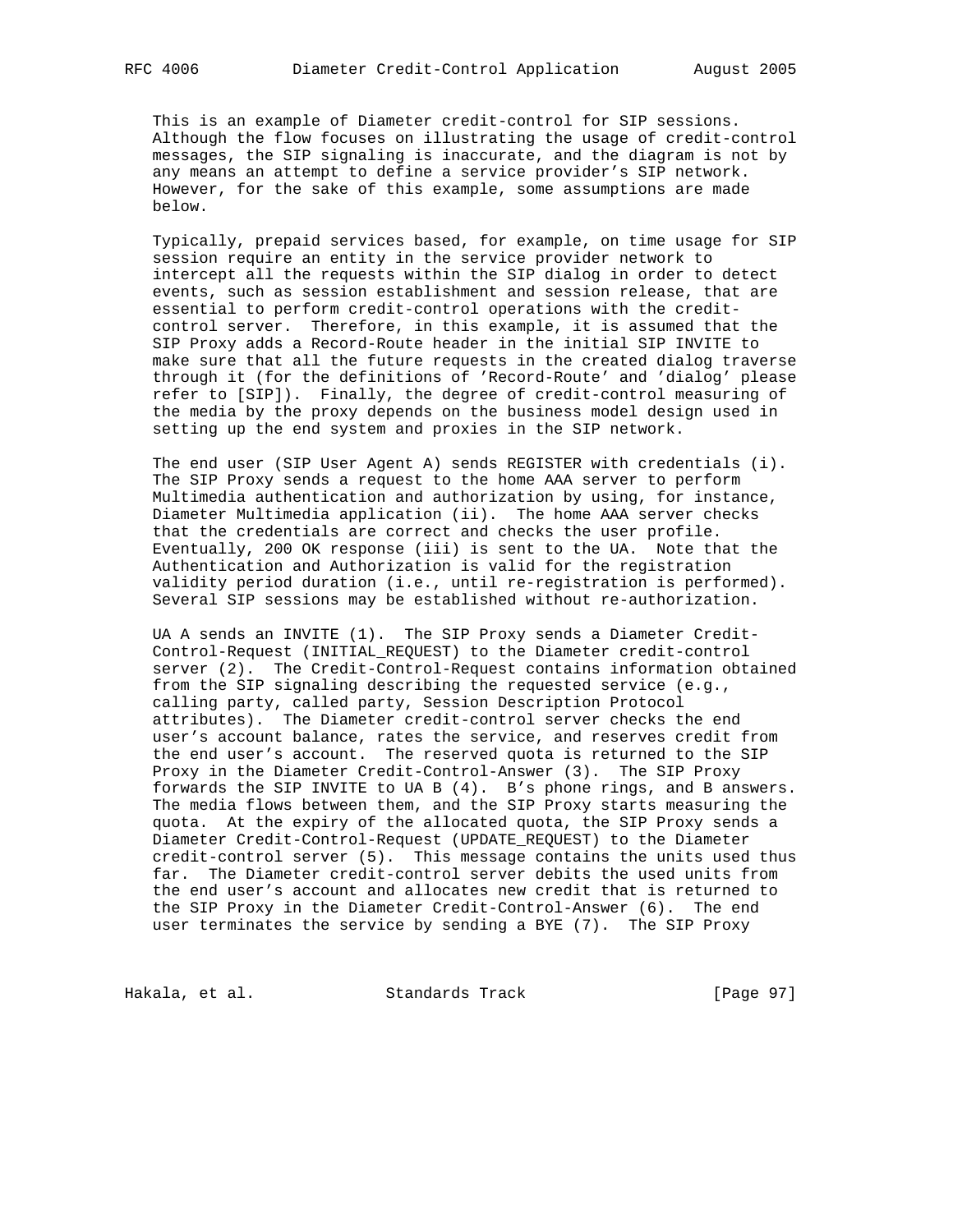This is an example of Diameter credit-control for SIP sessions. Although the flow focuses on illustrating the usage of credit-control messages, the SIP signaling is inaccurate, and the diagram is not by any means an attempt to define a service provider's SIP network. However, for the sake of this example, some assumptions are made below.

 Typically, prepaid services based, for example, on time usage for SIP session require an entity in the service provider network to intercept all the requests within the SIP dialog in order to detect events, such as session establishment and session release, that are essential to perform credit-control operations with the credit control server. Therefore, in this example, it is assumed that the SIP Proxy adds a Record-Route header in the initial SIP INVITE to make sure that all the future requests in the created dialog traverse through it (for the definitions of 'Record-Route' and 'dialog' please refer to [SIP]). Finally, the degree of credit-control measuring of the media by the proxy depends on the business model design used in setting up the end system and proxies in the SIP network.

 The end user (SIP User Agent A) sends REGISTER with credentials (i). The SIP Proxy sends a request to the home AAA server to perform Multimedia authentication and authorization by using, for instance, Diameter Multimedia application (ii). The home AAA server checks that the credentials are correct and checks the user profile. Eventually, 200 OK response (iii) is sent to the UA. Note that the Authentication and Authorization is valid for the registration validity period duration (i.e., until re-registration is performed). Several SIP sessions may be established without re-authorization.

 UA A sends an INVITE (1). The SIP Proxy sends a Diameter Credit- Control-Request (INITIAL\_REQUEST) to the Diameter credit-control server (2). The Credit-Control-Request contains information obtained from the SIP signaling describing the requested service (e.g., calling party, called party, Session Description Protocol attributes). The Diameter credit-control server checks the end user's account balance, rates the service, and reserves credit from the end user's account. The reserved quota is returned to the SIP Proxy in the Diameter Credit-Control-Answer (3). The SIP Proxy forwards the SIP INVITE to UA B (4). B's phone rings, and B answers. The media flows between them, and the SIP Proxy starts measuring the quota. At the expiry of the allocated quota, the SIP Proxy sends a Diameter Credit-Control-Request (UPDATE\_REQUEST) to the Diameter credit-control server (5). This message contains the units used thus far. The Diameter credit-control server debits the used units from the end user's account and allocates new credit that is returned to the SIP Proxy in the Diameter Credit-Control-Answer (6). The end user terminates the service by sending a BYE (7). The SIP Proxy

Hakala, et al. Standards Track [Page 97]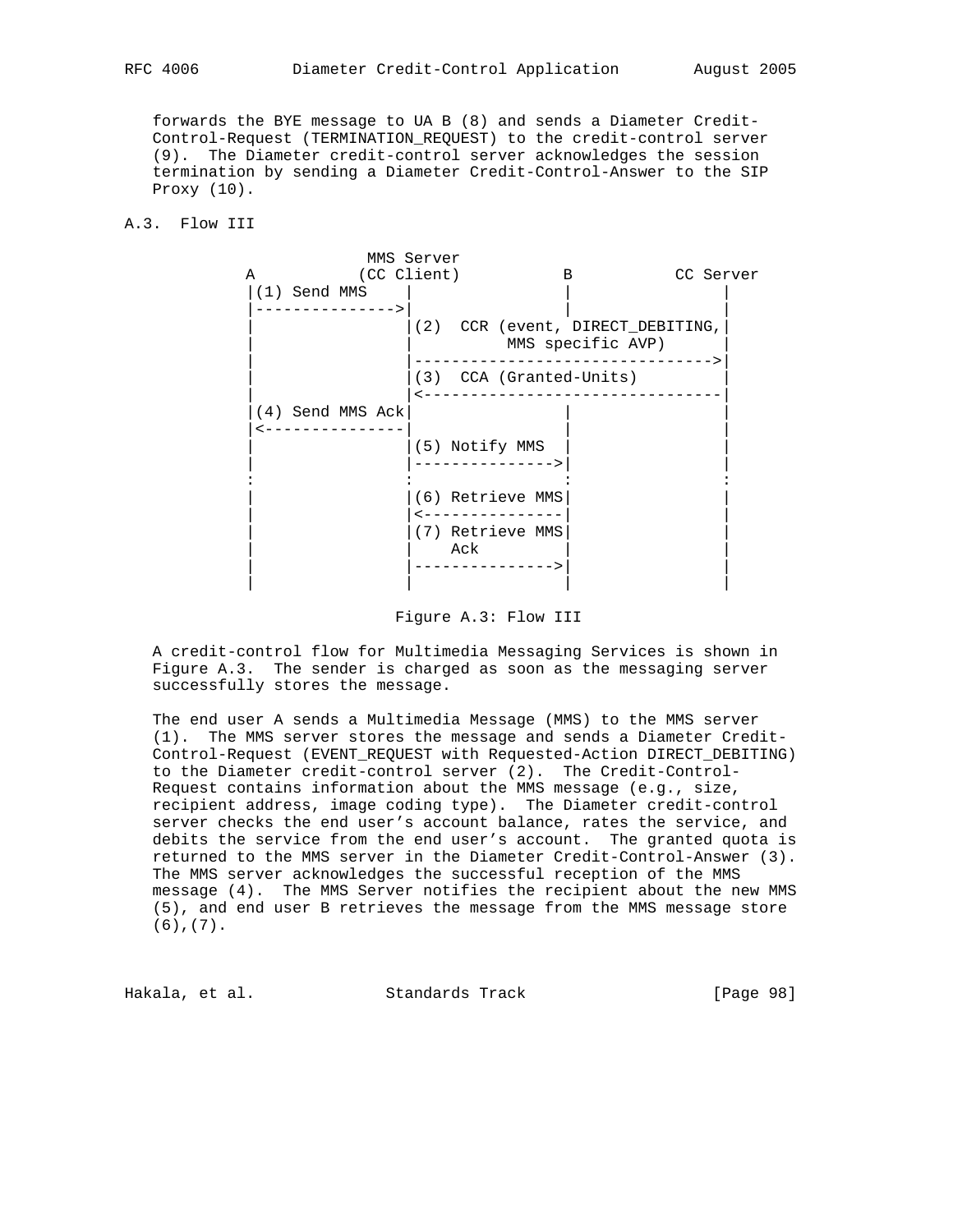forwards the BYE message to UA B (8) and sends a Diameter Credit- Control-Request (TERMINATION\_REQUEST) to the credit-control server (9). The Diameter credit-control server acknowledges the session termination by sending a Diameter Credit-Control-Answer to the SIP Proxy (10).

A.3. Flow III



Figure A.3: Flow III

 A credit-control flow for Multimedia Messaging Services is shown in Figure A.3. The sender is charged as soon as the messaging server successfully stores the message.

 The end user A sends a Multimedia Message (MMS) to the MMS server (1). The MMS server stores the message and sends a Diameter Credit- Control-Request (EVENT\_REQUEST with Requested-Action DIRECT\_DEBITING) to the Diameter credit-control server (2). The Credit-Control- Request contains information about the MMS message (e.g., size, recipient address, image coding type). The Diameter credit-control server checks the end user's account balance, rates the service, and debits the service from the end user's account. The granted quota is returned to the MMS server in the Diameter Credit-Control-Answer (3). The MMS server acknowledges the successful reception of the MMS message (4). The MMS Server notifies the recipient about the new MMS (5), and end user B retrieves the message from the MMS message store (6),(7).

Hakala, et al. Standards Track [Page 98]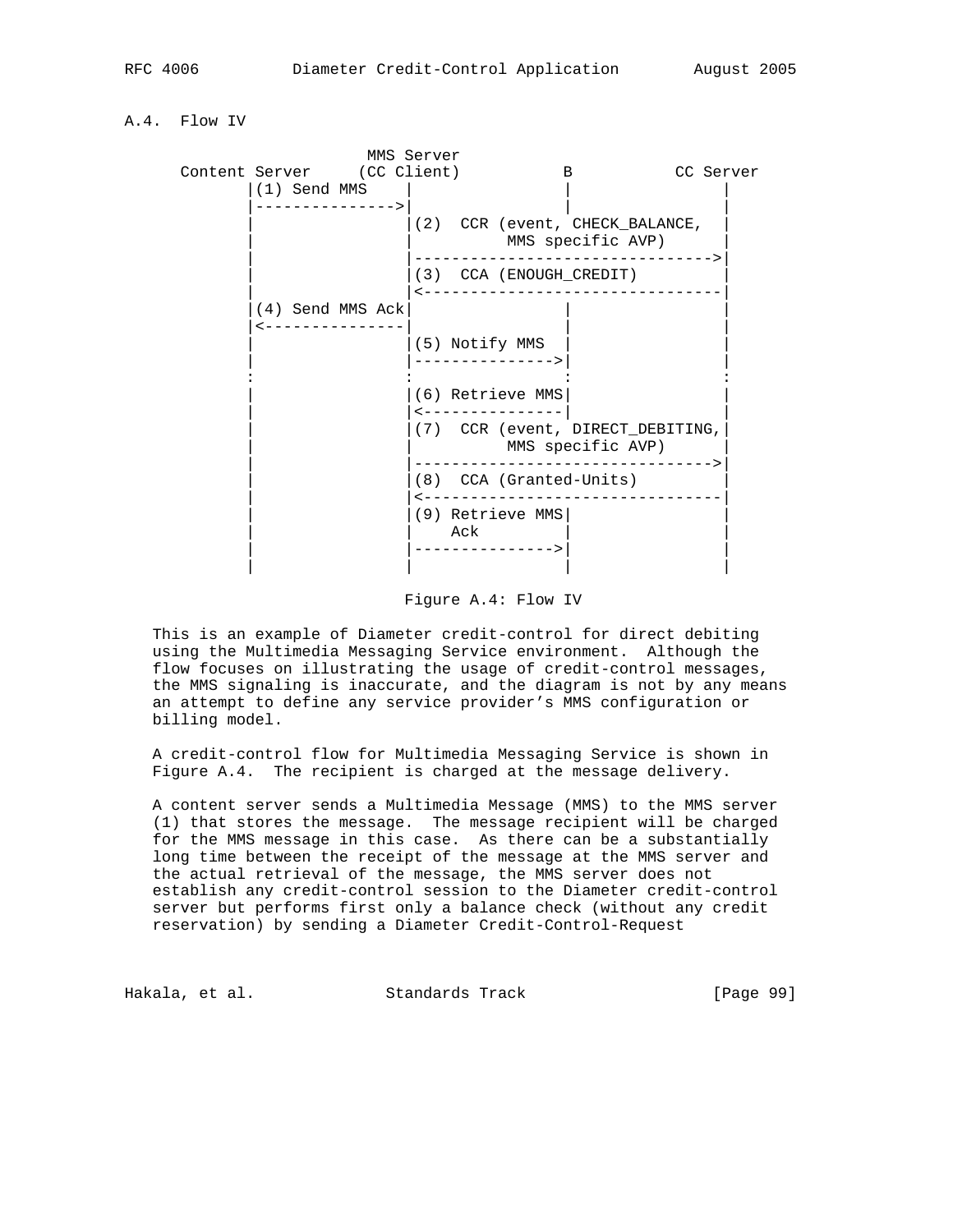# A.4. Flow IV



Figure A.4: Flow IV

 This is an example of Diameter credit-control for direct debiting using the Multimedia Messaging Service environment. Although the flow focuses on illustrating the usage of credit-control messages, the MMS signaling is inaccurate, and the diagram is not by any means an attempt to define any service provider's MMS configuration or billing model.

 A credit-control flow for Multimedia Messaging Service is shown in Figure A.4. The recipient is charged at the message delivery.

 A content server sends a Multimedia Message (MMS) to the MMS server (1) that stores the message. The message recipient will be charged for the MMS message in this case. As there can be a substantially long time between the receipt of the message at the MMS server and the actual retrieval of the message, the MMS server does not establish any credit-control session to the Diameter credit-control server but performs first only a balance check (without any credit reservation) by sending a Diameter Credit-Control-Request

Hakala, et al. Standards Track [Page 99]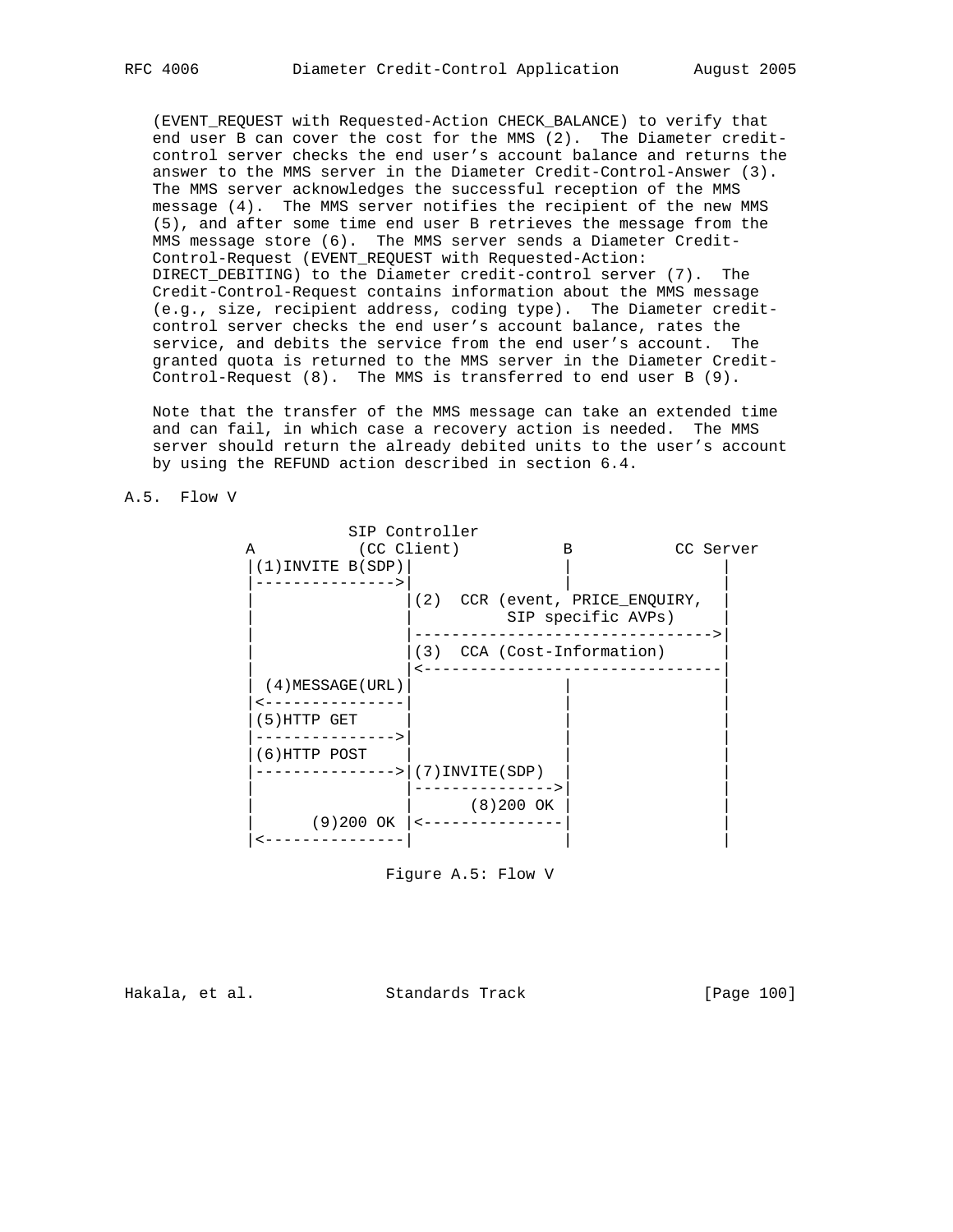(EVENT\_REQUEST with Requested-Action CHECK\_BALANCE) to verify that end user B can cover the cost for the MMS (2). The Diameter credit control server checks the end user's account balance and returns the answer to the MMS server in the Diameter Credit-Control-Answer (3). The MMS server acknowledges the successful reception of the MMS message (4). The MMS server notifies the recipient of the new MMS (5), and after some time end user B retrieves the message from the MMS message store (6). The MMS server sends a Diameter Credit- Control-Request (EVENT\_REQUEST with Requested-Action: DIRECT DEBITING) to the Diameter credit-control server (7). The Credit-Control-Request contains information about the MMS message (e.g., size, recipient address, coding type). The Diameter credit control server checks the end user's account balance, rates the service, and debits the service from the end user's account. The granted quota is returned to the MMS server in the Diameter Credit- Control-Request (8). The MMS is transferred to end user B (9).

 Note that the transfer of the MMS message can take an extended time and can fail, in which case a recovery action is needed. The MMS server should return the already debited units to the user's account by using the REFUND action described in section 6.4.





Figure A.5: Flow V

Hakala, et al. Standards Track [Page 100]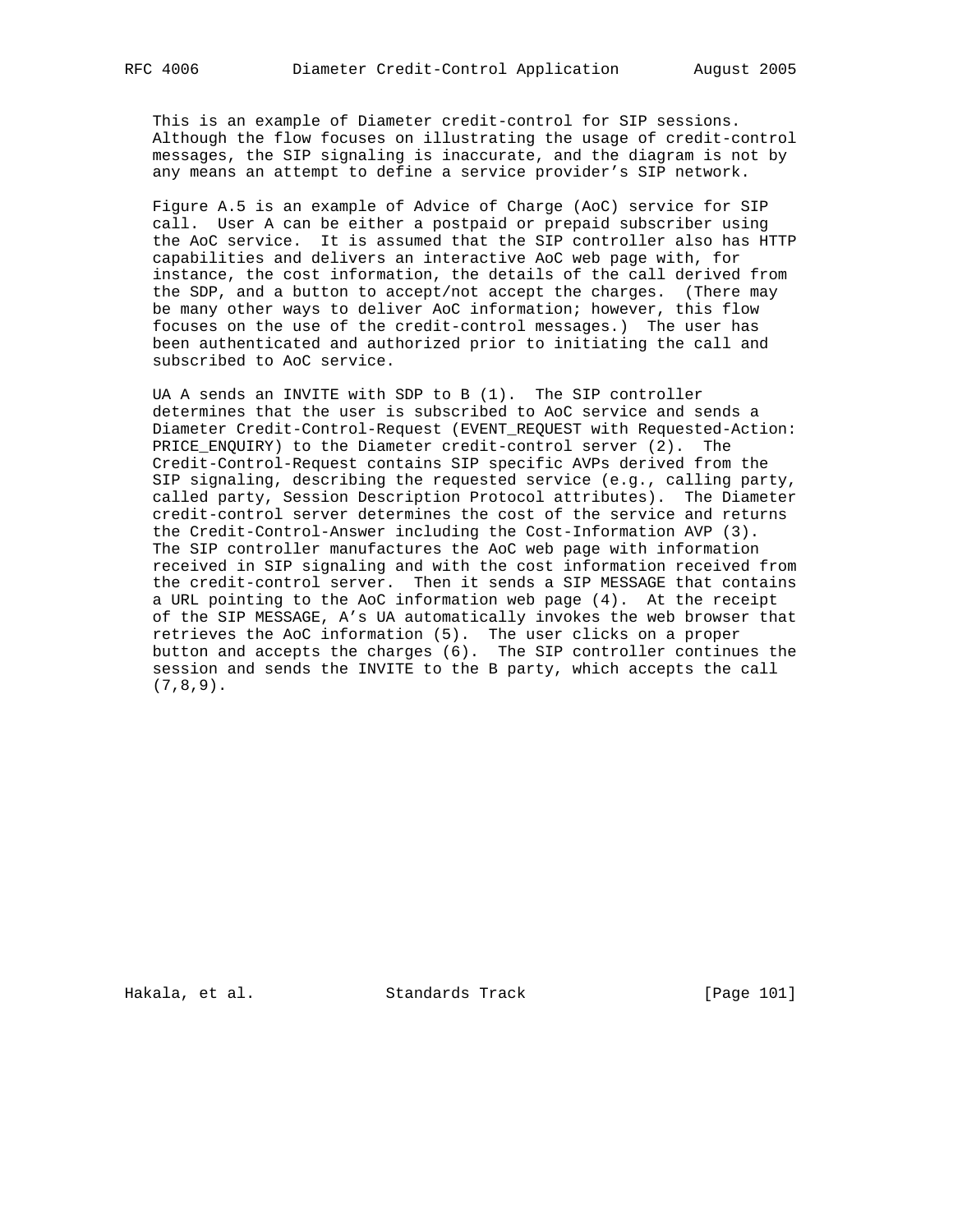This is an example of Diameter credit-control for SIP sessions. Although the flow focuses on illustrating the usage of credit-control messages, the SIP signaling is inaccurate, and the diagram is not by any means an attempt to define a service provider's SIP network.

 Figure A.5 is an example of Advice of Charge (AoC) service for SIP call. User A can be either a postpaid or prepaid subscriber using the AoC service. It is assumed that the SIP controller also has HTTP capabilities and delivers an interactive AoC web page with, for instance, the cost information, the details of the call derived from the SDP, and a button to accept/not accept the charges. (There may be many other ways to deliver AoC information; however, this flow focuses on the use of the credit-control messages.) The user has been authenticated and authorized prior to initiating the call and subscribed to AoC service.

 UA A sends an INVITE with SDP to B (1). The SIP controller determines that the user is subscribed to AoC service and sends a Diameter Credit-Control-Request (EVENT\_REQUEST with Requested-Action: PRICE\_ENQUIRY) to the Diameter credit-control server (2). The Credit-Control-Request contains SIP specific AVPs derived from the SIP signaling, describing the requested service (e.g., calling party, called party, Session Description Protocol attributes). The Diameter credit-control server determines the cost of the service and returns the Credit-Control-Answer including the Cost-Information AVP (3). The SIP controller manufactures the AoC web page with information received in SIP signaling and with the cost information received from the credit-control server. Then it sends a SIP MESSAGE that contains a URL pointing to the AoC information web page (4). At the receipt of the SIP MESSAGE, A's UA automatically invokes the web browser that retrieves the AoC information (5). The user clicks on a proper button and accepts the charges (6). The SIP controller continues the session and sends the INVITE to the B party, which accepts the call (7,8,9).

Hakala, et al. Standards Track [Page 101]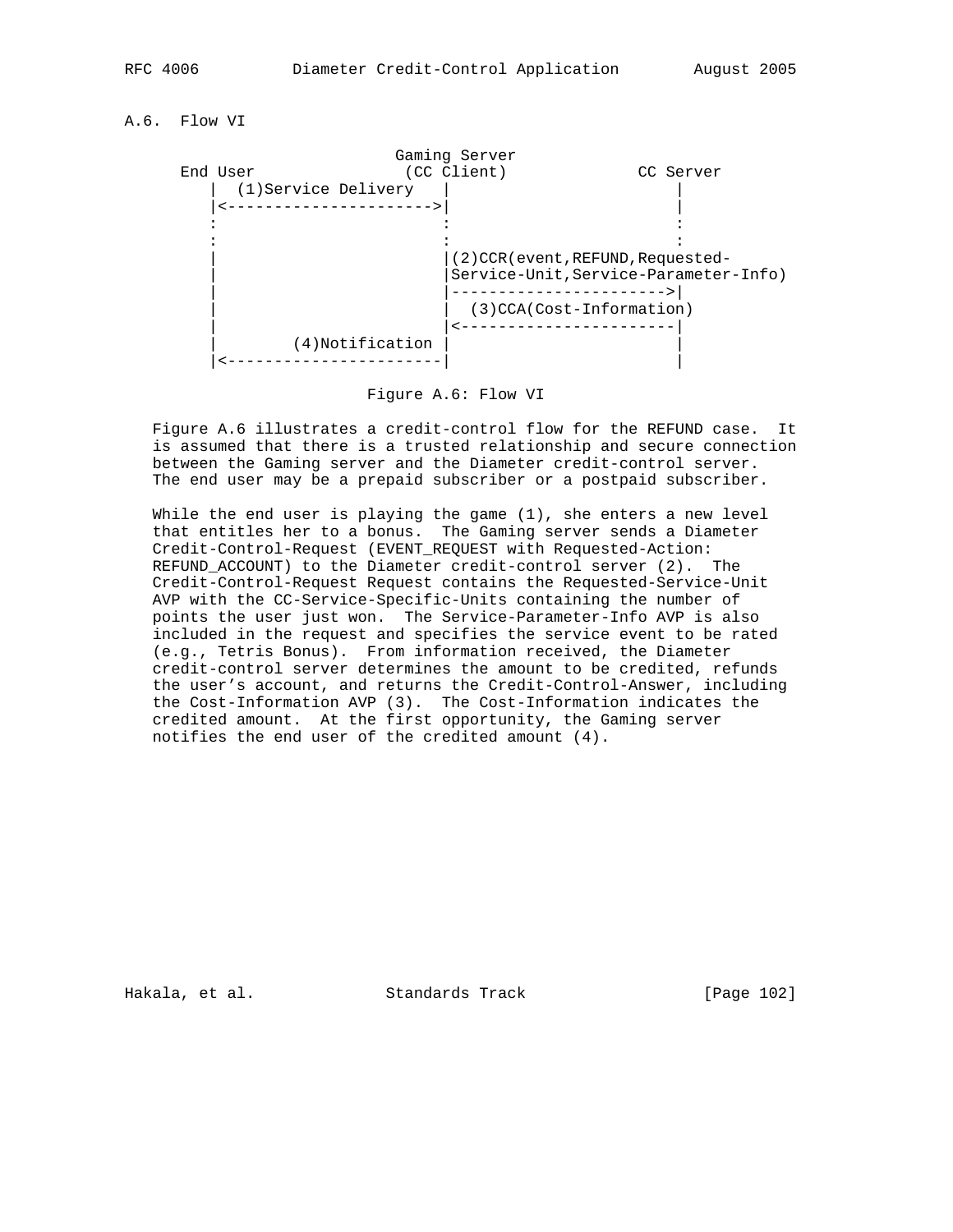A.6. Flow VI



Figure A.6: Flow VI

 Figure A.6 illustrates a credit-control flow for the REFUND case. It is assumed that there is a trusted relationship and secure connection between the Gaming server and the Diameter credit-control server. The end user may be a prepaid subscriber or a postpaid subscriber.

While the end user is playing the game  $(1)$ , she enters a new level that entitles her to a bonus. The Gaming server sends a Diameter Credit-Control-Request (EVENT\_REQUEST with Requested-Action: REFUND\_ACCOUNT) to the Diameter credit-control server (2). The Credit-Control-Request Request contains the Requested-Service-Unit AVP with the CC-Service-Specific-Units containing the number of points the user just won. The Service-Parameter-Info AVP is also included in the request and specifies the service event to be rated (e.g., Tetris Bonus). From information received, the Diameter credit-control server determines the amount to be credited, refunds the user's account, and returns the Credit-Control-Answer, including the Cost-Information AVP (3). The Cost-Information indicates the credited amount. At the first opportunity, the Gaming server notifies the end user of the credited amount (4).

Hakala, et al. Standards Track [Page 102]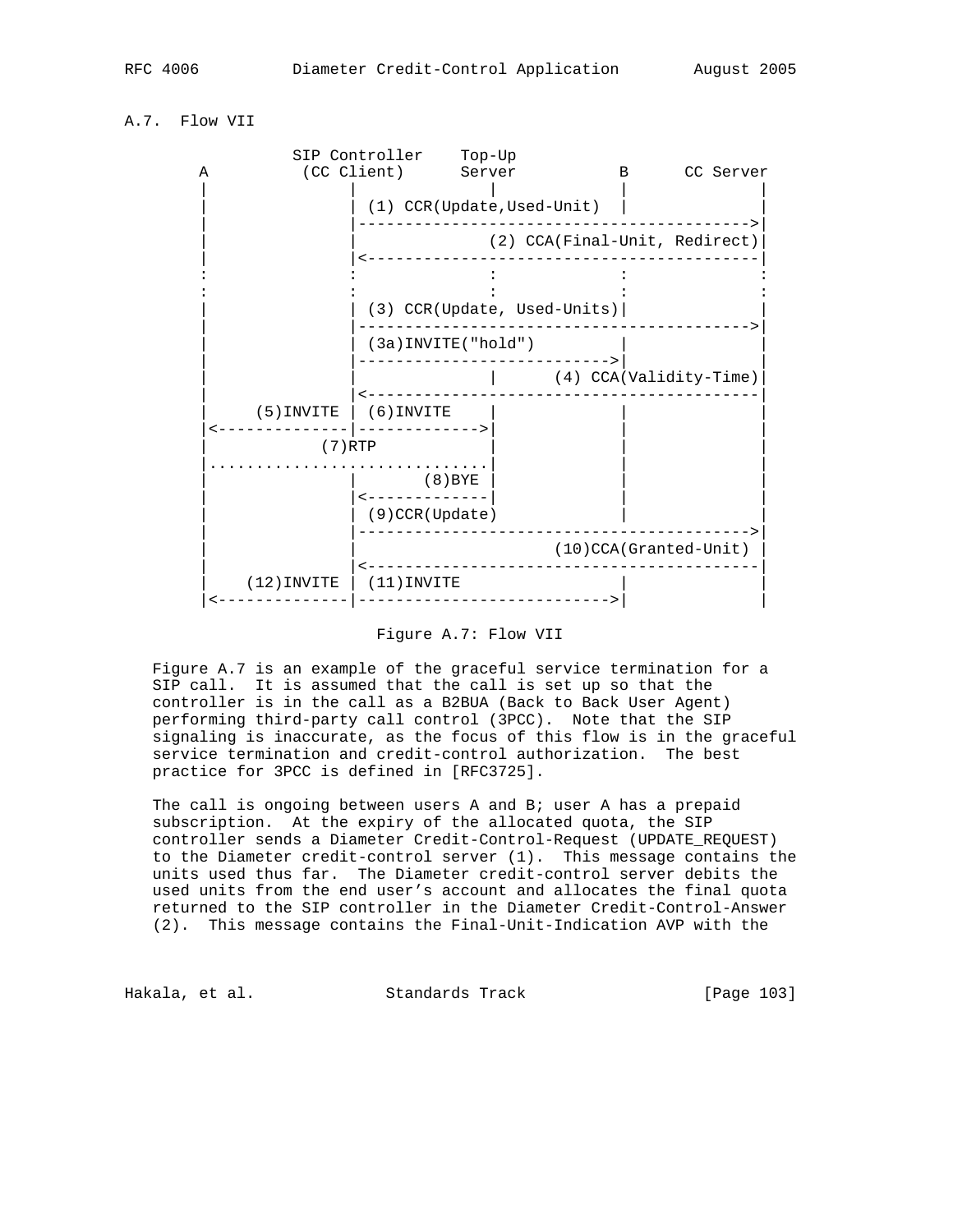# A.7. Flow VII



#### Figure A.7: Flow VII

 Figure A.7 is an example of the graceful service termination for a SIP call. It is assumed that the call is set up so that the controller is in the call as a B2BUA (Back to Back User Agent) performing third-party call control (3PCC). Note that the SIP signaling is inaccurate, as the focus of this flow is in the graceful service termination and credit-control authorization. The best practice for 3PCC is defined in [RFC3725].

The call is ongoing between users A and B; user A has a prepaid subscription. At the expiry of the allocated quota, the SIP controller sends a Diameter Credit-Control-Request (UPDATE\_REQUEST) to the Diameter credit-control server (1). This message contains the units used thus far. The Diameter credit-control server debits the used units from the end user's account and allocates the final quota returned to the SIP controller in the Diameter Credit-Control-Answer (2). This message contains the Final-Unit-Indication AVP with the

Hakala, et al. Standards Track [Page 103]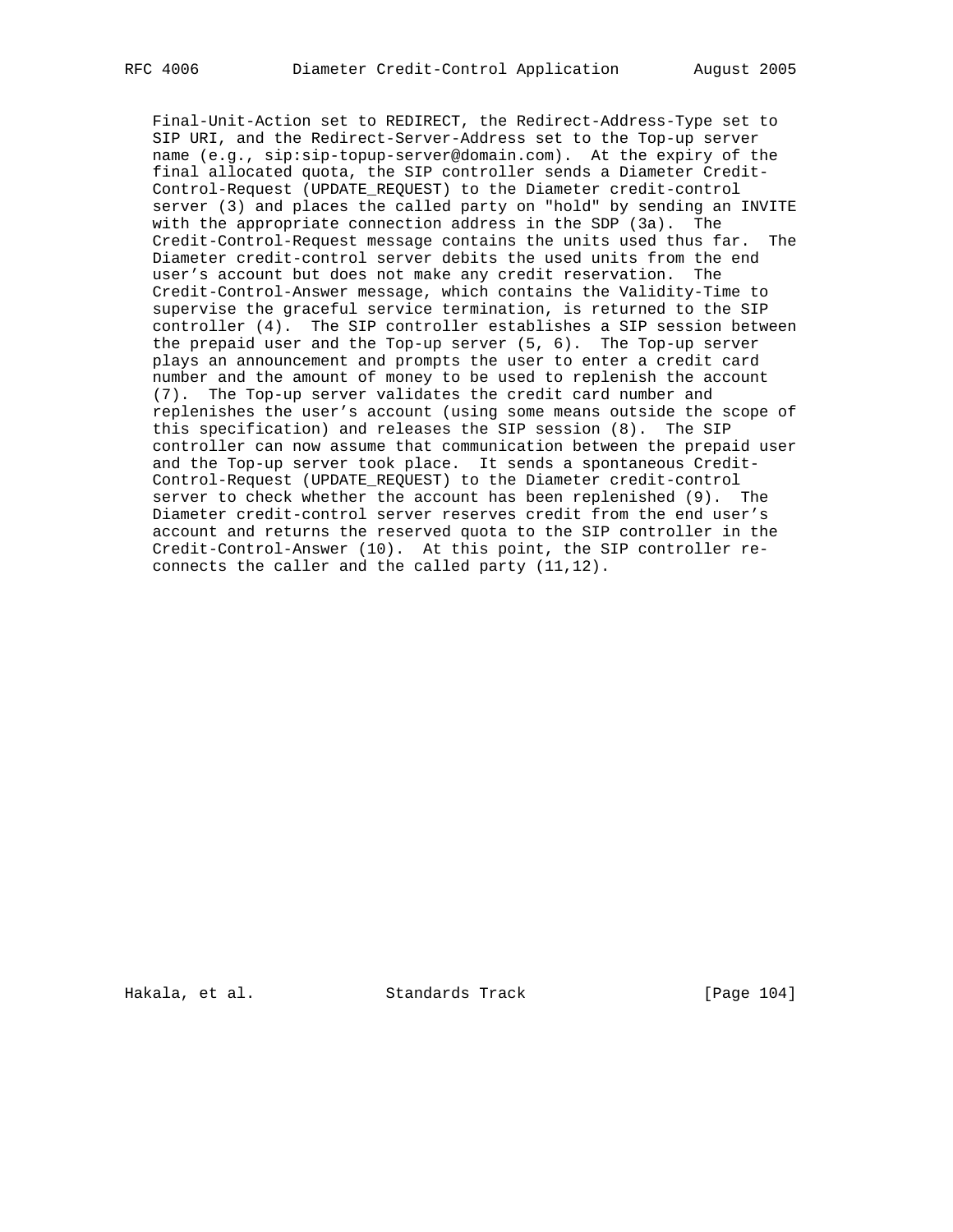Final-Unit-Action set to REDIRECT, the Redirect-Address-Type set to SIP URI, and the Redirect-Server-Address set to the Top-up server name (e.g., sip:sip-topup-server@domain.com). At the expiry of the final allocated quota, the SIP controller sends a Diameter Credit- Control-Request (UPDATE\_REQUEST) to the Diameter credit-control server (3) and places the called party on "hold" by sending an INVITE with the appropriate connection address in the SDP (3a). The Credit-Control-Request message contains the units used thus far. The Diameter credit-control server debits the used units from the end user's account but does not make any credit reservation. The Credit-Control-Answer message, which contains the Validity-Time to supervise the graceful service termination, is returned to the SIP controller (4). The SIP controller establishes a SIP session between the prepaid user and the Top-up server (5, 6). The Top-up server plays an announcement and prompts the user to enter a credit card number and the amount of money to be used to replenish the account (7). The Top-up server validates the credit card number and replenishes the user's account (using some means outside the scope of this specification) and releases the SIP session (8). The SIP controller can now assume that communication between the prepaid user and the Top-up server took place. It sends a spontaneous Credit- Control-Request (UPDATE\_REQUEST) to the Diameter credit-control server to check whether the account has been replenished (9). The Diameter credit-control server reserves credit from the end user's account and returns the reserved quota to the SIP controller in the Credit-Control-Answer (10). At this point, the SIP controller re connects the caller and the called party (11,12).

Hakala, et al. Standards Track [Page 104]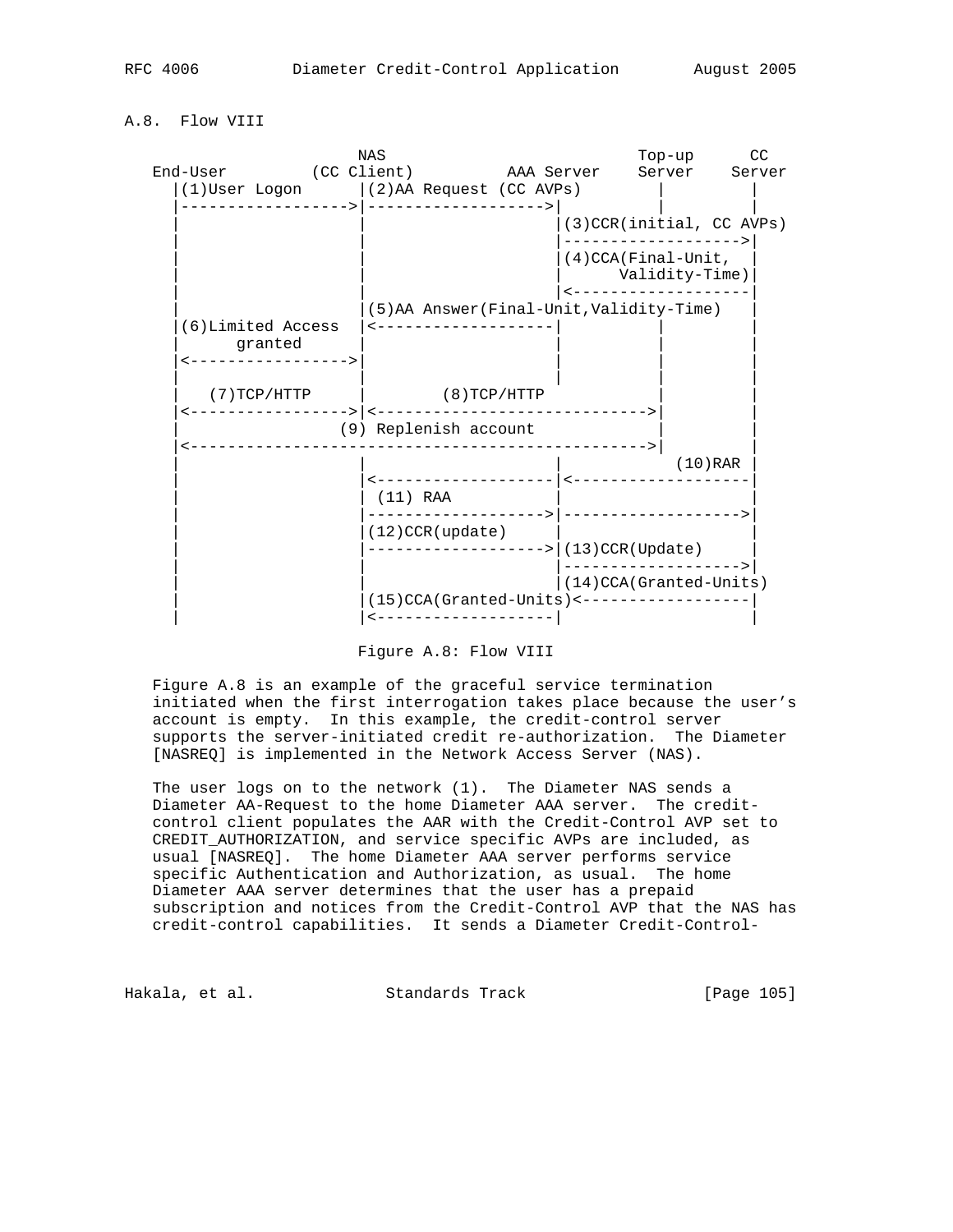# A.8. Flow VIII

|                                 | <b>NAS</b>                                                 |                                                                | Top-up         | CC         |
|---------------------------------|------------------------------------------------------------|----------------------------------------------------------------|----------------|------------|
| End-User (CC Client) AAA Server | (1) User Logon   (2) AA Request (CC AVPs)                  |                                                                | Server         | Server     |
|                                 | __________________                                         |                                                                |                |            |
|                                 |                                                            | (3) CCR(initial, CC AVPs)<br>. _ _ _ _ _ _ _ _ _ _ _ _ _ _ _ _ |                |            |
|                                 |                                                            | $(4)$ CCA(Final-Unit,                                          | Validity-Time) |            |
|                                 | (5) AA Answer (Final-Unit, Validity-Time)                  |                                                                |                |            |
| (6) Limited Access<br>granted   | <--------------------                                      |                                                                |                |            |
|                                 | $(7)$ TCP/HTTP $(8)$ TCP/HTTP                              |                                                                |                |            |
|                                 | (9) Replenish account                                      |                                                                |                |            |
|                                 |                                                            |                                                                |                | $(10)$ RAR |
|                                 | $(11)$ RAA                                                 |                                                                |                |            |
|                                 | $(12)$ CCR (update)<br>------------------> (13)CCR(Update) | __________\ _____________________                              |                |            |
|                                 |                                                            | (14) CCA (Granted-Units)                                       |                |            |
|                                 | $(15)$ CCA(Granted-Units) <----------------                |                                                                |                |            |

Figure A.8: Flow VIII

 Figure A.8 is an example of the graceful service termination initiated when the first interrogation takes place because the user's account is empty. In this example, the credit-control server supports the server-initiated credit re-authorization. The Diameter [NASREQ] is implemented in the Network Access Server (NAS).

 The user logs on to the network (1). The Diameter NAS sends a Diameter AA-Request to the home Diameter AAA server. The credit control client populates the AAR with the Credit-Control AVP set to CREDIT\_AUTHORIZATION, and service specific AVPs are included, as usual [NASREQ]. The home Diameter AAA server performs service specific Authentication and Authorization, as usual. The home Diameter AAA server determines that the user has a prepaid subscription and notices from the Credit-Control AVP that the NAS has credit-control capabilities. It sends a Diameter Credit-Control-

Hakala, et al. Standards Track [Page 105]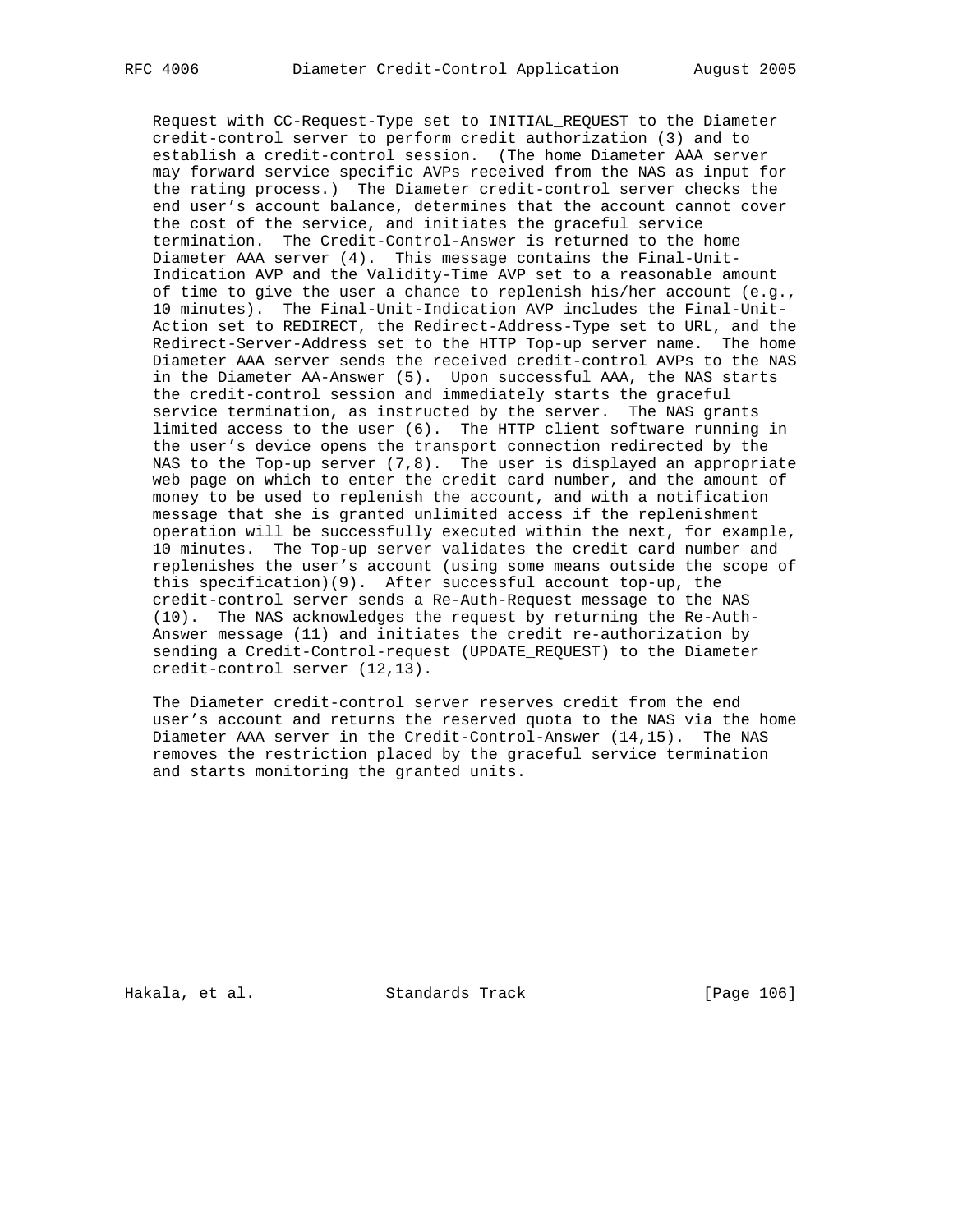Request with CC-Request-Type set to INITIAL\_REQUEST to the Diameter credit-control server to perform credit authorization (3) and to establish a credit-control session. (The home Diameter AAA server may forward service specific AVPs received from the NAS as input for the rating process.) The Diameter credit-control server checks the end user's account balance, determines that the account cannot cover the cost of the service, and initiates the graceful service termination. The Credit-Control-Answer is returned to the home Diameter AAA server (4). This message contains the Final-Unit- Indication AVP and the Validity-Time AVP set to a reasonable amount of time to give the user a chance to replenish his/her account (e.g., 10 minutes). The Final-Unit-Indication AVP includes the Final-Unit- Action set to REDIRECT, the Redirect-Address-Type set to URL, and the Redirect-Server-Address set to the HTTP Top-up server name. The home Diameter AAA server sends the received credit-control AVPs to the NAS in the Diameter AA-Answer (5). Upon successful AAA, the NAS starts the credit-control session and immediately starts the graceful service termination, as instructed by the server. The NAS grants limited access to the user (6). The HTTP client software running in the user's device opens the transport connection redirected by the NAS to the Top-up server  $(7,8)$ . The user is displayed an appropriate web page on which to enter the credit card number, and the amount of money to be used to replenish the account, and with a notification message that she is granted unlimited access if the replenishment operation will be successfully executed within the next, for example, 10 minutes. The Top-up server validates the credit card number and replenishes the user's account (using some means outside the scope of this specification)(9). After successful account top-up, the credit-control server sends a Re-Auth-Request message to the NAS (10). The NAS acknowledges the request by returning the Re-Auth- Answer message (11) and initiates the credit re-authorization by sending a Credit-Control-request (UPDATE\_REQUEST) to the Diameter credit-control server (12,13).

 The Diameter credit-control server reserves credit from the end user's account and returns the reserved quota to the NAS via the home Diameter AAA server in the Credit-Control-Answer (14,15). The NAS removes the restriction placed by the graceful service termination and starts monitoring the granted units.

Hakala, et al. Standards Track [Page 106]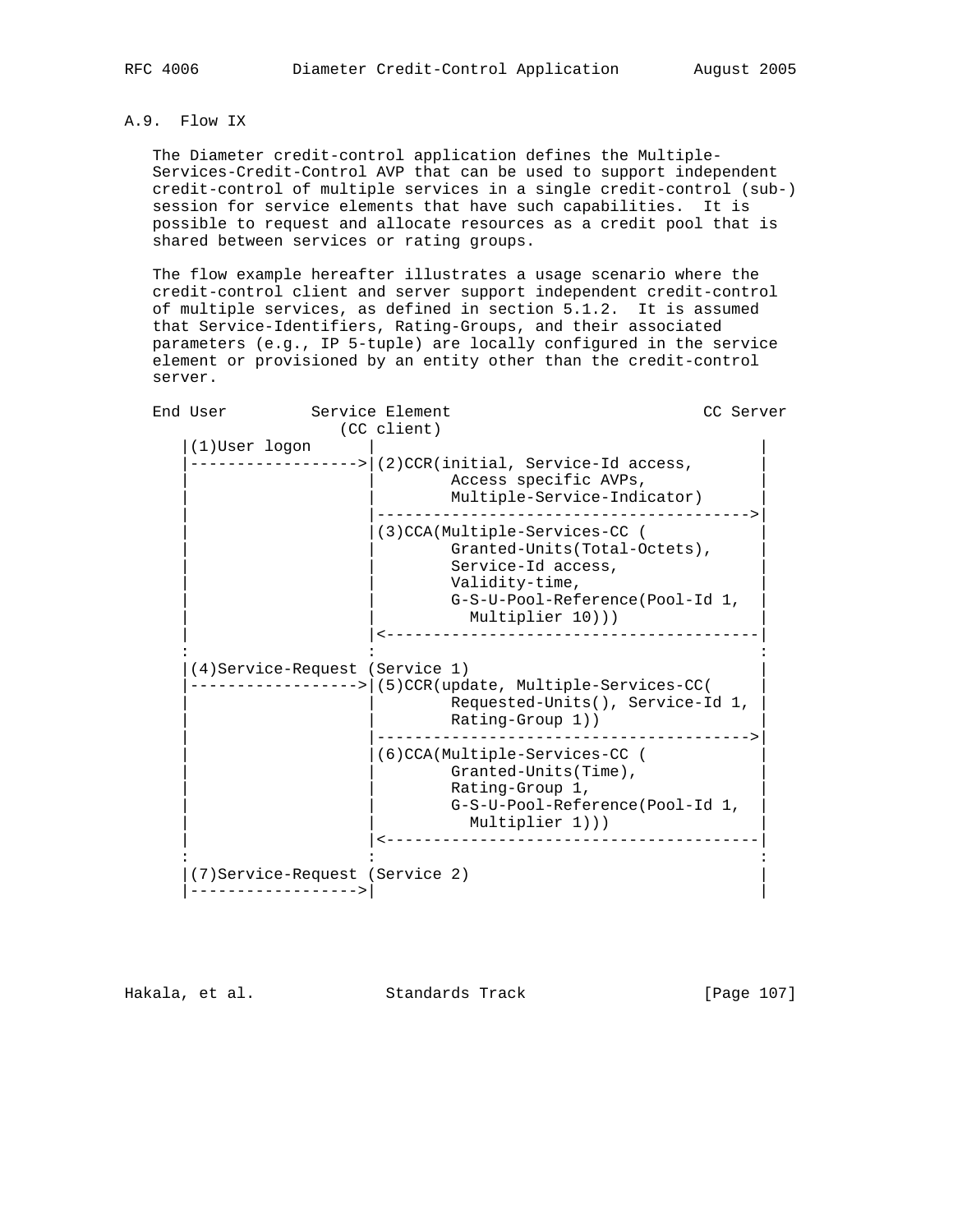# A.9. Flow IX

 The Diameter credit-control application defines the Multiple- Services-Credit-Control AVP that can be used to support independent credit-control of multiple services in a single credit-control (sub-) session for service elements that have such capabilities. It is possible to request and allocate resources as a credit pool that is shared between services or rating groups.

 The flow example hereafter illustrates a usage scenario where the credit-control client and server support independent credit-control of multiple services, as defined in section 5.1.2. It is assumed that Service-Identifiers, Rating-Groups, and their associated parameters (e.g., IP 5-tuple) are locally configured in the service element or provisioned by an entity other than the credit-control server.

| End User                        | Service Element                                                                                                                                              | CC Server |
|---------------------------------|--------------------------------------------------------------------------------------------------------------------------------------------------------------|-----------|
|                                 | (CC client)                                                                                                                                                  |           |
| (1) User logon                  |                                                                                                                                                              |           |
|                                 | -------> (2)CCR(initial, Service-Id access,<br>Access specific AVPs,<br>Multiple-Service-Indicator)                                                          |           |
|                                 | (3)CCA(Multiple-Services-CC (<br>Granted-Units(Total-Octets),<br>Service-Id access,<br>Validity-time,<br>G-S-U-Pool-Reference(Pool-Id 1,<br>Multiplier 10))) |           |
|                                 |                                                                                                                                                              |           |
| (4) Service-Request (Service 1) | -> (5)CCR(update, Multiple-Services-CC(<br>Requested-Units(), Service-Id 1,<br>Rating-Group 1))                                                              |           |
|                                 | (6)CCA(Multiple-Services-CC (<br>Granted-Units (Time),<br>Rating-Group 1,<br>G-S-U-Pool-Reference(Pool-Id 1,<br>Multiplier 1)))                              |           |
| (7) Service-Request (Service 2) |                                                                                                                                                              |           |

Hakala, et al. Standards Track [Page 107]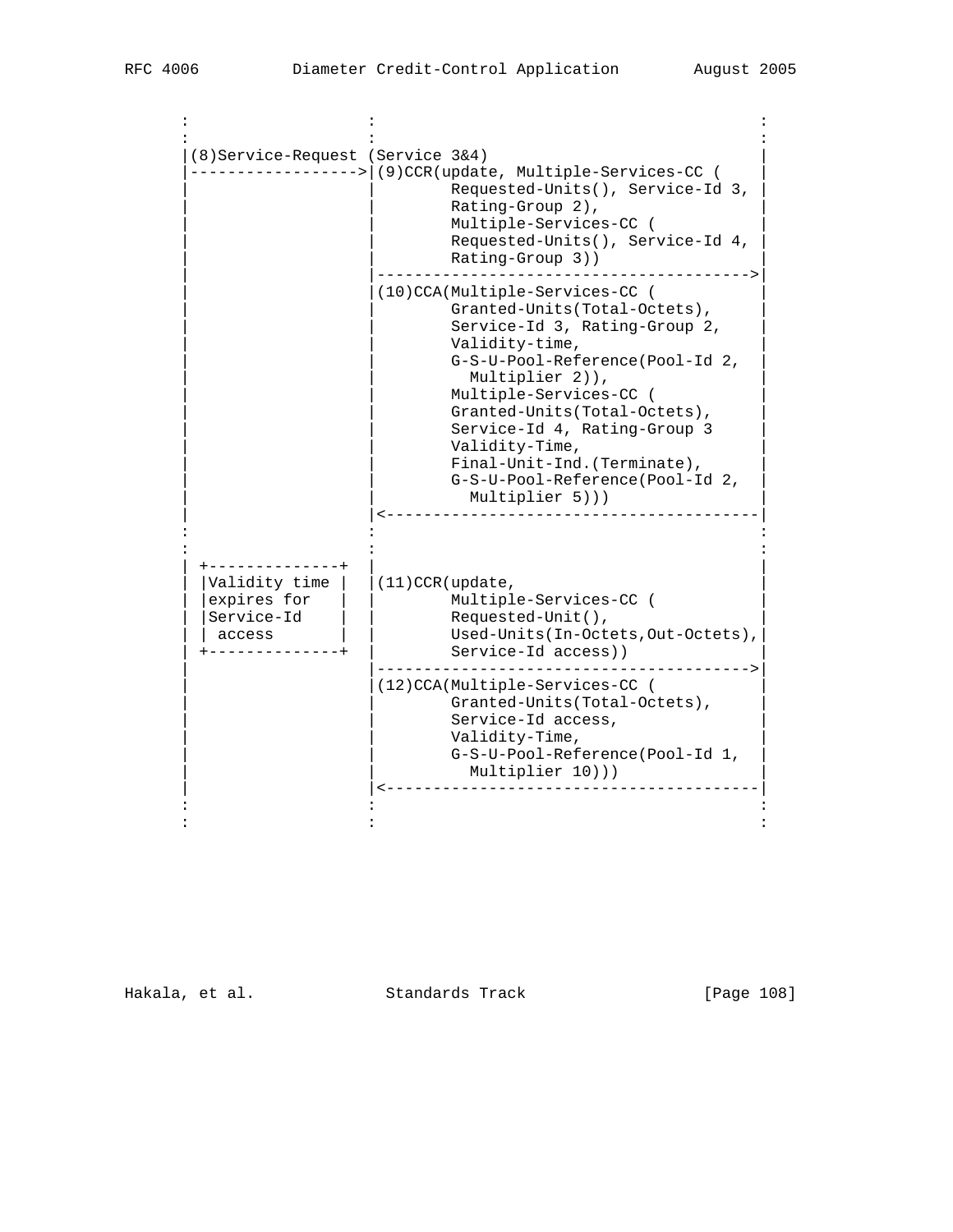| (8) Service-Request (Service 3&4)                    | --------> (9)CCR(update, Multiple-Services-CC (<br>Requested-Units(), Service-Id 3,<br>Rating-Group 2),<br>Multiple-Services-CC (<br>Requested-Units(), Service-Id 4,<br>Rating-Group 3))                                                                                                                                                                                  |
|------------------------------------------------------|----------------------------------------------------------------------------------------------------------------------------------------------------------------------------------------------------------------------------------------------------------------------------------------------------------------------------------------------------------------------------|
|                                                      | (10)CCA(Multiple-Services-CC (<br>Granted-Units (Total-Octets),<br>Service-Id 3, Rating-Group 2,<br>Validity-time,<br>G-S-U-Pool-Reference(Pool-Id 2,<br>Multiplier 2)),<br>Multiple-Services-CC (<br>Granted-Units(Total-Octets),<br>Service-Id 4, Rating-Group 3<br>Validity-Time,<br>Final-Unit-Ind. (Terminate),<br>G-S-U-Pool-Reference(Pool-Id 2,<br>Multiplier 5))) |
| Validity time<br>expires for<br>Service-Id<br>access | $(11)$ CCR (update,<br>Multiple-Services-CC (<br>Requested-Unit(),<br>Used-Units(In-Octets, Out-Octets),<br>Service-Id access))<br>___________                                                                                                                                                                                                                             |
|                                                      | (12)CCA(Multiple-Services-CC (<br>Granted-Units(Total-Octets),<br>Service-Id access,<br>Validity-Time,<br>G-S-U-Pool-Reference(Pool-Id 1,<br>Multiplier 10)))                                                                                                                                                                                                              |

Hakala, et al. Standards Track [Page 108]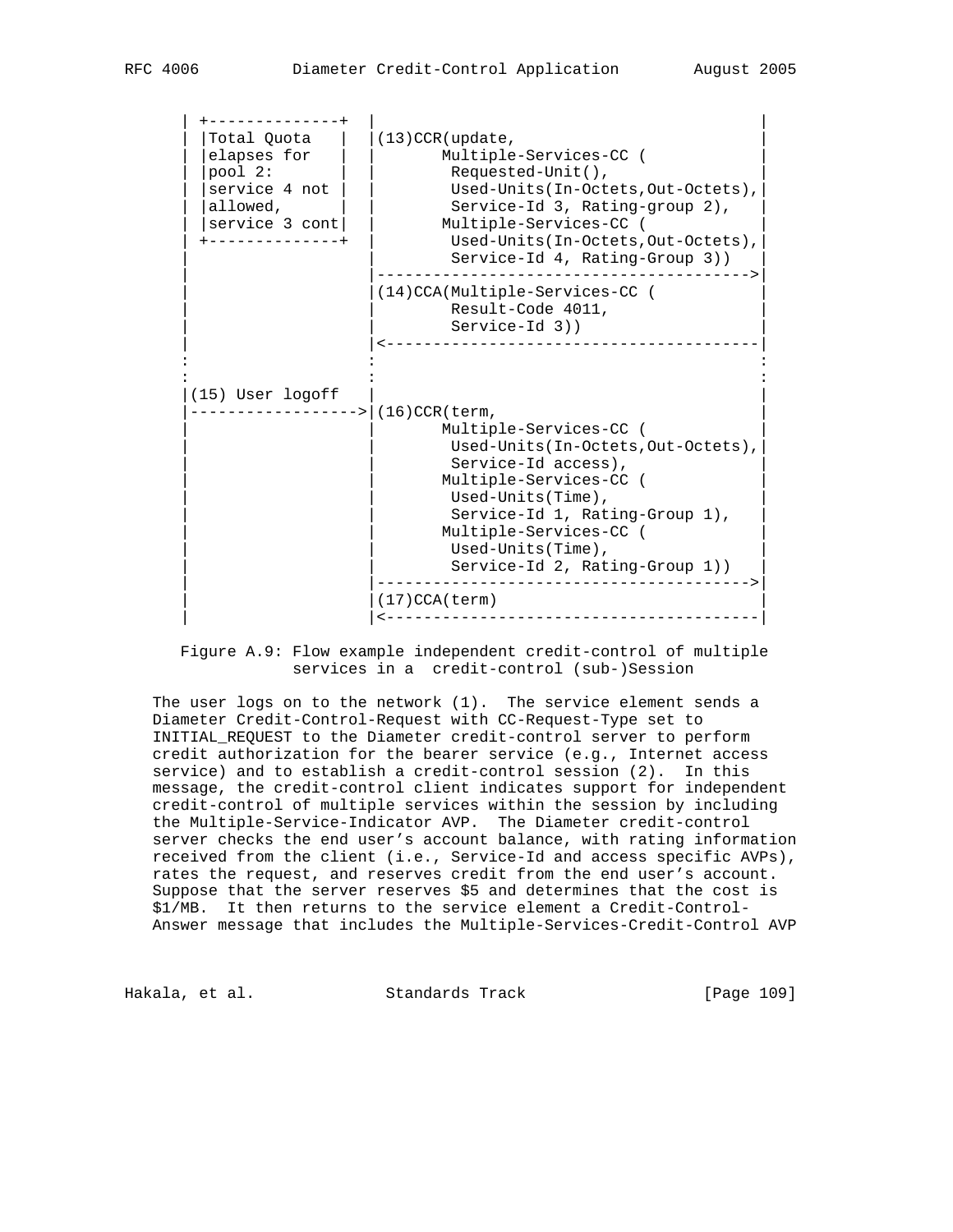| $(13)$ CCR (update,<br>Multiple-Services-CC (<br>$Requested-Unit()$ ,<br>Used-Units (In-Octets, Out-Octets),<br>Service-Id 3, Rating-group 2),<br>Multiple-Services-CC (<br>Used-Units (In-Octets, Out-Octets),<br>Service-Id 4, Rating-Group 3))                                                                                      |
|----------------------------------------------------------------------------------------------------------------------------------------------------------------------------------------------------------------------------------------------------------------------------------------------------------------------------------------|
| (14) CCA(Multiple-Services-CC (<br>Result-Code 4011,<br>$Service-Id$ 3))                                                                                                                                                                                                                                                               |
| $(16)$ CCR (term,<br>Multiple-Services-CC (<br>Used-Units(In-Octets, Out-Octets),<br>Service-Id access),<br>Multiple-Services-CC (<br>Used-Units(Time),<br>Service-Id 1, Rating-Group 1),<br>Multiple-Services-CC (<br>Used-Units(Time),<br>Service-Id 2, Rating-Group 1))<br><u> - - - - - - - - - - - - -</u><br>$(17)$ CCA $(term)$ |
|                                                                                                                                                                                                                                                                                                                                        |

 Figure A.9: Flow example independent credit-control of multiple services in a credit-control (sub-)Session

 The user logs on to the network (1). The service element sends a Diameter Credit-Control-Request with CC-Request-Type set to INITIAL\_REQUEST to the Diameter credit-control server to perform credit authorization for the bearer service (e.g., Internet access service) and to establish a credit-control session (2). In this message, the credit-control client indicates support for independent credit-control of multiple services within the session by including the Multiple-Service-Indicator AVP. The Diameter credit-control server checks the end user's account balance, with rating information received from the client (i.e., Service-Id and access specific AVPs), rates the request, and reserves credit from the end user's account. Suppose that the server reserves \$5 and determines that the cost is \$1/MB. It then returns to the service element a Credit-Control- Answer message that includes the Multiple-Services-Credit-Control AVP

Hakala, et al. Standards Track [Page 109]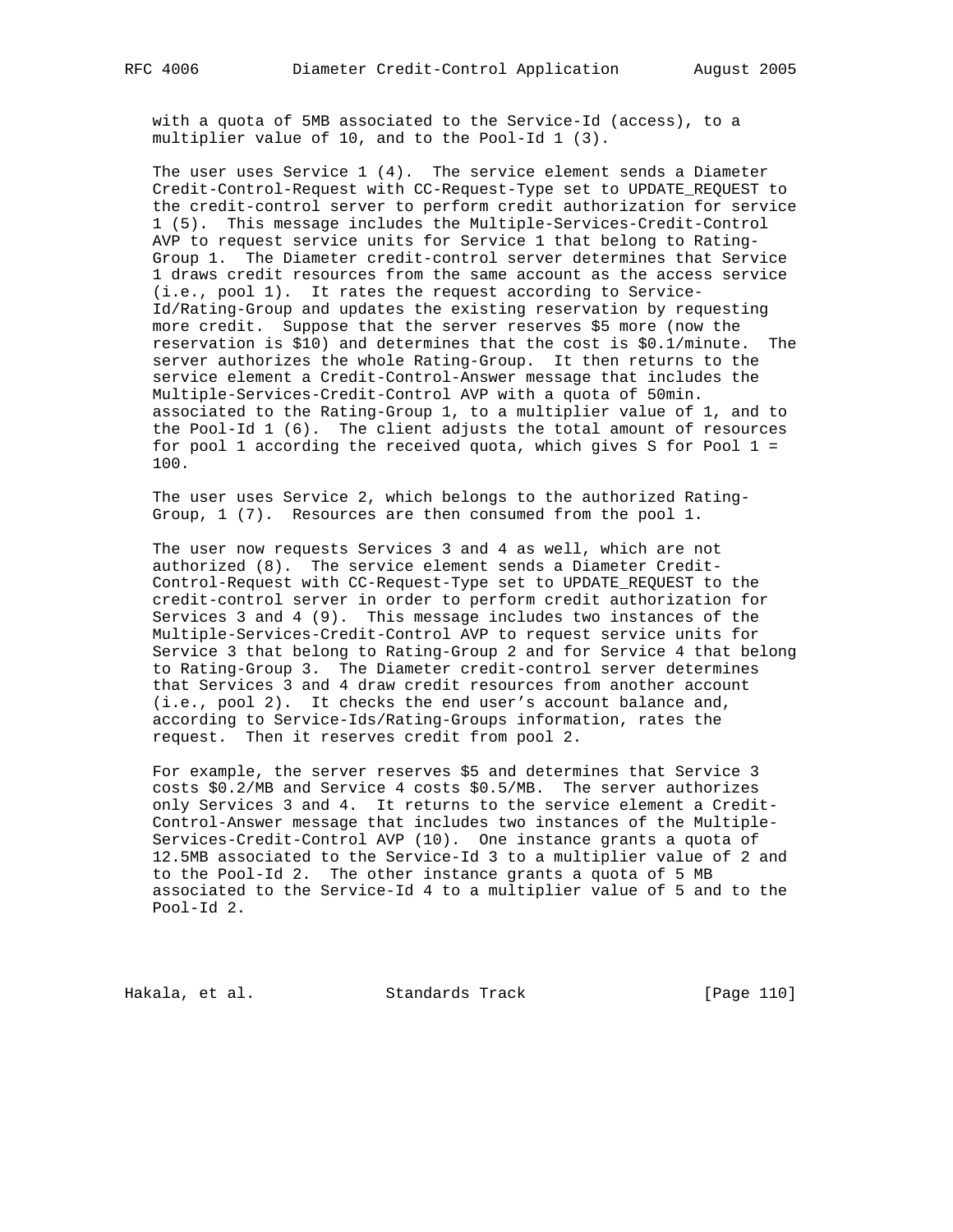with a quota of 5MB associated to the Service-Id (access), to a multiplier value of 10, and to the Pool-Id 1 (3).

 The user uses Service 1 (4). The service element sends a Diameter Credit-Control-Request with CC-Request-Type set to UPDATE\_REQUEST to the credit-control server to perform credit authorization for service 1 (5). This message includes the Multiple-Services-Credit-Control AVP to request service units for Service 1 that belong to Rating- Group 1. The Diameter credit-control server determines that Service 1 draws credit resources from the same account as the access service (i.e., pool 1). It rates the request according to Service- Id/Rating-Group and updates the existing reservation by requesting more credit. Suppose that the server reserves \$5 more (now the reservation is \$10) and determines that the cost is \$0.1/minute. The server authorizes the whole Rating-Group. It then returns to the service element a Credit-Control-Answer message that includes the Multiple-Services-Credit-Control AVP with a quota of 50min. associated to the Rating-Group 1, to a multiplier value of 1, and to the Pool-Id 1 (6). The client adjusts the total amount of resources for pool 1 according the received quota, which gives S for Pool 1 = 100.

 The user uses Service 2, which belongs to the authorized Rating- Group, 1 (7). Resources are then consumed from the pool 1.

 The user now requests Services 3 and 4 as well, which are not authorized (8). The service element sends a Diameter Credit- Control-Request with CC-Request-Type set to UPDATE\_REQUEST to the credit-control server in order to perform credit authorization for Services 3 and 4 (9). This message includes two instances of the Multiple-Services-Credit-Control AVP to request service units for Service 3 that belong to Rating-Group 2 and for Service 4 that belong to Rating-Group 3. The Diameter credit-control server determines that Services 3 and 4 draw credit resources from another account (i.e., pool 2). It checks the end user's account balance and, according to Service-Ids/Rating-Groups information, rates the request. Then it reserves credit from pool 2.

 For example, the server reserves \$5 and determines that Service 3 costs \$0.2/MB and Service 4 costs \$0.5/MB. The server authorizes only Services 3 and 4. It returns to the service element a Credit- Control-Answer message that includes two instances of the Multiple- Services-Credit-Control AVP (10). One instance grants a quota of 12.5MB associated to the Service-Id 3 to a multiplier value of 2 and to the Pool-Id 2. The other instance grants a quota of 5 MB associated to the Service-Id 4 to a multiplier value of 5 and to the Pool-Id 2.

Hakala, et al. Standards Track [Page 110]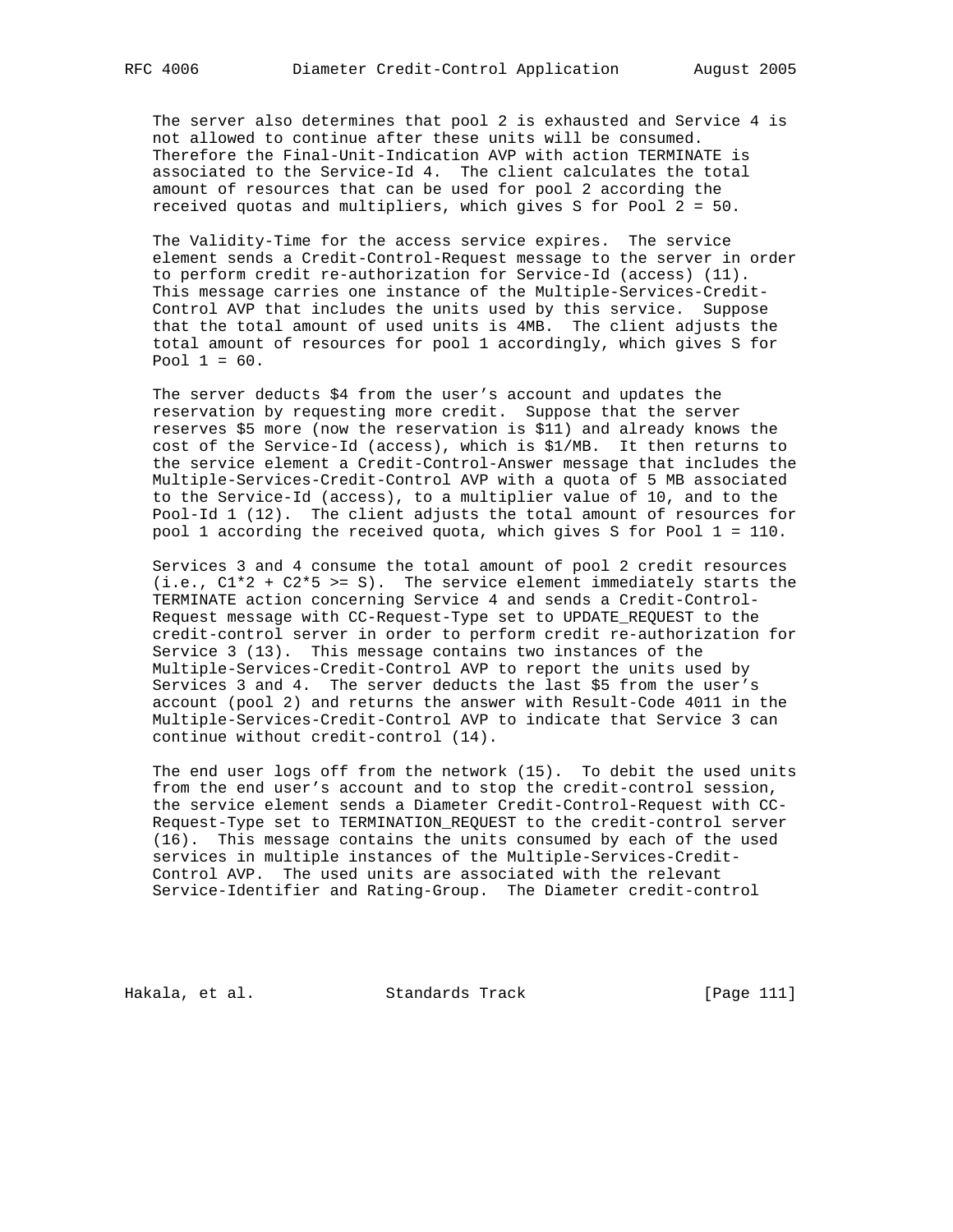The server also determines that pool 2 is exhausted and Service 4 is not allowed to continue after these units will be consumed. Therefore the Final-Unit-Indication AVP with action TERMINATE is associated to the Service-Id 4. The client calculates the total amount of resources that can be used for pool 2 according the received quotas and multipliers, which gives S for Pool 2 = 50.

 The Validity-Time for the access service expires. The service element sends a Credit-Control-Request message to the server in order to perform credit re-authorization for Service-Id (access) (11). This message carries one instance of the Multiple-Services-Credit- Control AVP that includes the units used by this service. Suppose that the total amount of used units is 4MB. The client adjusts the total amount of resources for pool 1 accordingly, which gives S for Pool  $1 = 60$ .

 The server deducts \$4 from the user's account and updates the reservation by requesting more credit. Suppose that the server reserves \$5 more (now the reservation is \$11) and already knows the cost of the Service-Id (access), which is \$1/MB. It then returns to the service element a Credit-Control-Answer message that includes the Multiple-Services-Credit-Control AVP with a quota of 5 MB associated to the Service-Id (access), to a multiplier value of 10, and to the Pool-Id 1 (12). The client adjusts the total amount of resources for pool 1 according the received quota, which gives S for Pool 1 = 110.

 Services 3 and 4 consume the total amount of pool 2 credit resources (i.e., C1\*2 + C2\*5 >= S). The service element immediately starts the TERMINATE action concerning Service 4 and sends a Credit-Control- Request message with CC-Request-Type set to UPDATE\_REQUEST to the credit-control server in order to perform credit re-authorization for Service 3 (13). This message contains two instances of the Multiple-Services-Credit-Control AVP to report the units used by Services 3 and 4. The server deducts the last \$5 from the user's account (pool 2) and returns the answer with Result-Code 4011 in the Multiple-Services-Credit-Control AVP to indicate that Service 3 can continue without credit-control (14).

 The end user logs off from the network (15). To debit the used units from the end user's account and to stop the credit-control session, the service element sends a Diameter Credit-Control-Request with CC- Request-Type set to TERMINATION\_REQUEST to the credit-control server (16). This message contains the units consumed by each of the used services in multiple instances of the Multiple-Services-Credit- Control AVP. The used units are associated with the relevant Service-Identifier and Rating-Group. The Diameter credit-control

Hakala, et al. Standards Track [Page 111]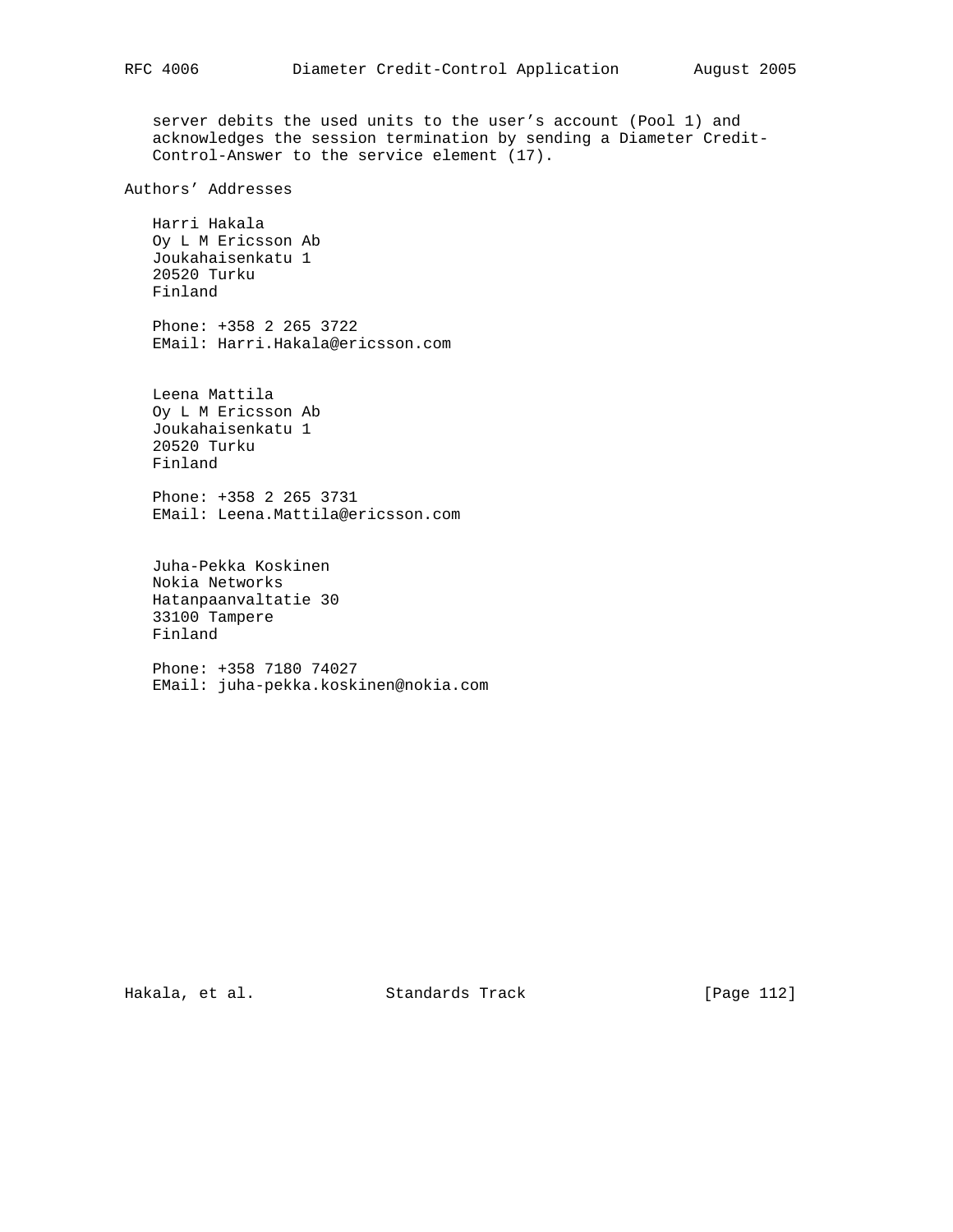server debits the used units to the user's account (Pool 1) and acknowledges the session termination by sending a Diameter Credit- Control-Answer to the service element (17).

Authors' Addresses

 Harri Hakala Oy L M Ericsson Ab Joukahaisenkatu 1 20520 Turku Finland

 Phone: +358 2 265 3722 EMail: Harri.Hakala@ericsson.com

 Leena Mattila Oy L M Ericsson Ab Joukahaisenkatu 1 20520 Turku Finland

 Phone: +358 2 265 3731 EMail: Leena.Mattila@ericsson.com

 Juha-Pekka Koskinen Nokia Networks Hatanpaanvaltatie 30 33100 Tampere Finland

 Phone: +358 7180 74027 EMail: juha-pekka.koskinen@nokia.com

Hakala, et al. Standards Track [Page 112]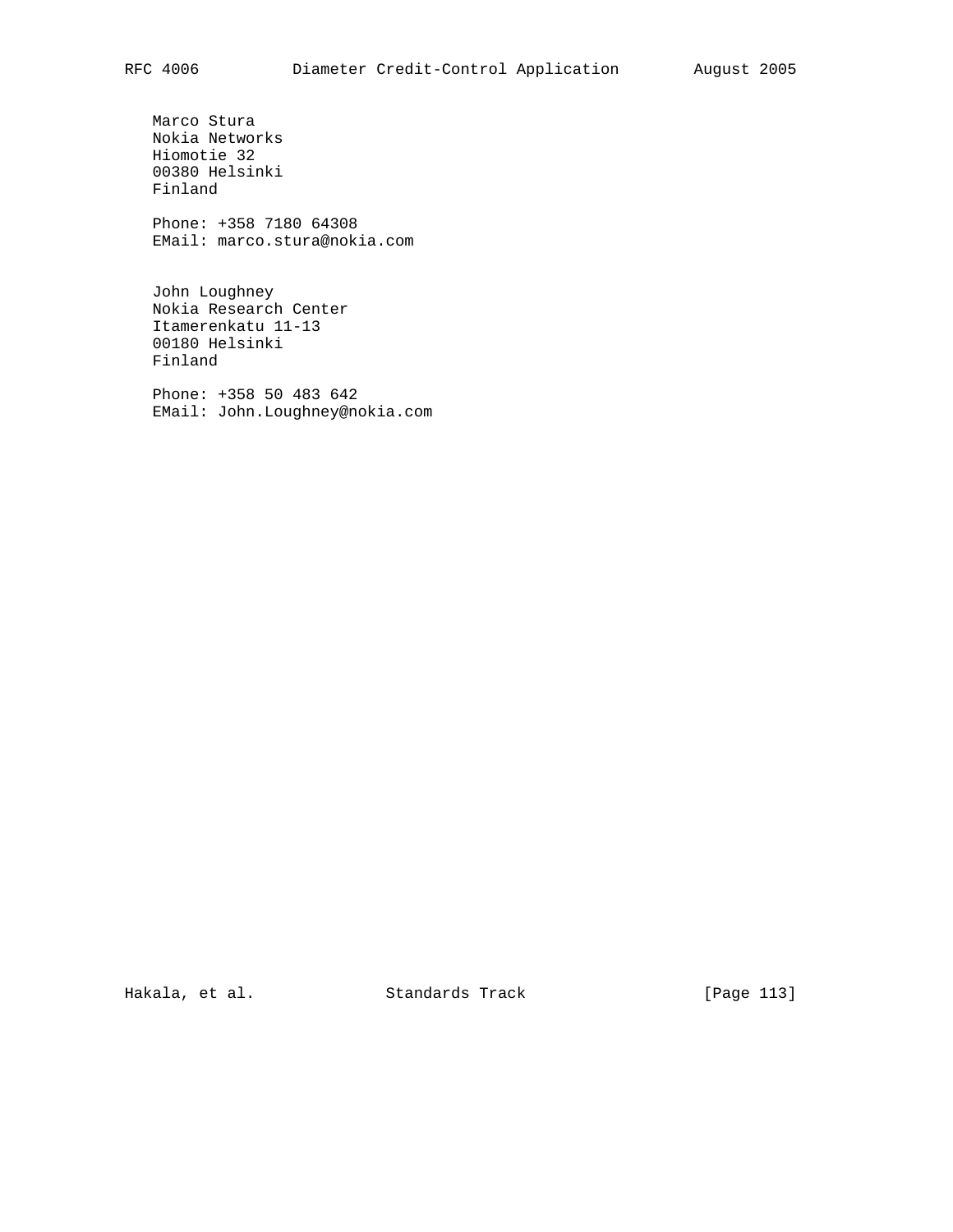Marco Stura Nokia Networks Hiomotie 32 00380 Helsinki Finland

 Phone: +358 7180 64308 EMail: marco.stura@nokia.com

 John Loughney Nokia Research Center Itamerenkatu 11-13 00180 Helsinki Finland

 Phone: +358 50 483 642 EMail: John.Loughney@nokia.com

Hakala, et al. Standards Track [Page 113]